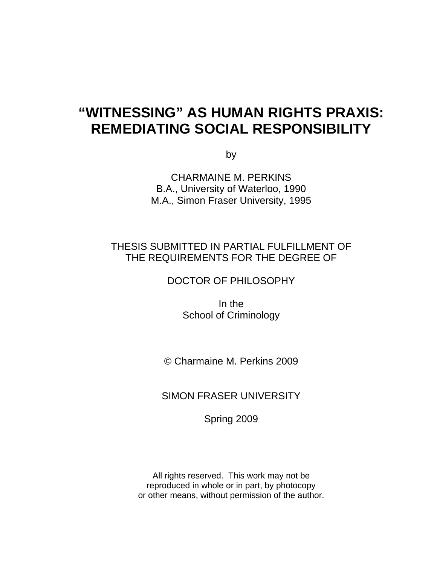# **"WITNESSING" AS HUMAN RIGHTS PRAXIS: REMEDIATING SOCIAL RESPONSIBILITY**

by

CHARMAINE M. PERKINS B.A., University of Waterloo, 1990 M.A., Simon Fraser University, 1995

## THESIS SUBMITTED IN PARTIAL FULFILLMENT OF THE REQUIREMENTS FOR THE DEGREE OF

DOCTOR OF PHILOSOPHY

In the School of Criminology

© Charmaine M. Perkins 2009

SIMON FRASER UNIVERSITY

Spring 2009

All rights reserved. This work may not be reproduced in whole or in part, by photocopy or other means, without permission of the author.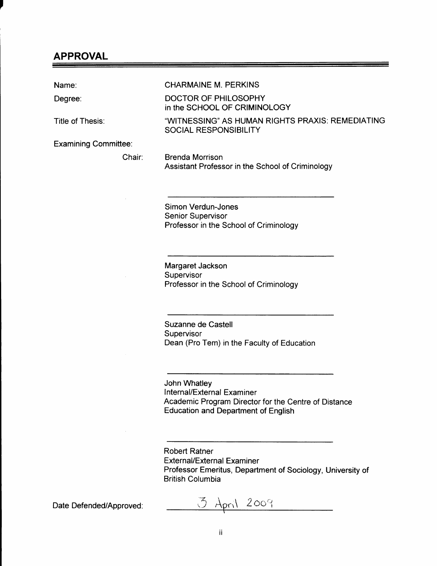### APPROVAL

Name: CHARMAINE M. PERKINS Degree: DOCTOR OF PHILOSOPHY in the SCHOOL OF CRIMINOLOGY Title of Thesis: "WITNESSING" AS HUMAN RIGHTS PRAXIS: REMEDIATING SOCIAL RESPONSIBILITY Examining Committee: Chair: Brenda Morrison Assistant Professor in the School of Criminology

> Simon Verdun-Jones Senior Supervisor Professor in the School of Criminology

> Margaret Jackson Supervisor Professor in the School of Criminology

Suzanne de Castell Supervisor Dean (Pro Tem) in the Faculty of Education

John Whatley Internal/External Examiner Academic Program Director for the Centre of Distance Education and Department of English

Robert Ratner External/External Examiner Professor Emeritus, Department of Sociology, University of British Columbia

Date Defended/Approved:  $\frac{3 \text{ A}_{pr1} \cdot 2009}{4000}$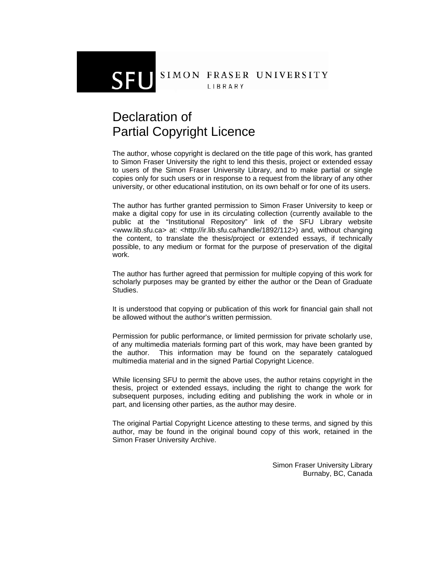### SIMON FRASER UNIVERSITY LIBRARY

# Declaration of Partial Copyright Licence

The author, whose copyright is declared on the title page of this work, has granted to Simon Fraser University the right to lend this thesis, project or extended essay to users of the Simon Fraser University Library, and to make partial or single copies only for such users or in response to a request from the library of any other university, or other educational institution, on its own behalf or for one of its users.

The author has further granted permission to Simon Fraser University to keep or make a digital copy for use in its circulating collection (currently available to the public at the "Institutional Repository" link of the SFU Library website <www.lib.sfu.ca> at: <http://ir.lib.sfu.ca/handle/1892/112>) and, without changing the content, to translate the thesis/project or extended essays, if technically possible, to any medium or format for the purpose of preservation of the digital work.

The author has further agreed that permission for multiple copying of this work for scholarly purposes may be granted by either the author or the Dean of Graduate Studies.

It is understood that copying or publication of this work for financial gain shall not be allowed without the author's written permission.

Permission for public performance, or limited permission for private scholarly use, of any multimedia materials forming part of this work, may have been granted by the author. This information may be found on the separately catalogued multimedia material and in the signed Partial Copyright Licence.

While licensing SFU to permit the above uses, the author retains copyright in the thesis, project or extended essays, including the right to change the work for subsequent purposes, including editing and publishing the work in whole or in part, and licensing other parties, as the author may desire.

The original Partial Copyright Licence attesting to these terms, and signed by this author, may be found in the original bound copy of this work, retained in the Simon Fraser University Archive.

> Simon Fraser University Library Burnaby, BC, Canada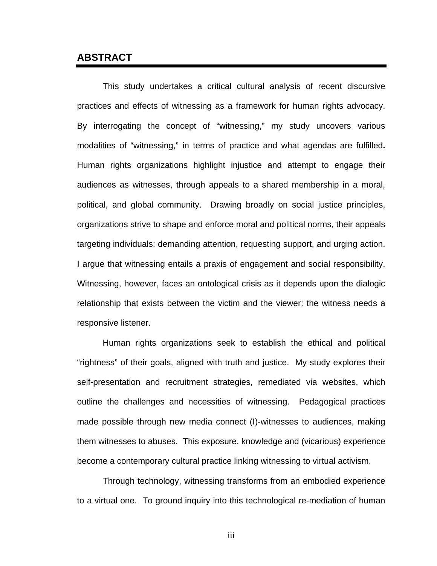### **ABSTRACT**

This study undertakes a critical cultural analysis of recent discursive practices and effects of witnessing as a framework for human rights advocacy. By interrogating the concept of "witnessing," my study uncovers various modalities of "witnessing," in terms of practice and what agendas are fulfilled**.** Human rights organizations highlight injustice and attempt to engage their audiences as witnesses, through appeals to a shared membership in a moral, political, and global community. Drawing broadly on social justice principles, organizations strive to shape and enforce moral and political norms, their appeals targeting individuals: demanding attention, requesting support, and urging action. I argue that witnessing entails a praxis of engagement and social responsibility. Witnessing, however, faces an ontological crisis as it depends upon the dialogic relationship that exists between the victim and the viewer: the witness needs a responsive listener.

Human rights organizations seek to establish the ethical and political "rightness" of their goals, aligned with truth and justice. My study explores their self-presentation and recruitment strategies, remediated via websites, which outline the challenges and necessities of witnessing. Pedagogical practices made possible through new media connect (I)-witnesses to audiences, making them witnesses to abuses. This exposure, knowledge and (vicarious) experience become a contemporary cultural practice linking witnessing to virtual activism.

Through technology, witnessing transforms from an embodied experience to a virtual one. To ground inquiry into this technological re-mediation of human

iii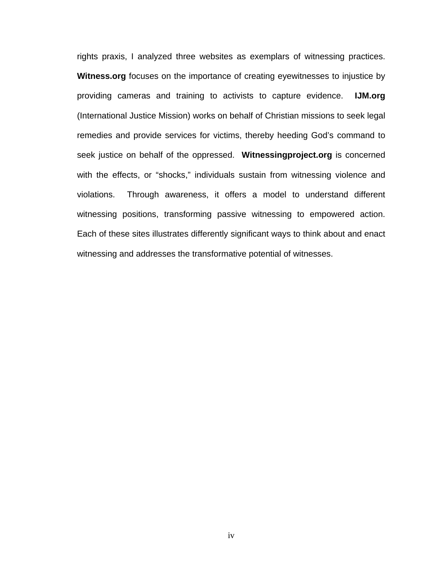rights praxis, I analyzed three websites as exemplars of witnessing practices. **Witness.org** focuses on the importance of creating eyewitnesses to injustice by providing cameras and training to activists to capture evidence. **IJM.org** (International Justice Mission) works on behalf of Christian missions to seek legal remedies and provide services for victims, thereby heeding God's command to seek justice on behalf of the oppressed. **Witnessingproject.org** is concerned with the effects, or "shocks," individuals sustain from witnessing violence and violations. Through awareness, it offers a model to understand different witnessing positions, transforming passive witnessing to empowered action. Each of these sites illustrates differently significant ways to think about and enact witnessing and addresses the transformative potential of witnesses.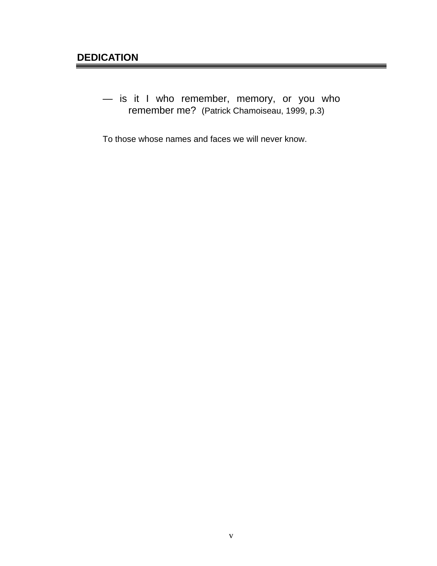— is it I who remember, memory, or you who remember me? (Patrick Chamoiseau, 1999, p.3)

To those whose names and faces we will never know.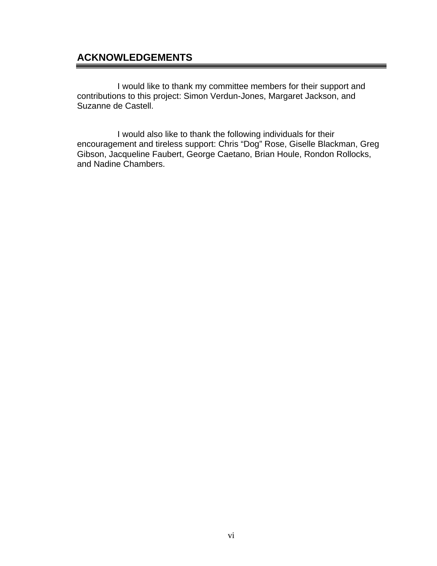## **ACKNOWLEDGEMENTS**

I would like to thank my committee members for their support and contributions to this project: Simon Verdun-Jones, Margaret Jackson, and Suzanne de Castell.

I would also like to thank the following individuals for their encouragement and tireless support: Chris "Dog" Rose, Giselle Blackman, Greg Gibson, Jacqueline Faubert, George Caetano, Brian Houle, Rondon Rollocks, and Nadine Chambers.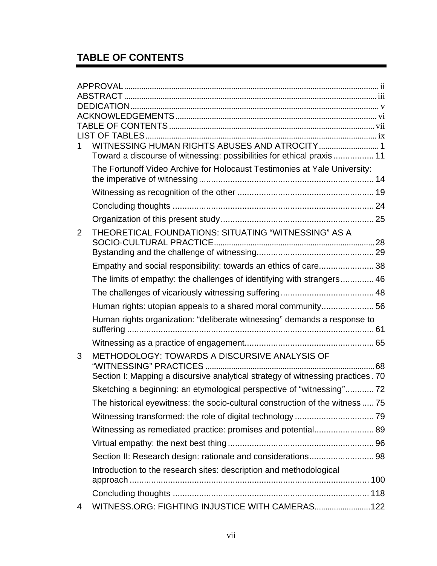# **TABLE OF CONTENTS**

| 1.             | Toward a discourse of witnessing: possibilities for ethical praxis 11           |    |
|----------------|---------------------------------------------------------------------------------|----|
|                | The Fortunoff Video Archive for Holocaust Testimonies at Yale University:       |    |
|                |                                                                                 |    |
|                |                                                                                 |    |
|                |                                                                                 |    |
| $\overline{2}$ | THEORETICAL FOUNDATIONS: SITUATING "WITNESSING" AS A                            |    |
|                |                                                                                 |    |
|                | Empathy and social responsibility: towards an ethics of care 38                 |    |
|                | The limits of empathy: the challenges of identifying with strangers 46          |    |
|                |                                                                                 |    |
|                | Human rights: utopian appeals to a shared moral community56                     |    |
|                | Human rights organization: "deliberate witnessing" demands a response to        |    |
|                |                                                                                 |    |
|                |                                                                                 |    |
| 3              | METHODOLOGY: TOWARDS A DISCURSIVE ANALYSIS OF                                   |    |
|                | Section I: Mapping a discursive analytical strategy of witnessing practices. 70 | 68 |
|                |                                                                                 |    |
|                | Sketching a beginning: an etymological perspective of "witnessing" 72           |    |
|                | The historical eyewitness: the socio-cultural construction of the witness  75   |    |
|                |                                                                                 |    |
|                |                                                                                 |    |
|                |                                                                                 |    |
|                |                                                                                 |    |
|                | Introduction to the research sites: description and methodological              |    |
|                |                                                                                 |    |
|                |                                                                                 |    |
| 4              | WITNESS.ORG: FIGHTING INJUSTICE WITH CAMERAS 122                                |    |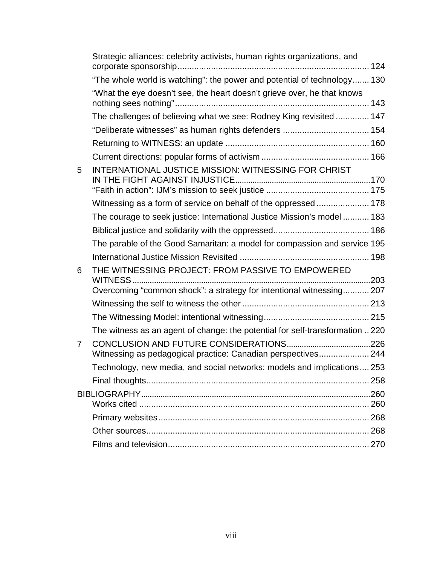|   | Strategic alliances: celebrity activists, human rights organizations, and     |  |
|---|-------------------------------------------------------------------------------|--|
|   | "The whole world is watching": the power and potential of technology 130      |  |
|   | "What the eye doesn't see, the heart doesn't grieve over, he that knows       |  |
|   | The challenges of believing what we see: Rodney King revisited  147           |  |
|   |                                                                               |  |
|   |                                                                               |  |
|   |                                                                               |  |
| 5 | INTERNATIONAL JUSTICE MISSION: WITNESSING FOR CHRIST                          |  |
|   |                                                                               |  |
|   | Witnessing as a form of service on behalf of the oppressed 178                |  |
|   | The courage to seek justice: International Justice Mission's model  183       |  |
|   |                                                                               |  |
|   | The parable of the Good Samaritan: a model for compassion and service 195     |  |
|   |                                                                               |  |
| 6 | THE WITNESSING PROJECT: FROM PASSIVE TO EMPOWERED                             |  |
|   | Overcoming "common shock": a strategy for intentional witnessing 207          |  |
|   |                                                                               |  |
|   |                                                                               |  |
|   | The witness as an agent of change: the potential for self-transformation  220 |  |
| 7 | Witnessing as pedagogical practice: Canadian perspectives 244                 |  |
|   | Technology, new media, and social networks: models and implications 253       |  |
|   |                                                                               |  |
|   |                                                                               |  |
|   |                                                                               |  |
|   |                                                                               |  |
|   |                                                                               |  |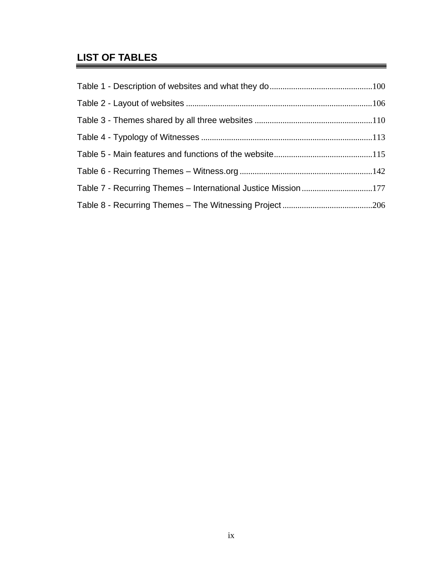# **LIST OF TABLES**

| Table 7 - Recurring Themes - International Justice Mission 177 |  |
|----------------------------------------------------------------|--|
|                                                                |  |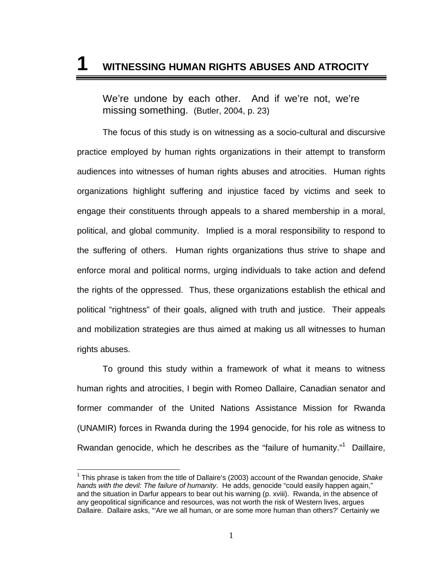# **1 WITNESSING HUMAN RIGHTS ABUSES AND ATROCITY**

We're undone by each other. And if we're not, we're missing something. (Butler, 2004, p. 23)

The focus of this study is on witnessing as a socio-cultural and discursive practice employed by human rights organizations in their attempt to transform audiences into witnesses of human rights abuses and atrocities. Human rights organizations highlight suffering and injustice faced by victims and seek to engage their constituents through appeals to a shared membership in a moral, political, and global community. Implied is a moral responsibility to respond to the suffering of others. Human rights organizations thus strive to shape and enforce moral and political norms, urging individuals to take action and defend the rights of the oppressed. Thus, these organizations establish the ethical and political "rightness" of their goals, aligned with truth and justice. Their appeals and mobilization strategies are thus aimed at making us all witnesses to human rights abuses.

To ground this study within a framework of what it means to witness human rights and atrocities, I begin with Romeo Dallaire, Canadian senator and former commander of the United Nations Assistance Mission for Rwanda (UNAMIR) forces in Rwanda during the 1994 genocide, for his role as witness to Rwandan genocide, which he describes as the "failure of humanity."<sup>1</sup> Daillaire,

<sup>1</sup> This phrase is taken from the title of Dallaire's (2003) account of the Rwandan genocide, *Shake hands with the devil: The failure of humanity*. He adds, genocide "could easily happen again," and the situation in Darfur appears to bear out his warning (p. xviii). Rwanda, in the absence of any geopolitical significance and resources, was not worth the risk of Western lives, argues Dallaire. Dallaire asks, "'Are we all human, or are some more human than others?' Certainly we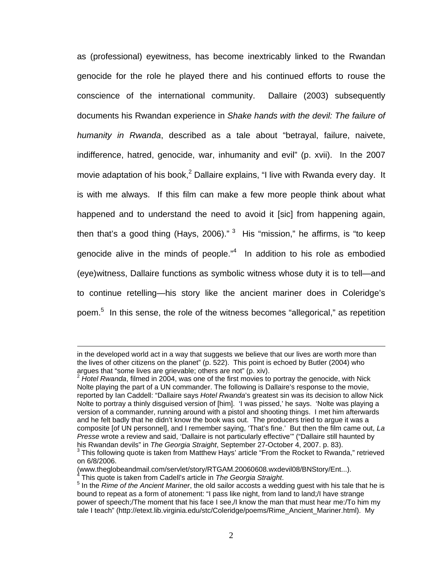as (professional) eyewitness, has become inextricably linked to the Rwandan genocide for the role he played there and his continued efforts to rouse the conscience of the international community. Dallaire (2003) subsequently documents his Rwandan experience in *Shake hands with the devil: The failure of humanity in Rwanda*, described as a tale about "betrayal, failure, naivete, indifference, hatred, genocide, war, inhumanity and evil" (p. xvii). In the 2007 movie adaptation of his book,<sup>2</sup> Dallaire explains, "I live with Rwanda every day. It is with me always. If this film can make a few more people think about what happened and to understand the need to avoid it [sic] from happening again, then that's a good thing (Hays, 2006)."  $3$  His "mission," he affirms, is "to keep genocide alive in the minds of people." $4$  In addition to his role as embodied (eye)witness, Dallaire functions as symbolic witness whose duty it is to tell—and to continue retelling—his story like the ancient mariner does in Coleridge's poem.<sup>5</sup> In this sense, the role of the witness becomes "allegorical," as repetition

in the developed world act in a way that suggests we believe that our lives are worth more than the lives of other citizens on the planet" (p. 522). This point is echoed by Butler (2004) who arques that "some lives are grievable: others are not" (p. xiv).

<sup>&</sup>lt;sup>2</sup> Hotel Rwanda, filmed in 2004, was one of the first movies to portray the genocide, with Nick Nolte playing the part of a UN commander. The following is Dallaire's response to the movie, reported by Ian Caddell: "Dallaire says *Hotel Rwanda*'s greatest sin was its decision to allow Nick Nolte to portray a thinly disguised version of [him]. 'I was pissed,' he says. 'Nolte was playing a version of a commander, running around with a pistol and shooting things. I met him afterwards and he felt badly that he didn't know the book was out. The producers tried to argue it was a composite [of UN personnel], and I remember saying, 'That's fine.' But then the film came out, *La Presse* wrote a review and said, 'Dallaire is not particularly effective'" ("Dallaire still haunted by his Rwandan devils" in *The Georgia Straight*, September 27-October 4, 2007. p. 83).

 $3$  This following quote is taken from Matthew Hays' article "From the Rocket to Rwanda," retrieved on 6/8/2006.

<sup>(</sup>www.theglobeandmail.com/servlet/story/RTGAM.20060608.wxdevil08/BNStory/Ent...).<br><sup>4</sup> This quote is taken from Cadell's article in *The Georgia Straight*.

<sup>&</sup>lt;sup>4</sup> This quote is taken from Cadell's article in *The Georgia Straight*.<br><sup>5</sup> In the *Rime of the Ancient Mariner*, the old sailor accosts a wedding guest with his tale that he is bound to repeat as a form of atonement: "I pass like night, from land to land;/I have strange power of speech;/The moment that his face I see,/I know the man that must hear me:/To him my tale I teach" (http://etext.lib.virginia.edu/stc/Coleridge/poems/Rime\_Ancient\_Mariner.html). My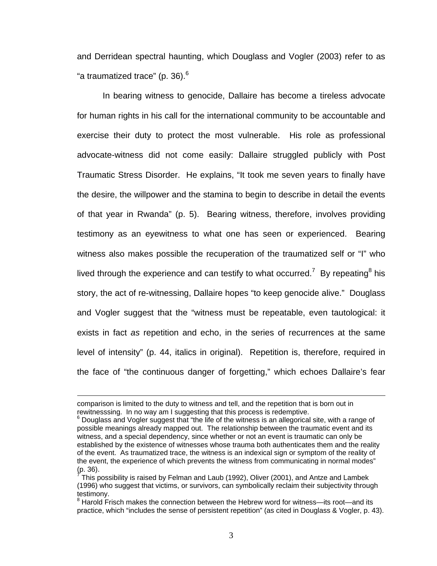and Derridean spectral haunting, which Douglass and Vogler (2003) refer to as "a traumatized trace" (p. 36).<sup>6</sup>

 In bearing witness to genocide, Dallaire has become a tireless advocate for human rights in his call for the international community to be accountable and exercise their duty to protect the most vulnerable. His role as professional advocate-witness did not come easily: Dallaire struggled publicly with Post Traumatic Stress Disorder. He explains, "It took me seven years to finally have the desire, the willpower and the stamina to begin to describe in detail the events of that year in Rwanda" (p. 5). Bearing witness, therefore, involves providing testimony as an eyewitness to what one has seen or experienced. Bearing witness also makes possible the recuperation of the traumatized self or "I" who lived through the experience and can testify to what occurred.<sup>7</sup> By repeating<sup>8</sup> his story, the act of re-witnessing, Dallaire hopes "to keep genocide alive." Douglass and Vogler suggest that the "witness must be repeatable, even tautological: it exists in fact *as* repetition and echo, in the series of recurrences at the same level of intensity" (p. 44, italics in original). Repetition is, therefore, required in the face of "the continuous danger of forgetting," which echoes Dallaire's fear

comparison is limited to the duty to witness and tell, and the repetition that is born out in rewitnesssing. In no way am I suggesting that this process is redemptive.

<sup>6</sup> Douglass and Vogler suggest that "the life of the witness is an allegorical site, with a range of possible meanings already mapped out. The relationship between the traumatic event and its witness, and a special dependency, since whether or not an event is traumatic can only be established by the existence of witnesses whose trauma both authenticates them and the reality of the event. As traumatized trace, the witness is an indexical sign or symptom of the reality of the event, the experience of which prevents the witness from communicating in normal modes" (p. 36).

 $^7$ This possibility is raised by Felman and Laub (1992), Oliver (2001), and Antze and Lambek (1996) who suggest that victims, or survivors, can symbolically reclaim their subjectivity through testimony.

<sup>&</sup>lt;sup>8</sup> Harold Frisch makes the connection between the Hebrew word for witness—its root—and its practice, which "includes the sense of persistent repetition" (as cited in Douglass & Vogler, p. 43).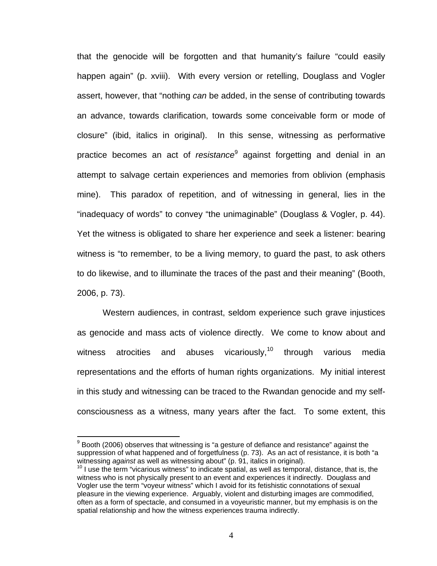that the genocide will be forgotten and that humanity's failure "could easily happen again" (p. xviii). With every version or retelling, Douglass and Vogler assert, however, that "nothing *can* be added, in the sense of contributing towards an advance, towards clarification, towards some conceivable form or mode of closure" (ibid, italics in original). In this sense, witnessing as performative practice becomes an act of *resistance*<sup>9</sup> against forgetting and denial in an attempt to salvage certain experiences and memories from oblivion (emphasis mine). This paradox of repetition, and of witnessing in general, lies in the "inadequacy of words" to convey "the unimaginable" (Douglass & Vogler, p. 44). Yet the witness is obligated to share her experience and seek a listener: bearing witness is "to remember, to be a living memory, to guard the past, to ask others to do likewise, and to illuminate the traces of the past and their meaning" (Booth, 2006, p. 73).

Western audiences, in contrast, seldom experience such grave injustices as genocide and mass acts of violence directly. We come to know about and witness atrocities and abuses vicariously,<sup>10</sup> through various media representations and the efforts of human rights organizations. My initial interest in this study and witnessing can be traced to the Rwandan genocide and my selfconsciousness as a witness, many years after the fact. To some extent, this

 $9$  Booth (2006) observes that witnessing is "a gesture of defiance and resistance" against the suppression of what happened and of forgetfulness (p. 73). As an act of resistance, it is both "a witnessing against as well as witnessing about" (p. 91, italics in original).

<sup>&</sup>lt;sup>10</sup> I use the term "vicarious witness" to indicate spatial, as well as temporal, distance, that is, the witness who is not physically present to an event and experiences it indirectly. Douglass and Vogler use the term "voyeur witness" which I avoid for its fetishistic connotations of sexual pleasure in the viewing experience. Arguably, violent and disturbing images are commodified, often as a form of spectacle, and consumed in a voyeuristic manner, but my emphasis is on the spatial relationship and how the witness experiences trauma indirectly.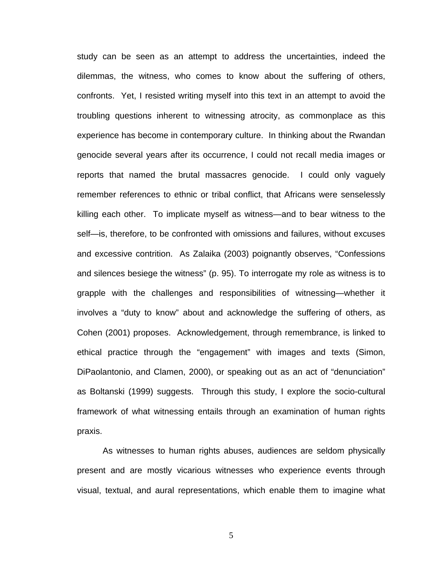study can be seen as an attempt to address the uncertainties, indeed the dilemmas, the witness, who comes to know about the suffering of others, confronts. Yet, I resisted writing myself into this text in an attempt to avoid the troubling questions inherent to witnessing atrocity, as commonplace as this experience has become in contemporary culture. In thinking about the Rwandan genocide several years after its occurrence, I could not recall media images or reports that named the brutal massacres genocide. I could only vaguely remember references to ethnic or tribal conflict, that Africans were senselessly killing each other. To implicate myself as witness—and to bear witness to the self—is, therefore, to be confronted with omissions and failures, without excuses and excessive contrition. As Zalaika (2003) poignantly observes, "Confessions and silences besiege the witness" (p. 95). To interrogate my role as witness is to grapple with the challenges and responsibilities of witnessing—whether it involves a "duty to know" about and acknowledge the suffering of others, as Cohen (2001) proposes. Acknowledgement, through remembrance, is linked to ethical practice through the "engagement" with images and texts (Simon, DiPaolantonio, and Clamen, 2000), or speaking out as an act of "denunciation" as Boltanski (1999) suggests. Through this study, I explore the socio-cultural framework of what witnessing entails through an examination of human rights praxis.

 As witnesses to human rights abuses, audiences are seldom physically present and are mostly vicarious witnesses who experience events through visual, textual, and aural representations, which enable them to imagine what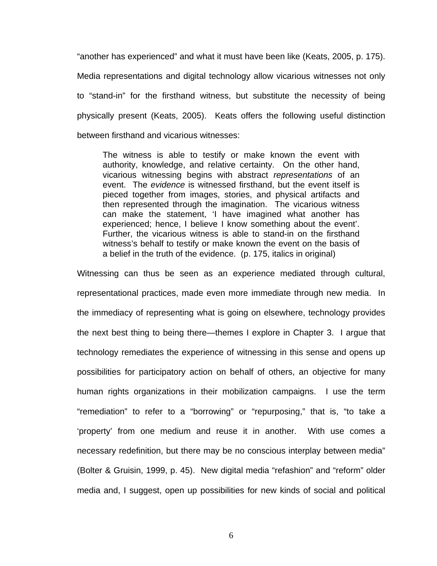"another has experienced" and what it must have been like (Keats, 2005, p. 175). Media representations and digital technology allow vicarious witnesses not only to "stand-in" for the firsthand witness, but substitute the necessity of being physically present (Keats, 2005). Keats offers the following useful distinction between firsthand and vicarious witnesses:

The witness is able to testify or make known the event with authority, knowledge, and relative certainty. On the other hand, vicarious witnessing begins with abstract *representations* of an event. The *evidence* is witnessed firsthand, but the event itself is pieced together from images, stories, and physical artifacts and then represented through the imagination. The vicarious witness can make the statement, 'I have imagined what another has experienced; hence, I believe I know something about the event'. Further, the vicarious witness is able to stand-in on the firsthand witness's behalf to testify or make known the event on the basis of a belief in the truth of the evidence. (p. 175, italics in original)

Witnessing can thus be seen as an experience mediated through cultural, representational practices, made even more immediate through new media. In the immediacy of representing what is going on elsewhere, technology provides the next best thing to being there—themes I explore in Chapter 3. I argue that technology remediates the experience of witnessing in this sense and opens up possibilities for participatory action on behalf of others, an objective for many human rights organizations in their mobilization campaigns. I use the term "remediation" to refer to a "borrowing" or "repurposing," that is, "to take a 'property' from one medium and reuse it in another. With use comes a necessary redefinition, but there may be no conscious interplay between media" (Bolter & Gruisin, 1999, p. 45). New digital media "refashion" and "reform" older media and, I suggest, open up possibilities for new kinds of social and political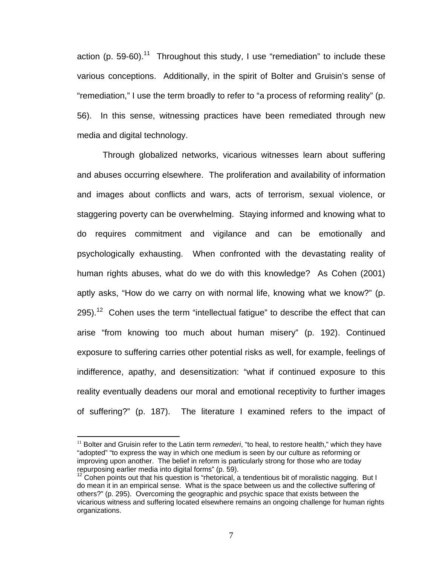action (p. 59-60).<sup>11</sup> Throughout this study, I use "remediation" to include these various conceptions. Additionally, in the spirit of Bolter and Gruisin's sense of "remediation," I use the term broadly to refer to "a process of reforming reality" (p. 56). In this sense, witnessing practices have been remediated through new media and digital technology.

Through globalized networks, vicarious witnesses learn about suffering and abuses occurring elsewhere. The proliferation and availability of information and images about conflicts and wars, acts of terrorism, sexual violence, or staggering poverty can be overwhelming. Staying informed and knowing what to do requires commitment and vigilance and can be emotionally and psychologically exhausting. When confronted with the devastating reality of human rights abuses, what do we do with this knowledge? As Cohen (2001) aptly asks, "How do we carry on with normal life, knowing what we know?" (p. 295).<sup>12</sup> Cohen uses the term "intellectual fatique" to describe the effect that can arise "from knowing too much about human misery" (p. 192). Continued exposure to suffering carries other potential risks as well, for example, feelings of indifference, apathy, and desensitization: "what if continued exposure to this reality eventually deadens our moral and emotional receptivity to further images of suffering?" (p. 187). The literature I examined refers to the impact of

<sup>&</sup>lt;sup>11</sup> Bolter and Gruisin refer to the Latin term *remederi*, "to heal, to restore health," which they have "adopted" "to express the way in which one medium is seen by our culture as reforming or improving upon another. The belief in reform is particularly strong for those who are today repurposing earlier media into digital forms" (p. 59).

 $12$  Cohen points out that his question is "rhetorical, a tendentious bit of moralistic nagging. But I do mean it in an empirical sense. What is the space between us and the collective suffering of others?" (p. 295). Overcoming the geographic and psychic space that exists between the vicarious witness and suffering located elsewhere remains an ongoing challenge for human rights organizations.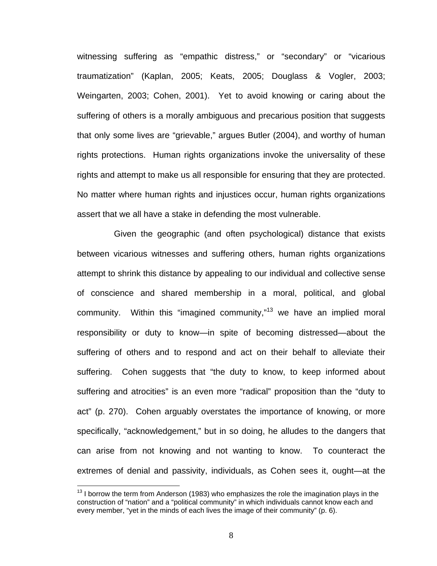witnessing suffering as "empathic distress," or "secondary" or "vicarious traumatization" (Kaplan, 2005; Keats, 2005; Douglass & Vogler, 2003; Weingarten, 2003; Cohen, 2001). Yet to avoid knowing or caring about the suffering of others is a morally ambiguous and precarious position that suggests that only some lives are "grievable," argues Butler (2004), and worthy of human rights protections. Human rights organizations invoke the universality of these rights and attempt to make us all responsible for ensuring that they are protected. No matter where human rights and injustices occur, human rights organizations assert that we all have a stake in defending the most vulnerable.

 Given the geographic (and often psychological) distance that exists between vicarious witnesses and suffering others, human rights organizations attempt to shrink this distance by appealing to our individual and collective sense of conscience and shared membership in a moral, political, and global community. Within this "imagined community,"13 we have an implied moral responsibility or duty to know—in spite of becoming distressed—about the suffering of others and to respond and act on their behalf to alleviate their suffering. Cohen suggests that "the duty to know, to keep informed about suffering and atrocities" is an even more "radical" proposition than the "duty to act" (p. 270). Cohen arguably overstates the importance of knowing, or more specifically, "acknowledgement," but in so doing, he alludes to the dangers that can arise from not knowing and not wanting to know. To counteract the extremes of denial and passivity, individuals, as Cohen sees it, ought—at the

 $13$  I borrow the term from Anderson (1983) who emphasizes the role the imagination plays in the construction of "nation" and a "political community" in which individuals cannot know each and every member, "yet in the minds of each lives the image of their community" (p. 6).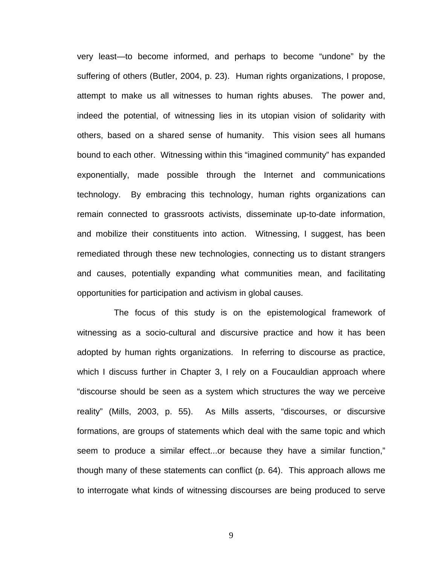very least—to become informed, and perhaps to become "undone" by the suffering of others (Butler, 2004, p. 23). Human rights organizations, I propose, attempt to make us all witnesses to human rights abuses. The power and, indeed the potential, of witnessing lies in its utopian vision of solidarity with others, based on a shared sense of humanity. This vision sees all humans bound to each other. Witnessing within this "imagined community" has expanded exponentially, made possible through the Internet and communications technology. By embracing this technology, human rights organizations can remain connected to grassroots activists, disseminate up-to-date information, and mobilize their constituents into action. Witnessing, I suggest, has been remediated through these new technologies, connecting us to distant strangers and causes, potentially expanding what communities mean, and facilitating opportunities for participation and activism in global causes.

 The focus of this study is on the epistemological framework of witnessing as a socio-cultural and discursive practice and how it has been adopted by human rights organizations. In referring to discourse as practice, which I discuss further in Chapter 3, I rely on a Foucauldian approach where "discourse should be seen as a system which structures the way we perceive reality" (Mills, 2003, p. 55). As Mills asserts, "discourses, or discursive formations, are groups of statements which deal with the same topic and which seem to produce a similar effect...or because they have a similar function," though many of these statements can conflict (p. 64). This approach allows me to interrogate what kinds of witnessing discourses are being produced to serve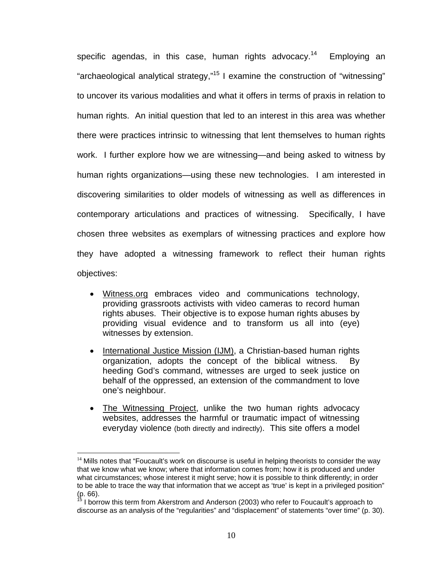specific agendas, in this case, human rights advocacy.<sup>14</sup> Employing an "archaeological analytical strategy,"15 I examine the construction of "witnessing" to uncover its various modalities and what it offers in terms of praxis in relation to human rights. An initial question that led to an interest in this area was whether there were practices intrinsic to witnessing that lent themselves to human rights work. I further explore how we are witnessing—and being asked to witness by human rights organizations—using these new technologies. I am interested in discovering similarities to older models of witnessing as well as differences in contemporary articulations and practices of witnessing. Specifically, I have chosen three websites as exemplars of witnessing practices and explore how they have adopted a witnessing framework to reflect their human rights objectives:

- Witness.org embraces video and communications technology, providing grassroots activists with video cameras to record human rights abuses. Their objective is to expose human rights abuses by providing visual evidence and to transform us all into (eye) witnesses by extension.
- International Justice Mission (IJM), a Christian-based human rights organization, adopts the concept of the biblical witness. By heeding God's command, witnesses are urged to seek justice on behalf of the oppressed, an extension of the commandment to love one's neighbour.
- The Witnessing Project, unlike the two human rights advocacy websites, addresses the harmful or traumatic impact of witnessing everyday violence (both directly and indirectly). This site offers a model

 $14$  Mills notes that "Foucault's work on discourse is useful in helping theorists to consider the way that we know what we know; where that information comes from; how it is produced and under what circumstances; whose interest it might serve; how it is possible to think differently; in order to be able to trace the way that information that we accept as 'true' is kept in a privileged position"  $(p. 66)$ .

I borrow this term from Akerstrom and Anderson (2003) who refer to Foucault's approach to discourse as an analysis of the "regularities" and "displacement" of statements "over time" (p. 30).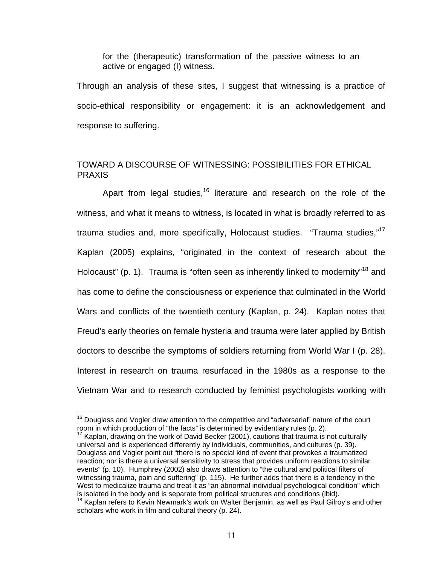for the (therapeutic) transformation of the passive witness to an active or engaged (I) witness.

Through an analysis of these sites, I suggest that witnessing is a practice of socio-ethical responsibility or engagement: it is an acknowledgement and response to suffering.

### TOWARD A DISCOURSE OF WITNESSING: POSSIBILITIES FOR ETHICAL PRAXIS

Apart from legal studies,<sup>16</sup> literature and research on the role of the witness, and what it means to witness, is located in what is broadly referred to as trauma studies and, more specifically, Holocaust studies. "Trauma studies,"<sup>17</sup> Kaplan (2005) explains, "originated in the context of research about the Holocaust" (p. 1). Trauma is "often seen as inherently linked to modernity"<sup>18</sup> and has come to define the consciousness or experience that culminated in the World Wars and conflicts of the twentieth century (Kaplan, p. 24). Kaplan notes that Freud's early theories on female hysteria and trauma were later applied by British doctors to describe the symptoms of soldiers returning from World War I (p. 28). Interest in research on trauma resurfaced in the 1980s as a response to the Vietnam War and to research conducted by feminist psychologists working with

 $16$  Douglass and Vogler draw attention to the competitive and "adversarial" nature of the court room in which production of "the facts" is determined by evidentiary rules (p. 2).

Kaplan, drawing on the work of David Becker (2001), cautions that trauma is not culturally universal and is experienced differently by individuals, communities, and cultures (p. 39). Douglass and Vogler point out "there is no special kind of event that provokes a traumatized reaction; nor is there a universal sensitivity to stress that provides uniform reactions to similar events" (p. 10). Humphrey (2002) also draws attention to "the cultural and political filters of witnessing trauma, pain and suffering" (p. 115). He further adds that there is a tendency in the West to medicalize trauma and treat it as "an abnormal individual psychological condition" which is isolated in the body and is separate from political structures and conditions (ibid).<br><sup>18</sup> Kaplan refers to Kevin Newmark's work on Walter Benjamin, as well as Paul Gilroy's and other

scholars who work in film and cultural theory (p. 24).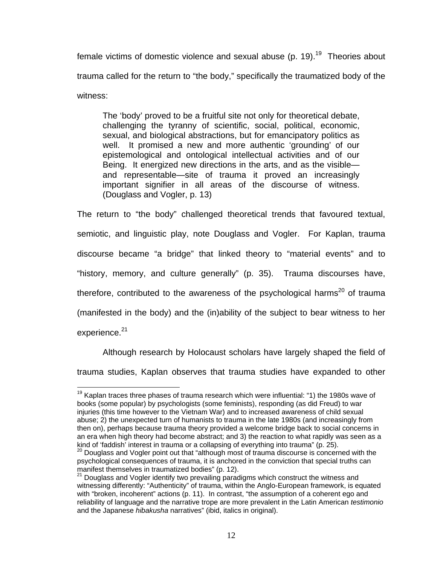female victims of domestic violence and sexual abuse (p. 19).<sup>19</sup> Theories about trauma called for the return to "the body," specifically the traumatized body of the witness:

The 'body' proved to be a fruitful site not only for theoretical debate, challenging the tyranny of scientific, social, political, economic, sexual, and biological abstractions, but for emancipatory politics as well. It promised a new and more authentic 'grounding' of our epistemological and ontological intellectual activities and of our Being. It energized new directions in the arts, and as the visible and representable—site of trauma it proved an increasingly important signifier in all areas of the discourse of witness. (Douglass and Vogler, p. 13)

The return to "the body" challenged theoretical trends that favoured textual, semiotic, and linguistic play, note Douglass and Vogler. For Kaplan, trauma discourse became "a bridge" that linked theory to "material events" and to "history, memory, and culture generally" (p. 35). Trauma discourses have, therefore, contributed to the awareness of the psychological harms<sup>20</sup> of trauma (manifested in the body) and the (in)ability of the subject to bear witness to her experience.<sup>21</sup>

Although research by Holocaust scholars have largely shaped the field of trauma studies, Kaplan observes that trauma studies have expanded to other

 $19$  Kaplan traces three phases of trauma research which were influential: "1) the 1980s wave of books (some popular) by psychologists (some feminists), responding (as did Freud) to war injuries (this time however to the Vietnam War) and to increased awareness of child sexual abuse; 2) the unexpected turn of humanists to trauma in the late 1980s (and increasingly from then on), perhaps because trauma theory provided a welcome bridge back to social concerns in an era when high theory had become abstract; and 3) the reaction to what rapidly was seen as a kind of 'faddish' interest in trauma or a collapsing of everything into trauma" (p. 25).

 $20$  Douglass and Vogler point out that "although most of trauma discourse is concerned with the psychological consequences of trauma, it is anchored in the conviction that special truths can manifest themselves in traumatized bodies" (p. 12).

 $21$  Douglass and Vogler identify two prevailing paradigms which construct the witness and witnessing differently: "Authenticity" of trauma, within the Anglo-European framework, is equated with "broken, incoherent" actions (p. 11). In contrast, "the assumption of a coherent ego and reliability of language and the narrative trope are more prevalent in the Latin American *testimonio* and the Japanese *hibakusha* narratives" (ibid, italics in original).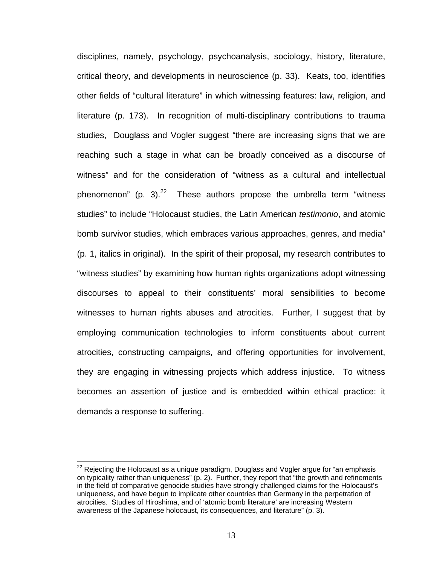disciplines, namely, psychology, psychoanalysis, sociology, history, literature, critical theory, and developments in neuroscience (p. 33). Keats, too, identifies other fields of "cultural literature" in which witnessing features: law, religion, and literature (p. 173). In recognition of multi-disciplinary contributions to trauma studies, Douglass and Vogler suggest "there are increasing signs that we are reaching such a stage in what can be broadly conceived as a discourse of witness" and for the consideration of "witness as a cultural and intellectual phenomenon" (p. 3). $^{22}$  These authors propose the umbrella term "witness studies" to include "Holocaust studies, the Latin American *testimonio*, and atomic bomb survivor studies, which embraces various approaches, genres, and media" (p. 1, italics in original). In the spirit of their proposal, my research contributes to "witness studies" by examining how human rights organizations adopt witnessing discourses to appeal to their constituents' moral sensibilities to become witnesses to human rights abuses and atrocities. Further, I suggest that by employing communication technologies to inform constituents about current atrocities, constructing campaigns, and offering opportunities for involvement, they are engaging in witnessing projects which address injustice. To witness becomes an assertion of justice and is embedded within ethical practice: it demands a response to suffering.

 $22$  Rejecting the Holocaust as a unique paradigm, Douglass and Vogler argue for "an emphasis on typicality rather than uniqueness" (p. 2). Further, they report that "the growth and refinements in the field of comparative genocide studies have strongly challenged claims for the Holocaust's uniqueness, and have begun to implicate other countries than Germany in the perpetration of atrocities. Studies of Hiroshima, and of 'atomic bomb literature' are increasing Western awareness of the Japanese holocaust, its consequences, and literature" (p. 3).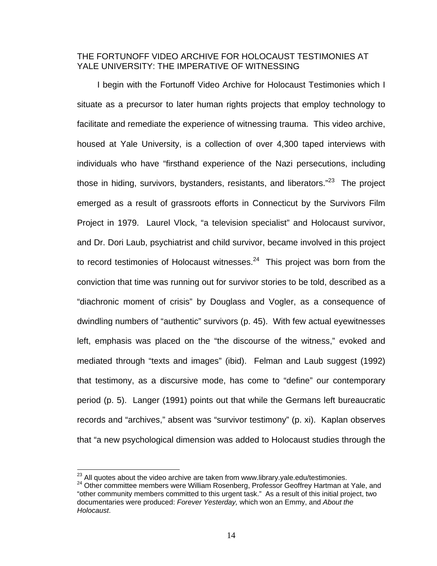### THE FORTUNOFF VIDEO ARCHIVE FOR HOLOCAUST TESTIMONIES AT YALE UNIVERSITY: THE IMPERATIVE OF WITNESSING

I begin with the Fortunoff Video Archive for Holocaust Testimonies which I situate as a precursor to later human rights projects that employ technology to facilitate and remediate the experience of witnessing trauma. This video archive, housed at Yale University, is a collection of over 4,300 taped interviews with individuals who have "firsthand experience of the Nazi persecutions, including those in hiding, survivors, bystanders, resistants, and liberators." $23$  The project emerged as a result of grassroots efforts in Connecticut by the Survivors Film Project in 1979. Laurel Vlock, "a television specialist" and Holocaust survivor, and Dr. Dori Laub, psychiatrist and child survivor, became involved in this project to record testimonies of Holocaust witnesses. $24$  This project was born from the conviction that time was running out for survivor stories to be told, described as a "diachronic moment of crisis" by Douglass and Vogler, as a consequence of dwindling numbers of "authentic" survivors (p. 45). With few actual eyewitnesses left, emphasis was placed on the "the discourse of the witness," evoked and mediated through "texts and images" (ibid). Felman and Laub suggest (1992) that testimony, as a discursive mode, has come to "define" our contemporary period (p. 5). Langer (1991) points out that while the Germans left bureaucratic records and "archives," absent was "survivor testimony" (p. xi). Kaplan observes that "a new psychological dimension was added to Holocaust studies through the

<sup>&</sup>lt;sup>23</sup> All quotes about the video archive are taken from www.library.yale.edu/testimonies.

<sup>&</sup>lt;sup>24</sup> Other committee members were William Rosenberg, Professor Geoffrey Hartman at Yale, and "other community members committed to this urgent task." As a result of this initial project, two documentaries were produced: *Forever Yesterday,* which won an Emmy, and *About the Holocaust*.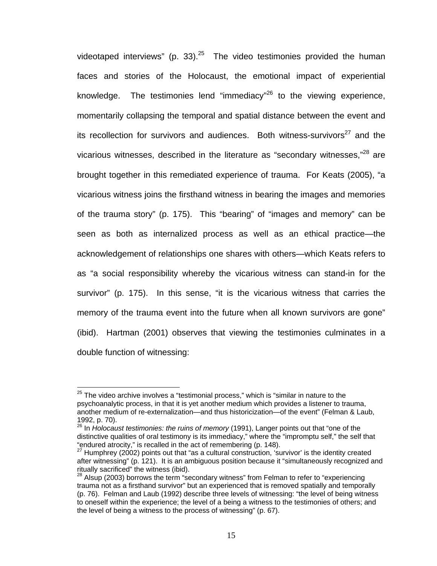videotaped interviews" (p. 33). $^{25}$  The video testimonies provided the human faces and stories of the Holocaust, the emotional impact of experiential knowledge. The testimonies lend "immediacy" $26$  to the viewing experience, momentarily collapsing the temporal and spatial distance between the event and its recollection for survivors and audiences. Both witness-survivors<sup>27</sup> and the vicarious witnesses, described in the literature as "secondary witnesses,"<sup>28</sup> are brought together in this remediated experience of trauma. For Keats (2005), "a vicarious witness joins the firsthand witness in bearing the images and memories of the trauma story" (p. 175). This "bearing" of "images and memory" can be seen as both as internalized process as well as an ethical practice—the acknowledgement of relationships one shares with others—which Keats refers to as "a social responsibility whereby the vicarious witness can stand-in for the survivor" (p. 175). In this sense, "it is the vicarious witness that carries the memory of the trauma event into the future when all known survivors are gone" (ibid). Hartman (2001) observes that viewing the testimonies culminates in a double function of witnessing:

 $25$  The video archive involves a "testimonial process," which is "similar in nature to the psychoanalytic process, in that it is yet another medium which provides a listener to trauma, another medium of re-externalization—and thus historicization—of the event" (Felman & Laub, 1992, p. 70).

<sup>26</sup> In *Holocaust testimonies: the ruins of memory* (1991), Langer points out that "one of the distinctive qualities of oral testimony is its immediacy," where the "impromptu self," the self that "endured atrocity," is recalled in the act of remembering (p. 148).

<sup>&</sup>lt;sup>27</sup> Humphrey (2002) points out that "as a cultural construction, 'survivor' is the identity created after witnessing" (p. 121). It is an ambiguous position because it "simultaneously recognized and ritually sacrificed" the witness (ibid).

 $28$  Alsup (2003) borrows the term "secondary witness" from Felman to refer to "experiencing trauma not as a firsthand survivor" but an experienced that is removed spatially and temporally (p. 76). Felman and Laub (1992) describe three levels of witnessing: "the level of being witness to oneself within the experience; the level of a being a witness to the testimonies of others; and the level of being a witness to the process of witnessing" (p. 67).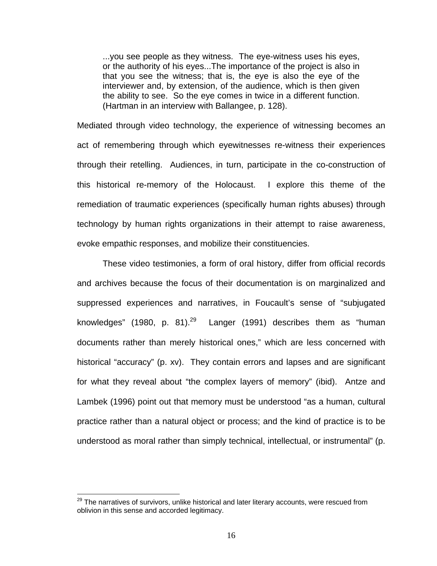...you see people as they witness. The eye-witness uses his eyes, or the authority of his eyes...The importance of the project is also in that you see the witness; that is, the eye is also the eye of the interviewer and, by extension, of the audience, which is then given the ability to see. So the eye comes in twice in a different function. (Hartman in an interview with Ballangee, p. 128).

Mediated through video technology, the experience of witnessing becomes an act of remembering through which eyewitnesses re-witness their experiences through their retelling. Audiences, in turn, participate in the co-construction of this historical re-memory of the Holocaust. I explore this theme of the remediation of traumatic experiences (specifically human rights abuses) through technology by human rights organizations in their attempt to raise awareness, evoke empathic responses, and mobilize their constituencies.

These video testimonies, a form of oral history, differ from official records and archives because the focus of their documentation is on marginalized and suppressed experiences and narratives, in Foucault's sense of "subjugated knowledges" (1980, p. 81). $^{29}$  Langer (1991) describes them as "human documents rather than merely historical ones," which are less concerned with historical "accuracy" (p. xv). They contain errors and lapses and are significant for what they reveal about "the complex layers of memory" (ibid). Antze and Lambek (1996) point out that memory must be understood "as a human, cultural practice rather than a natural object or process; and the kind of practice is to be understood as moral rather than simply technical, intellectual, or instrumental" (p.

 $^{29}$  The narratives of survivors, unlike historical and later literary accounts, were rescued from oblivion in this sense and accorded legitimacy.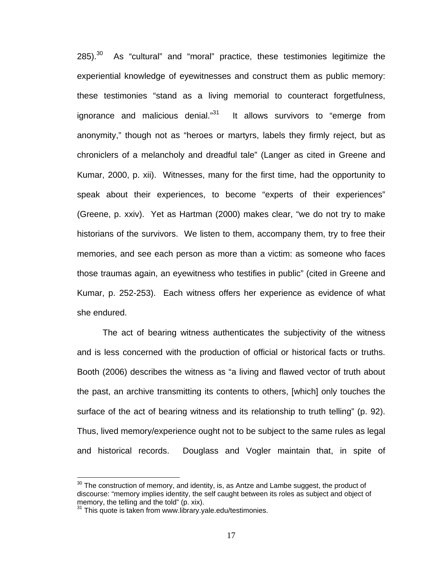$285$ ).<sup>30</sup> As "cultural" and "moral" practice, these testimonies legitimize the experiential knowledge of eyewitnesses and construct them as public memory: these testimonies "stand as a living memorial to counteract forgetfulness, ignorance and malicious denial."<sup>31</sup> It allows survivors to "emerge from anonymity," though not as "heroes or martyrs, labels they firmly reject, but as chroniclers of a melancholy and dreadful tale" (Langer as cited in Greene and Kumar, 2000, p. xii). Witnesses, many for the first time, had the opportunity to speak about their experiences, to become "experts of their experiences" (Greene, p. xxiv). Yet as Hartman (2000) makes clear, "we do not try to make historians of the survivors. We listen to them, accompany them, try to free their memories, and see each person as more than a victim: as someone who faces those traumas again, an eyewitness who testifies in public" (cited in Greene and Kumar, p. 252-253). Each witness offers her experience as evidence of what she endured.

The act of bearing witness authenticates the subjectivity of the witness and is less concerned with the production of official or historical facts or truths. Booth (2006) describes the witness as "a living and flawed vector of truth about the past, an archive transmitting its contents to others, [which] only touches the surface of the act of bearing witness and its relationship to truth telling" (p. 92). Thus, lived memory/experience ought not to be subject to the same rules as legal and historical records. Douglass and Vogler maintain that, in spite of

 $30$  The construction of memory, and identity, is, as Antze and Lambe suggest, the product of discourse: "memory implies identity, the self caught between its roles as subject and object of memory, the telling and the told" (p. xix).

 $31$  This quote is taken from www.library.yale.edu/testimonies.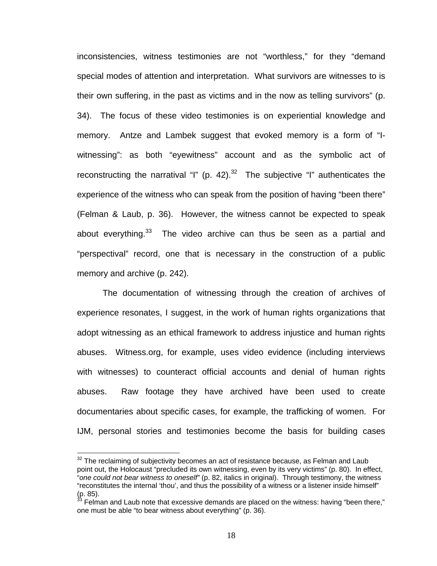inconsistencies, witness testimonies are not "worthless," for they "demand special modes of attention and interpretation. What survivors are witnesses to is their own suffering, in the past as victims and in the now as telling survivors" (p. 34). The focus of these video testimonies is on experiential knowledge and memory. Antze and Lambek suggest that evoked memory is a form of "Iwitnessing": as both "eyewitness" account and as the symbolic act of reconstructing the narratival "I" (p. 42). $32$  The subjective "I" authenticates the experience of the witness who can speak from the position of having "been there" (Felman & Laub, p. 36). However, the witness cannot be expected to speak about everything. $33$  The video archive can thus be seen as a partial and "perspectival" record, one that is necessary in the construction of a public memory and archive (p. 242).

The documentation of witnessing through the creation of archives of experience resonates, I suggest, in the work of human rights organizations that adopt witnessing as an ethical framework to address injustice and human rights abuses. Witness.org, for example, uses video evidence (including interviews with witnesses) to counteract official accounts and denial of human rights abuses. Raw footage they have archived have been used to create documentaries about specific cases, for example, the trafficking of women. For IJM, personal stories and testimonies become the basis for building cases

<u>.</u>

 $32$  The reclaiming of subjectivity becomes an act of resistance because, as Felman and Laub point out, the Holocaust "precluded its own witnessing, even by its very victims" (p. 80). In effect, "*one could not bear witness to oneself"* (p. 82, italics in original). Through testimony, the witness "reconstitutes the internal 'thou', and thus the possibility of a witness or a listener inside himself"  $(p. 85).$ 

Felman and Laub note that excessive demands are placed on the witness: having "been there," one must be able "to bear witness about everything" (p. 36).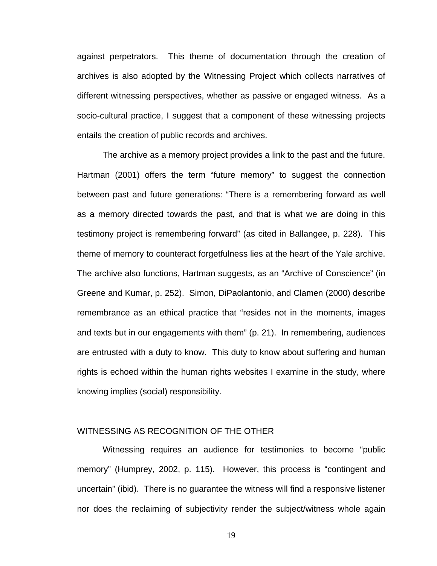against perpetrators. This theme of documentation through the creation of archives is also adopted by the Witnessing Project which collects narratives of different witnessing perspectives, whether as passive or engaged witness. As a socio-cultural practice, I suggest that a component of these witnessing projects entails the creation of public records and archives.

The archive as a memory project provides a link to the past and the future. Hartman (2001) offers the term "future memory" to suggest the connection between past and future generations: "There is a remembering forward as well as a memory directed towards the past, and that is what we are doing in this testimony project is remembering forward" (as cited in Ballangee, p. 228). This theme of memory to counteract forgetfulness lies at the heart of the Yale archive. The archive also functions, Hartman suggests, as an "Archive of Conscience" (in Greene and Kumar, p. 252). Simon, DiPaolantonio, and Clamen (2000) describe remembrance as an ethical practice that "resides not in the moments, images and texts but in our engagements with them" (p. 21). In remembering, audiences are entrusted with a duty to know. This duty to know about suffering and human rights is echoed within the human rights websites I examine in the study, where knowing implies (social) responsibility.

#### WITNESSING AS RECOGNITION OF THE OTHER

Witnessing requires an audience for testimonies to become "public memory" (Humprey, 2002, p. 115). However, this process is "contingent and uncertain" (ibid). There is no guarantee the witness will find a responsive listener nor does the reclaiming of subjectivity render the subject/witness whole again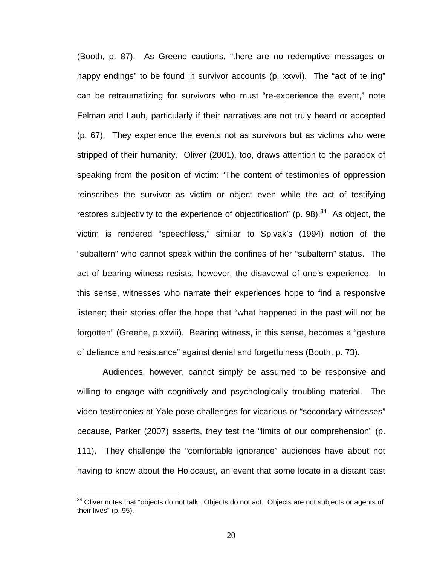(Booth, p. 87). As Greene cautions, "there are no redemptive messages or happy endings" to be found in survivor accounts (p. xxvvi). The "act of telling" can be retraumatizing for survivors who must "re-experience the event," note Felman and Laub, particularly if their narratives are not truly heard or accepted (p. 67). They experience the events not as survivors but as victims who were stripped of their humanity. Oliver (2001), too, draws attention to the paradox of speaking from the position of victim: "The content of testimonies of oppression reinscribes the survivor as victim or object even while the act of testifying restores subjectivity to the experience of objectification" (p. 98).<sup>34</sup> As object, the victim is rendered "speechless," similar to Spivak's (1994) notion of the "subaltern" who cannot speak within the confines of her "subaltern" status. The act of bearing witness resists, however, the disavowal of one's experience. In this sense, witnesses who narrate their experiences hope to find a responsive listener; their stories offer the hope that "what happened in the past will not be forgotten" (Greene, p.xxviii). Bearing witness, in this sense, becomes a "gesture of defiance and resistance" against denial and forgetfulness (Booth, p. 73).

Audiences, however, cannot simply be assumed to be responsive and willing to engage with cognitively and psychologically troubling material. The video testimonies at Yale pose challenges for vicarious or "secondary witnesses" because, Parker (2007) asserts, they test the "limits of our comprehension" (p. 111). They challenge the "comfortable ignorance" audiences have about not having to know about the Holocaust, an event that some locate in a distant past

 $34$  Oliver notes that "objects do not talk. Objects do not act. Objects are not subjects or agents of their lives" (p. 95).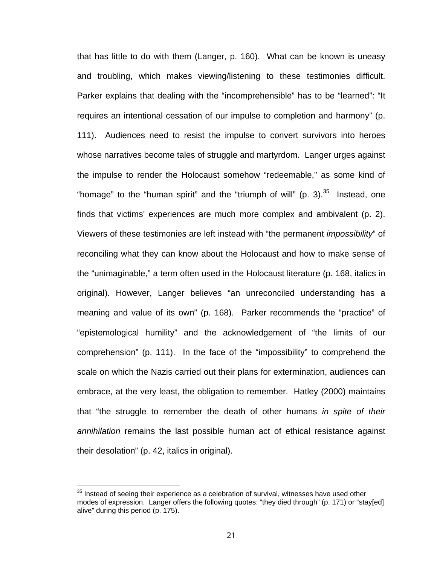that has little to do with them (Langer, p. 160). What can be known is uneasy and troubling, which makes viewing/listening to these testimonies difficult. Parker explains that dealing with the "incomprehensible" has to be "learned": "It requires an intentional cessation of our impulse to completion and harmony" (p. 111). Audiences need to resist the impulse to convert survivors into heroes whose narratives become tales of struggle and martyrdom. Langer urges against the impulse to render the Holocaust somehow "redeemable," as some kind of "homage" to the "human spirit" and the "triumph of will" (p. 3). $35$  Instead, one finds that victims' experiences are much more complex and ambivalent (p. 2). Viewers of these testimonies are left instead with "the permanent *impossibility*" of reconciling what they can know about the Holocaust and how to make sense of the "unimaginable," a term often used in the Holocaust literature (p. 168, italics in original). However, Langer believes "an unreconciled understanding has a meaning and value of its own" (p. 168). Parker recommends the "practice" of "epistemological humility" and the acknowledgement of "the limits of our comprehension" (p. 111). In the face of the "impossibility" to comprehend the scale on which the Nazis carried out their plans for extermination, audiences can embrace, at the very least, the obligation to remember. Hatley (2000) maintains that "the struggle to remember the death of other humans *in spite of their annihilation* remains the last possible human act of ethical resistance against their desolation" (p. 42, italics in original).

 $35$  Instead of seeing their experience as a celebration of survival, witnesses have used other modes of expression. Langer offers the following quotes: "they died through" (p. 171) or "stay[ed] alive" during this period (p. 175).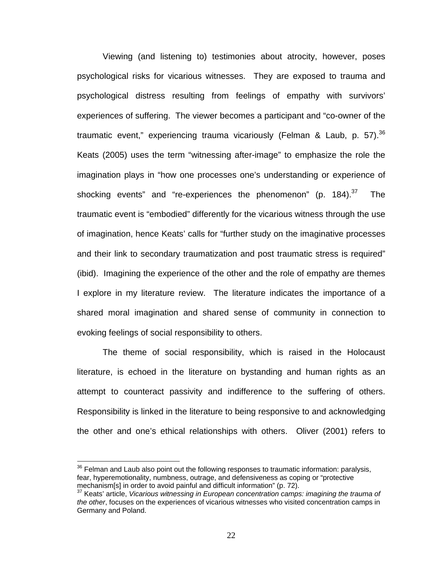Viewing (and listening to) testimonies about atrocity, however, poses psychological risks for vicarious witnesses. They are exposed to trauma and psychological distress resulting from feelings of empathy with survivors' experiences of suffering. The viewer becomes a participant and "co-owner of the traumatic event," experiencing trauma vicariously (Felman & Laub, p. 57).<sup>36</sup> Keats (2005) uses the term "witnessing after-image" to emphasize the role the imagination plays in "how one processes one's understanding or experience of shocking events" and "re-experiences the phenomenon" (p. 184). $37$  The traumatic event is "embodied" differently for the vicarious witness through the use of imagination, hence Keats' calls for "further study on the imaginative processes and their link to secondary traumatization and post traumatic stress is required" (ibid). Imagining the experience of the other and the role of empathy are themes I explore in my literature review. The literature indicates the importance of a shared moral imagination and shared sense of community in connection to evoking feelings of social responsibility to others.

The theme of social responsibility, which is raised in the Holocaust literature, is echoed in the literature on bystanding and human rights as an attempt to counteract passivity and indifference to the suffering of others. Responsibility is linked in the literature to being responsive to and acknowledging the other and one's ethical relationships with others. Oliver (2001) refers to

 $36$  Felman and Laub also point out the following responses to traumatic information: paralysis, fear, hyperemotionality, numbness, outrage, and defensiveness as coping or "protective mechanism[s] in order to avoid painful and difficult information" (p. 72).

<sup>37</sup> Keats' article, *Vicarious witnessing in European concentration camps: imagining the trauma of the other*, focuses on the experiences of vicarious witnesses who visited concentration camps in Germany and Poland.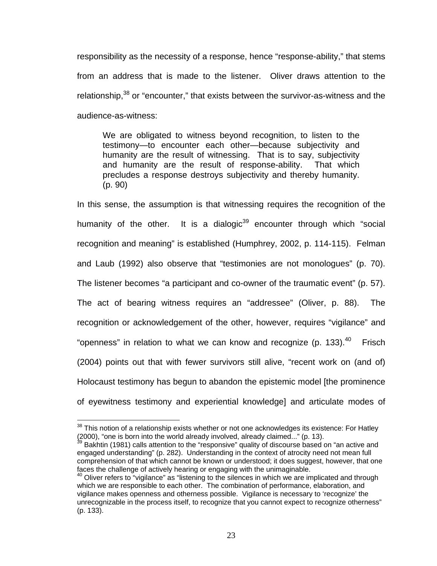responsibility as the necessity of a response, hence "response-ability," that stems from an address that is made to the listener. Oliver draws attention to the relationship,<sup>38</sup> or "encounter," that exists between the survivor-as-witness and the audience-as-witness:

We are obligated to witness beyond recognition, to listen to the testimony—to encounter each other—because subjectivity and humanity are the result of witnessing. That is to say, subjectivity and humanity are the result of response-ability. That which precludes a response destroys subjectivity and thereby humanity. (p. 90)

In this sense, the assumption is that witnessing requires the recognition of the humanity of the other. It is a dialogic<sup>39</sup> encounter through which "social recognition and meaning" is established (Humphrey, 2002, p. 114-115). Felman and Laub (1992) also observe that "testimonies are not monologues" (p. 70). The listener becomes "a participant and co-owner of the traumatic event" (p. 57). The act of bearing witness requires an "addressee" (Oliver, p. 88). The recognition or acknowledgement of the other, however, requires "vigilance" and "openness" in relation to what we can know and recognize (p. 133). $40$  Frisch (2004) points out that with fewer survivors still alive, "recent work on (and of) Holocaust testimony has begun to abandon the epistemic model [the prominence of eyewitness testimony and experiential knowledge] and articulate modes of

 $38$  This notion of a relationship exists whether or not one acknowledges its existence: For Hatley (2000), "one is born into the world already involved, already claimed..." (p. 13).<br><sup>39</sup> Bakhtin (1981) calls attention to the "responsive" quality of discourse based on "an active and

engaged understanding" (p. 282). Understanding in the context of atrocity need not mean full comprehension of that which cannot be known or understood; it does suggest, however, that one faces the challenge of actively hearing or engaging with the unimaginable.

 $40$  Oliver refers to "vigilance" as "listening to the silences in which we are implicated and through which we are responsible to each other. The combination of performance, elaboration, and vigilance makes openness and otherness possible. Vigilance is necessary to 'recognize' the unrecognizable in the process itself, to recognize that you cannot expect to recognize otherness" (p. 133).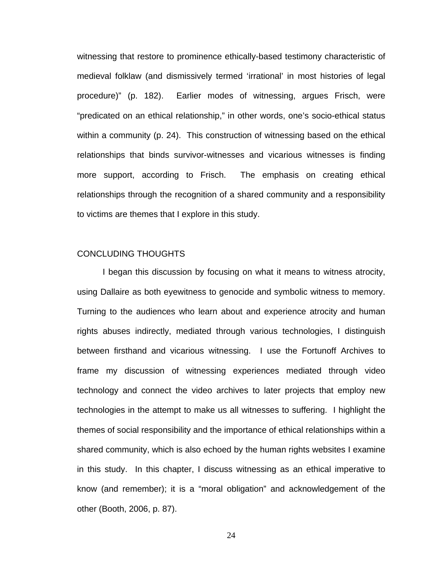witnessing that restore to prominence ethically-based testimony characteristic of medieval folklaw (and dismissively termed 'irrational' in most histories of legal procedure)" (p. 182). Earlier modes of witnessing, argues Frisch, were "predicated on an ethical relationship," in other words, one's socio-ethical status within a community (p. 24). This construction of witnessing based on the ethical relationships that binds survivor-witnesses and vicarious witnesses is finding more support, according to Frisch. The emphasis on creating ethical relationships through the recognition of a shared community and a responsibility to victims are themes that I explore in this study.

#### CONCLUDING THOUGHTS

I began this discussion by focusing on what it means to witness atrocity, using Dallaire as both eyewitness to genocide and symbolic witness to memory. Turning to the audiences who learn about and experience atrocity and human rights abuses indirectly, mediated through various technologies, I distinguish between firsthand and vicarious witnessing. I use the Fortunoff Archives to frame my discussion of witnessing experiences mediated through video technology and connect the video archives to later projects that employ new technologies in the attempt to make us all witnesses to suffering. I highlight the themes of social responsibility and the importance of ethical relationships within a shared community, which is also echoed by the human rights websites I examine in this study. In this chapter, I discuss witnessing as an ethical imperative to know (and remember); it is a "moral obligation" and acknowledgement of the other (Booth, 2006, p. 87).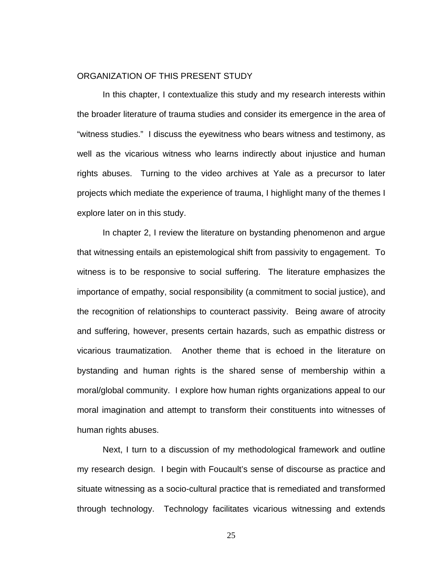#### ORGANIZATION OF THIS PRESENT STUDY

In this chapter, I contextualize this study and my research interests within the broader literature of trauma studies and consider its emergence in the area of "witness studies." I discuss the eyewitness who bears witness and testimony, as well as the vicarious witness who learns indirectly about injustice and human rights abuses. Turning to the video archives at Yale as a precursor to later projects which mediate the experience of trauma, I highlight many of the themes I explore later on in this study.

In chapter 2, I review the literature on bystanding phenomenon and argue that witnessing entails an epistemological shift from passivity to engagement. To witness is to be responsive to social suffering. The literature emphasizes the importance of empathy, social responsibility (a commitment to social justice), and the recognition of relationships to counteract passivity. Being aware of atrocity and suffering, however, presents certain hazards, such as empathic distress or vicarious traumatization. Another theme that is echoed in the literature on bystanding and human rights is the shared sense of membership within a moral/global community. I explore how human rights organizations appeal to our moral imagination and attempt to transform their constituents into witnesses of human rights abuses.

Next, I turn to a discussion of my methodological framework and outline my research design. I begin with Foucault's sense of discourse as practice and situate witnessing as a socio-cultural practice that is remediated and transformed through technology. Technology facilitates vicarious witnessing and extends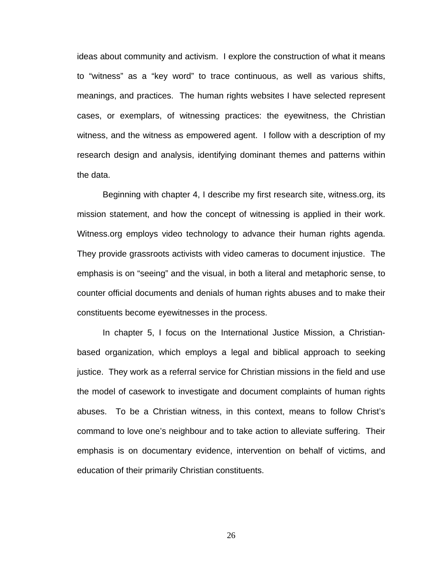ideas about community and activism. I explore the construction of what it means to "witness" as a "key word" to trace continuous, as well as various shifts, meanings, and practices. The human rights websites I have selected represent cases, or exemplars, of witnessing practices: the eyewitness, the Christian witness, and the witness as empowered agent. I follow with a description of my research design and analysis, identifying dominant themes and patterns within the data.

Beginning with chapter 4, I describe my first research site, witness.org, its mission statement, and how the concept of witnessing is applied in their work. Witness.org employs video technology to advance their human rights agenda. They provide grassroots activists with video cameras to document injustice. The emphasis is on "seeing" and the visual, in both a literal and metaphoric sense, to counter official documents and denials of human rights abuses and to make their constituents become eyewitnesses in the process.

In chapter 5, I focus on the International Justice Mission, a Christianbased organization, which employs a legal and biblical approach to seeking justice. They work as a referral service for Christian missions in the field and use the model of casework to investigate and document complaints of human rights abuses. To be a Christian witness, in this context, means to follow Christ's command to love one's neighbour and to take action to alleviate suffering. Their emphasis is on documentary evidence, intervention on behalf of victims, and education of their primarily Christian constituents.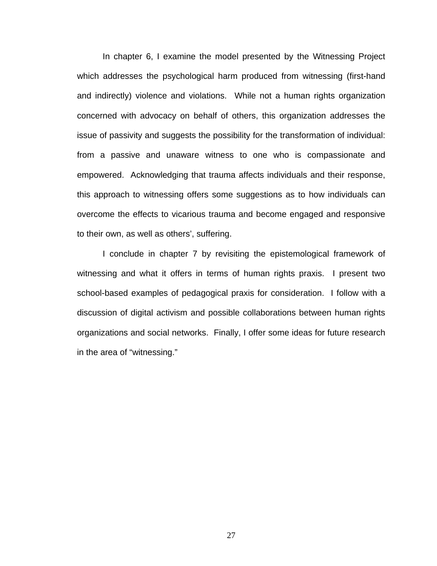In chapter 6, I examine the model presented by the Witnessing Project which addresses the psychological harm produced from witnessing (first-hand and indirectly) violence and violations. While not a human rights organization concerned with advocacy on behalf of others, this organization addresses the issue of passivity and suggests the possibility for the transformation of individual: from a passive and unaware witness to one who is compassionate and empowered. Acknowledging that trauma affects individuals and their response, this approach to witnessing offers some suggestions as to how individuals can overcome the effects to vicarious trauma and become engaged and responsive to their own, as well as others', suffering.

I conclude in chapter 7 by revisiting the epistemological framework of witnessing and what it offers in terms of human rights praxis. I present two school-based examples of pedagogical praxis for consideration. I follow with a discussion of digital activism and possible collaborations between human rights organizations and social networks. Finally, I offer some ideas for future research in the area of "witnessing."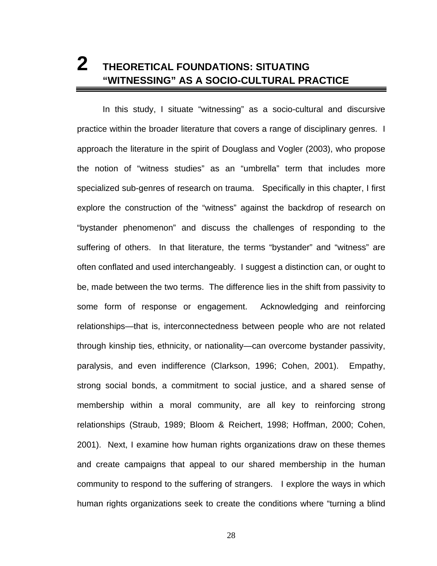# **2 THEORETICAL FOUNDATIONS: SITUATING "WITNESSING" AS A SOCIO-CULTURAL PRACTICE**

In this study, I situate "witnessing" as a socio-cultural and discursive practice within the broader literature that covers a range of disciplinary genres. I approach the literature in the spirit of Douglass and Vogler (2003), who propose the notion of "witness studies" as an "umbrella" term that includes more specialized sub-genres of research on trauma. Specifically in this chapter, I first explore the construction of the "witness" against the backdrop of research on "bystander phenomenon" and discuss the challenges of responding to the suffering of others. In that literature, the terms "bystander" and "witness" are often conflated and used interchangeably. I suggest a distinction can, or ought to be, made between the two terms. The difference lies in the shift from passivity to some form of response or engagement. Acknowledging and reinforcing relationships—that is, interconnectedness between people who are not related through kinship ties, ethnicity, or nationality—can overcome bystander passivity, paralysis, and even indifference (Clarkson, 1996; Cohen, 2001). Empathy, strong social bonds, a commitment to social justice, and a shared sense of membership within a moral community, are all key to reinforcing strong relationships (Straub, 1989; Bloom & Reichert, 1998; Hoffman, 2000; Cohen, 2001). Next, I examine how human rights organizations draw on these themes and create campaigns that appeal to our shared membership in the human community to respond to the suffering of strangers. I explore the ways in which human rights organizations seek to create the conditions where "turning a blind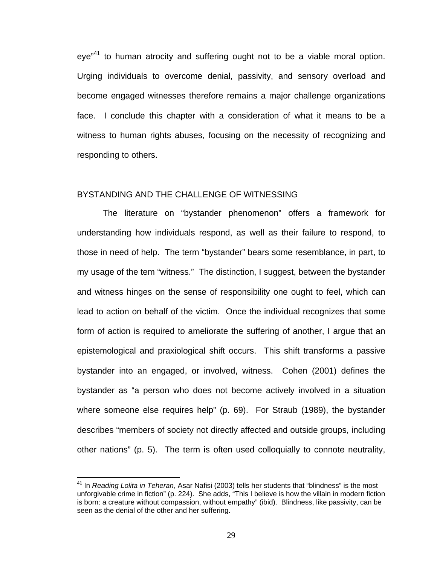eve<sup>"41</sup> to human atrocity and suffering ought not to be a viable moral option. Urging individuals to overcome denial, passivity, and sensory overload and become engaged witnesses therefore remains a major challenge organizations face. I conclude this chapter with a consideration of what it means to be a witness to human rights abuses, focusing on the necessity of recognizing and responding to others.

## BYSTANDING AND THE CHALLENGE OF WITNESSING

The literature on "bystander phenomenon" offers a framework for understanding how individuals respond, as well as their failure to respond, to those in need of help. The term "bystander" bears some resemblance, in part, to my usage of the tem "witness." The distinction, I suggest, between the bystander and witness hinges on the sense of responsibility one ought to feel, which can lead to action on behalf of the victim. Once the individual recognizes that some form of action is required to ameliorate the suffering of another, I argue that an epistemological and praxiological shift occurs. This shift transforms a passive bystander into an engaged, or involved, witness. Cohen (2001) defines the bystander as "a person who does not become actively involved in a situation where someone else requires help" (p. 69). For Straub (1989), the bystander describes "members of society not directly affected and outside groups, including other nations" (p. 5). The term is often used colloquially to connote neutrality,

<u>.</u>

<sup>41</sup> In *Reading Lolita in Teheran*, Asar Nafisi (2003) tells her students that "blindness" is the most unforgivable crime in fiction" (p. 224). She adds, "This I believe is how the villain in modern fiction is born: a creature without compassion, without empathy" (ibid). Blindness, like passivity, can be seen as the denial of the other and her suffering.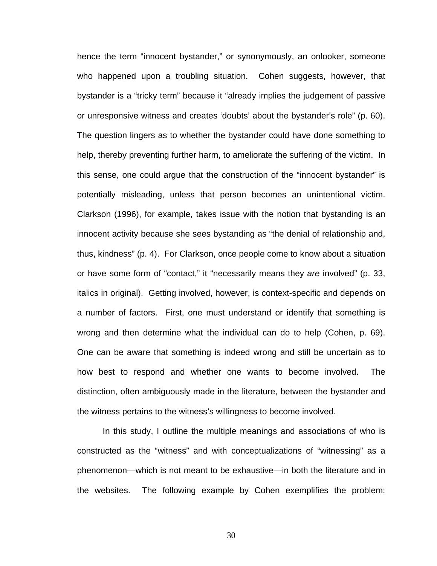hence the term "innocent bystander," or synonymously, an onlooker, someone who happened upon a troubling situation. Cohen suggests, however, that bystander is a "tricky term" because it "already implies the judgement of passive or unresponsive witness and creates 'doubts' about the bystander's role" (p. 60). The question lingers as to whether the bystander could have done something to help, thereby preventing further harm, to ameliorate the suffering of the victim. In this sense, one could argue that the construction of the "innocent bystander" is potentially misleading, unless that person becomes an unintentional victim. Clarkson (1996), for example, takes issue with the notion that bystanding is an innocent activity because she sees bystanding as "the denial of relationship and, thus, kindness" (p. 4). For Clarkson, once people come to know about a situation or have some form of "contact," it "necessarily means they *are* involved" (p. 33, italics in original). Getting involved, however, is context-specific and depends on a number of factors. First, one must understand or identify that something is wrong and then determine what the individual can do to help (Cohen, p. 69). One can be aware that something is indeed wrong and still be uncertain as to how best to respond and whether one wants to become involved. The distinction, often ambiguously made in the literature, between the bystander and the witness pertains to the witness's willingness to become involved.

In this study, I outline the multiple meanings and associations of who is constructed as the "witness" and with conceptualizations of "witnessing" as a phenomenon—which is not meant to be exhaustive—in both the literature and in the websites. The following example by Cohen exemplifies the problem: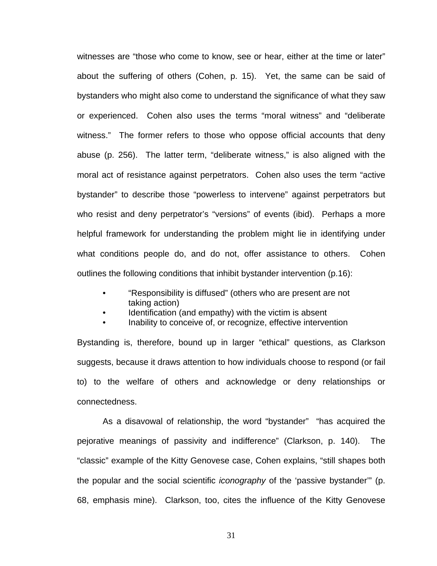witnesses are "those who come to know, see or hear, either at the time or later" about the suffering of others (Cohen, p. 15). Yet, the same can be said of bystanders who might also come to understand the significance of what they saw or experienced. Cohen also uses the terms "moral witness" and "deliberate witness." The former refers to those who oppose official accounts that deny abuse (p. 256). The latter term, "deliberate witness," is also aligned with the moral act of resistance against perpetrators. Cohen also uses the term "active bystander" to describe those "powerless to intervene" against perpetrators but who resist and deny perpetrator's "versions" of events (ibid). Perhaps a more helpful framework for understanding the problem might lie in identifying under what conditions people do, and do not, offer assistance to others. Cohen outlines the following conditions that inhibit bystander intervention (p.16):

- "Responsibility is diffused" (others who are present are not taking action)
- Identification (and empathy) with the victim is absent
- Inability to conceive of, or recognize, effective intervention

Bystanding is, therefore, bound up in larger "ethical" questions, as Clarkson suggests, because it draws attention to how individuals choose to respond (or fail to) to the welfare of others and acknowledge or deny relationships or connectedness.

As a disavowal of relationship, the word "bystander" "has acquired the pejorative meanings of passivity and indifference" (Clarkson, p. 140). The "classic" example of the Kitty Genovese case, Cohen explains, "still shapes both the popular and the social scientific *iconography* of the 'passive bystander'" (p. 68, emphasis mine). Clarkson, too, cites the influence of the Kitty Genovese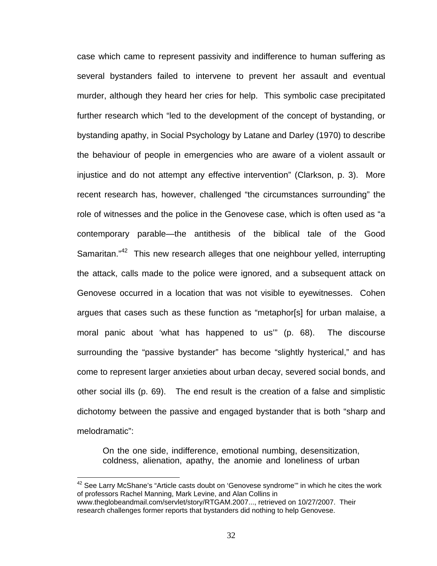case which came to represent passivity and indifference to human suffering as several bystanders failed to intervene to prevent her assault and eventual murder, although they heard her cries for help. This symbolic case precipitated further research which "led to the development of the concept of bystanding, or bystanding apathy, in Social Psychology by Latane and Darley (1970) to describe the behaviour of people in emergencies who are aware of a violent assault or injustice and do not attempt any effective intervention" (Clarkson, p. 3). More recent research has, however, challenged "the circumstances surrounding" the role of witnesses and the police in the Genovese case, which is often used as "a contemporary parable—the antithesis of the biblical tale of the Good Samaritan."<sup>42</sup> This new research alleges that one neighbour yelled, interrupting the attack, calls made to the police were ignored, and a subsequent attack on Genovese occurred in a location that was not visible to eyewitnesses. Cohen argues that cases such as these function as "metaphor[s] for urban malaise, a moral panic about 'what has happened to us'" (p. 68). The discourse surrounding the "passive bystander" has become "slightly hysterical," and has come to represent larger anxieties about urban decay, severed social bonds, and other social ills (p. 69). The end result is the creation of a false and simplistic dichotomy between the passive and engaged bystander that is both "sharp and melodramatic":

On the one side, indifference, emotional numbing, desensitization, coldness, alienation, apathy, the anomie and loneliness of urban

 $42$  See Larry McShane's "Article casts doubt on 'Genovese syndrome"' in which he cites the work of professors Rachel Manning, Mark Levine, and Alan Collins in www.theglobeandmail.com/servlet/story/RTGAM.2007..., retrieved on 10/27/2007. Their research challenges former reports that bystanders did nothing to help Genovese.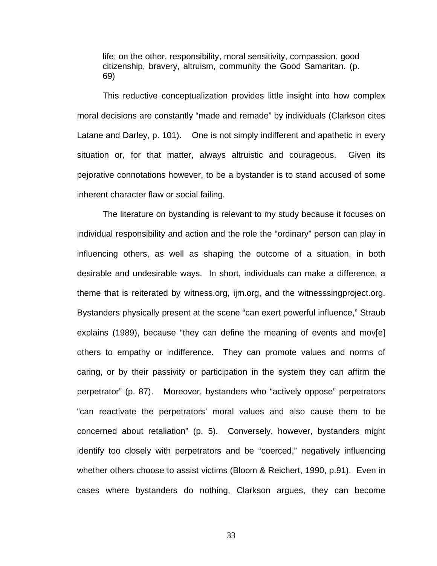life; on the other, responsibility, moral sensitivity, compassion, good citizenship, bravery, altruism, community the Good Samaritan. (p. 69)

This reductive conceptualization provides little insight into how complex moral decisions are constantly "made and remade" by individuals (Clarkson cites Latane and Darley, p. 101). One is not simply indifferent and apathetic in every situation or, for that matter, always altruistic and courageous. Given its pejorative connotations however, to be a bystander is to stand accused of some inherent character flaw or social failing.

The literature on bystanding is relevant to my study because it focuses on individual responsibility and action and the role the "ordinary" person can play in influencing others, as well as shaping the outcome of a situation, in both desirable and undesirable ways. In short, individuals can make a difference, a theme that is reiterated by witness.org, ijm.org, and the witnesssingproject.org. Bystanders physically present at the scene "can exert powerful influence," Straub explains (1989), because "they can define the meaning of events and mov[e] others to empathy or indifference. They can promote values and norms of caring, or by their passivity or participation in the system they can affirm the perpetrator" (p. 87). Moreover, bystanders who "actively oppose" perpetrators "can reactivate the perpetrators' moral values and also cause them to be concerned about retaliation" (p. 5). Conversely, however, bystanders might identify too closely with perpetrators and be "coerced," negatively influencing whether others choose to assist victims (Bloom & Reichert, 1990, p.91). Even in cases where bystanders do nothing, Clarkson argues, they can become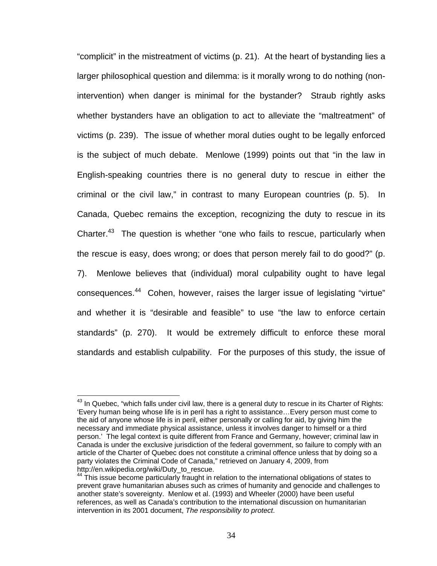"complicit" in the mistreatment of victims (p. 21). At the heart of bystanding lies a larger philosophical question and dilemma: is it morally wrong to do nothing (nonintervention) when danger is minimal for the bystander? Straub rightly asks whether bystanders have an obligation to act to alleviate the "maltreatment" of victims (p. 239). The issue of whether moral duties ought to be legally enforced is the subject of much debate. Menlowe (1999) points out that "in the law in English-speaking countries there is no general duty to rescue in either the criminal or the civil law," in contrast to many European countries (p. 5). In Canada, Quebec remains the exception, recognizing the duty to rescue in its Charter.<sup>43</sup> The question is whether "one who fails to rescue, particularly when the rescue is easy, does wrong; or does that person merely fail to do good?" (p. 7). Menlowe believes that (individual) moral culpability ought to have legal consequences.44 Cohen, however, raises the larger issue of legislating "virtue" and whether it is "desirable and feasible" to use "the law to enforce certain standards" (p. 270). It would be extremely difficult to enforce these moral standards and establish culpability. For the purposes of this study, the issue of

 $^{43}$  In Quebec, "which falls under civil law, there is a general duty to rescue in its Charter of Rights: 'Every human being whose life is in peril has a right to assistance…Every person must come to the aid of anyone whose life is in peril, either personally or calling for aid, by giving him the necessary and immediate physical assistance, unless it involves danger to himself or a third person.' The legal context is quite different from France and Germany, however; criminal law in Canada is under the exclusive jurisdiction of the federal government, so failure to comply with an article of the Charter of Quebec does not constitute a criminal offence unless that by doing so a party violates the Criminal Code of Canada," retrieved on January 4, 2009, from http://en.wikipedia.org/wiki/Duty\_to\_rescue.<br><sup>44</sup> This issue become particularly fraught in relation to the international obligations of states to

prevent grave humanitarian abuses such as crimes of humanity and genocide and challenges to another state's sovereignty. Menlow et al. (1993) and Wheeler (2000) have been useful references, as well as Canada's contribution to the international discussion on humanitarian intervention in its 2001 document, *The responsibility to protect*.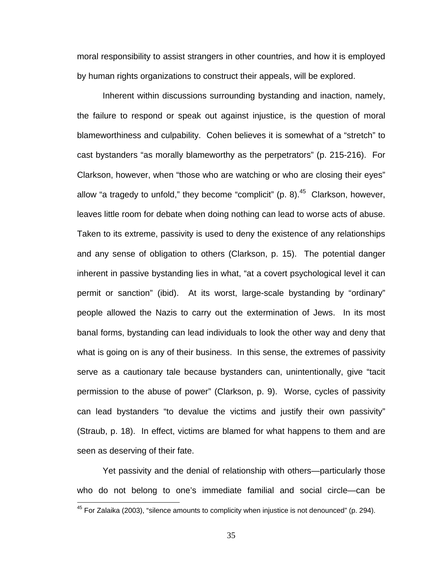moral responsibility to assist strangers in other countries, and how it is employed by human rights organizations to construct their appeals, will be explored.

Inherent within discussions surrounding bystanding and inaction, namely, the failure to respond or speak out against injustice, is the question of moral blameworthiness and culpability. Cohen believes it is somewhat of a "stretch" to cast bystanders "as morally blameworthy as the perpetrators" (p. 215-216). For Clarkson, however, when "those who are watching or who are closing their eyes" allow "a tragedy to unfold," they become "complicit" (p. 8). $45$  Clarkson, however, leaves little room for debate when doing nothing can lead to worse acts of abuse. Taken to its extreme, passivity is used to deny the existence of any relationships and any sense of obligation to others (Clarkson, p. 15). The potential danger inherent in passive bystanding lies in what, "at a covert psychological level it can permit or sanction" (ibid). At its worst, large-scale bystanding by "ordinary" people allowed the Nazis to carry out the extermination of Jews. In its most banal forms, bystanding can lead individuals to look the other way and deny that what is going on is any of their business. In this sense, the extremes of passivity serve as a cautionary tale because bystanders can, unintentionally, give "tacit permission to the abuse of power" (Clarkson, p. 9). Worse, cycles of passivity can lead bystanders "to devalue the victims and justify their own passivity" (Straub, p. 18). In effect, victims are blamed for what happens to them and are seen as deserving of their fate.

Yet passivity and the denial of relationship with others—particularly those who do not belong to one's immediate familial and social circle—can be

 $45$  For Zalaika (2003), "silence amounts to complicity when injustice is not denounced" (p. 294).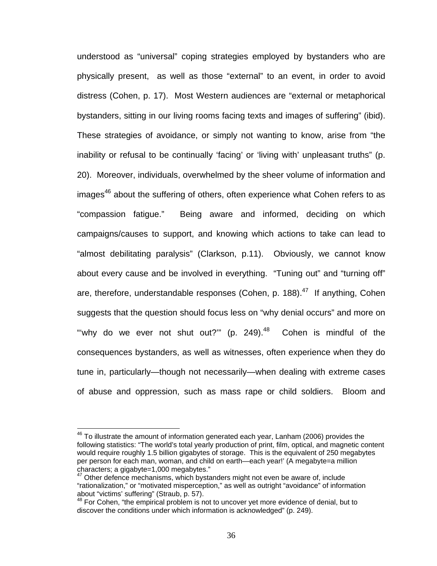understood as "universal" coping strategies employed by bystanders who are physically present, as well as those "external" to an event, in order to avoid distress (Cohen, p. 17). Most Western audiences are "external or metaphorical bystanders, sitting in our living rooms facing texts and images of suffering" (ibid). These strategies of avoidance, or simply not wanting to know, arise from "the inability or refusal to be continually 'facing' or 'living with' unpleasant truths" (p. 20). Moreover, individuals, overwhelmed by the sheer volume of information and  $\mu$ images<sup>46</sup> about the suffering of others, often experience what Cohen refers to as "compassion fatigue." Being aware and informed, deciding on which campaigns/causes to support, and knowing which actions to take can lead to "almost debilitating paralysis" (Clarkson, p.11). Obviously, we cannot know about every cause and be involved in everything. "Tuning out" and "turning off" are, therefore, understandable responses (Cohen, p. 188). $47$  If anything, Cohen suggests that the question should focus less on "why denial occurs" and more on "why do we ever not shut out?" (p. 249). $48$  Cohen is mindful of the consequences bystanders, as well as witnesses, often experience when they do tune in, particularly—though not necessarily—when dealing with extreme cases of abuse and oppression, such as mass rape or child soldiers. Bloom and

 $46$  To illustrate the amount of information generated each year, Lanham (2006) provides the following statistics: "The world's total yearly production of print, film, optical, and magnetic content would require roughly 1.5 billion gigabytes of storage. This is the equivalent of 250 megabytes per person for each man, woman, and child on earth—each year!' (A megabyte=a million characters; a gigabyte=1,000 megabytes."

 $47$  Other defence mechanisms, which bystanders might not even be aware of, include "rationalization," or "motivated misperception," as well as outright "avoidance" of information about "victims' suffering" (Straub, p. 57).

<sup>&</sup>lt;sup>48</sup> For Cohen, "the empirical problem is not to uncover yet more evidence of denial, but to discover the conditions under which information is acknowledged" (p. 249).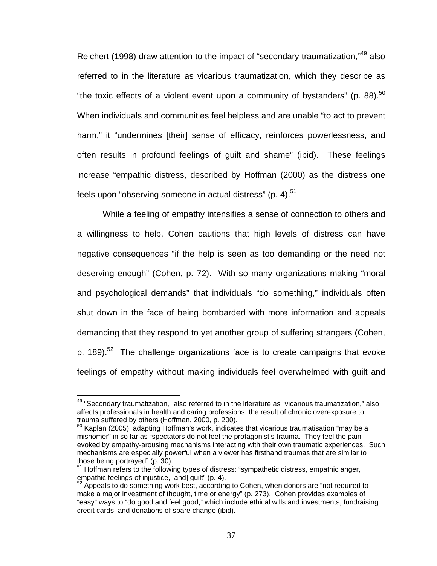Reichert (1998) draw attention to the impact of "secondary traumatization,"49 also referred to in the literature as vicarious traumatization, which they describe as "the toxic effects of a violent event upon a community of bystanders" (p. 88). $50$ When individuals and communities feel helpless and are unable "to act to prevent harm," it "undermines [their] sense of efficacy, reinforces powerlessness, and often results in profound feelings of guilt and shame" (ibid). These feelings increase "empathic distress, described by Hoffman (2000) as the distress one feels upon "observing someone in actual distress" (p. 4). $51$ 

While a feeling of empathy intensifies a sense of connection to others and a willingness to help, Cohen cautions that high levels of distress can have negative consequences "if the help is seen as too demanding or the need not deserving enough" (Cohen, p. 72). With so many organizations making "moral and psychological demands" that individuals "do something," individuals often shut down in the face of being bombarded with more information and appeals demanding that they respond to yet another group of suffering strangers (Cohen, p. 189).<sup>52</sup> The challenge organizations face is to create campaigns that evoke feelings of empathy without making individuals feel overwhelmed with guilt and

<sup>&</sup>lt;sup>49</sup> "Secondary traumatization," also referred to in the literature as "vicarious traumatization," also affects professionals in health and caring professions, the result of chronic overexposure to trauma suffered by others (Hoffman, 2000, p. 200).

 $50$  Kaplan (2005), adapting Hoffman's work, indicates that vicarious traumatisation "may be a misnomer" in so far as "spectators do not feel the protagonist's trauma. They feel the pain evoked by empathy-arousing mechanisms interacting with their own traumatic experiences. Such mechanisms are especially powerful when a viewer has firsthand traumas that are similar to those being portrayed" (p. 30).

 $51$  Hoffman refers to the following types of distress: "sympathetic distress, empathic anger, empathic feelings of injustice, [and] guilt" (p. 4).

 $52$  Appeals to do something work best, according to Cohen, when donors are "not required to make a major investment of thought, time or energy" (p. 273). Cohen provides examples of "easy" ways to "do good and feel good," which include ethical wills and investments, fundraising credit cards, and donations of spare change (ibid).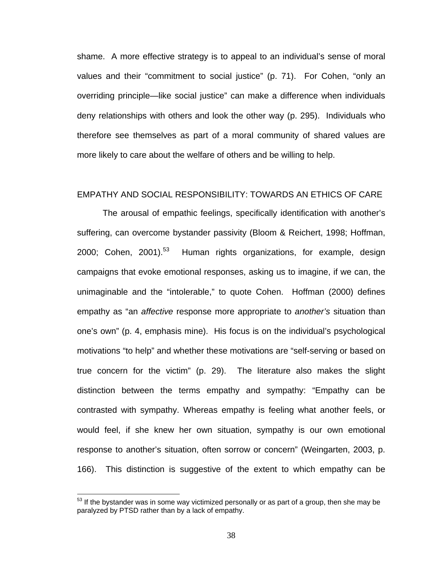shame. A more effective strategy is to appeal to an individual's sense of moral values and their "commitment to social justice" (p. 71). For Cohen, "only an overriding principle—like social justice" can make a difference when individuals deny relationships with others and look the other way (p. 295). Individuals who therefore see themselves as part of a moral community of shared values are more likely to care about the welfare of others and be willing to help.

# EMPATHY AND SOCIAL RESPONSIBILITY: TOWARDS AN ETHICS OF CARE

The arousal of empathic feelings, specifically identification with another's suffering, can overcome bystander passivity (Bloom & Reichert, 1998; Hoffman, 2000; Cohen, 2001).<sup>53</sup> Human rights organizations, for example, design campaigns that evoke emotional responses, asking us to imagine, if we can, the unimaginable and the "intolerable," to quote Cohen. Hoffman (2000) defines empathy as "an *affective* response more appropriate to *another's* situation than one's own" (p. 4, emphasis mine). His focus is on the individual's psychological motivations "to help" and whether these motivations are "self-serving or based on true concern for the victim" (p. 29). The literature also makes the slight distinction between the terms empathy and sympathy: "Empathy can be contrasted with sympathy. Whereas empathy is feeling what another feels, or would feel, if she knew her own situation, sympathy is our own emotional response to another's situation, often sorrow or concern" (Weingarten, 2003, p. 166). This distinction is suggestive of the extent to which empathy can be

 $53$  If the bystander was in some way victimized personally or as part of a group, then she may be paralyzed by PTSD rather than by a lack of empathy.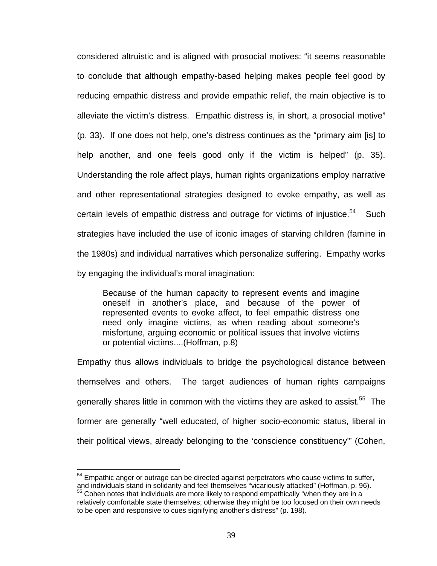considered altruistic and is aligned with prosocial motives: "it seems reasonable to conclude that although empathy-based helping makes people feel good by reducing empathic distress and provide empathic relief, the main objective is to alleviate the victim's distress. Empathic distress is, in short, a prosocial motive" (p. 33). If one does not help, one's distress continues as the "primary aim [is] to help another, and one feels good only if the victim is helped" (p. 35). Understanding the role affect plays, human rights organizations employ narrative and other representational strategies designed to evoke empathy, as well as certain levels of empathic distress and outrage for victims of injustice.<sup>54</sup> Such strategies have included the use of iconic images of starving children (famine in the 1980s) and individual narratives which personalize suffering. Empathy works by engaging the individual's moral imagination:

Because of the human capacity to represent events and imagine oneself in another's place, and because of the power of represented events to evoke affect, to feel empathic distress one need only imagine victims, as when reading about someone's misfortune, arguing economic or political issues that involve victims or potential victims....(Hoffman, p.8)

Empathy thus allows individuals to bridge the psychological distance between themselves and others. The target audiences of human rights campaigns generally shares little in common with the victims they are asked to assist.<sup>55</sup> The former are generally "well educated, of higher socio-economic status, liberal in their political views, already belonging to the 'conscience constituency'" (Cohen,

 $54$  Empathic anger or outrage can be directed against perpetrators who cause victims to suffer, and individuals stand in solidarity and feel themselves "vicariously attacked" (Hoffman, p. 96).<br><sup>55</sup> Cohen notes that individuals are more likely to respond empathically "when they are in a

relatively comfortable state themselves; otherwise they might be too focused on their own needs to be open and responsive to cues signifying another's distress" (p. 198).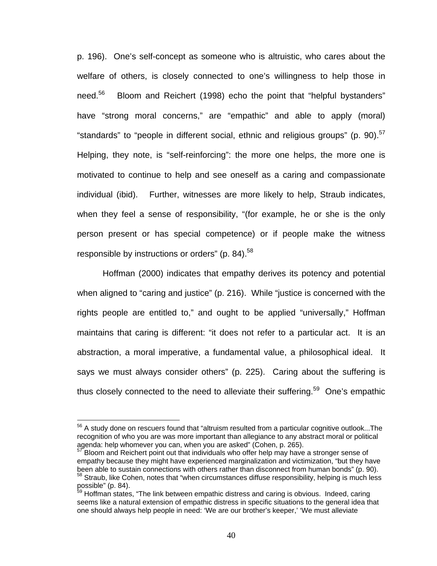p. 196). One's self-concept as someone who is altruistic, who cares about the welfare of others, is closely connected to one's willingness to help those in need.<sup>56</sup> Bloom and Reichert (1998) echo the point that "helpful bystanders" have "strong moral concerns," are "empathic" and able to apply (moral) "standards" to "people in different social, ethnic and religious groups" (p. 90). $57$ Helping, they note, is "self-reinforcing": the more one helps, the more one is motivated to continue to help and see oneself as a caring and compassionate individual (ibid). Further, witnesses are more likely to help, Straub indicates, when they feel a sense of responsibility, "(for example, he or she is the only person present or has special competence) or if people make the witness responsible by instructions or orders" (p. 84).<sup>58</sup>

Hoffman (2000) indicates that empathy derives its potency and potential when aligned to "caring and justice" (p. 216). While "justice is concerned with the rights people are entitled to," and ought to be applied "universally," Hoffman maintains that caring is different: "it does not refer to a particular act. It is an abstraction, a moral imperative, a fundamental value, a philosophical ideal. It says we must always consider others" (p. 225). Caring about the suffering is thus closely connected to the need to alleviate their suffering.<sup>59</sup> One's empathic

<sup>&</sup>lt;sup>56</sup> A study done on rescuers found that "altruism resulted from a particular cognitive outlook...The recognition of who you are was more important than allegiance to any abstract moral or political agenda: help whomever you can, when you are asked" (Cohen, p. 265).

<sup>57</sup> Bloom and Reichert point out that individuals who offer help may have a stronger sense of empathy because they might have experienced marginalization and victimization, "but they have been able to sustain connections with others rather than disconnect from human bonds" (p. 90).  $58$  Straub, like Cohen, notes that "when circumstances diffuse responsibility, helping is much less possible" (p. 84).

<sup>&</sup>lt;sup>59</sup> Hoffman states, "The link between empathic distress and caring is obvious. Indeed, caring seems like a natural extension of empathic distress in specific situations to the general idea that one should always help people in need: 'We are our brother's keeper,' 'We must alleviate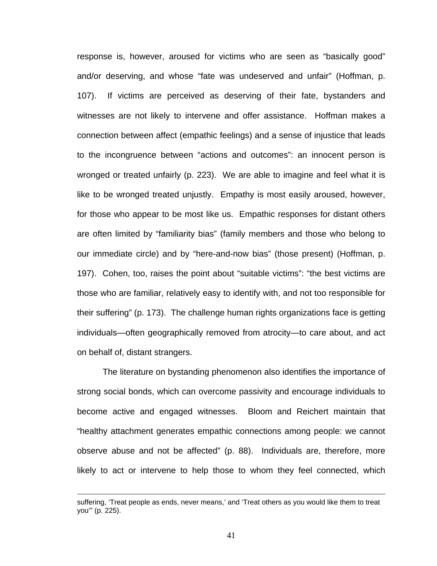response is, however, aroused for victims who are seen as "basically good" and/or deserving, and whose "fate was undeserved and unfair" (Hoffman, p. 107). If victims are perceived as deserving of their fate, bystanders and witnesses are not likely to intervene and offer assistance. Hoffman makes a connection between affect (empathic feelings) and a sense of injustice that leads to the incongruence between "actions and outcomes": an innocent person is wronged or treated unfairly (p. 223). We are able to imagine and feel what it is like to be wronged treated unjustly. Empathy is most easily aroused, however, for those who appear to be most like us. Empathic responses for distant others are often limited by "familiarity bias" (family members and those who belong to our immediate circle) and by "here-and-now bias" (those present) (Hoffman, p. 197). Cohen, too, raises the point about "suitable victims": "the best victims are those who are familiar, relatively easy to identify with, and not too responsible for their suffering" (p. 173). The challenge human rights organizations face is getting individuals—often geographically removed from atrocity—to care about, and act on behalf of, distant strangers.

The literature on bystanding phenomenon also identifies the importance of strong social bonds, which can overcome passivity and encourage individuals to become active and engaged witnesses. Bloom and Reichert maintain that "healthy attachment generates empathic connections among people: we cannot observe abuse and not be affected" (p. 88). Individuals are, therefore, more likely to act or intervene to help those to whom they feel connected, which

suffering, 'Treat people as ends, never means,' and 'Treat others as you would like them to treat you'" (p. 225).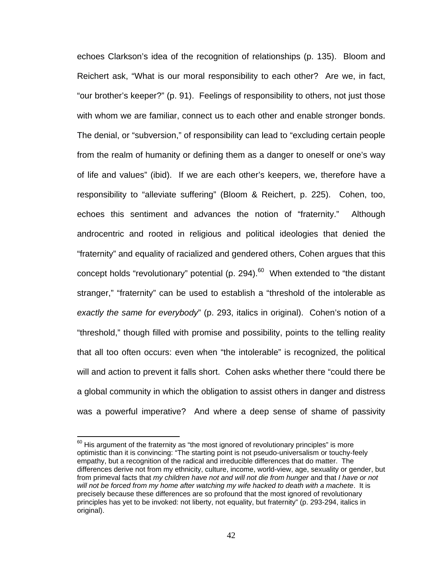echoes Clarkson's idea of the recognition of relationships (p. 135). Bloom and Reichert ask, "What is our moral responsibility to each other? Are we, in fact, "our brother's keeper?" (p. 91). Feelings of responsibility to others, not just those with whom we are familiar, connect us to each other and enable stronger bonds. The denial, or "subversion," of responsibility can lead to "excluding certain people from the realm of humanity or defining them as a danger to oneself or one's way of life and values" (ibid). If we are each other's keepers, we, therefore have a responsibility to "alleviate suffering" (Bloom & Reichert, p. 225). Cohen, too, echoes this sentiment and advances the notion of "fraternity." Although androcentric and rooted in religious and political ideologies that denied the "fraternity" and equality of racialized and gendered others, Cohen argues that this concept holds "revolutionary" potential (p. 294). $^{60}$  When extended to "the distant stranger," "fraternity" can be used to establish a "threshold of the intolerable as *exactly the same for everybody*" (p. 293, italics in original). Cohen's notion of a "threshold," though filled with promise and possibility, points to the telling reality that all too often occurs: even when "the intolerable" is recognized, the political will and action to prevent it falls short. Cohen asks whether there "could there be a global community in which the obligation to assist others in danger and distress was a powerful imperative? And where a deep sense of shame of passivity

 $60$  His argument of the fraternity as "the most ignored of revolutionary principles" is more optimistic than it is convincing: "The starting point is not pseudo-universalism or touchy-feely empathy, but a recognition of the radical and irreducible differences that do matter. The differences derive not from my ethnicity, culture, income, world-view, age, sexuality or gender, but from primeval facts that *my children have not and will not die from hunger* and that *I have or not will not be forced from my home after watching my wife hacked to death with a machete*. It is precisely because these differences are so profound that the most ignored of revolutionary principles has yet to be invoked: not liberty, not equality, but fraternity" (p. 293-294, italics in original).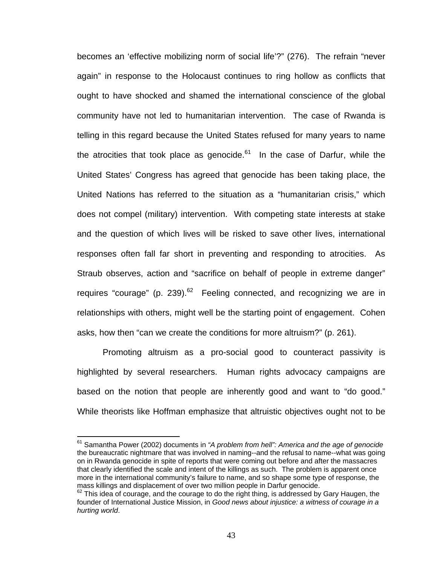becomes an 'effective mobilizing norm of social life'?" (276). The refrain "never again" in response to the Holocaust continues to ring hollow as conflicts that ought to have shocked and shamed the international conscience of the global community have not led to humanitarian intervention. The case of Rwanda is telling in this regard because the United States refused for many years to name the atrocities that took place as genocide. $61$  In the case of Darfur, while the United States' Congress has agreed that genocide has been taking place, the United Nations has referred to the situation as a "humanitarian crisis," which does not compel (military) intervention. With competing state interests at stake and the question of which lives will be risked to save other lives, international responses often fall far short in preventing and responding to atrocities. As Straub observes, action and "sacrifice on behalf of people in extreme danger" requires "courage" (p. 239).<sup>62</sup> Feeling connected, and recognizing we are in relationships with others, might well be the starting point of engagement. Cohen asks, how then "can we create the conditions for more altruism?" (p. 261).

Promoting altruism as a pro-social good to counteract passivity is highlighted by several researchers. Human rights advocacy campaigns are based on the notion that people are inherently good and want to "do good." While theorists like Hoffman emphasize that altruistic objectives ought not to be

<sup>61</sup> Samantha Power (2002) documents in *"A problem from hell": America and the age of genocide* the bureaucratic nightmare that was involved in naming--and the refusal to name--what was going on in Rwanda genocide in spite of reports that were coming out before and after the massacres that clearly identified the scale and intent of the killings as such. The problem is apparent once more in the international community's failure to name, and so shape some type of response, the mass killings and displacement of over two million people in Darfur genocide.

 $62$  This idea of courage, and the courage to do the right thing, is addressed by Gary Haugen, the founder of International Justice Mission, in *Good news about injustice: a witness of courage in a hurting world*.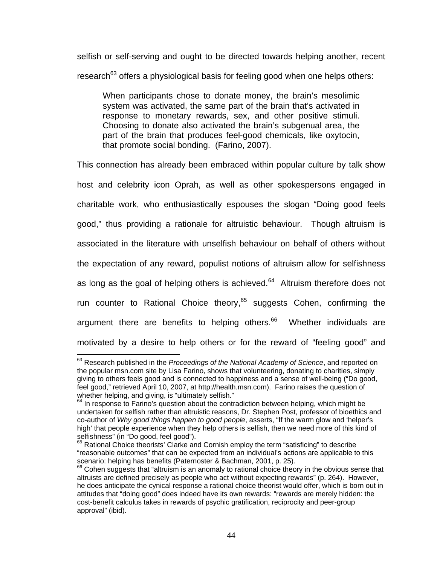selfish or self-serving and ought to be directed towards helping another, recent research<sup>63</sup> offers a physiological basis for feeling good when one helps others:

When participants chose to donate money, the brain's mesolimic system was activated, the same part of the brain that's activated in response to monetary rewards, sex, and other positive stimuli. Choosing to donate also activated the brain's subgenual area, the part of the brain that produces feel-good chemicals, like oxytocin, that promote social bonding. (Farino, 2007).

This connection has already been embraced within popular culture by talk show host and celebrity icon Oprah, as well as other spokespersons engaged in charitable work, who enthusiastically espouses the slogan "Doing good feels good," thus providing a rationale for altruistic behaviour. Though altruism is associated in the literature with unselfish behaviour on behalf of others without the expectation of any reward, populist notions of altruism allow for selfishness as long as the goal of helping others is achieved. $64$  Altruism therefore does not run counter to Rational Choice theory,<sup>65</sup> suggests Cohen, confirming the argument there are benefits to helping others.<sup>66</sup> Whether individuals are motivated by a desire to help others or for the reward of "feeling good" and

<sup>63</sup> Research published in the *Proceedings of the National Academy of Science*, and reported on the popular msn.com site by Lisa Farino, shows that volunteering, donating to charities, simply giving to others feels good and is connected to happiness and a sense of well-being ("Do good, feel good," retrieved April 10, 2007, at http://health.msn.com). Farino raises the question of whether helping, and giving, is "ultimately selfish."

 $64$  In response to Farino's question about the contradiction between helping, which might be undertaken for selfish rather than altruistic reasons, Dr. Stephen Post, professor of bioethics and co-author of *Why good things happen to good people*, asserts, "If the warm glow and 'helper's high' that people experience when they help others is selfish, then we need more of this kind of selfishness" (in "Do good, feel good").

 $65$  Rational Choice theorists' Clarke and Cornish employ the term "satisficing" to describe "reasonable outcomes" that can be expected from an individual's actions are applicable to this<br>scenario: helping has benefits (Paternoster & Bachman, 2001, p. 25).

 $66$  Cohen suggests that "altruism is an anomaly to rational choice theory in the obvious sense that altruists are defined precisely as people who act without expecting rewards" (p. 264). However, he does anticipate the cynical response a rational choice theorist would offer, which is born out in attitudes that "doing good" does indeed have its own rewards: "rewards are merely hidden: the cost-benefit calculus takes in rewards of psychic gratification, reciprocity and peer-group approval" (ibid).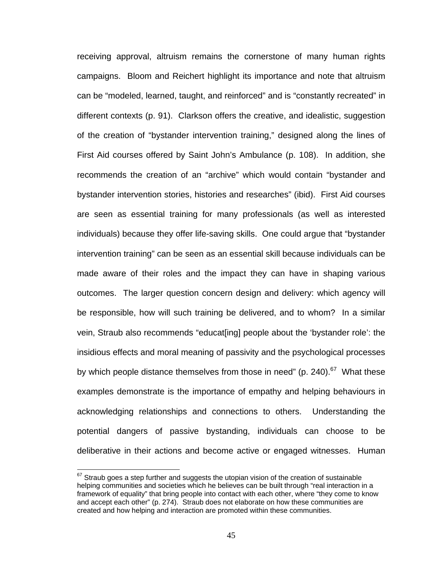receiving approval, altruism remains the cornerstone of many human rights campaigns. Bloom and Reichert highlight its importance and note that altruism can be "modeled, learned, taught, and reinforced" and is "constantly recreated" in different contexts (p. 91). Clarkson offers the creative, and idealistic, suggestion of the creation of "bystander intervention training," designed along the lines of First Aid courses offered by Saint John's Ambulance (p. 108). In addition, she recommends the creation of an "archive" which would contain "bystander and bystander intervention stories, histories and researches" (ibid). First Aid courses are seen as essential training for many professionals (as well as interested individuals) because they offer life-saving skills. One could argue that "bystander intervention training" can be seen as an essential skill because individuals can be made aware of their roles and the impact they can have in shaping various outcomes. The larger question concern design and delivery: which agency will be responsible, how will such training be delivered, and to whom? In a similar vein, Straub also recommends "educat[ing] people about the 'bystander role': the insidious effects and moral meaning of passivity and the psychological processes by which people distance themselves from those in need" (p. 240). $67$  What these examples demonstrate is the importance of empathy and helping behaviours in acknowledging relationships and connections to others. Understanding the potential dangers of passive bystanding, individuals can choose to be deliberative in their actions and become active or engaged witnesses. Human

 $67$  Straub goes a step further and suggests the utopian vision of the creation of sustainable helping communities and societies which he believes can be built through "real interaction in a framework of equality" that bring people into contact with each other, where "they come to know and accept each other" (p. 274). Straub does not elaborate on how these communities are created and how helping and interaction are promoted within these communities.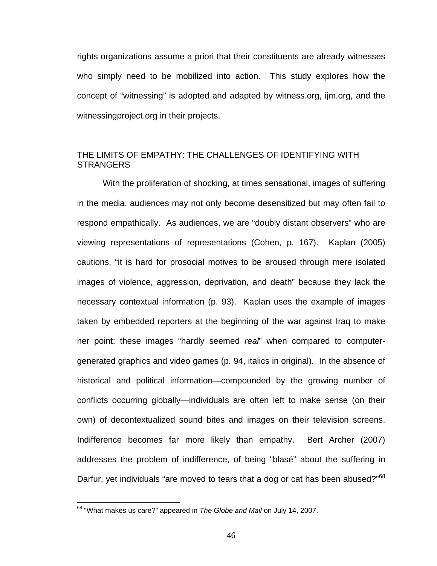rights organizations assume a priori that their constituents are already witnesses who simply need to be mobilized into action. This study explores how the concept of "witnessing" is adopted and adapted by witness.org, ijm.org, and the witnessingproject.org in their projects.

# THE LIMITS OF EMPATHY: THE CHALLENGES OF IDENTIFYING WITH **STRANGERS**

With the proliferation of shocking, at times sensational, images of suffering in the media, audiences may not only become desensitized but may often fail to respond empathically. As audiences, we are "doubly distant observers" who are viewing representations of representations (Cohen, p. 167). Kaplan (2005) cautions, "it is hard for prosocial motives to be aroused through mere isolated images of violence, aggression, deprivation, and death" because they lack the necessary contextual information (p. 93). Kaplan uses the example of images taken by embedded reporters at the beginning of the war against Iraq to make her point: these images "hardly seemed *real*" when compared to computergenerated graphics and video games (p. 94, italics in original). In the absence of historical and political information—compounded by the growing number of conflicts occurring globally—individuals are often left to make sense (on their own) of decontextualized sound bites and images on their television screens. Indifference becomes far more likely than empathy. Bert Archer (2007) addresses the problem of indifference, of being "blasé" about the suffering in Darfur, yet individuals "are moved to tears that a dog or cat has been abused?"<sup>68</sup>

<u>.</u>

<sup>68 &</sup>quot;What makes us care?" appeared in *The Globe and Mail* on July 14, 2007.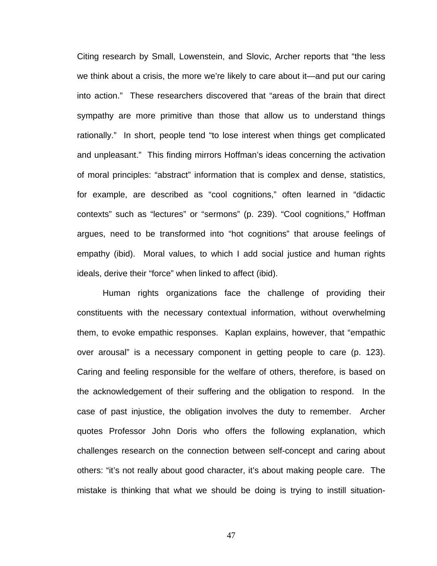Citing research by Small, Lowenstein, and Slovic, Archer reports that "the less we think about a crisis, the more we're likely to care about it—and put our caring into action." These researchers discovered that "areas of the brain that direct sympathy are more primitive than those that allow us to understand things rationally." In short, people tend "to lose interest when things get complicated and unpleasant." This finding mirrors Hoffman's ideas concerning the activation of moral principles: "abstract" information that is complex and dense, statistics, for example, are described as "cool cognitions," often learned in "didactic contexts" such as "lectures" or "sermons" (p. 239). "Cool cognitions," Hoffman argues, need to be transformed into "hot cognitions" that arouse feelings of empathy (ibid). Moral values, to which I add social justice and human rights ideals, derive their "force" when linked to affect (ibid).

Human rights organizations face the challenge of providing their constituents with the necessary contextual information, without overwhelming them, to evoke empathic responses. Kaplan explains, however, that "empathic over arousal" is a necessary component in getting people to care (p. 123). Caring and feeling responsible for the welfare of others, therefore, is based on the acknowledgement of their suffering and the obligation to respond. In the case of past injustice, the obligation involves the duty to remember. Archer quotes Professor John Doris who offers the following explanation, which challenges research on the connection between self-concept and caring about others: "it's not really about good character, it's about making people care. The mistake is thinking that what we should be doing is trying to instill situation-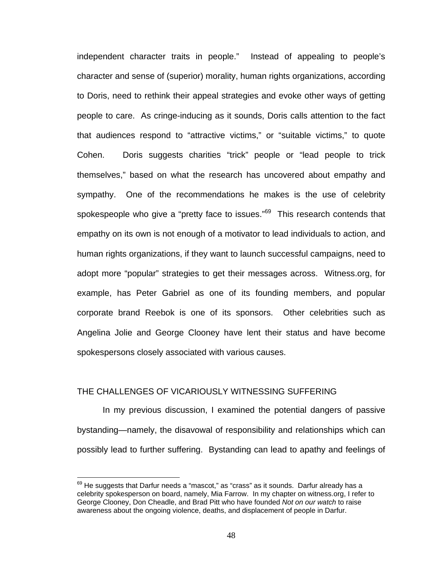independent character traits in people." Instead of appealing to people's character and sense of (superior) morality, human rights organizations, according to Doris, need to rethink their appeal strategies and evoke other ways of getting people to care. As cringe-inducing as it sounds, Doris calls attention to the fact that audiences respond to "attractive victims," or "suitable victims," to quote Cohen. Doris suggests charities "trick" people or "lead people to trick themselves," based on what the research has uncovered about empathy and sympathy. One of the recommendations he makes is the use of celebrity spokespeople who give a "pretty face to issues."<sup>69</sup> This research contends that empathy on its own is not enough of a motivator to lead individuals to action, and human rights organizations, if they want to launch successful campaigns, need to adopt more "popular" strategies to get their messages across. Witness.org, for example, has Peter Gabriel as one of its founding members, and popular corporate brand Reebok is one of its sponsors. Other celebrities such as Angelina Jolie and George Clooney have lent their status and have become spokespersons closely associated with various causes.

## THE CHALLENGES OF VICARIOUSLY WITNESSING SUFFERING

 $\overline{a}$ 

In my previous discussion, I examined the potential dangers of passive bystanding—namely, the disavowal of responsibility and relationships which can possibly lead to further suffering. Bystanding can lead to apathy and feelings of

 $69$  He suggests that Darfur needs a "mascot," as "crass" as it sounds. Darfur already has a celebrity spokesperson on board, namely, Mia Farrow. In my chapter on witness.org, I refer to George Clooney, Don Cheadle, and Brad Pitt who have founded *Not on our watch* to raise awareness about the ongoing violence, deaths, and displacement of people in Darfur.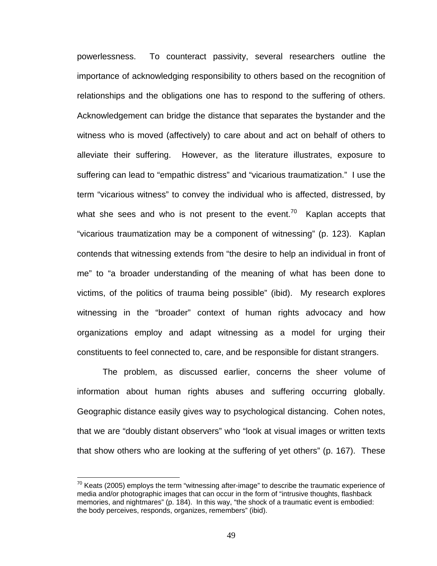powerlessness. To counteract passivity, several researchers outline the importance of acknowledging responsibility to others based on the recognition of relationships and the obligations one has to respond to the suffering of others. Acknowledgement can bridge the distance that separates the bystander and the witness who is moved (affectively) to care about and act on behalf of others to alleviate their suffering. However, as the literature illustrates, exposure to suffering can lead to "empathic distress" and "vicarious traumatization." I use the term "vicarious witness" to convey the individual who is affected, distressed, by what she sees and who is not present to the event.<sup>70</sup> Kaplan accepts that "vicarious traumatization may be a component of witnessing" (p. 123). Kaplan contends that witnessing extends from "the desire to help an individual in front of me" to "a broader understanding of the meaning of what has been done to victims, of the politics of trauma being possible" (ibid). My research explores witnessing in the "broader" context of human rights advocacy and how organizations employ and adapt witnessing as a model for urging their constituents to feel connected to, care, and be responsible for distant strangers.

The problem, as discussed earlier, concerns the sheer volume of information about human rights abuses and suffering occurring globally. Geographic distance easily gives way to psychological distancing. Cohen notes, that we are "doubly distant observers" who "look at visual images or written texts that show others who are looking at the suffering of yet others" (p. 167). These

 $70$  Keats (2005) employs the term "witnessing after-image" to describe the traumatic experience of media and/or photographic images that can occur in the form of "intrusive thoughts, flashback memories, and nightmares" (p. 184). In this way, "the shock of a traumatic event is embodied: the body perceives, responds, organizes, remembers" (ibid).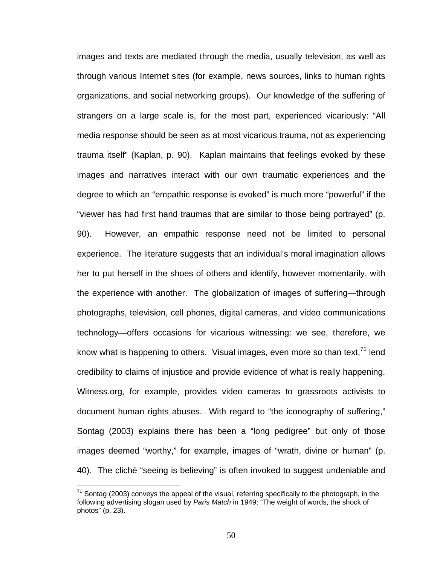images and texts are mediated through the media, usually television, as well as through various Internet sites (for example, news sources, links to human rights organizations, and social networking groups). Our knowledge of the suffering of strangers on a large scale is, for the most part, experienced vicariously: "All media response should be seen as at most vicarious trauma, not as experiencing trauma itself" (Kaplan, p. 90). Kaplan maintains that feelings evoked by these images and narratives interact with our own traumatic experiences and the degree to which an "empathic response is evoked" is much more "powerful" if the "viewer has had first hand traumas that are similar to those being portrayed" (p. 90). However, an empathic response need not be limited to personal experience. The literature suggests that an individual's moral imagination allows her to put herself in the shoes of others and identify, however momentarily, with the experience with another. The globalization of images of suffering—through photographs, television, cell phones, digital cameras, and video communications technology—offers occasions for vicarious witnessing: we see, therefore, we know what is happening to others. Visual images, even more so than text,  $71$  lend credibility to claims of injustice and provide evidence of what is really happening. Witness.org, for example, provides video cameras to grassroots activists to document human rights abuses. With regard to "the iconography of suffering," Sontag (2003) explains there has been a "long pedigree" but only of those images deemed "worthy," for example, images of "wrath, divine or human" (p. 40). The cliché "seeing is believing" is often invoked to suggest undeniable and

 $^{71}$  Sontag (2003) conveys the appeal of the visual, referring specifically to the photograph, in the following advertising slogan used by *Paris Match* in 1949: "The weight of words, the shock of photos" (p. 23).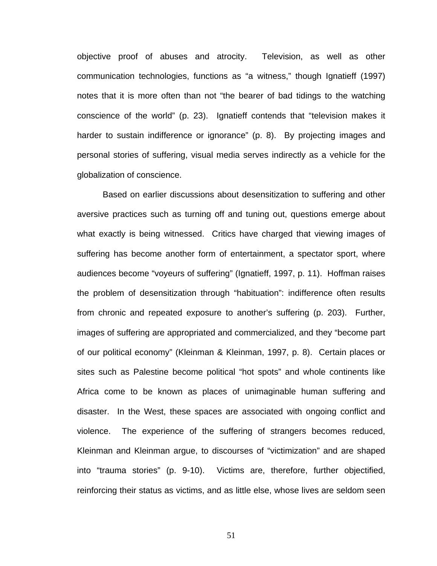objective proof of abuses and atrocity. Television, as well as other communication technologies, functions as "a witness," though Ignatieff (1997) notes that it is more often than not "the bearer of bad tidings to the watching conscience of the world" (p. 23). Ignatieff contends that "television makes it harder to sustain indifference or ignorance" (p. 8). By projecting images and personal stories of suffering, visual media serves indirectly as a vehicle for the globalization of conscience.

Based on earlier discussions about desensitization to suffering and other aversive practices such as turning off and tuning out, questions emerge about what exactly is being witnessed. Critics have charged that viewing images of suffering has become another form of entertainment, a spectator sport, where audiences become "voyeurs of suffering" (Ignatieff, 1997, p. 11). Hoffman raises the problem of desensitization through "habituation": indifference often results from chronic and repeated exposure to another's suffering (p. 203). Further, images of suffering are appropriated and commercialized, and they "become part of our political economy" (Kleinman & Kleinman, 1997, p. 8). Certain places or sites such as Palestine become political "hot spots" and whole continents like Africa come to be known as places of unimaginable human suffering and disaster. In the West, these spaces are associated with ongoing conflict and violence. The experience of the suffering of strangers becomes reduced, Kleinman and Kleinman argue, to discourses of "victimization" and are shaped into "trauma stories" (p. 9-10). Victims are, therefore, further objectified, reinforcing their status as victims, and as little else, whose lives are seldom seen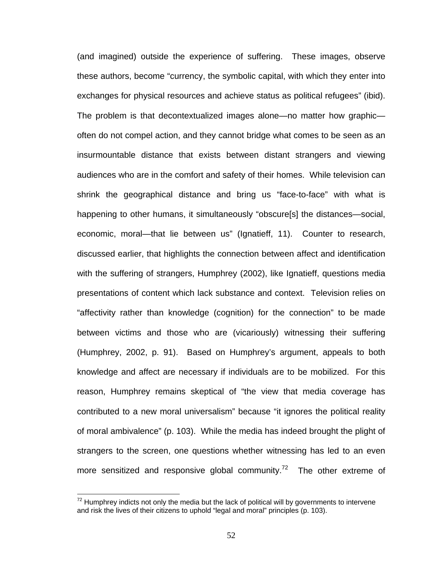(and imagined) outside the experience of suffering. These images, observe these authors, become "currency, the symbolic capital, with which they enter into exchanges for physical resources and achieve status as political refugees" (ibid). The problem is that decontextualized images alone—no matter how graphic often do not compel action, and they cannot bridge what comes to be seen as an insurmountable distance that exists between distant strangers and viewing audiences who are in the comfort and safety of their homes. While television can shrink the geographical distance and bring us "face-to-face" with what is happening to other humans, it simultaneously "obscure[s] the distances—social, economic, moral—that lie between us" (Ignatieff, 11). Counter to research, discussed earlier, that highlights the connection between affect and identification with the suffering of strangers, Humphrey (2002), like Ignatieff, questions media presentations of content which lack substance and context. Television relies on "affectivity rather than knowledge (cognition) for the connection" to be made between victims and those who are (vicariously) witnessing their suffering (Humphrey, 2002, p. 91). Based on Humphrey's argument, appeals to both knowledge and affect are necessary if individuals are to be mobilized. For this reason, Humphrey remains skeptical of "the view that media coverage has contributed to a new moral universalism" because "it ignores the political reality of moral ambivalence" (p. 103). While the media has indeed brought the plight of strangers to the screen, one questions whether witnessing has led to an even more sensitized and responsive global community.<sup>72</sup> The other extreme of

 $72$  Humphrey indicts not only the media but the lack of political will by governments to intervene and risk the lives of their citizens to uphold "legal and moral" principles (p. 103).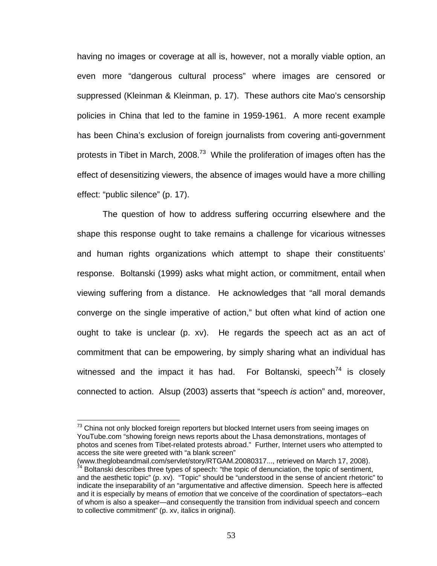having no images or coverage at all is, however, not a morally viable option, an even more "dangerous cultural process" where images are censored or suppressed (Kleinman & Kleinman, p. 17). These authors cite Mao's censorship policies in China that led to the famine in 1959-1961. A more recent example has been China's exclusion of foreign journalists from covering anti-government protests in Tibet in March, 2008.<sup>73</sup> While the proliferation of images often has the effect of desensitizing viewers, the absence of images would have a more chilling effect: "public silence" (p. 17).

The question of how to address suffering occurring elsewhere and the shape this response ought to take remains a challenge for vicarious witnesses and human rights organizations which attempt to shape their constituents' response. Boltanski (1999) asks what might action, or commitment, entail when viewing suffering from a distance. He acknowledges that "all moral demands converge on the single imperative of action," but often what kind of action one ought to take is unclear (p. xv). He regards the speech act as an act of commitment that can be empowering, by simply sharing what an individual has witnessed and the impact it has had. For Boltanski, speech<sup>74</sup> is closely connected to action. Alsup (2003) asserts that "speech *is* action" and, moreover,

 $73$  China not only blocked foreign reporters but blocked Internet users from seeing images on YouTube.com "showing foreign news reports about the Lhasa demonstrations, montages of photos and scenes from Tibet-related protests abroad." Further, Internet users who attempted to access the site were greeted with "a blank screen"<br>(www.theglobeandmail.com/servlet/story/RTGAM.20080317..., retrieved on March 17, 2008).

 $^{\frac{1}{74}}$  Boltanski describes three types of speech: "the topic of denunciation, the topic of sentiment, and the aesthetic topic" (p. xv). "Topic" should be "understood in the sense of ancient rhetoric" to indicate the inseparability of an "argumentative and affective dimension. Speech here is affected and it is especially by means of *emotion* that we conceive of the coordination of spectators--each of whom is also a speaker—and consequently the transition from individual speech and concern to collective commitment" (p. xv, italics in original).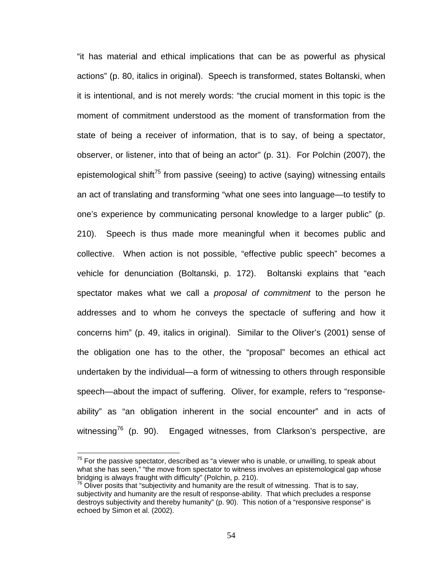"it has material and ethical implications that can be as powerful as physical actions" (p. 80, italics in original). Speech is transformed, states Boltanski, when it is intentional, and is not merely words: "the crucial moment in this topic is the moment of commitment understood as the moment of transformation from the state of being a receiver of information, that is to say, of being a spectator, observer, or listener, into that of being an actor" (p. 31). For Polchin (2007), the epistemological shift<sup>75</sup> from passive (seeing) to active (saying) witnessing entails an act of translating and transforming "what one sees into language—to testify to one's experience by communicating personal knowledge to a larger public" (p. 210). Speech is thus made more meaningful when it becomes public and collective. When action is not possible, "effective public speech" becomes a vehicle for denunciation (Boltanski, p. 172). Boltanski explains that "each spectator makes what we call a *proposal of commitment* to the person he addresses and to whom he conveys the spectacle of suffering and how it concerns him" (p. 49, italics in original). Similar to the Oliver's (2001) sense of the obligation one has to the other, the "proposal" becomes an ethical act undertaken by the individual—a form of witnessing to others through responsible speech—about the impact of suffering. Oliver, for example, refers to "responseability" as "an obligation inherent in the social encounter" and in acts of witnessing<sup>76</sup> (p. 90). Engaged witnesses, from Clarkson's perspective, are

 $75$  For the passive spectator, described as "a viewer who is unable, or unwilling, to speak about what she has seen," "the move from spectator to witness involves an epistemological gap whose bridging is always fraught with difficulty" (Polchin, p. 210).

 $^{76}$  Oliver posits that "subjectivity and humanity are the result of witnessing. That is to say, subjectivity and humanity are the result of response-ability. That which precludes a response destroys subjectivity and thereby humanity" (p. 90). This notion of a "responsive response" is echoed by Simon et al. (2002).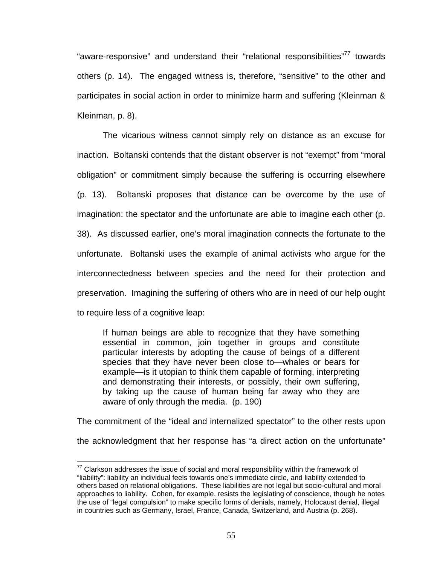"aware-responsive" and understand their "relational responsibilities"<sup>77</sup> towards others (p. 14). The engaged witness is, therefore, "sensitive" to the other and participates in social action in order to minimize harm and suffering (Kleinman & Kleinman, p. 8).

The vicarious witness cannot simply rely on distance as an excuse for inaction. Boltanski contends that the distant observer is not "exempt" from "moral obligation" or commitment simply because the suffering is occurring elsewhere (p. 13). Boltanski proposes that distance can be overcome by the use of imagination: the spectator and the unfortunate are able to imagine each other (p. 38). As discussed earlier, one's moral imagination connects the fortunate to the unfortunate. Boltanski uses the example of animal activists who argue for the interconnectedness between species and the need for their protection and preservation. Imagining the suffering of others who are in need of our help ought to require less of a cognitive leap:

If human beings are able to recognize that they have something essential in common, join together in groups and constitute particular interests by adopting the cause of beings of a different species that they have never been close to—whales or bears for example—is it utopian to think them capable of forming, interpreting and demonstrating their interests, or possibly, their own suffering, by taking up the cause of human being far away who they are aware of only through the media. (p. 190)

The commitment of the "ideal and internalized spectator" to the other rests upon the acknowledgment that her response has "a direct action on the unfortunate"

 $77$  Clarkson addresses the issue of social and moral responsibility within the framework of "liability": liability an individual feels towards one's immediate circle, and liability extended to others based on relational obligations. These liabilities are not legal but socio-cultural and moral approaches to liability. Cohen, for example, resists the legislating of conscience, though he notes the use of "legal compulsion" to make specific forms of denials, namely, Holocaust denial, illegal in countries such as Germany, Israel, France, Canada, Switzerland, and Austria (p. 268).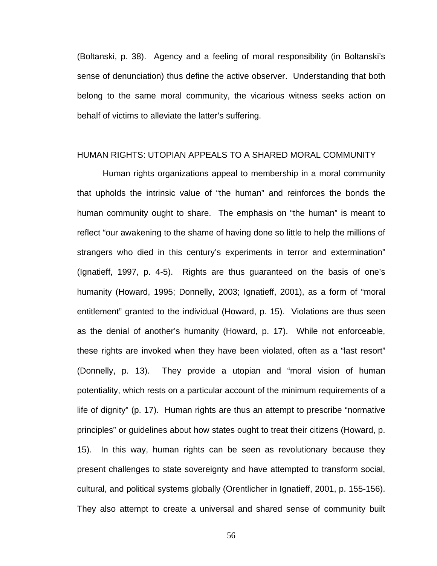(Boltanski, p. 38). Agency and a feeling of moral responsibility (in Boltanski's sense of denunciation) thus define the active observer. Understanding that both belong to the same moral community, the vicarious witness seeks action on behalf of victims to alleviate the latter's suffering.

#### HUMAN RIGHTS: UTOPIAN APPEALS TO A SHARED MORAL COMMUNITY

Human rights organizations appeal to membership in a moral community that upholds the intrinsic value of "the human" and reinforces the bonds the human community ought to share. The emphasis on "the human" is meant to reflect "our awakening to the shame of having done so little to help the millions of strangers who died in this century's experiments in terror and extermination" (Ignatieff, 1997, p. 4-5). Rights are thus guaranteed on the basis of one's humanity (Howard, 1995; Donnelly, 2003; Ignatieff, 2001), as a form of "moral entitlement" granted to the individual (Howard, p. 15). Violations are thus seen as the denial of another's humanity (Howard, p. 17). While not enforceable, these rights are invoked when they have been violated, often as a "last resort" (Donnelly, p. 13). They provide a utopian and "moral vision of human potentiality, which rests on a particular account of the minimum requirements of a life of dignity" (p. 17). Human rights are thus an attempt to prescribe "normative principles" or guidelines about how states ought to treat their citizens (Howard, p. 15). In this way, human rights can be seen as revolutionary because they present challenges to state sovereignty and have attempted to transform social, cultural, and political systems globally (Orentlicher in Ignatieff, 2001, p. 155-156). They also attempt to create a universal and shared sense of community built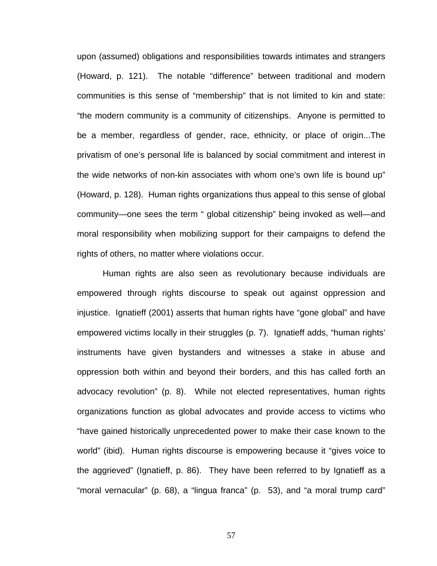upon (assumed) obligations and responsibilities towards intimates and strangers (Howard, p. 121). The notable "difference" between traditional and modern communities is this sense of "membership" that is not limited to kin and state: "the modern community is a community of citizenships. Anyone is permitted to be a member, regardless of gender, race, ethnicity, or place of origin...The privatism of one's personal life is balanced by social commitment and interest in the wide networks of non-kin associates with whom one's own life is bound up" (Howard, p. 128). Human rights organizations thus appeal to this sense of global community—one sees the term " global citizenship" being invoked as well—and moral responsibility when mobilizing support for their campaigns to defend the rights of others, no matter where violations occur.

Human rights are also seen as revolutionary because individuals are empowered through rights discourse to speak out against oppression and injustice. Ignatieff (2001) asserts that human rights have "gone global" and have empowered victims locally in their struggles (p. 7). Ignatieff adds, "human rights' instruments have given bystanders and witnesses a stake in abuse and oppression both within and beyond their borders, and this has called forth an advocacy revolution" (p. 8). While not elected representatives, human rights organizations function as global advocates and provide access to victims who "have gained historically unprecedented power to make their case known to the world" (ibid). Human rights discourse is empowering because it "gives voice to the aggrieved" (Ignatieff, p. 86). They have been referred to by Ignatieff as a "moral vernacular" (p. 68), a "lingua franca" (p. 53), and "a moral trump card"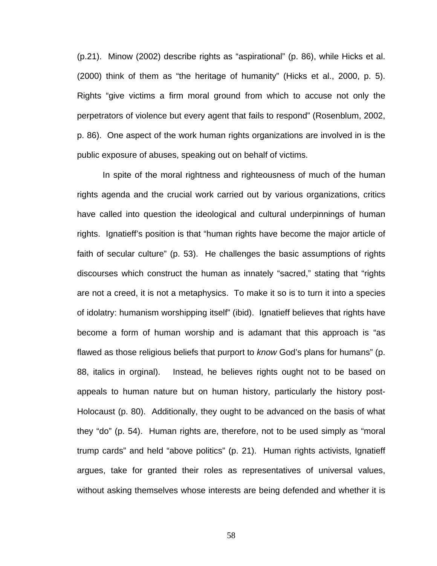(p.21). Minow (2002) describe rights as "aspirational" (p. 86), while Hicks et al. (2000) think of them as "the heritage of humanity" (Hicks et al., 2000, p. 5). Rights "give victims a firm moral ground from which to accuse not only the perpetrators of violence but every agent that fails to respond" (Rosenblum, 2002, p. 86). One aspect of the work human rights organizations are involved in is the public exposure of abuses, speaking out on behalf of victims.

In spite of the moral rightness and righteousness of much of the human rights agenda and the crucial work carried out by various organizations, critics have called into question the ideological and cultural underpinnings of human rights. Ignatieff's position is that "human rights have become the major article of faith of secular culture" (p. 53). He challenges the basic assumptions of rights discourses which construct the human as innately "sacred," stating that "rights are not a creed, it is not a metaphysics. To make it so is to turn it into a species of idolatry: humanism worshipping itself" (ibid). Ignatieff believes that rights have become a form of human worship and is adamant that this approach is "as flawed as those religious beliefs that purport to *know* God's plans for humans" (p. 88, italics in orginal). Instead, he believes rights ought not to be based on appeals to human nature but on human history, particularly the history post-Holocaust (p. 80). Additionally, they ought to be advanced on the basis of what they "do" (p. 54). Human rights are, therefore, not to be used simply as "moral trump cards" and held "above politics" (p. 21). Human rights activists, Ignatieff argues, take for granted their roles as representatives of universal values, without asking themselves whose interests are being defended and whether it is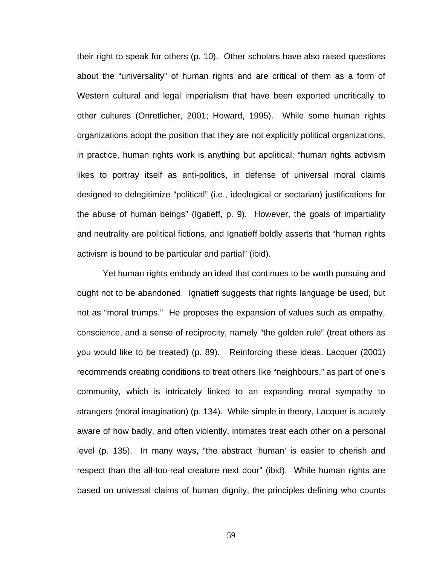their right to speak for others (p. 10). Other scholars have also raised questions about the "universality" of human rights and are critical of them as a form of Western cultural and legal imperialism that have been exported uncritically to other cultures (Onretlicher, 2001; Howard, 1995). While some human rights organizations adopt the position that they are not explicitly political organizations, in practice, human rights work is anything but apolitical: "human rights activism likes to portray itself as anti-politics, in defense of universal moral claims designed to delegitimize "political" (i.e., ideological or sectarian) justifications for the abuse of human beings" (Igatieff, p. 9). However, the goals of impartiality and neutrality are political fictions, and Ignatieff boldly asserts that "human rights activism is bound to be particular and partial" (ibid).

Yet human rights embody an ideal that continues to be worth pursuing and ought not to be abandoned. Ignatieff suggests that rights language be used, but not as "moral trumps." He proposes the expansion of values such as empathy, conscience, and a sense of reciprocity, namely "the golden rule" (treat others as you would like to be treated) (p. 89). Reinforcing these ideas, Lacquer (2001) recommends creating conditions to treat others like "neighbours," as part of one's community, which is intricately linked to an expanding moral sympathy to strangers (moral imagination) (p. 134). While simple in theory, Lacquer is acutely aware of how badly, and often violently, intimates treat each other on a personal level (p. 135). In many ways, "the abstract 'human' is easier to cherish and respect than the all-too-real creature next door" (ibid). While human rights are based on universal claims of human dignity, the principles defining who counts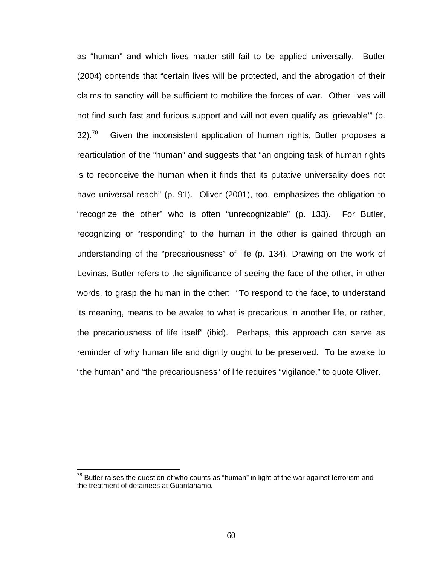as "human" and which lives matter still fail to be applied universally. Butler (2004) contends that "certain lives will be protected, and the abrogation of their claims to sanctity will be sufficient to mobilize the forces of war. Other lives will not find such fast and furious support and will not even qualify as 'grievable'" (p.  $32$ ).<sup>78</sup> Given the inconsistent application of human rights, Butler proposes a rearticulation of the "human" and suggests that "an ongoing task of human rights is to reconceive the human when it finds that its putative universality does not have universal reach" (p. 91). Oliver (2001), too, emphasizes the obligation to "recognize the other" who is often "unrecognizable" (p. 133). For Butler, recognizing or "responding" to the human in the other is gained through an understanding of the "precariousness" of life (p. 134). Drawing on the work of Levinas, Butler refers to the significance of seeing the face of the other, in other words, to grasp the human in the other: "To respond to the face, to understand its meaning, means to be awake to what is precarious in another life, or rather, the precariousness of life itself" (ibid). Perhaps, this approach can serve as reminder of why human life and dignity ought to be preserved. To be awake to "the human" and "the precariousness" of life requires "vigilance," to quote Oliver.

 $78$  Butler raises the question of who counts as "human" in light of the war against terrorism and the treatment of detainees at Guantanamo*.*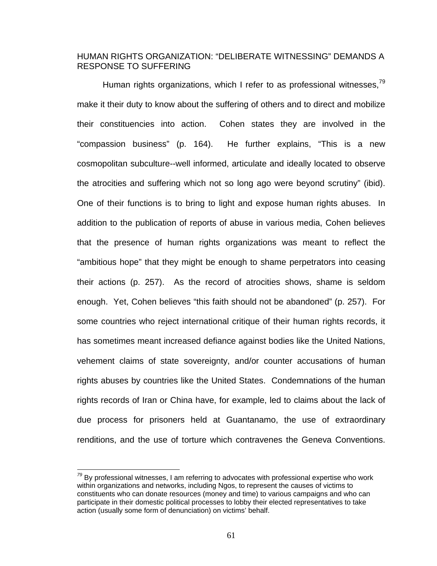## HUMAN RIGHTS ORGANIZATION: "DELIBERATE WITNESSING" DEMANDS A RESPONSE TO SUFFERING

Human rights organizations, which I refer to as professional witnesses.<sup>79</sup> make it their duty to know about the suffering of others and to direct and mobilize their constituencies into action. Cohen states they are involved in the "compassion business" (p. 164). He further explains, "This is a new cosmopolitan subculture--well informed, articulate and ideally located to observe the atrocities and suffering which not so long ago were beyond scrutiny" (ibid). One of their functions is to bring to light and expose human rights abuses. In addition to the publication of reports of abuse in various media, Cohen believes that the presence of human rights organizations was meant to reflect the "ambitious hope" that they might be enough to shame perpetrators into ceasing their actions (p. 257). As the record of atrocities shows, shame is seldom enough. Yet, Cohen believes "this faith should not be abandoned" (p. 257). For some countries who reject international critique of their human rights records, it has sometimes meant increased defiance against bodies like the United Nations, vehement claims of state sovereignty, and/or counter accusations of human rights abuses by countries like the United States. Condemnations of the human rights records of Iran or China have, for example, led to claims about the lack of due process for prisoners held at Guantanamo, the use of extraordinary renditions, and the use of torture which contravenes the Geneva Conventions.

*<sup>79</sup>* By professional witnesses, I am referring to advocates with professional expertise who work within organizations and networks, including Ngos, to represent the causes of victims to constituents who can donate resources (money and time) to various campaigns and who can participate in their domestic political processes to lobby their elected representatives to take action (usually some form of denunciation) on victims' behalf.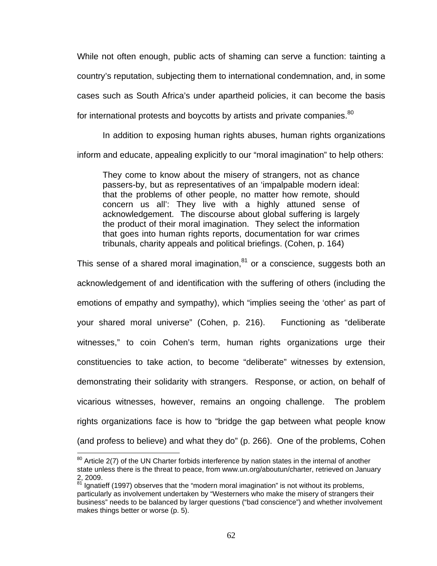While not often enough, public acts of shaming can serve a function: tainting a country's reputation, subjecting them to international condemnation, and, in some cases such as South Africa's under apartheid policies, it can become the basis for international protests and boycotts by artists and private companies. $^{80}$ 

In addition to exposing human rights abuses, human rights organizations inform and educate, appealing explicitly to our "moral imagination" to help others:

They come to know about the misery of strangers, not as chance passers-by, but as representatives of an 'impalpable modern ideal: that the problems of other people, no matter how remote, should concern us all': They live with a highly attuned sense of acknowledgement. The discourse about global suffering is largely the product of their moral imagination. They select the information that goes into human rights reports, documentation for war crimes tribunals, charity appeals and political briefings. (Cohen, p. 164)

This sense of a shared moral imagination, $81$  or a conscience, suggests both an acknowledgement of and identification with the suffering of others (including the emotions of empathy and sympathy), which "implies seeing the 'other' as part of your shared moral universe" (Cohen, p. 216). Functioning as "deliberate witnesses," to coin Cohen's term, human rights organizations urge their constituencies to take action, to become "deliberate" witnesses by extension, demonstrating their solidarity with strangers. Response, or action, on behalf of vicarious witnesses, however, remains an ongoing challenge. The problem rights organizations face is how to "bridge the gap between what people know (and profess to believe) and what they do" (p. 266). One of the problems, Cohen

 $80$  Article 2(7) of the UN Charter forbids interference by nation states in the internal of another state unless there is the threat to peace, from www.un.org/aboutun/charter, retrieved on January 2, 2009.

 $81$  Ignatieff (1997) observes that the "modern moral imagination" is not without its problems, particularly as involvement undertaken by "Westerners who make the misery of strangers their business" needs to be balanced by larger questions ("bad conscience") and whether involvement makes things better or worse (p. 5).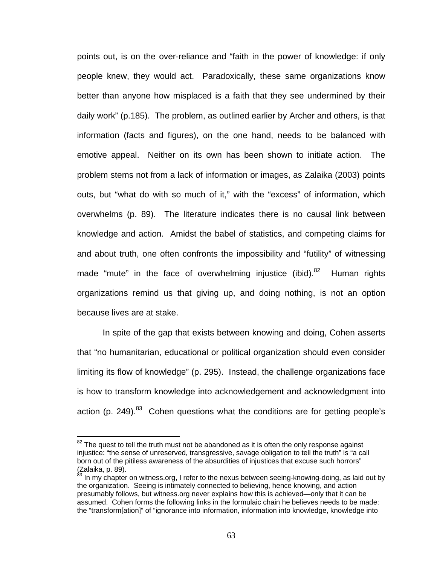points out, is on the over-reliance and "faith in the power of knowledge: if only people knew, they would act. Paradoxically, these same organizations know better than anyone how misplaced is a faith that they see undermined by their daily work" (p.185). The problem, as outlined earlier by Archer and others, is that information (facts and figures), on the one hand, needs to be balanced with emotive appeal. Neither on its own has been shown to initiate action. The problem stems not from a lack of information or images, as Zalaika (2003) points outs, but "what do with so much of it," with the "excess" of information, which overwhelms (p. 89). The literature indicates there is no causal link between knowledge and action. Amidst the babel of statistics, and competing claims for and about truth, one often confronts the impossibility and "futility" of witnessing made "mute" in the face of overwhelming injustice (ibid). $82$  Human rights organizations remind us that giving up, and doing nothing, is not an option because lives are at stake.

In spite of the gap that exists between knowing and doing, Cohen asserts that "no humanitarian, educational or political organization should even consider limiting its flow of knowledge" (p. 295). Instead, the challenge organizations face is how to transform knowledge into acknowledgement and acknowledgment into action (p. 249).<sup>83</sup> Cohen questions what the conditions are for getting people's

 $82$  The quest to tell the truth must not be abandoned as it is often the only response against injustice: "the sense of unreserved, transgressive, savage obligation to tell the truth" is "a call born out of the pitiless awareness of the absurdities of injustices that excuse such horrors" (Zalaika, p. 89).

<sup>83</sup> In my chapter on witness.org, I refer to the nexus between seeing-knowing-doing, as laid out by the organization. Seeing is intimately connected to believing, hence knowing, and action presumably follows, but witness.org never explains how this is achieved—only that it can be assumed. Cohen forms the following links in the formulaic chain he believes needs to be made: the "transform[ation]" of "ignorance into information, information into knowledge, knowledge into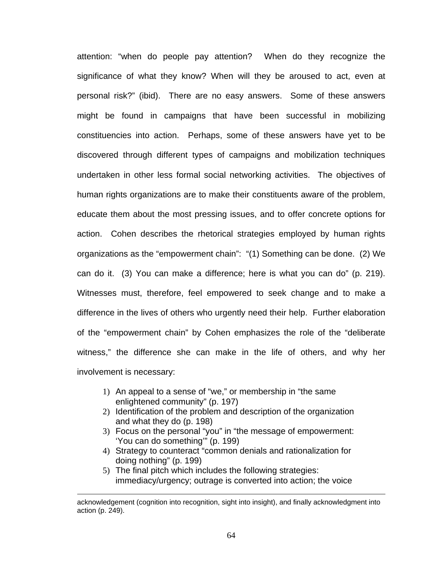attention: "when do people pay attention? When do they recognize the significance of what they know? When will they be aroused to act, even at personal risk?" (ibid). There are no easy answers. Some of these answers might be found in campaigns that have been successful in mobilizing constituencies into action. Perhaps, some of these answers have yet to be discovered through different types of campaigns and mobilization techniques undertaken in other less formal social networking activities. The objectives of human rights organizations are to make their constituents aware of the problem, educate them about the most pressing issues, and to offer concrete options for action. Cohen describes the rhetorical strategies employed by human rights organizations as the "empowerment chain": "(1) Something can be done. (2) We can do it. (3) You can make a difference; here is what you can do" (p. 219). Witnesses must, therefore, feel empowered to seek change and to make a difference in the lives of others who urgently need their help. Further elaboration of the "empowerment chain" by Cohen emphasizes the role of the "deliberate witness," the difference she can make in the life of others, and why her involvement is necessary:

- 1) An appeal to a sense of "we," or membership in "the same enlightened community" (p. 197)
- 2) Identification of the problem and description of the organization and what they do (p. 198)
- 3) Focus on the personal "you" in "the message of empowerment: 'You can do something'" (p. 199)
- 4) Strategy to counteract "common denials and rationalization for doing nothing" (p. 199)
- 5) The final pitch which includes the following strategies: immediacy/urgency; outrage is converted into action; the voice

acknowledgement (cognition into recognition, sight into insight), and finally acknowledgment into action (p. 249).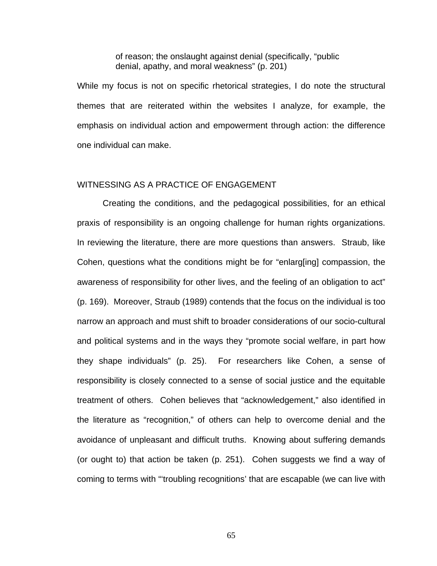of reason; the onslaught against denial (specifically, "public denial, apathy, and moral weakness" (p. 201)

While my focus is not on specific rhetorical strategies, I do note the structural themes that are reiterated within the websites I analyze, for example, the emphasis on individual action and empowerment through action: the difference one individual can make.

#### WITNESSING AS A PRACTICE OF ENGAGEMENT

Creating the conditions, and the pedagogical possibilities, for an ethical praxis of responsibility is an ongoing challenge for human rights organizations. In reviewing the literature, there are more questions than answers. Straub, like Cohen, questions what the conditions might be for "enlarg[ing] compassion, the awareness of responsibility for other lives, and the feeling of an obligation to act" (p. 169). Moreover, Straub (1989) contends that the focus on the individual is too narrow an approach and must shift to broader considerations of our socio-cultural and political systems and in the ways they "promote social welfare, in part how they shape individuals" (p. 25). For researchers like Cohen, a sense of responsibility is closely connected to a sense of social justice and the equitable treatment of others. Cohen believes that "acknowledgement," also identified in the literature as "recognition," of others can help to overcome denial and the avoidance of unpleasant and difficult truths. Knowing about suffering demands (or ought to) that action be taken (p. 251). Cohen suggests we find a way of coming to terms with "'troubling recognitions' that are escapable (we can live with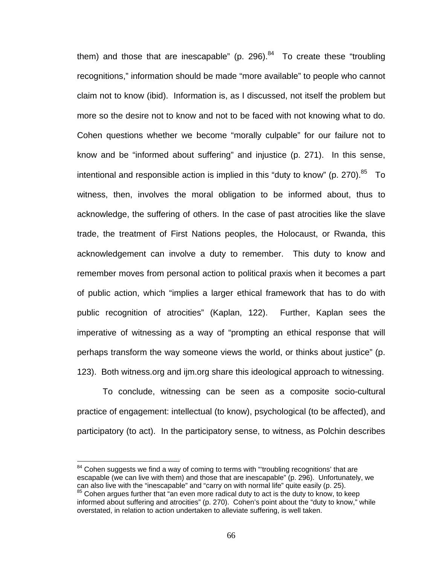them) and those that are inescapable" (p. 296). $84$  To create these "troubling recognitions," information should be made "more available" to people who cannot claim not to know (ibid). Information is, as I discussed, not itself the problem but more so the desire not to know and not to be faced with not knowing what to do. Cohen questions whether we become "morally culpable" for our failure not to know and be "informed about suffering" and injustice (p. 271). In this sense, intentional and responsible action is implied in this "duty to know" (p. 270). $85$  To witness, then, involves the moral obligation to be informed about, thus to acknowledge, the suffering of others. In the case of past atrocities like the slave trade, the treatment of First Nations peoples, the Holocaust, or Rwanda, this acknowledgement can involve a duty to remember. This duty to know and remember moves from personal action to political praxis when it becomes a part of public action, which "implies a larger ethical framework that has to do with public recognition of atrocities" (Kaplan, 122). Further, Kaplan sees the imperative of witnessing as a way of "prompting an ethical response that will perhaps transform the way someone views the world, or thinks about justice" (p. 123). Both witness.org and ijm.org share this ideological approach to witnessing.

To conclude, witnessing can be seen as a composite socio-cultural practice of engagement: intellectual (to know), psychological (to be affected), and participatory (to act). In the participatory sense, to witness, as Polchin describes

 $84$  Cohen suggests we find a way of coming to terms with "troubling recognitions' that are escapable (we can live with them) and those that are inescapable" (p. 296). Unfortunately, we can also live with the "inescapable" and "carry on with normal life" quite easily (p. 25).

 $85$  Cohen argues further that "an even more radical duty to act is the duty to know, to keep informed about suffering and atrocities" (p. 270). Cohen's point about the "duty to know," while overstated, in relation to action undertaken to alleviate suffering, is well taken.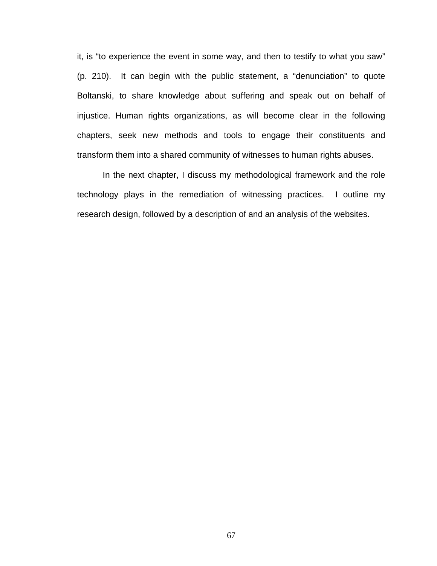it, is "to experience the event in some way, and then to testify to what you saw" (p. 210). It can begin with the public statement, a "denunciation" to quote Boltanski, to share knowledge about suffering and speak out on behalf of injustice. Human rights organizations, as will become clear in the following chapters, seek new methods and tools to engage their constituents and transform them into a shared community of witnesses to human rights abuses.

In the next chapter, I discuss my methodological framework and the role technology plays in the remediation of witnessing practices. I outline my research design, followed by a description of and an analysis of the websites.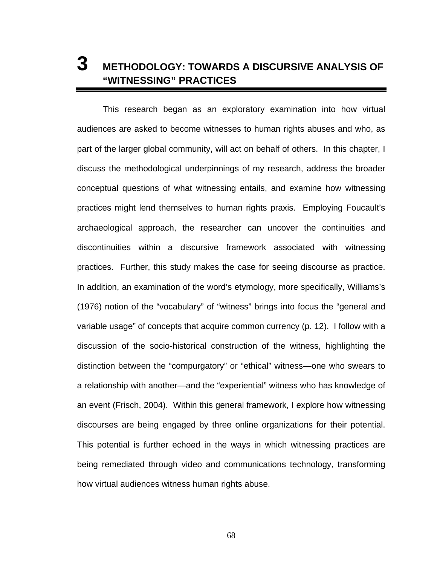# **3 METHODOLOGY: TOWARDS A DISCURSIVE ANALYSIS OF "WITNESSING" PRACTICES**

This research began as an exploratory examination into how virtual audiences are asked to become witnesses to human rights abuses and who, as part of the larger global community, will act on behalf of others. In this chapter, I discuss the methodological underpinnings of my research, address the broader conceptual questions of what witnessing entails, and examine how witnessing practices might lend themselves to human rights praxis. Employing Foucault's archaeological approach, the researcher can uncover the continuities and discontinuities within a discursive framework associated with witnessing practices. Further, this study makes the case for seeing discourse as practice. In addition, an examination of the word's etymology, more specifically, Williams's (1976) notion of the "vocabulary" of "witness" brings into focus the "general and variable usage" of concepts that acquire common currency (p. 12). I follow with a discussion of the socio-historical construction of the witness, highlighting the distinction between the "compurgatory" or "ethical" witness—one who swears to a relationship with another—and the "experiential" witness who has knowledge of an event (Frisch, 2004). Within this general framework, I explore how witnessing discourses are being engaged by three online organizations for their potential. This potential is further echoed in the ways in which witnessing practices are being remediated through video and communications technology, transforming how virtual audiences witness human rights abuse.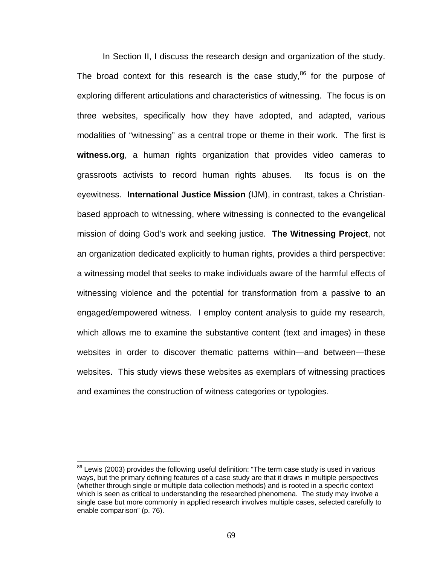In Section II, I discuss the research design and organization of the study. The broad context for this research is the case study, $86$  for the purpose of exploring different articulations and characteristics of witnessing. The focus is on three websites, specifically how they have adopted, and adapted, various modalities of "witnessing" as a central trope or theme in their work. The first is **witness.org**, a human rights organization that provides video cameras to grassroots activists to record human rights abuses. Its focus is on the eyewitness. **International Justice Mission** (IJM), in contrast, takes a Christianbased approach to witnessing, where witnessing is connected to the evangelical mission of doing God's work and seeking justice. **The Witnessing Project**, not an organization dedicated explicitly to human rights, provides a third perspective: a witnessing model that seeks to make individuals aware of the harmful effects of witnessing violence and the potential for transformation from a passive to an engaged/empowered witness. I employ content analysis to guide my research, which allows me to examine the substantive content (text and images) in these websites in order to discover thematic patterns within—and between—these websites. This study views these websites as exemplars of witnessing practices and examines the construction of witness categories or typologies.

<sup>&</sup>lt;sup>86</sup> Lewis (2003) provides the following useful definition: "The term case study is used in various ways, but the primary defining features of a case study are that it draws in multiple perspectives (whether through single or multiple data collection methods) and is rooted in a specific context which is seen as critical to understanding the researched phenomena. The study may involve a single case but more commonly in applied research involves multiple cases, selected carefully to enable comparison" (p. 76).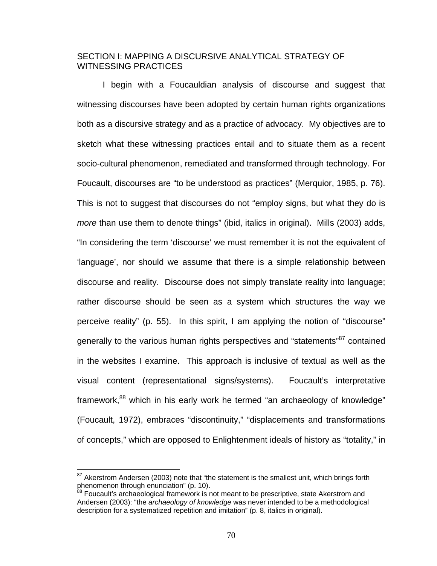### SECTION I: MAPPING A DISCURSIVE ANALYTICAL STRATEGY OF WITNESSING PRACTICES

I begin with a Foucauldian analysis of discourse and suggest that witnessing discourses have been adopted by certain human rights organizations both as a discursive strategy and as a practice of advocacy. My objectives are to sketch what these witnessing practices entail and to situate them as a recent socio-cultural phenomenon, remediated and transformed through technology. For Foucault, discourses are "to be understood as practices" (Merquior, 1985, p. 76). This is not to suggest that discourses do not "employ signs, but what they do is *more* than use them to denote things" (ibid, italics in original). Mills (2003) adds, "In considering the term 'discourse' we must remember it is not the equivalent of 'language', nor should we assume that there is a simple relationship between discourse and reality. Discourse does not simply translate reality into language; rather discourse should be seen as a system which structures the way we perceive reality" (p. 55). In this spirit, I am applying the notion of "discourse" generally to the various human rights perspectives and "statements"<sup>87</sup> contained in the websites I examine. This approach is inclusive of textual as well as the visual content (representational signs/systems). Foucault's interpretative framework,<sup>88</sup> which in his early work he termed "an archaeology of knowledge" (Foucault, 1972), embraces "discontinuity," "displacements and transformations of concepts," which are opposed to Enlightenment ideals of history as "totality," in

 $87$  Akerstrom Andersen (2003) note that "the statement is the smallest unit, which brings forth phenomenon through enunciation" (p. 10).

<sup>&</sup>lt;sup>88</sup> Foucault's archaeological framework is not meant to be prescriptive, state Akerstrom and Andersen (2003): "the *archaeology of knowledge* was never intended to be a methodological description for a systematized repetition and imitation" (p. 8, italics in original).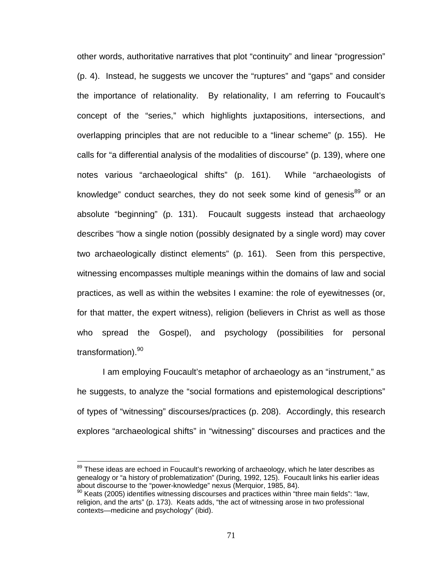other words, authoritative narratives that plot "continuity" and linear "progression" (p. 4). Instead, he suggests we uncover the "ruptures" and "gaps" and consider the importance of relationality. By relationality, I am referring to Foucault's concept of the "series," which highlights juxtapositions, intersections, and overlapping principles that are not reducible to a "linear scheme" (p. 155). He calls for "a differential analysis of the modalities of discourse" (p. 139), where one notes various "archaeological shifts" (p. 161). While "archaeologists of knowledge" conduct searches, they do not seek some kind of genesis<sup>89</sup> or an absolute "beginning" (p. 131). Foucault suggests instead that archaeology describes "how a single notion (possibly designated by a single word) may cover two archaeologically distinct elements" (p. 161). Seen from this perspective, witnessing encompasses multiple meanings within the domains of law and social practices, as well as within the websites I examine: the role of eyewitnesses (or, for that matter, the expert witness), religion (believers in Christ as well as those who spread the Gospel), and psychology (possibilities for personal transformation).<sup>90</sup>

I am employing Foucault's metaphor of archaeology as an "instrument," as he suggests, to analyze the "social formations and epistemological descriptions" of types of "witnessing" discourses/practices (p. 208). Accordingly, this research explores "archaeological shifts" in "witnessing" discourses and practices and the

 $89$  These ideas are echoed in Foucault's reworking of archaeology, which he later describes as genealogy or "a history of problematization" (During, 1992, 125). Foucault links his earlier ideas about discourse to the "power-knowledge" nexus (Merquior, 1985, 84).

 $90$  Keats (2005) identifies witnessing discourses and practices within "three main fields": "law, religion, and the arts" (p. 173). Keats adds, "the act of witnessing arose in two professional contexts—medicine and psychology" (ibid).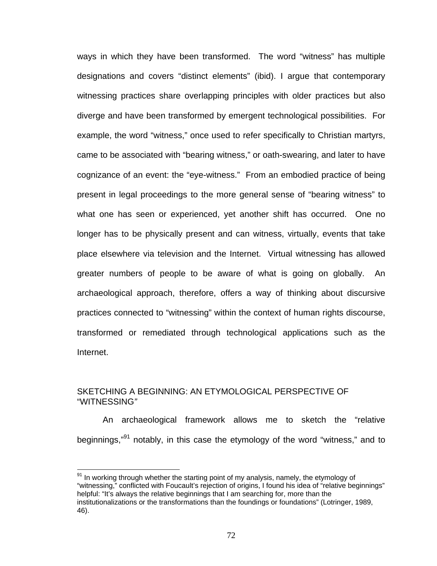ways in which they have been transformed. The word "witness" has multiple designations and covers "distinct elements" (ibid). I argue that contemporary witnessing practices share overlapping principles with older practices but also diverge and have been transformed by emergent technological possibilities. For example, the word "witness," once used to refer specifically to Christian martyrs, came to be associated with "bearing witness," or oath-swearing, and later to have cognizance of an event: the "eye-witness." From an embodied practice of being present in legal proceedings to the more general sense of "bearing witness" to what one has seen or experienced, yet another shift has occurred. One no longer has to be physically present and can witness, virtually, events that take place elsewhere via television and the Internet. Virtual witnessing has allowed greater numbers of people to be aware of what is going on globally. An archaeological approach, therefore, offers a way of thinking about discursive practices connected to "witnessing" within the context of human rights discourse, transformed or remediated through technological applications such as the Internet.

# SKETCHING A BEGINNING: AN ETYMOLOGICAL PERSPECTIVE OF "WITNESSING*"*

 $\overline{a}$ 

An archaeological framework allows me to sketch the "relative beginnings,"91 notably, in this case the etymology of the word "witness," and to

<sup>&</sup>lt;sup>91</sup> In working through whether the starting point of my analysis, namely, the etymology of "witnessing," conflicted with Foucault's rejection of origins, I found his idea of "relative beginnings" helpful: "It's always the relative beginnings that I am searching for, more than the institutionalizations or the transformations than the foundings or foundations" (Lotringer, 1989, 46).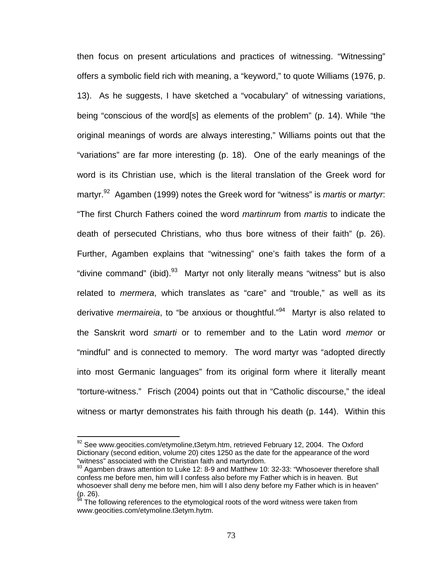then focus on present articulations and practices of witnessing. "Witnessing" offers a symbolic field rich with meaning, a "keyword," to quote Williams (1976, p. 13). As he suggests, I have sketched a "vocabulary" of witnessing variations, being "conscious of the word[s] as elements of the problem" (p. 14). While "the original meanings of words are always interesting," Williams points out that the "variations" are far more interesting (p. 18). One of the early meanings of the word is its Christian use, which is the literal translation of the Greek word for martyr.92 Agamben (1999) notes the Greek word for "witness" is *martis* or *martyr*: "The first Church Fathers coined the word *martinrum* from *martis* to indicate the death of persecuted Christians, who thus bore witness of their faith" (p. 26). Further, Agamben explains that "witnessing" one's faith takes the form of a "divine command" (ibid).<sup>93</sup> Martyr not only literally means "witness" but is also related to *mermera*, which translates as "care" and "trouble," as well as its derivative *mermaireia*, to "be anxious or thoughtful."94 Martyr is also related to the Sanskrit word *smarti* or to remember and to the Latin word *memor* or "mindful" and is connected to memory. The word martyr was "adopted directly into most Germanic languages" from its original form where it literally meant "torture-witness." Frisch (2004) points out that in "Catholic discourse," the ideal witness or martyr demonstrates his faith through his death (p. 144). Within this

 $92$  See www.geocities.com/etymoline,t3etym.htm, retrieved February 12, 2004. The Oxford Dictionary (second edition, volume 20) cites 1250 as the date for the appearance of the word "witness" associated with the Christian faith and martyrdom.

 $93$  Agamben draws attention to Luke 12: 8-9 and Matthew 10: 32-33: "Whosoever therefore shall confess me before men, him will I confess also before my Father which is in heaven. But whosoever shall deny me before men, him will I also deny before my Father which is in heaven"  $(p. 26)$ .

The following references to the etymological roots of the word witness were taken from www.geocities.com/etymoline.t3etym.hytm.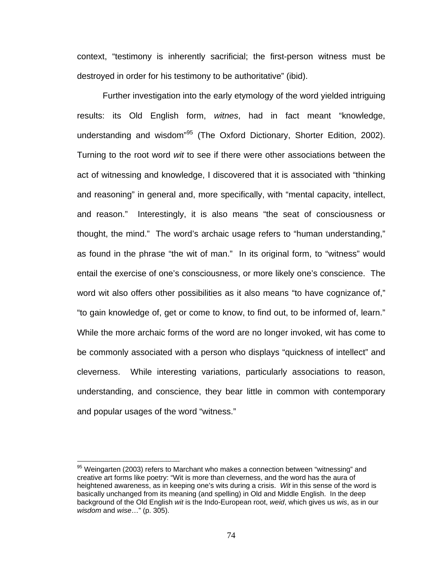context, "testimony is inherently sacrificial; the first-person witness must be destroyed in order for his testimony to be authoritative" (ibid).

Further investigation into the early etymology of the word yielded intriguing results: its Old English form, *witnes*, had in fact meant "knowledge, understanding and wisdom<sup>"95</sup> (The Oxford Dictionary, Shorter Edition, 2002). Turning to the root word *wit* to see if there were other associations between the act of witnessing and knowledge, I discovered that it is associated with "thinking and reasoning" in general and, more specifically, with "mental capacity, intellect, and reason." Interestingly, it is also means "the seat of consciousness or thought, the mind." The word's archaic usage refers to "human understanding," as found in the phrase "the wit of man." In its original form, to "witness" would entail the exercise of one's consciousness, or more likely one's conscience. The word wit also offers other possibilities as it also means "to have cognizance of," "to gain knowledge of, get or come to know, to find out, to be informed of, learn." While the more archaic forms of the word are no longer invoked, wit has come to be commonly associated with a person who displays "quickness of intellect" and cleverness. While interesting variations, particularly associations to reason, understanding, and conscience, they bear little in common with contemporary and popular usages of the word "witness."

<sup>&</sup>lt;sup>95</sup> Weingarten (2003) refers to Marchant who makes a connection between "witnessing" and creative art forms like poetry: "Wit is more than cleverness, and the word has the aura of heightened awareness, as in keeping one's wits during a crisis. *Wit* in this sense of the word is basically unchanged from its meaning (and spelling) in Old and Middle English. In the deep background of the Old English *wit* is the Indo-European root, *weid*, which gives us *wis*, as in our *wisdom* and *wise*…" (p. 305).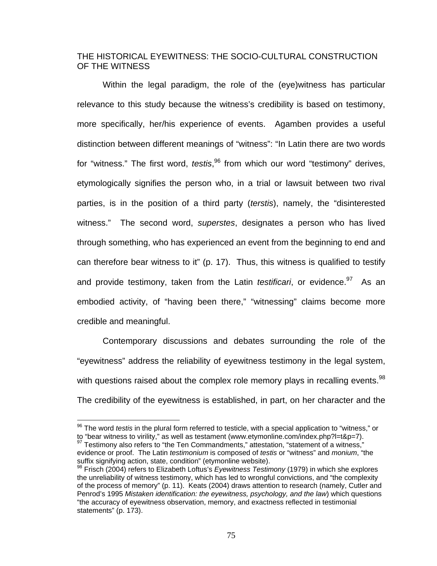### THE HISTORICAL EYEWITNESS: THE SOCIO-CULTURAL CONSTRUCTION OF THE WITNESS

Within the legal paradigm, the role of the (eye)witness has particular relevance to this study because the witness's credibility is based on testimony, more specifically, her/his experience of events. Agamben provides a useful distinction between different meanings of "witness": "In Latin there are two words for "witness." The first word, *testis*,<sup>96</sup> from which our word "testimony" derives, etymologically signifies the person who, in a trial or lawsuit between two rival parties, is in the position of a third party (*terstis*), namely, the "disinterested witness." The second word, *superstes*, designates a person who has lived through something, who has experienced an event from the beginning to end and can therefore bear witness to it" (p. 17). Thus, this witness is qualified to testify and provide testimony, taken from the Latin *testificari*, or evidence.<sup>97</sup> As an embodied activity, of "having been there," "witnessing" claims become more credible and meaningful.

Contemporary discussions and debates surrounding the role of the "eyewitness" address the reliability of eyewitness testimony in the legal system, with questions raised about the complex role memory plays in recalling events.  $98$ The credibility of the eyewitness is established, in part, on her character and the

<sup>&</sup>lt;sup>96</sup> The word *testis* in the plural form referred to testicle, with a special application to "witness," or to "bear witness to virility," as well as testament (www.etymonline.com/index.php?l=t&p=7).  $<sup>97</sup>$  Testimony also refers to "the Ten Commandments," attestation, "statement of a witness,"</sup>

evidence or proof. The Latin *testimonium* is composed of *testis* or "witness" and *monium*, "the suffix signifying action, state, condition" (etymonline website).

<sup>98</sup> Frisch (2004) refers to Elizabeth Loftus's *Eyewitness Testimony* (1979) in which she explores the unreliability of witness testimony, which has led to wrongful convictions, and "the complexity of the process of memory" (p. 11). Keats (2004) draws attention to research (namely, Cutler and Penrod's 1995 *Mistaken identification: the eyewitness, psychology, and the law*) which questions "the accuracy of eyewitness observation, memory, and exactness reflected in testimonial statements" (p. 173).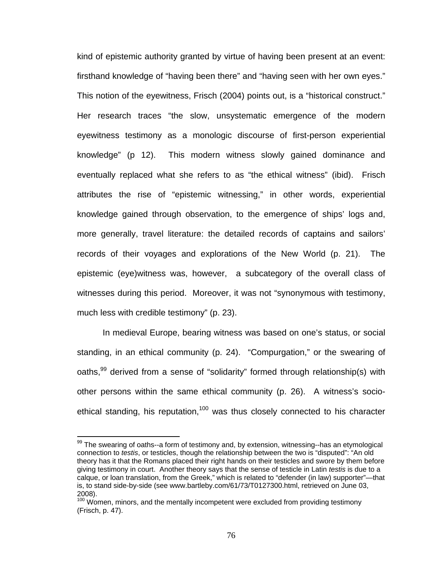kind of epistemic authority granted by virtue of having been present at an event: firsthand knowledge of "having been there" and "having seen with her own eyes." This notion of the eyewitness, Frisch (2004) points out, is a "historical construct." Her research traces "the slow, unsystematic emergence of the modern eyewitness testimony as a monologic discourse of first-person experiential knowledge" (p 12). This modern witness slowly gained dominance and eventually replaced what she refers to as "the ethical witness" (ibid). Frisch attributes the rise of "epistemic witnessing," in other words, experiential knowledge gained through observation, to the emergence of ships' logs and, more generally, travel literature: the detailed records of captains and sailors' records of their voyages and explorations of the New World (p. 21). The epistemic (eye)witness was, however, a subcategory of the overall class of witnesses during this period. Moreover, it was not "synonymous with testimony, much less with credible testimony" (p. 23).

In medieval Europe, bearing witness was based on one's status, or social standing, in an ethical community (p. 24). "Compurgation," or the swearing of oaths,<sup>99</sup> derived from a sense of "solidarity" formed through relationship(s) with other persons within the same ethical community (p. 26). A witness's socioethical standing, his reputation,<sup>100</sup> was thus closely connected to his character

<sup>&</sup>lt;sup>99</sup> The swearing of oaths--a form of testimony and, by extension, witnessing--has an etymological connection to *testis*, or testicles, though the relationship between the two is "disputed": "An old theory has it that the Romans placed their right hands on their testicles and swore by them before giving testimony in court. Another theory says that the sense of testicle in Latin *testis* is due to a calque, or loan translation, from the Greek," which is related to "defender (in law) supporter"—that is, to stand side-by-side (see www.bartleby.com/61/73/T0127300.html, retrieved on June 03, 2008).

 $100$  Women, minors, and the mentally incompetent were excluded from providing testimony (Frisch, p. 47).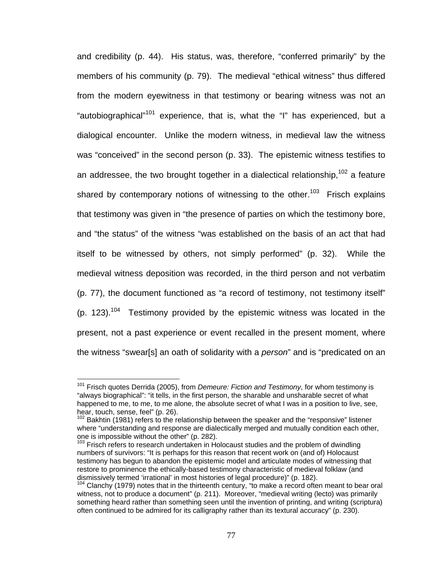and credibility (p. 44). His status, was, therefore, "conferred primarily" by the members of his community (p. 79). The medieval "ethical witness" thus differed from the modern eyewitness in that testimony or bearing witness was not an "autobiographical"101 experience, that is, what the "I" has experienced, but a dialogical encounter. Unlike the modern witness, in medieval law the witness was "conceived" in the second person (p. 33). The epistemic witness testifies to an addressee, the two brought together in a dialectical relationship,  $102$  a feature shared by contemporary notions of witnessing to the other.<sup>103</sup> Frisch explains that testimony was given in "the presence of parties on which the testimony bore, and "the status" of the witness "was established on the basis of an act that had itself to be witnessed by others, not simply performed" (p. 32). While the medieval witness deposition was recorded, in the third person and not verbatim (p. 77), the document functioned as "a record of testimony, not testimony itself"  $(p. 123).$ <sup>104</sup> Testimony provided by the epistemic witness was located in the present, not a past experience or event recalled in the present moment, where the witness "swear[s] an oath of solidarity with a *person*" and is "predicated on an

<sup>&</sup>lt;sup>101</sup> Frisch quotes Derrida (2005), from *Demeure: Fiction and Testimony*, for whom testimony is "always biographical": "it tells, in the first person, the sharable and unsharable secret of what happened to me, to me, to me alone, the absolute secret of what I was in a position to live, see, hear, touch, sense, feel" (p. 26).

 $102$  Bakhtin (1981) refers to the relationship between the speaker and the "responsive" listener where "understanding and response are dialectically merged and mutually condition each other, one is impossible without the other" (p. 282).

 $103$  Frisch refers to research undertaken in Holocaust studies and the problem of dwindling numbers of survivors: "It is perhaps for this reason that recent work on (and of) Holocaust testimony has begun to abandon the epistemic model and articulate modes of witnessing that restore to prominence the ethically-based testimony characteristic of medieval folklaw (and dismissively termed 'irrational' in most histories of legal procedure)" (p. 182).<br><sup>104</sup> Clanchy (1979) notes that in the thirteenth century, "to make a record often meant to bear oral

witness, not to produce a document" (p. 211). Moreover, "medieval writing (lecto) was primarily something heard rather than something seen until the invention of printing, and writing (scriptura) often continued to be admired for its calligraphy rather than its textural accuracy" (p. 230).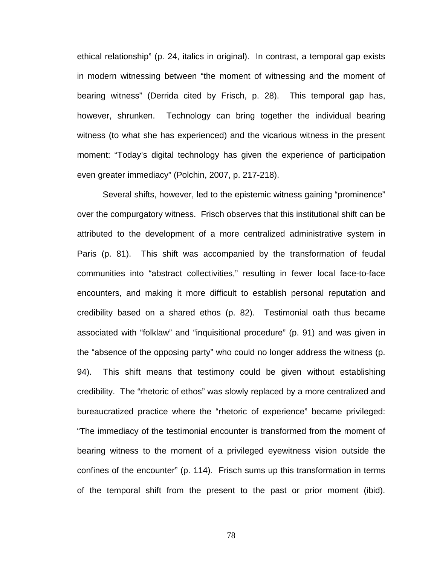ethical relationship" (p. 24, italics in original). In contrast, a temporal gap exists in modern witnessing between "the moment of witnessing and the moment of bearing witness" (Derrida cited by Frisch, p. 28). This temporal gap has, however, shrunken. Technology can bring together the individual bearing witness (to what she has experienced) and the vicarious witness in the present moment: "Today's digital technology has given the experience of participation even greater immediacy" (Polchin, 2007, p. 217-218).

Several shifts, however, led to the epistemic witness gaining "prominence" over the compurgatory witness. Frisch observes that this institutional shift can be attributed to the development of a more centralized administrative system in Paris (p. 81). This shift was accompanied by the transformation of feudal communities into "abstract collectivities," resulting in fewer local face-to-face encounters, and making it more difficult to establish personal reputation and credibility based on a shared ethos (p. 82). Testimonial oath thus became associated with "folklaw" and "inquisitional procedure" (p. 91) and was given in the "absence of the opposing party" who could no longer address the witness (p. 94). This shift means that testimony could be given without establishing credibility. The "rhetoric of ethos" was slowly replaced by a more centralized and bureaucratized practice where the "rhetoric of experience" became privileged: "The immediacy of the testimonial encounter is transformed from the moment of bearing witness to the moment of a privileged eyewitness vision outside the confines of the encounter" (p. 114). Frisch sums up this transformation in terms of the temporal shift from the present to the past or prior moment (ibid).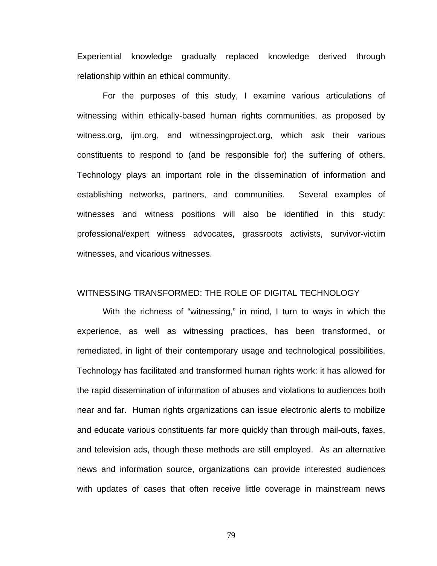Experiential knowledge gradually replaced knowledge derived through relationship within an ethical community.

For the purposes of this study, I examine various articulations of witnessing within ethically-based human rights communities, as proposed by witness.org, ijm.org, and witnessingproject.org, which ask their various constituents to respond to (and be responsible for) the suffering of others. Technology plays an important role in the dissemination of information and establishing networks, partners, and communities. Several examples of witnesses and witness positions will also be identified in this study: professional/expert witness advocates, grassroots activists, survivor-victim witnesses, and vicarious witnesses.

### WITNESSING TRANSFORMED: THE ROLE OF DIGITAL TECHNOLOGY

With the richness of "witnessing," in mind, I turn to ways in which the experience, as well as witnessing practices, has been transformed, or remediated, in light of their contemporary usage and technological possibilities. Technology has facilitated and transformed human rights work: it has allowed for the rapid dissemination of information of abuses and violations to audiences both near and far. Human rights organizations can issue electronic alerts to mobilize and educate various constituents far more quickly than through mail-outs, faxes, and television ads, though these methods are still employed. As an alternative news and information source, organizations can provide interested audiences with updates of cases that often receive little coverage in mainstream news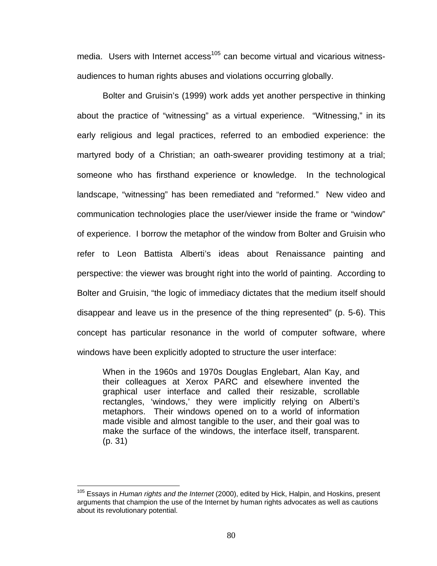media. Users with Internet  $arccess$ <sup>105</sup> can become virtual and vicarious witnessaudiences to human rights abuses and violations occurring globally.

Bolter and Gruisin's (1999) work adds yet another perspective in thinking about the practice of "witnessing" as a virtual experience. "Witnessing," in its early religious and legal practices, referred to an embodied experience: the martyred body of a Christian; an oath-swearer providing testimony at a trial; someone who has firsthand experience or knowledge. In the technological landscape, "witnessing" has been remediated and "reformed." New video and communication technologies place the user/viewer inside the frame or "window" of experience. I borrow the metaphor of the window from Bolter and Gruisin who refer to Leon Battista Alberti's ideas about Renaissance painting and perspective: the viewer was brought right into the world of painting. According to Bolter and Gruisin, "the logic of immediacy dictates that the medium itself should disappear and leave us in the presence of the thing represented" (p. 5-6). This concept has particular resonance in the world of computer software, where windows have been explicitly adopted to structure the user interface:

When in the 1960s and 1970s Douglas Englebart, Alan Kay, and their colleagues at Xerox PARC and elsewhere invented the graphical user interface and called their resizable, scrollable rectangles, 'windows,' they were implicitly relying on Alberti's metaphors. Their windows opened on to a world of information made visible and almost tangible to the user, and their goal was to make the surface of the windows, the interface itself, transparent. (p. 31)

<sup>105</sup> Essays in *Human rights and the Internet* (2000), edited by Hick, Halpin, and Hoskins, present arguments that champion the use of the Internet by human rights advocates as well as cautions about its revolutionary potential.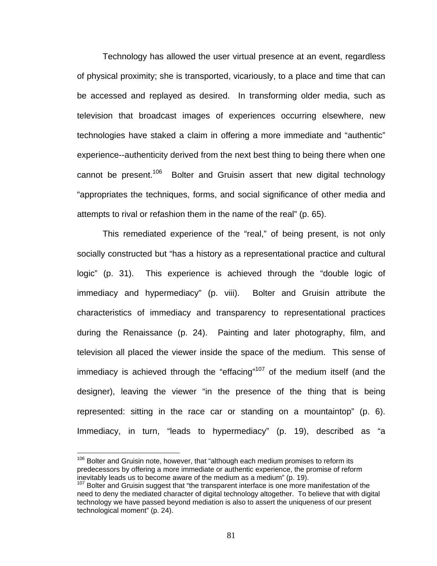Technology has allowed the user virtual presence at an event, regardless of physical proximity; she is transported, vicariously, to a place and time that can be accessed and replayed as desired. In transforming older media, such as television that broadcast images of experiences occurring elsewhere, new technologies have staked a claim in offering a more immediate and "authentic" experience--authenticity derived from the next best thing to being there when one cannot be present.<sup>106</sup> Bolter and Gruisin assert that new digital technology "appropriates the techniques, forms, and social significance of other media and attempts to rival or refashion them in the name of the real" (p. 65).

This remediated experience of the "real," of being present, is not only socially constructed but "has a history as a representational practice and cultural logic" (p. 31). This experience is achieved through the "double logic of immediacy and hypermediacy" (p. viii). Bolter and Gruisin attribute the characteristics of immediacy and transparency to representational practices during the Renaissance (p. 24). Painting and later photography, film, and television all placed the viewer inside the space of the medium. This sense of immediacy is achieved through the "effacing"<sup>107</sup> of the medium itself (and the designer), leaving the viewer "in the presence of the thing that is being represented: sitting in the race car or standing on a mountaintop" (p. 6). Immediacy, in turn, "leads to hypermediacy" (p. 19), described as "a

 $106$  Bolter and Gruisin note, however, that "although each medium promises to reform its predecessors by offering a more immediate or authentic experience, the promise of reform inevitably leads us to become aware of the medium as a medium" (p. 19).

 $107$  Bolter and Gruisin suggest that "the transparent interface is one more manifestation of the need to deny the mediated character of digital technology altogether. To believe that with digital technology we have passed beyond mediation is also to assert the uniqueness of our present technological moment" (p. 24).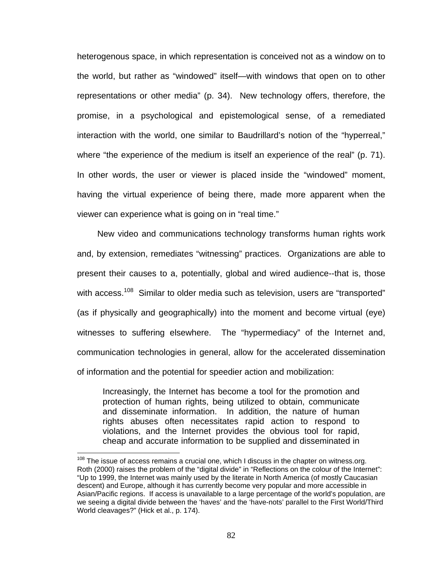heterogenous space, in which representation is conceived not as a window on to the world, but rather as "windowed" itself—with windows that open on to other representations or other media" (p. 34). New technology offers, therefore, the promise, in a psychological and epistemological sense, of a remediated interaction with the world, one similar to Baudrillard's notion of the "hyperreal," where "the experience of the medium is itself an experience of the real" (p. 71). In other words, the user or viewer is placed inside the "windowed" moment, having the virtual experience of being there, made more apparent when the viewer can experience what is going on in "real time."

New video and communications technology transforms human rights work and, by extension, remediates "witnessing" practices. Organizations are able to present their causes to a, potentially, global and wired audience--that is, those with access.<sup>108</sup> Similar to older media such as television, users are "transported" (as if physically and geographically) into the moment and become virtual (eye) witnesses to suffering elsewhere. The "hypermediacy" of the Internet and, communication technologies in general, allow for the accelerated dissemination of information and the potential for speedier action and mobilization:

Increasingly, the Internet has become a tool for the promotion and protection of human rights, being utilized to obtain, communicate and disseminate information. In addition, the nature of human rights abuses often necessitates rapid action to respond to violations, and the Internet provides the obvious tool for rapid, cheap and accurate information to be supplied and disseminated in

<u>.</u>

 $108$  The issue of access remains a crucial one, which I discuss in the chapter on witness.org. Roth (2000) raises the problem of the "digital divide" in "Reflections on the colour of the Internet": "Up to 1999, the Internet was mainly used by the literate in North America (of mostly Caucasian descent) and Europe, although it has currently become very popular and more accessible in Asian/Pacific regions. If access is unavailable to a large percentage of the world's population, are we seeing a digital divide between the 'haves' and the 'have-nots' parallel to the First World/Third World cleavages?" (Hick et al., p. 174).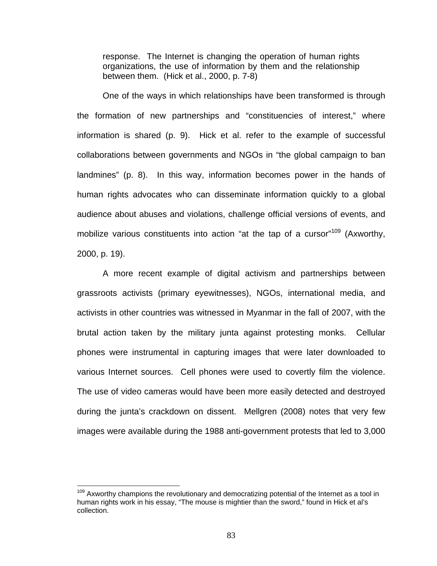response. The Internet is changing the operation of human rights organizations, the use of information by them and the relationship between them. (Hick et al., 2000, p. 7-8)

One of the ways in which relationships have been transformed is through the formation of new partnerships and "constituencies of interest," where information is shared (p. 9). Hick et al. refer to the example of successful collaborations between governments and NGOs in "the global campaign to ban landmines" (p. 8). In this way, information becomes power in the hands of human rights advocates who can disseminate information quickly to a global audience about abuses and violations, challenge official versions of events, and mobilize various constituents into action "at the tap of a cursor"<sup>109</sup> (Axworthy, 2000, p. 19).

A more recent example of digital activism and partnerships between grassroots activists (primary eyewitnesses), NGOs, international media, and activists in other countries was witnessed in Myanmar in the fall of 2007, with the brutal action taken by the military junta against protesting monks. Cellular phones were instrumental in capturing images that were later downloaded to various Internet sources. Cell phones were used to covertly film the violence. The use of video cameras would have been more easily detected and destroyed during the junta's crackdown on dissent. Mellgren (2008) notes that very few images were available during the 1988 anti-government protests that led to 3,000

 $109$  Axworthy champions the revolutionary and democratizing potential of the Internet as a tool in human rights work in his essay, "The mouse is mightier than the sword," found in Hick et al's collection.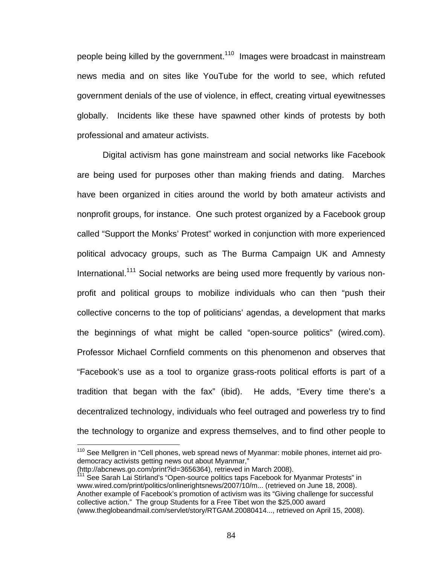people being killed by the government.<sup>110</sup> Images were broadcast in mainstream news media and on sites like YouTube for the world to see, which refuted government denials of the use of violence, in effect, creating virtual eyewitnesses globally. Incidents like these have spawned other kinds of protests by both professional and amateur activists.

Digital activism has gone mainstream and social networks like Facebook are being used for purposes other than making friends and dating. Marches have been organized in cities around the world by both amateur activists and nonprofit groups, for instance. One such protest organized by a Facebook group called "Support the Monks' Protest" worked in conjunction with more experienced political advocacy groups, such as The Burma Campaign UK and Amnesty International.<sup>111</sup> Social networks are being used more frequently by various nonprofit and political groups to mobilize individuals who can then "push their collective concerns to the top of politicians' agendas, a development that marks the beginnings of what might be called "open-source politics" (wired.com). Professor Michael Cornfield comments on this phenomenon and observes that "Facebook's use as a tool to organize grass-roots political efforts is part of a tradition that began with the fax" (ibid). He adds, "Every time there's a decentralized technology, individuals who feel outraged and powerless try to find the technology to organize and express themselves, and to find other people to

<sup>&</sup>lt;sup>110</sup> See Mellgren in "Cell phones, web spread news of Myanmar: mobile phones, internet aid prodemocracy activists getting news out about Myanmar,"

<sup>(</sup>http://abcnews.go.com/print?id=3656364), retrieved in March 2008).

<sup>&</sup>lt;sup>111</sup> See Sarah Lai Stirland's "Open-source politics taps Facebook for Myanmar Protests" in www.wired.com/print/politics/onlinerightsnews/2007/10/m... (retrieved on June 18, 2008). Another example of Facebook's promotion of activism was its "Giving challenge for successful collective action." The group Students for a Free Tibet won the \$25,000 award (www.theglobeandmail.com/servlet/story/RTGAM.20080414..., retrieved on April 15, 2008).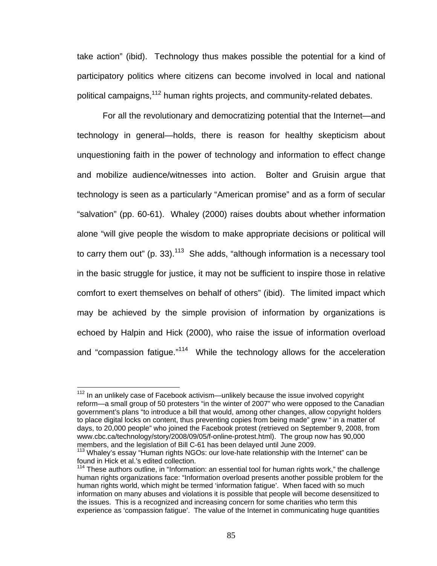take action" (ibid). Technology thus makes possible the potential for a kind of participatory politics where citizens can become involved in local and national political campaigns, <sup>112</sup> human rights projects, and community-related debates.

For all the revolutionary and democratizing potential that the Internet—and technology in general—holds, there is reason for healthy skepticism about unquestioning faith in the power of technology and information to effect change and mobilize audience/witnesses into action. Bolter and Gruisin argue that technology is seen as a particularly "American promise" and as a form of secular "salvation" (pp. 60-61). Whaley (2000) raises doubts about whether information alone "will give people the wisdom to make appropriate decisions or political will to carry them out" (p. 33).<sup>113</sup> She adds, "although information is a necessary tool in the basic struggle for justice, it may not be sufficient to inspire those in relative comfort to exert themselves on behalf of others" (ibid). The limited impact which may be achieved by the simple provision of information by organizations is echoed by Halpin and Hick (2000), who raise the issue of information overload and "compassion fatigue."<sup>114</sup> While the technology allows for the acceleration

 $112$  In an unlikely case of Facebook activism—unlikely because the issue involved copyright reform—a small group of 50 protesters "in the winter of 2007" who were opposed to the Canadian government's plans "to introduce a bill that would, among other changes, allow copyright holders to place digital locks on content, thus preventing copies from being made" grew " in a matter of days, to 20,000 people" who joined the Facebook protest (retrieved on September 9, 2008, from www.cbc.ca/technology/story/2008/09/05/f-online-protest.html). The group now has 90,000 members, and the legislation of Bill C-61 has been delayed until June 2009.

 $113$  Whaley's essay "Human rights NGOs: our love-hate relationship with the Internet" can be found in Hick et al.'s edited collection.

 $114$  These authors outline, in "Information: an essential tool for human rights work," the challenge human rights organizations face: "Information overload presents another possible problem for the human rights world, which might be termed 'information fatigue'. When faced with so much information on many abuses and violations it is possible that people will become desensitized to the issues. This is a recognized and increasing concern for some charities who term this experience as 'compassion fatigue'. The value of the Internet in communicating huge quantities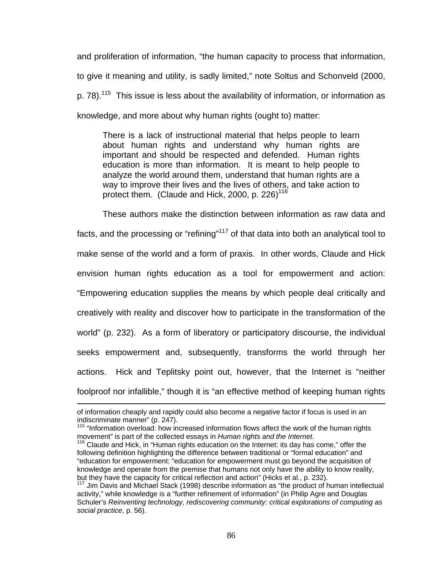and proliferation of information, "the human capacity to process that information, to give it meaning and utility, is sadly limited," note Soltus and Schonveld (2000, p. 78).<sup>115</sup> This issue is less about the availability of information, or information as knowledge, and more about why human rights (ought to) matter:

There is a lack of instructional material that helps people to learn about human rights and understand why human rights are important and should be respected and defended. Human rights education is more than information. It is meant to help people to analyze the world around them, understand that human rights are a way to improve their lives and the lives of others, and take action to protect them. (Claude and Hick, 2000, p. 226)<sup>116</sup>

These authors make the distinction between information as raw data and facts, and the processing or "refining"<sup>117</sup> of that data into both an analytical tool to make sense of the world and a form of praxis. In other words, Claude and Hick envision human rights education as a tool for empowerment and action: "Empowering education supplies the means by which people deal critically and creatively with reality and discover how to participate in the transformation of the world" (p. 232). As a form of liberatory or participatory discourse, the individual seeks empowerment and, subsequently, transforms the world through her actions. Hick and Teplitsky point out, however, that the Internet is "neither foolproof nor infallible," though it is "an effective method of keeping human rights

of information cheaply and rapidly could also become a negative factor if focus is used in an indiscriminate manner" (p. 247).

 $115$  "Information overload: how increased information flows affect the work of the human rights movement" is part of the collected essays in *Human rights and the Internet*.

<sup>&</sup>lt;sup>116</sup> Claude and Hick, in "Human rights education on the Internet: its day has come," offer the following definition highlighting the difference between traditional or "formal education" and "education for empowerment: "education for empowerment must go beyond the acquisition of knowledge and operate from the premise that humans not only have the ability to know reality, but they have the capacity for critical reflection and action" (Hicks et al., p. 232).<br><sup>117</sup> Jim Davis and Michael Stack (1998) describe information as "the product of human intellectual

activity," while knowledge is a "further refinement of information" (in Philip Agre and Douglas Schuler's *Reinventing technology, rediscovering community: critical explorations of computing as social practice*, p. 56).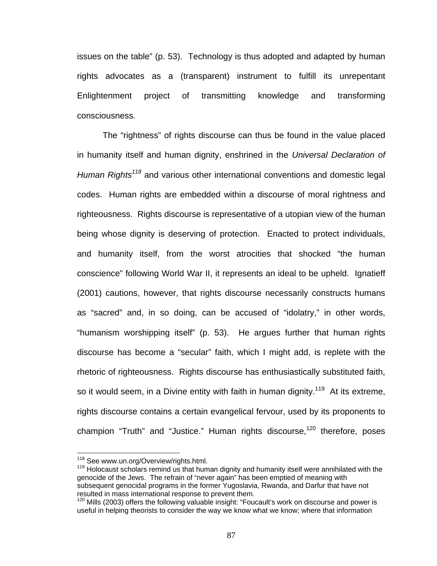issues on the table" (p. 53). Technology is thus adopted and adapted by human rights advocates as a (transparent) instrument to fulfill its unrepentant Enlightenment project of transmitting knowledge and transforming consciousness.

The "rightness" of rights discourse can thus be found in the value placed in humanity itself and human dignity, enshrined in the *Universal Declaration of Human Rights<sup>118</sup>* and various other international conventions and domestic legal codes. Human rights are embedded within a discourse of moral rightness and righteousness. Rights discourse is representative of a utopian view of the human being whose dignity is deserving of protection. Enacted to protect individuals, and humanity itself, from the worst atrocities that shocked "the human conscience" following World War II, it represents an ideal to be upheld. Ignatieff (2001) cautions, however, that rights discourse necessarily constructs humans as "sacred" and, in so doing, can be accused of "idolatry," in other words, "humanism worshipping itself" (p. 53). He argues further that human rights discourse has become a "secular" faith, which I might add, is replete with the rhetoric of righteousness. Rights discourse has enthusiastically substituted faith, so it would seem, in a Divine entity with faith in human dignity.<sup>119</sup> At its extreme, rights discourse contains a certain evangelical fervour, used by its proponents to champion "Truth" and "Justice." Human rights discourse,  $120$  therefore, poses

<sup>&</sup>lt;sup>118</sup> See www.un.org/Overview/rights.html.

 $119$  Holocaust scholars remind us that human dignity and humanity itself were annihilated with the genocide of the Jews. The refrain of "never again" has been emptied of meaning with subsequent genocidal programs in the former Yugoslavia, Rwanda, and Darfur that have not resulted in mass international response to prevent them.

<sup>&</sup>lt;sup>120</sup> Mills (2003) offers the following valuable insight: "Foucault's work on discourse and power is useful in helping theorists to consider the way we know what we know; where that information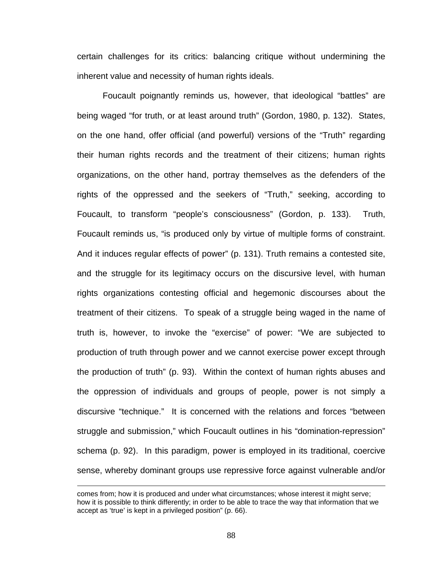certain challenges for its critics: balancing critique without undermining the inherent value and necessity of human rights ideals.

Foucault poignantly reminds us, however, that ideological "battles" are being waged "for truth, or at least around truth" (Gordon, 1980, p. 132). States, on the one hand, offer official (and powerful) versions of the "Truth" regarding their human rights records and the treatment of their citizens; human rights organizations, on the other hand, portray themselves as the defenders of the rights of the oppressed and the seekers of "Truth," seeking, according to Foucault, to transform "people's consciousness" (Gordon, p. 133). Truth, Foucault reminds us, "is produced only by virtue of multiple forms of constraint. And it induces regular effects of power" (p. 131). Truth remains a contested site, and the struggle for its legitimacy occurs on the discursive level, with human rights organizations contesting official and hegemonic discourses about the treatment of their citizens. To speak of a struggle being waged in the name of truth is, however, to invoke the "exercise" of power: "We are subjected to production of truth through power and we cannot exercise power except through the production of truth" (p. 93). Within the context of human rights abuses and the oppression of individuals and groups of people, power is not simply a discursive "technique." It is concerned with the relations and forces "between struggle and submission," which Foucault outlines in his "domination-repression" schema (p. 92). In this paradigm, power is employed in its traditional, coercive sense, whereby dominant groups use repressive force against vulnerable and/or

comes from; how it is produced and under what circumstances; whose interest it might serve; how it is possible to think differently; in order to be able to trace the way that information that we accept as 'true' is kept in a privileged position" (p. 66).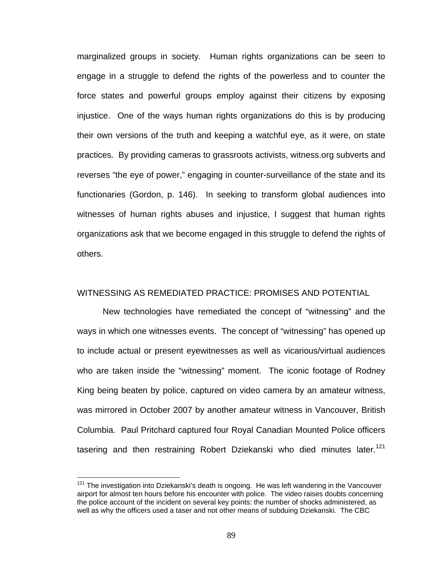marginalized groups in society. Human rights organizations can be seen to engage in a struggle to defend the rights of the powerless and to counter the force states and powerful groups employ against their citizens by exposing injustice. One of the ways human rights organizations do this is by producing their own versions of the truth and keeping a watchful eye, as it were, on state practices. By providing cameras to grassroots activists, witness.org subverts and reverses "the eye of power," engaging in counter-surveillance of the state and its functionaries (Gordon, p. 146). In seeking to transform global audiences into witnesses of human rights abuses and injustice, I suggest that human rights organizations ask that we become engaged in this struggle to defend the rights of others.

#### WITNESSING AS REMEDIATED PRACTICE: PROMISES AND POTENTIAL

New technologies have remediated the concept of "witnessing" and the ways in which one witnesses events. The concept of "witnessing" has opened up to include actual or present eyewitnesses as well as vicarious/virtual audiences who are taken inside the "witnessing" moment. The iconic footage of Rodney King being beaten by police, captured on video camera by an amateur witness, was mirrored in October 2007 by another amateur witness in Vancouver, British Columbia. Paul Pritchard captured four Royal Canadian Mounted Police officers tasering and then restraining Robert Dziekanski who died minutes later.<sup>121</sup>

<u>.</u>

 $121$  The investigation into Dziekanski's death is ongoing. He was left wandering in the Vancouver airport for almost ten hours before his encounter with police. The video raises doubts concerning the police account of the incident on several key points: the number of shocks administered, as well as why the officers used a taser and not other means of subduing Dziekanski. The CBC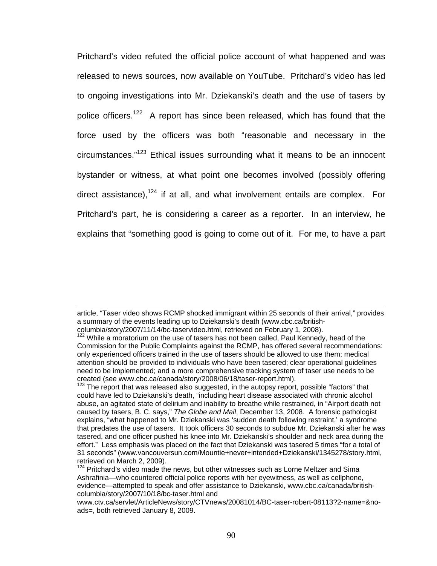Pritchard's video refuted the official police account of what happened and was released to news sources, now available on YouTube. Pritchard's video has led to ongoing investigations into Mr. Dziekanski's death and the use of tasers by police officers.<sup>122</sup> A report has since been released, which has found that the force used by the officers was both "reasonable and necessary in the circumstances."123 Ethical issues surrounding what it means to be an innocent bystander or witness, at what point one becomes involved (possibly offering direct assistance).<sup>124</sup> if at all, and what involvement entails are complex. For Pritchard's part, he is considering a career as a reporter. In an interview, he explains that "something good is going to come out of it. For me, to have a part

article, "Taser video shows RCMP shocked immigrant within 25 seconds of their arrival," provides a summary of the events leading up to Dziekanski's death (www.cbc.ca/britishcolumbia/story/2007/11/14/bc-taservideo.html, retrieved on February 1, 2008).

<sup>&</sup>lt;sup>122</sup> While a moratorium on the use of tasers has not been called, Paul Kennedy, head of the Commission for the Public Complaints against the RCMP, has offered several recommendations: only experienced officers trained in the use of tasers should be allowed to use them; medical attention should be provided to individuals who have been tasered; clear operational guidelines need to be implemented; and a more comprehensive tracking system of taser use needs to be created (see www.cbc.ca/canada/story/2008/06/18/taser-report.html).<br><sup>123</sup> The report that was released also suggested, in the autopsy report, possible "factors" that

could have led to Dziekanski's death, "including heart disease associated with chronic alcohol abuse, an agitated state of delirium and inability to breathe while restrained, in "Airport death not caused by tasers, B. C. says," *The Globe and Mail*, December 13, 2008. A forensic pathologist explains, "what happened to Mr. Dziekanski was 'sudden death following restraint,' a syndrome that predates the use of tasers. It took officers 30 seconds to subdue Mr. Dziekanski after he was tasered, and one officer pushed his knee into Mr. Dziekanski's shoulder and neck area during the effort." Less emphasis was placed on the fact that Dziekanski was tasered 5 times "for a total of 31 seconds" (www.vancouversun.com/Mountie+never+intended+Dziekanski/1345278/story.html, retrieved on March 2, 2009).

 $124$  Pritchard's video made the news, but other witnesses such as Lorne Meltzer and Sima Ashrafinia—who countered official police reports with her eyewitness, as well as cellphone, evidence—attempted to speak and offer assistance to Dziekanski, www.cbc.ca/canada/britishcolumbia/story/2007/10/18/bc-taser.html and

www.ctv.ca/servlet/ArticleNews/story/CTVnews/20081014/BC-taser-robert-08113?2-name=&noads=, both retrieved January 8, 2009.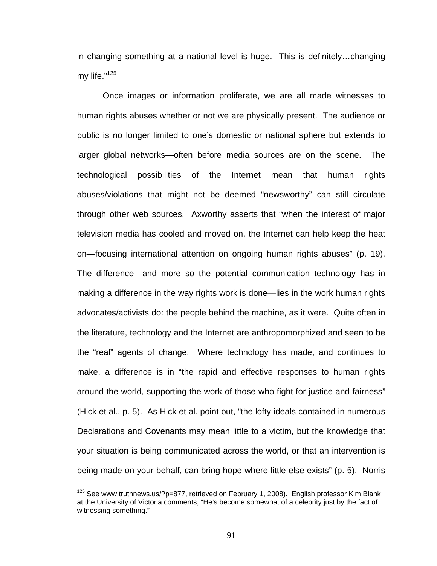in changing something at a national level is huge. This is definitely…changing my life."125

Once images or information proliferate, we are all made witnesses to human rights abuses whether or not we are physically present. The audience or public is no longer limited to one's domestic or national sphere but extends to larger global networks—often before media sources are on the scene. The technological possibilities of the Internet mean that human rights abuses/violations that might not be deemed "newsworthy" can still circulate through other web sources. Axworthy asserts that "when the interest of major television media has cooled and moved on, the Internet can help keep the heat on—focusing international attention on ongoing human rights abuses" (p. 19). The difference—and more so the potential communication technology has in making a difference in the way rights work is done—lies in the work human rights advocates/activists do: the people behind the machine, as it were. Quite often in the literature, technology and the Internet are anthropomorphized and seen to be the "real" agents of change. Where technology has made, and continues to make, a difference is in "the rapid and effective responses to human rights around the world, supporting the work of those who fight for justice and fairness" (Hick et al., p. 5). As Hick et al. point out, "the lofty ideals contained in numerous Declarations and Covenants may mean little to a victim, but the knowledge that your situation is being communicated across the world, or that an intervention is being made on your behalf, can bring hope where little else exists" (p. 5). Norris

 $125$  See www.truthnews.us/?p=877, retrieved on February 1, 2008). English professor Kim Blank at the University of Victoria comments, "He's become somewhat of a celebrity just by the fact of witnessing something."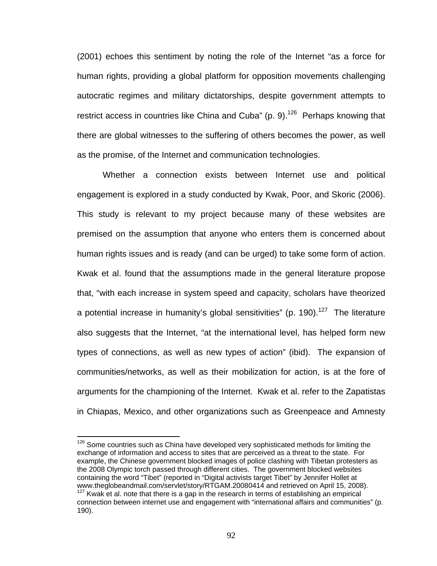(2001) echoes this sentiment by noting the role of the Internet "as a force for human rights, providing a global platform for opposition movements challenging autocratic regimes and military dictatorships, despite government attempts to restrict access in countries like China and Cuba" (p. 9).<sup>126</sup> Perhaps knowing that there are global witnesses to the suffering of others becomes the power, as well as the promise, of the Internet and communication technologies.

Whether a connection exists between Internet use and political engagement is explored in a study conducted by Kwak, Poor, and Skoric (2006). This study is relevant to my project because many of these websites are premised on the assumption that anyone who enters them is concerned about human rights issues and is ready (and can be urged) to take some form of action. Kwak et al. found that the assumptions made in the general literature propose that, "with each increase in system speed and capacity, scholars have theorized a potential increase in humanity's global sensitivities" (p. 190).<sup>127</sup> The literature also suggests that the Internet, "at the international level, has helped form new types of connections, as well as new types of action" (ibid). The expansion of communities/networks, as well as their mobilization for action, is at the fore of arguments for the championing of the Internet. Kwak et al. refer to the Zapatistas in Chiapas, Mexico, and other organizations such as Greenpeace and Amnesty

 $126$  Some countries such as China have developed very sophisticated methods for limiting the exchange of information and access to sites that are perceived as a threat to the state. For example, the Chinese government blocked images of police clashing with Tibetan protesters as the 2008 Olympic torch passed through different cities. The government blocked websites containing the word "Tibet" (reported in "Digital activists target Tibet" by Jennifer Hollet at  $127$  Kwak et al. note that there is a gap in the research in terms of establishing an empirical

connection between internet use and engagement with "international affairs and communities" (p. 190).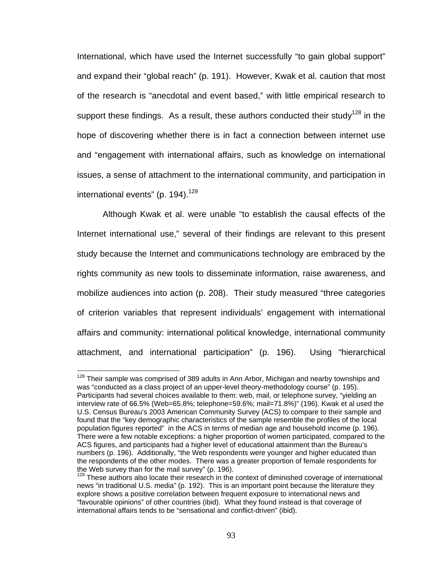International, which have used the Internet successfully "to gain global support" and expand their "global reach" (p. 191). However, Kwak et al. caution that most of the research is "anecdotal and event based," with little empirical research to support these findings. As a result, these authors conducted their study<sup>128</sup> in the hope of discovering whether there is in fact a connection between internet use and "engagement with international affairs, such as knowledge on international issues, a sense of attachment to the international community, and participation in international events" (p.  $194$ ).<sup>129</sup>

Although Kwak et al. were unable "to establish the causal effects of the Internet international use," several of their findings are relevant to this present study because the Internet and communications technology are embraced by the rights community as new tools to disseminate information, raise awareness, and mobilize audiences into action (p. 208). Their study measured "three categories of criterion variables that represent individuals' engagement with international affairs and community: international political knowledge, international community attachment, and international participation" (p. 196). Using "hierarchical

<sup>&</sup>lt;sup>128</sup> Their sample was comprised of 389 adults in Ann Arbor, Michigan and nearby townships and was "conducted as a class project of an upper-level theory-methodology course" (p. 195). Participants had several choices available to them: web, mail, or telephone survey, "yielding an interview rate of 66.5% (Web=65.8%; telephone=59.6%; mail=71.8%)" (196). Kwak et al used the U.S. Census Bureau's 2003 American Community Survey (ACS) to compare to their sample and found that the "key demographic characteristics of the sample resemble the profiles of the local population figures reported" in the ACS in terms of median age and household income (p. 196). There were a few notable exceptions: a higher proportion of women participated, compared to the ACS figures, and participants had a higher level of educational attainment than the Bureau's numbers (p. 196). Additionally, "the Web respondents were younger and higher educated than the respondents of the other modes. There was a greater proportion of female respondents for the Web survey than for the mail survey" (p. 196).

 $129$  These authors also locate their research in the context of diminished coverage of international news "in traditional U.S. media" (p. 192). This is an important point because the literature they explore shows a positive correlation between frequent exposure to international news and "favourable opinions" of other countries (ibid). What they found instead is that coverage of international affairs tends to be "sensational and conflict-driven" (ibid).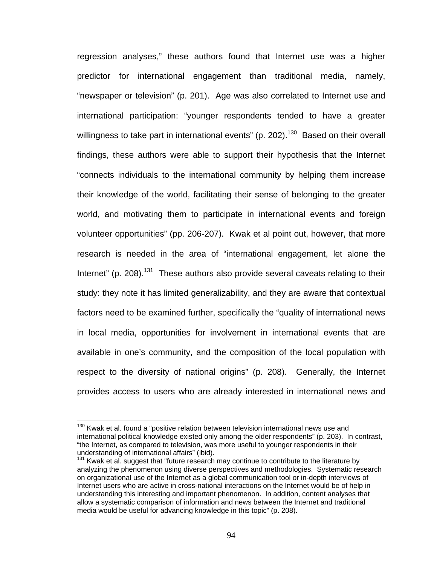regression analyses," these authors found that Internet use was a higher predictor for international engagement than traditional media, namely, "newspaper or television" (p. 201). Age was also correlated to Internet use and international participation: "younger respondents tended to have a greater willingness to take part in international events" (p. 202).<sup>130</sup> Based on their overall findings, these authors were able to support their hypothesis that the Internet "connects individuals to the international community by helping them increase their knowledge of the world, facilitating their sense of belonging to the greater world, and motivating them to participate in international events and foreign volunteer opportunities" (pp. 206-207). Kwak et al point out, however, that more research is needed in the area of "international engagement, let alone the Internet" (p. 208).<sup>131</sup> These authors also provide several caveats relating to their study: they note it has limited generalizability, and they are aware that contextual factors need to be examined further, specifically the "quality of international news in local media, opportunities for involvement in international events that are available in one's community, and the composition of the local population with respect to the diversity of national origins" (p. 208). Generally, the Internet provides access to users who are already interested in international news and

<sup>&</sup>lt;sup>130</sup> Kwak et al. found a "positive relation between television international news use and international political knowledge existed only among the older respondents" (p. 203). In contrast, "the Internet, as compared to television, was more useful to younger respondents in their understanding of international affairs" (ibid).

<sup>&</sup>lt;sup>131</sup> Kwak et al. suggest that "future research may continue to contribute to the literature by analyzing the phenomenon using diverse perspectives and methodologies. Systematic research on organizational use of the Internet as a global communication tool or in-depth interviews of Internet users who are active in cross-national interactions on the Internet would be of help in understanding this interesting and important phenomenon. In addition, content analyses that allow a systematic comparison of information and news between the Internet and traditional media would be useful for advancing knowledge in this topic" (p. 208).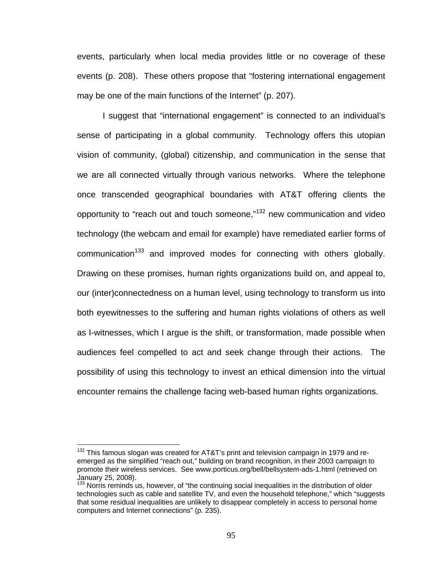events, particularly when local media provides little or no coverage of these events (p. 208). These others propose that "fostering international engagement may be one of the main functions of the Internet" (p. 207).

I suggest that "international engagement" is connected to an individual's sense of participating in a global community. Technology offers this utopian vision of community, (global) citizenship, and communication in the sense that we are all connected virtually through various networks. Where the telephone once transcended geographical boundaries with AT&T offering clients the opportunity to "reach out and touch someone,"132 new communication and video technology (the webcam and email for example) have remediated earlier forms of communication<sup>133</sup> and improved modes for connecting with others globally. Drawing on these promises, human rights organizations build on, and appeal to, our (inter)connectedness on a human level, using technology to transform us into both eyewitnesses to the suffering and human rights violations of others as well as I-witnesses, which I argue is the shift, or transformation, made possible when audiences feel compelled to act and seek change through their actions. The possibility of using this technology to invest an ethical dimension into the virtual encounter remains the challenge facing web-based human rights organizations.

 $132$  This famous slogan was created for AT&T's print and television campaign in 1979 and reemerged as the simplified "reach out," building on brand recognition, in their 2003 campaign to promote their wireless services. See www.porticus.org/bell/bellsystem-ads-1.html (retrieved on January 25, 2008).

<sup>&</sup>lt;sup>133</sup> Norris reminds us, however, of "the continuing social inequalities in the distribution of older technologies such as cable and satellite TV, and even the household telephone," which "suggests that some residual inequalities are unlikely to disappear completely in access to personal home computers and Internet connections" (p. 235).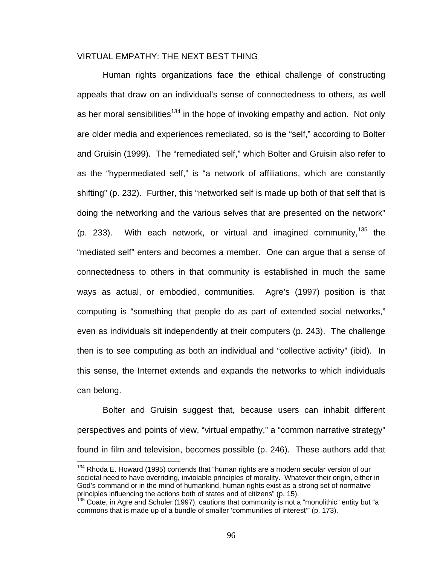# VIRTUAL EMPATHY: THE NEXT BEST THING

Human rights organizations face the ethical challenge of constructing appeals that draw on an individual's sense of connectedness to others, as well as her moral sensibilities<sup>134</sup> in the hope of invoking empathy and action. Not only are older media and experiences remediated, so is the "self," according to Bolter and Gruisin (1999). The "remediated self," which Bolter and Gruisin also refer to as the "hypermediated self," is "a network of affiliations, which are constantly shifting" (p. 232). Further, this "networked self is made up both of that self that is doing the networking and the various selves that are presented on the network" (p. 233). With each network, or virtual and imagined community,  $135$  the "mediated self" enters and becomes a member. One can argue that a sense of connectedness to others in that community is established in much the same ways as actual, or embodied, communities. Agre's (1997) position is that computing is "something that people do as part of extended social networks," even as individuals sit independently at their computers (p. 243). The challenge then is to see computing as both an individual and "collective activity" (ibid). In this sense, the Internet extends and expands the networks to which individuals can belong.

Bolter and Gruisin suggest that, because users can inhabit different perspectives and points of view, "virtual empathy," a "common narrative strategy" found in film and television, becomes possible (p. 246). These authors add that

 $134$  Rhoda E. Howard (1995) contends that "human rights are a modern secular version of our societal need to have overriding, inviolable principles of morality. Whatever their origin, either in God's command or in the mind of humankind, human rights exist as a strong set of normative principles influencing the actions both of states and of citizens" (p. 15).

 $135$  Coate, in Agre and Schuler (1997), cautions that community is not a "monolithic" entity but "a commons that is made up of a bundle of smaller 'communities of interest'" (p. 173).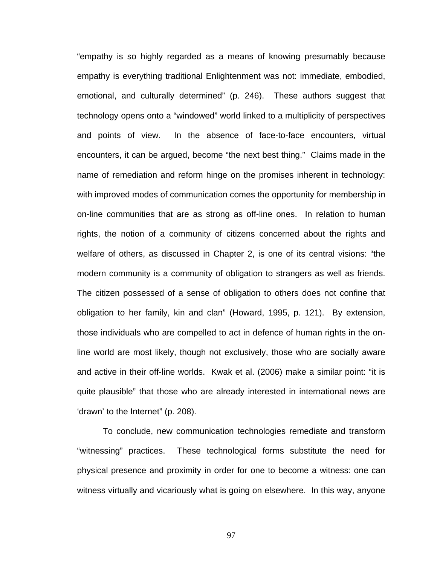"empathy is so highly regarded as a means of knowing presumably because empathy is everything traditional Enlightenment was not: immediate, embodied, emotional, and culturally determined" (p. 246). These authors suggest that technology opens onto a "windowed" world linked to a multiplicity of perspectives and points of view. In the absence of face-to-face encounters, virtual encounters, it can be argued, become "the next best thing." Claims made in the name of remediation and reform hinge on the promises inherent in technology: with improved modes of communication comes the opportunity for membership in on-line communities that are as strong as off-line ones. In relation to human rights, the notion of a community of citizens concerned about the rights and welfare of others, as discussed in Chapter 2, is one of its central visions: "the modern community is a community of obligation to strangers as well as friends. The citizen possessed of a sense of obligation to others does not confine that obligation to her family, kin and clan" (Howard, 1995, p. 121). By extension, those individuals who are compelled to act in defence of human rights in the online world are most likely, though not exclusively, those who are socially aware and active in their off-line worlds. Kwak et al. (2006) make a similar point: "it is quite plausible" that those who are already interested in international news are 'drawn' to the Internet" (p. 208).

To conclude, new communication technologies remediate and transform "witnessing" practices. These technological forms substitute the need for physical presence and proximity in order for one to become a witness: one can witness virtually and vicariously what is going on elsewhere. In this way, anyone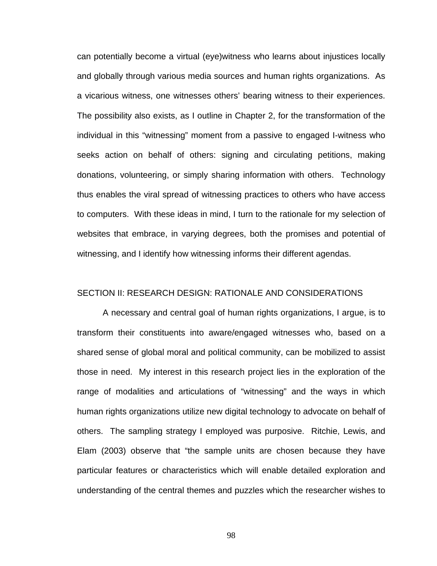can potentially become a virtual (eye)witness who learns about injustices locally and globally through various media sources and human rights organizations. As a vicarious witness, one witnesses others' bearing witness to their experiences. The possibility also exists, as I outline in Chapter 2, for the transformation of the individual in this "witnessing" moment from a passive to engaged I-witness who seeks action on behalf of others: signing and circulating petitions, making donations, volunteering, or simply sharing information with others. Technology thus enables the viral spread of witnessing practices to others who have access to computers. With these ideas in mind, I turn to the rationale for my selection of websites that embrace, in varying degrees, both the promises and potential of witnessing, and I identify how witnessing informs their different agendas.

#### SECTION II: RESEARCH DESIGN: RATIONALE AND CONSIDERATIONS

A necessary and central goal of human rights organizations, I argue, is to transform their constituents into aware/engaged witnesses who, based on a shared sense of global moral and political community, can be mobilized to assist those in need. My interest in this research project lies in the exploration of the range of modalities and articulations of "witnessing" and the ways in which human rights organizations utilize new digital technology to advocate on behalf of others. The sampling strategy I employed was purposive. Ritchie, Lewis, and Elam (2003) observe that "the sample units are chosen because they have particular features or characteristics which will enable detailed exploration and understanding of the central themes and puzzles which the researcher wishes to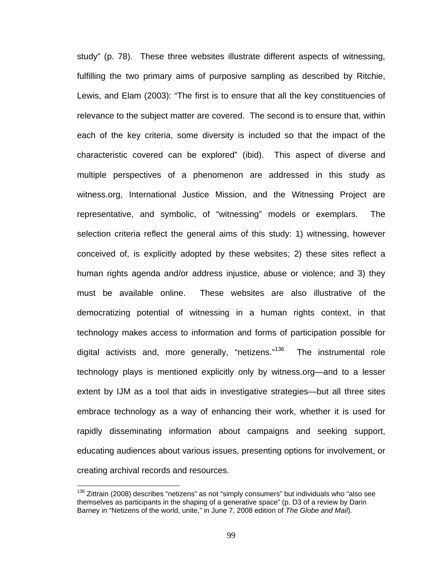study" (p. 78). These three websites illustrate different aspects of witnessing, fulfilling the two primary aims of purposive sampling as described by Ritchie, Lewis, and Elam (2003): "The first is to ensure that all the key constituencies of relevance to the subject matter are covered. The second is to ensure that, within each of the key criteria, some diversity is included so that the impact of the characteristic covered can be explored" (ibid). This aspect of diverse and multiple perspectives of a phenomenon are addressed in this study as witness.org, International Justice Mission, and the Witnessing Project are representative, and symbolic, of "witnessing" models or exemplars. The selection criteria reflect the general aims of this study: 1) witnessing, however conceived of, is explicitly adopted by these websites; 2) these sites reflect a human rights agenda and/or address injustice, abuse or violence; and 3) they must be available online. These websites are also illustrative of the democratizing potential of witnessing in a human rights context, in that technology makes access to information and forms of participation possible for digital activists and, more generally, "netizens."<sup>136</sup> The instrumental role technology plays is mentioned explicitly only by witness.org—and to a lesser extent by IJM as a tool that aids in investigative strategies—but all three sites embrace technology as a way of enhancing their work, whether it is used for rapidly disseminating information about campaigns and seeking support, educating audiences about various issues, presenting options for involvement, or creating archival records and resources.

 $136$  Zittrain (2008) describes "netizens" as not "simply consumers" but individuals who "also see themselves as participants in the shaping of a generative space" (p. D3 of a review by Darin Barney in "Netizens of the world, unite," in June 7, 2008 edition of *The Globe and Mail*).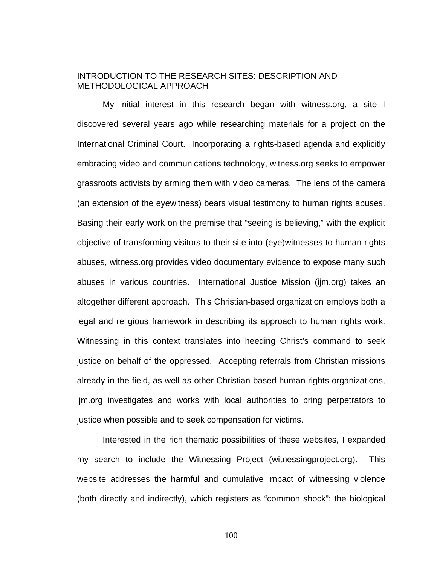## INTRODUCTION TO THE RESEARCH SITES: DESCRIPTION AND METHODOLOGICAL APPROACH

My initial interest in this research began with witness.org, a site I discovered several years ago while researching materials for a project on the International Criminal Court. Incorporating a rights-based agenda and explicitly embracing video and communications technology, witness.org seeks to empower grassroots activists by arming them with video cameras. The lens of the camera (an extension of the eyewitness) bears visual testimony to human rights abuses. Basing their early work on the premise that "seeing is believing," with the explicit objective of transforming visitors to their site into (eye)witnesses to human rights abuses, witness.org provides video documentary evidence to expose many such abuses in various countries. International Justice Mission (ijm.org) takes an altogether different approach. This Christian-based organization employs both a legal and religious framework in describing its approach to human rights work. Witnessing in this context translates into heeding Christ's command to seek justice on behalf of the oppressed. Accepting referrals from Christian missions already in the field, as well as other Christian-based human rights organizations, ijm.org investigates and works with local authorities to bring perpetrators to justice when possible and to seek compensation for victims.

Interested in the rich thematic possibilities of these websites, I expanded my search to include the Witnessing Project (witnessingproject.org). This website addresses the harmful and cumulative impact of witnessing violence (both directly and indirectly), which registers as "common shock": the biological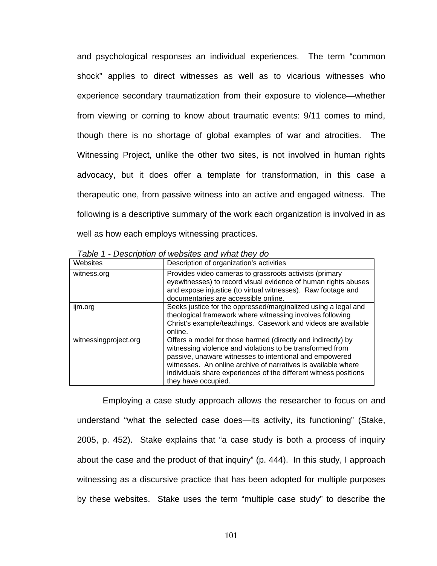and psychological responses an individual experiences. The term "common shock" applies to direct witnesses as well as to vicarious witnesses who experience secondary traumatization from their exposure to violence—whether from viewing or coming to know about traumatic events: 9/11 comes to mind, though there is no shortage of global examples of war and atrocities. The Witnessing Project, unlike the other two sites, is not involved in human rights advocacy, but it does offer a template for transformation, in this case a therapeutic one, from passive witness into an active and engaged witness. The following is a descriptive summary of the work each organization is involved in as well as how each employs witnessing practices.

| Websites              | Description of organization's activities                                                                                                                                                                                                                                                                                                         |
|-----------------------|--------------------------------------------------------------------------------------------------------------------------------------------------------------------------------------------------------------------------------------------------------------------------------------------------------------------------------------------------|
| witness.org           | Provides video cameras to grassroots activists (primary<br>eyewitnesses) to record visual evidence of human rights abuses<br>and expose injustice (to virtual witnesses). Raw footage and<br>documentaries are accessible online.                                                                                                                |
| ijm.org               | Seeks justice for the oppressed/marginalized using a legal and<br>theological framework where witnessing involves following<br>Christ's example/teachings. Casework and videos are available<br>online.                                                                                                                                          |
| witnessingproject.org | Offers a model for those harmed (directly and indirectly) by<br>witnessing violence and violations to be transformed from<br>passive, unaware witnesses to intentional and empowered<br>witnesses. An online archive of narratives is available where<br>individuals share experiences of the different witness positions<br>they have occupied. |

*Table 1 - Description of websites and what they do* 

Employing a case study approach allows the researcher to focus on and understand "what the selected case does—its activity, its functioning" (Stake, 2005, p. 452). Stake explains that "a case study is both a process of inquiry about the case and the product of that inquiry" (p. 444). In this study, I approach witnessing as a discursive practice that has been adopted for multiple purposes by these websites. Stake uses the term "multiple case study" to describe the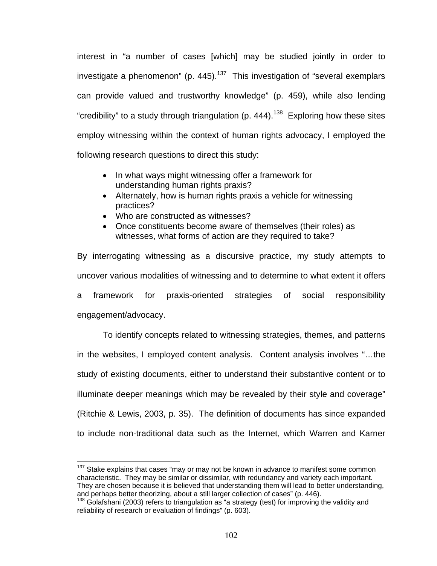interest in "a number of cases [which] may be studied jointly in order to investigate a phenomenon" (p. 445).<sup>137</sup> This investigation of "several exemplars can provide valued and trustworthy knowledge" (p. 459), while also lending "credibility" to a study through triangulation (p. 444).<sup>138</sup> Exploring how these sites employ witnessing within the context of human rights advocacy, I employed the following research questions to direct this study:

- In what ways might witnessing offer a framework for understanding human rights praxis?
- Alternately, how is human rights praxis a vehicle for witnessing practices?
- Who are constructed as witnesses?

1

• Once constituents become aware of themselves (their roles) as witnesses, what forms of action are they required to take?

By interrogating witnessing as a discursive practice, my study attempts to uncover various modalities of witnessing and to determine to what extent it offers a framework for praxis-oriented strategies of social responsibility engagement/advocacy.

To identify concepts related to witnessing strategies, themes, and patterns in the websites, I employed content analysis. Content analysis involves "…the study of existing documents, either to understand their substantive content or to illuminate deeper meanings which may be revealed by their style and coverage" (Ritchie & Lewis, 2003, p. 35). The definition of documents has since expanded to include non-traditional data such as the Internet, which Warren and Karner

 $137$  Stake explains that cases "may or may not be known in advance to manifest some common characteristic. They may be similar or dissimilar, with redundancy and variety each important. They are chosen because it is believed that understanding them will lead to better understanding, and perhaps better theorizing, about a still larger collection of cases" (p. 446).

<sup>138</sup> Golafshani (2003) refers to triangulation as "a strategy (test) for improving the validity and reliability of research or evaluation of findings" (p. 603).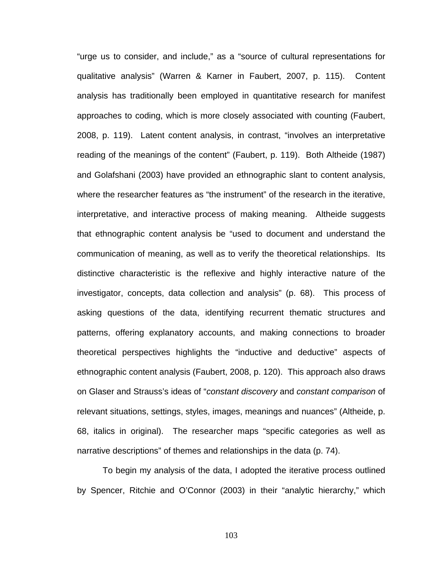"urge us to consider, and include," as a "source of cultural representations for qualitative analysis" (Warren & Karner in Faubert, 2007, p. 115). Content analysis has traditionally been employed in quantitative research for manifest approaches to coding, which is more closely associated with counting (Faubert, 2008, p. 119). Latent content analysis, in contrast, "involves an interpretative reading of the meanings of the content" (Faubert, p. 119). Both Altheide (1987) and Golafshani (2003) have provided an ethnographic slant to content analysis, where the researcher features as "the instrument" of the research in the iterative, interpretative, and interactive process of making meaning. Altheide suggests that ethnographic content analysis be "used to document and understand the communication of meaning, as well as to verify the theoretical relationships. Its distinctive characteristic is the reflexive and highly interactive nature of the investigator, concepts, data collection and analysis" (p. 68). This process of asking questions of the data, identifying recurrent thematic structures and patterns, offering explanatory accounts, and making connections to broader theoretical perspectives highlights the "inductive and deductive" aspects of ethnographic content analysis (Faubert, 2008, p. 120). This approach also draws on Glaser and Strauss's ideas of "*constant discovery* and *constant comparison* of relevant situations, settings, styles, images, meanings and nuances" (Altheide, p. 68, italics in original). The researcher maps "specific categories as well as narrative descriptions" of themes and relationships in the data (p. 74).

To begin my analysis of the data, I adopted the iterative process outlined by Spencer, Ritchie and O'Connor (2003) in their "analytic hierarchy," which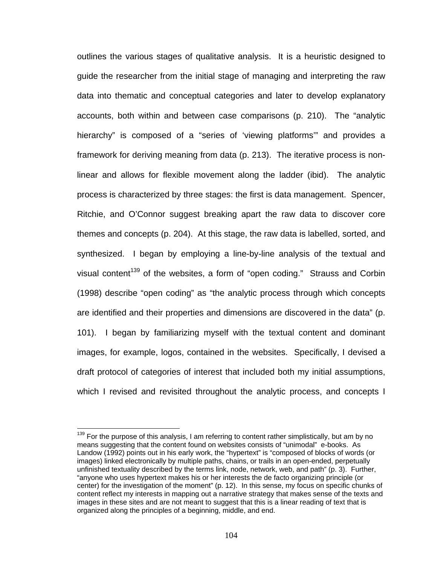outlines the various stages of qualitative analysis. It is a heuristic designed to guide the researcher from the initial stage of managing and interpreting the raw data into thematic and conceptual categories and later to develop explanatory accounts, both within and between case comparisons (p. 210). The "analytic hierarchy" is composed of a "series of 'viewing platforms'" and provides a framework for deriving meaning from data (p. 213). The iterative process is nonlinear and allows for flexible movement along the ladder (ibid). The analytic process is characterized by three stages: the first is data management. Spencer, Ritchie, and O'Connor suggest breaking apart the raw data to discover core themes and concepts (p. 204). At this stage, the raw data is labelled, sorted, and synthesized. I began by employing a line-by-line analysis of the textual and visual content<sup>139</sup> of the websites, a form of "open coding." Strauss and Corbin (1998) describe "open coding" as "the analytic process through which concepts are identified and their properties and dimensions are discovered in the data" (p. 101). I began by familiarizing myself with the textual content and dominant images, for example, logos, contained in the websites. Specifically, I devised a draft protocol of categories of interest that included both my initial assumptions, which I revised and revisited throughout the analytic process, and concepts I

<sup>&</sup>lt;sup>139</sup> For the purpose of this analysis, I am referring to content rather simplistically, but am by no means suggesting that the content found on websites consists of "unimodal" e-books. As Landow (1992) points out in his early work, the "hypertext" is "composed of blocks of words (or images) linked electronically by multiple paths, chains, or trails in an open-ended, perpetually unfinished textuality described by the terms link, node, network, web, and path" (p. 3). Further, "anyone who uses hypertext makes his or her interests the de facto organizing principle (or center) for the investigation of the moment" (p. 12). In this sense, my focus on specific chunks of content reflect my interests in mapping out a narrative strategy that makes sense of the texts and images in these sites and are not meant to suggest that this is a linear reading of text that is organized along the principles of a beginning, middle, and end.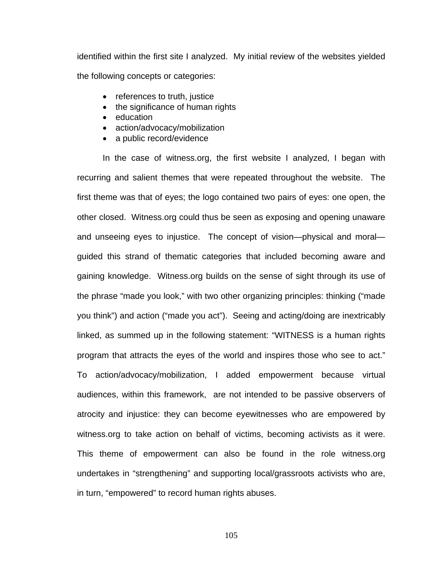identified within the first site I analyzed. My initial review of the websites yielded the following concepts or categories:

- references to truth, justice
- the significance of human rights
- education
- action/advocacy/mobilization
- a public record/evidence

In the case of witness.org, the first website I analyzed, I began with recurring and salient themes that were repeated throughout the website. The first theme was that of eyes; the logo contained two pairs of eyes: one open, the other closed. Witness.org could thus be seen as exposing and opening unaware and unseeing eyes to injustice. The concept of vision—physical and moral guided this strand of thematic categories that included becoming aware and gaining knowledge. Witness.org builds on the sense of sight through its use of the phrase "made you look," with two other organizing principles: thinking ("made you think") and action ("made you act"). Seeing and acting/doing are inextricably linked, as summed up in the following statement: "WITNESS is a human rights program that attracts the eyes of the world and inspires those who see to act." To action/advocacy/mobilization, I added empowerment because virtual audiences, within this framework, are not intended to be passive observers of atrocity and injustice: they can become eyewitnesses who are empowered by witness.org to take action on behalf of victims, becoming activists as it were. This theme of empowerment can also be found in the role witness.org undertakes in "strengthening" and supporting local/grassroots activists who are, in turn, "empowered" to record human rights abuses.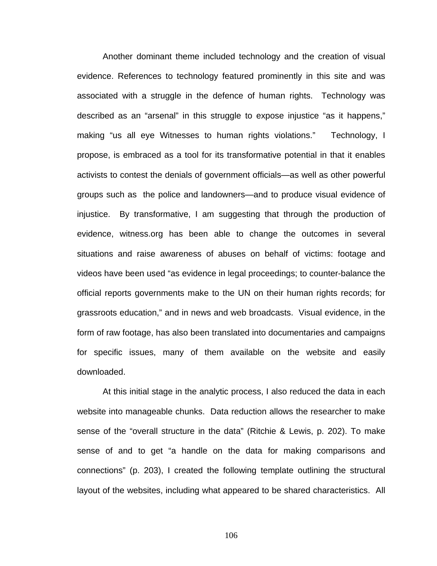Another dominant theme included technology and the creation of visual evidence. References to technology featured prominently in this site and was associated with a struggle in the defence of human rights. Technology was described as an "arsenal" in this struggle to expose injustice "as it happens," making "us all eye Witnesses to human rights violations." Technology, I propose, is embraced as a tool for its transformative potential in that it enables activists to contest the denials of government officials—as well as other powerful groups such as the police and landowners—and to produce visual evidence of injustice. By transformative, I am suggesting that through the production of evidence, witness.org has been able to change the outcomes in several situations and raise awareness of abuses on behalf of victims: footage and videos have been used "as evidence in legal proceedings; to counter-balance the official reports governments make to the UN on their human rights records; for grassroots education," and in news and web broadcasts. Visual evidence, in the form of raw footage, has also been translated into documentaries and campaigns for specific issues, many of them available on the website and easily downloaded.

At this initial stage in the analytic process, I also reduced the data in each website into manageable chunks. Data reduction allows the researcher to make sense of the "overall structure in the data" (Ritchie & Lewis, p. 202). To make sense of and to get "a handle on the data for making comparisons and connections" (p. 203), I created the following template outlining the structural layout of the websites, including what appeared to be shared characteristics. All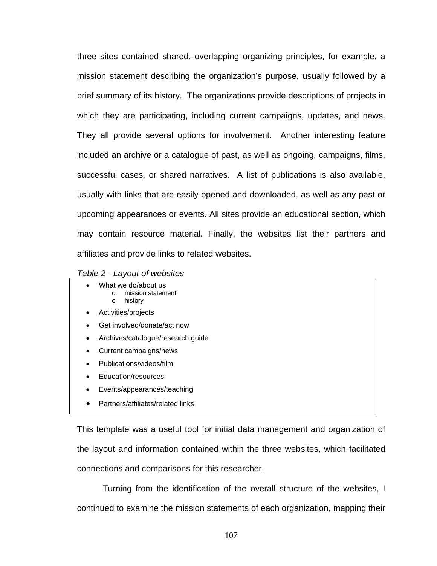three sites contained shared, overlapping organizing principles, for example, a mission statement describing the organization's purpose, usually followed by a brief summary of its history. The organizations provide descriptions of projects in which they are participating, including current campaigns, updates, and news. They all provide several options for involvement. Another interesting feature included an archive or a catalogue of past, as well as ongoing, campaigns, films, successful cases, or shared narratives. A list of publications is also available, usually with links that are easily opened and downloaded, as well as any past or upcoming appearances or events. All sites provide an educational section, which may contain resource material. Finally, the websites list their partners and affiliates and provide links to related websites.

- What we do/about us o mission statement
	- history
- Activities/projects
- Get involved/donate/act now
- Archives/catalogue/research guide
- Current campaigns/news
- Publications/videos/film
- Education/resources
- Events/appearances/teaching
- Partners/affiliates/related links

This template was a useful tool for initial data management and organization of the layout and information contained within the three websites, which facilitated connections and comparisons for this researcher.

Turning from the identification of the overall structure of the websites, I continued to examine the mission statements of each organization, mapping their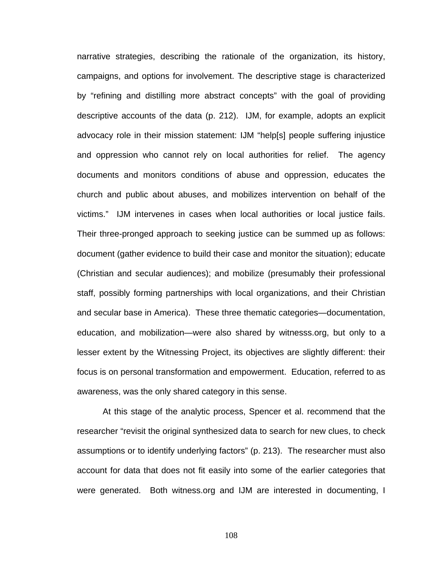narrative strategies, describing the rationale of the organization, its history, campaigns, and options for involvement. The descriptive stage is characterized by "refining and distilling more abstract concepts" with the goal of providing descriptive accounts of the data (p. 212). IJM, for example, adopts an explicit advocacy role in their mission statement: IJM "help[s] people suffering injustice and oppression who cannot rely on local authorities for relief. The agency documents and monitors conditions of abuse and oppression, educates the church and public about abuses, and mobilizes intervention on behalf of the victims." IJM intervenes in cases when local authorities or local justice fails. Their three-pronged approach to seeking justice can be summed up as follows: document (gather evidence to build their case and monitor the situation); educate (Christian and secular audiences); and mobilize (presumably their professional staff, possibly forming partnerships with local organizations, and their Christian and secular base in America). These three thematic categories—documentation, education, and mobilization—were also shared by witnesss.org, but only to a lesser extent by the Witnessing Project, its objectives are slightly different: their focus is on personal transformation and empowerment. Education, referred to as awareness, was the only shared category in this sense.

At this stage of the analytic process, Spencer et al. recommend that the researcher "revisit the original synthesized data to search for new clues, to check assumptions or to identify underlying factors" (p. 213). The researcher must also account for data that does not fit easily into some of the earlier categories that were generated. Both witness.org and IJM are interested in documenting, I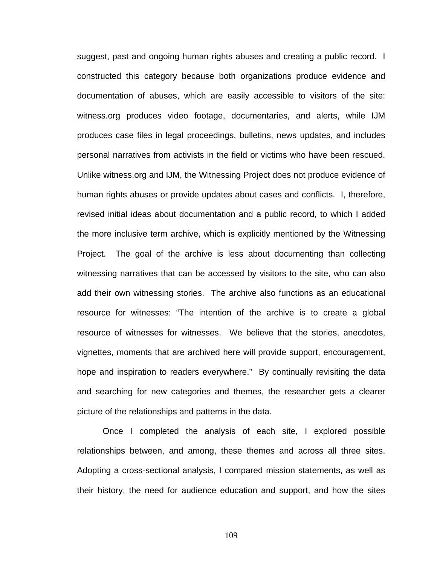suggest, past and ongoing human rights abuses and creating a public record. I constructed this category because both organizations produce evidence and documentation of abuses, which are easily accessible to visitors of the site: witness.org produces video footage, documentaries, and alerts, while IJM produces case files in legal proceedings, bulletins, news updates, and includes personal narratives from activists in the field or victims who have been rescued. Unlike witness.org and IJM, the Witnessing Project does not produce evidence of human rights abuses or provide updates about cases and conflicts. I, therefore, revised initial ideas about documentation and a public record, to which I added the more inclusive term archive, which is explicitly mentioned by the Witnessing Project. The goal of the archive is less about documenting than collecting witnessing narratives that can be accessed by visitors to the site, who can also add their own witnessing stories. The archive also functions as an educational resource for witnesses: "The intention of the archive is to create a global resource of witnesses for witnesses. We believe that the stories, anecdotes, vignettes, moments that are archived here will provide support, encouragement, hope and inspiration to readers everywhere." By continually revisiting the data and searching for new categories and themes, the researcher gets a clearer picture of the relationships and patterns in the data.

Once I completed the analysis of each site, I explored possible relationships between, and among, these themes and across all three sites. Adopting a cross-sectional analysis, I compared mission statements, as well as their history, the need for audience education and support, and how the sites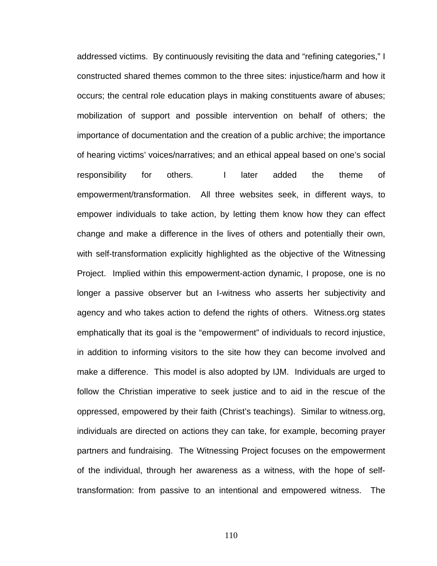addressed victims. By continuously revisiting the data and "refining categories," I constructed shared themes common to the three sites: injustice/harm and how it occurs; the central role education plays in making constituents aware of abuses; mobilization of support and possible intervention on behalf of others; the importance of documentation and the creation of a public archive; the importance of hearing victims' voices/narratives; and an ethical appeal based on one's social responsibility for others. I later added the theme of empowerment/transformation. All three websites seek, in different ways, to empower individuals to take action, by letting them know how they can effect change and make a difference in the lives of others and potentially their own, with self-transformation explicitly highlighted as the objective of the Witnessing Project. Implied within this empowerment-action dynamic, I propose, one is no longer a passive observer but an I-witness who asserts her subjectivity and agency and who takes action to defend the rights of others. Witness.org states emphatically that its goal is the "empowerment" of individuals to record injustice, in addition to informing visitors to the site how they can become involved and make a difference. This model is also adopted by IJM. Individuals are urged to follow the Christian imperative to seek justice and to aid in the rescue of the oppressed, empowered by their faith (Christ's teachings). Similar to witness.org, individuals are directed on actions they can take, for example, becoming prayer partners and fundraising. The Witnessing Project focuses on the empowerment of the individual, through her awareness as a witness, with the hope of selftransformation: from passive to an intentional and empowered witness. The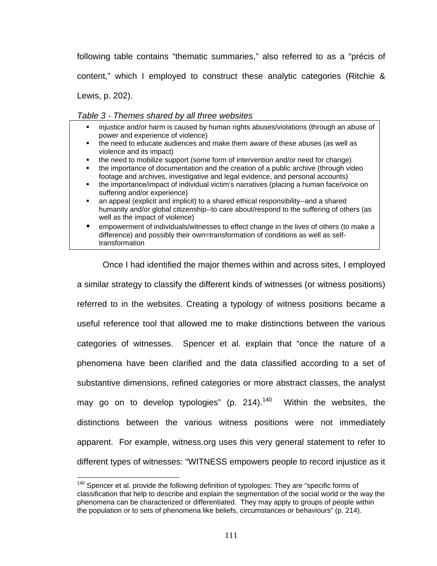following table contains "thematic summaries," also referred to as a "précis of content," which I employed to construct these analytic categories (Ritchie & Lewis, p. 202).

### *Table 3 - Themes shared by all three websites*

- injustice and/or harm is caused by human rights abuses/violations (through an abuse of power and experience of violence)
- the need to educate audiences and make them aware of these abuses (as well as violence and its impact)
- the need to mobilize support (some form of intervention and/or need for change)
- the importance of documentation and the creation of a public archive (through video footage and archives, investigative and legal evidence, and personal accounts)
- the importance/impact of individual victim's narratives (placing a human face/voice on suffering and/or experience)
- an appeal (explicit and implicit) to a shared ethical responsibility--and a shared humanity and/or global citizenship--to care about/respond to the suffering of others (as well as the impact of violence)
- empowerment of individuals/witnesses to effect change in the lives of others (to make a difference) and possibly their own=transformation of conditions as well as selftransformation

Once I had identified the major themes within and across sites, I employed a similar strategy to classify the different kinds of witnesses (or witness positions) referred to in the websites. Creating a typology of witness positions became a useful reference tool that allowed me to make distinctions between the various categories of witnesses. Spencer et al. explain that "once the nature of a phenomena have been clarified and the data classified according to a set of substantive dimensions, refined categories or more abstract classes, the analyst may go on to develop typologies" (p. 214). $140$  Within the websites, the distinctions between the various witness positions were not immediately apparent. For example, witness.org uses this very general statement to refer to different types of witnesses: "WITNESS empowers people to record injustice as it

 $140$  Spencer et al. provide the following definition of typologies: They are "specific forms of classification that help to describe and explain the segmentation of the social world or the way the phenomena can be characterized or differentiated. They may apply to groups of people within the population or to sets of phenomena like beliefs, circumstances or behaviours" (p. 214).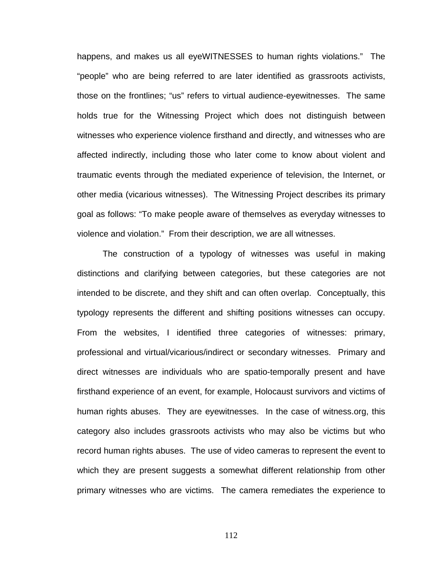happens, and makes us all eyeWITNESSES to human rights violations." The "people" who are being referred to are later identified as grassroots activists, those on the frontlines; "us" refers to virtual audience-eyewitnesses. The same holds true for the Witnessing Project which does not distinguish between witnesses who experience violence firsthand and directly, and witnesses who are affected indirectly, including those who later come to know about violent and traumatic events through the mediated experience of television, the Internet, or other media (vicarious witnesses). The Witnessing Project describes its primary goal as follows: "To make people aware of themselves as everyday witnesses to violence and violation." From their description, we are all witnesses.

The construction of a typology of witnesses was useful in making distinctions and clarifying between categories, but these categories are not intended to be discrete, and they shift and can often overlap. Conceptually, this typology represents the different and shifting positions witnesses can occupy. From the websites, I identified three categories of witnesses: primary, professional and virtual/vicarious/indirect or secondary witnesses. Primary and direct witnesses are individuals who are spatio-temporally present and have firsthand experience of an event, for example, Holocaust survivors and victims of human rights abuses. They are eyewitnesses. In the case of witness.org, this category also includes grassroots activists who may also be victims but who record human rights abuses. The use of video cameras to represent the event to which they are present suggests a somewhat different relationship from other primary witnesses who are victims. The camera remediates the experience to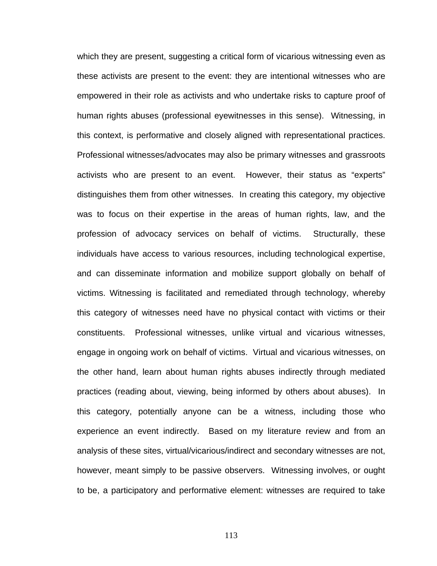which they are present, suggesting a critical form of vicarious witnessing even as these activists are present to the event: they are intentional witnesses who are empowered in their role as activists and who undertake risks to capture proof of human rights abuses (professional eyewitnesses in this sense). Witnessing, in this context, is performative and closely aligned with representational practices. Professional witnesses/advocates may also be primary witnesses and grassroots activists who are present to an event. However, their status as "experts" distinguishes them from other witnesses. In creating this category, my objective was to focus on their expertise in the areas of human rights, law, and the profession of advocacy services on behalf of victims. Structurally, these individuals have access to various resources, including technological expertise, and can disseminate information and mobilize support globally on behalf of victims. Witnessing is facilitated and remediated through technology, whereby this category of witnesses need have no physical contact with victims or their constituents. Professional witnesses, unlike virtual and vicarious witnesses, engage in ongoing work on behalf of victims. Virtual and vicarious witnesses, on the other hand, learn about human rights abuses indirectly through mediated practices (reading about, viewing, being informed by others about abuses). In this category, potentially anyone can be a witness, including those who experience an event indirectly. Based on my literature review and from an analysis of these sites, virtual/vicarious/indirect and secondary witnesses are not, however, meant simply to be passive observers. Witnessing involves, or ought to be, a participatory and performative element: witnesses are required to take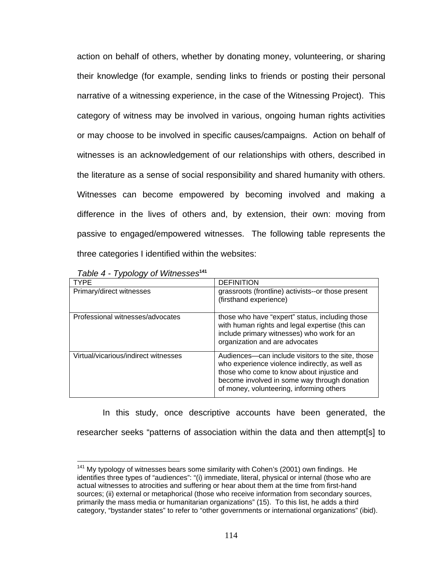action on behalf of others, whether by donating money, volunteering, or sharing their knowledge (for example, sending links to friends or posting their personal narrative of a witnessing experience, in the case of the Witnessing Project). This category of witness may be involved in various, ongoing human rights activities or may choose to be involved in specific causes/campaigns. Action on behalf of witnesses is an acknowledgement of our relationships with others, described in the literature as a sense of social responsibility and shared humanity with others. Witnesses can become empowered by becoming involved and making a difference in the lives of others and, by extension, their own: moving from passive to engaged/empowered witnesses. The following table represents the three categories I identified within the websites:

|  |  | Table 4 - Typology of Witnesses <sup>141</sup> |
|--|--|------------------------------------------------|
|--|--|------------------------------------------------|

 $\overline{a}$ 

| TYPE                                 | <b>DEFINITION</b>                                                                                                                                                                                                                             |
|--------------------------------------|-----------------------------------------------------------------------------------------------------------------------------------------------------------------------------------------------------------------------------------------------|
| Primary/direct witnesses             | grassroots (frontline) activists--or those present<br>(firsthand experience)                                                                                                                                                                  |
| Professional witnesses/advocates     | those who have "expert" status, including those<br>with human rights and legal expertise (this can<br>include primary witnesses) who work for an<br>organization and are advocates                                                            |
| Virtual/vicarious/indirect witnesses | Audiences—can include visitors to the site, those<br>who experience violence indirectly, as well as<br>those who come to know about injustice and<br>become involved in some way through donation<br>of money, volunteering, informing others |

In this study, once descriptive accounts have been generated, the researcher seeks "patterns of association within the data and then attempt[s] to

 $141$  My typology of witnesses bears some similarity with Cohen's (2001) own findings. He identifies three types of "audiences": "(i) immediate, literal, physical or internal (those who are actual witnesses to atrocities and suffering or hear about them at the time from first-hand sources; (ii) external or metaphorical (those who receive information from secondary sources, primarily the mass media or humanitarian organizations" (15). To this list, he adds a third category, "bystander states" to refer to "other governments or international organizations" (ibid).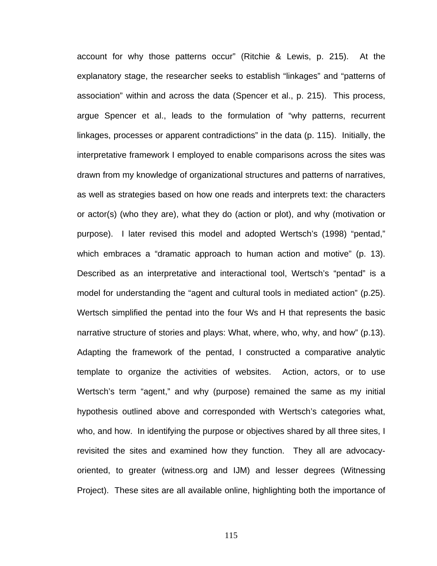account for why those patterns occur" (Ritchie & Lewis, p. 215). At the explanatory stage, the researcher seeks to establish "linkages" and "patterns of association" within and across the data (Spencer et al., p. 215). This process, argue Spencer et al., leads to the formulation of "why patterns, recurrent linkages, processes or apparent contradictions" in the data (p. 115). Initially, the interpretative framework I employed to enable comparisons across the sites was drawn from my knowledge of organizational structures and patterns of narratives, as well as strategies based on how one reads and interprets text: the characters or actor(s) (who they are), what they do (action or plot), and why (motivation or purpose). I later revised this model and adopted Wertsch's (1998) "pentad," which embraces a "dramatic approach to human action and motive" (p. 13). Described as an interpretative and interactional tool, Wertsch's "pentad" is a model for understanding the "agent and cultural tools in mediated action" (p.25). Wertsch simplified the pentad into the four Ws and H that represents the basic narrative structure of stories and plays: What, where, who, why, and how" (p.13). Adapting the framework of the pentad, I constructed a comparative analytic template to organize the activities of websites. Action, actors, or to use Wertsch's term "agent," and why (purpose) remained the same as my initial hypothesis outlined above and corresponded with Wertsch's categories what, who, and how. In identifying the purpose or objectives shared by all three sites, I revisited the sites and examined how they function. They all are advocacyoriented, to greater (witness.org and IJM) and lesser degrees (Witnessing Project). These sites are all available online, highlighting both the importance of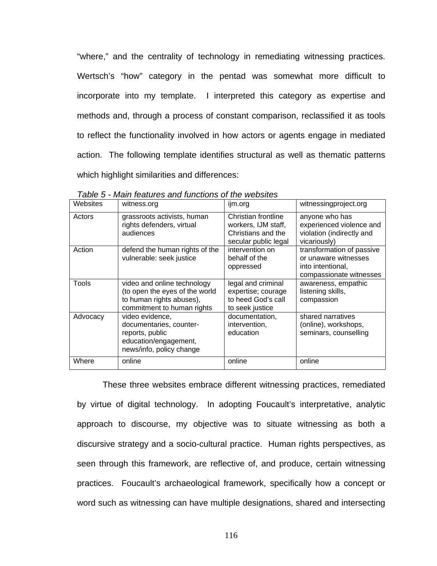"where," and the centrality of technology in remediating witnessing practices. Wertsch's "how" category in the pentad was somewhat more difficult to incorporate into my template. I interpreted this category as expertise and methods and, through a process of constant comparison, reclassified it as tools to reflect the functionality involved in how actors or agents engage in mediated action. The following template identifies structural as well as thematic patterns which highlight similarities and differences:

| Websites | witness.org                                                                                                             | ijm.org                                                                                  | witnessingproject.org                                                                             |
|----------|-------------------------------------------------------------------------------------------------------------------------|------------------------------------------------------------------------------------------|---------------------------------------------------------------------------------------------------|
| Actors   | grassroots activists, human<br>rights defenders, virtual<br>audiences                                                   | Christian frontline<br>workers, IJM staff,<br>Christians and the<br>secular public legal | anyone who has<br>experienced violence and<br>violation (indirectly and<br>vicariously)           |
| Action   | defend the human rights of the<br>vulnerable: seek justice                                                              | intervention on<br>behalf of the<br>oppressed                                            | transformation of passive<br>or unaware witnesses<br>into intentional,<br>compassionate witnesses |
| Tools    | video and online technology<br>(to open the eyes of the world<br>to human rights abuses),<br>commitment to human rights | legal and criminal<br>expertise; courage<br>to heed God's call<br>to seek justice        | awareness, empathic<br>listening skills,<br>compassion                                            |
| Advocacy | video evidence,<br>documentaries, counter-<br>reports, public<br>education/engagement,<br>news/info, policy change      | documentation,<br>intervention,<br>education                                             | shared narratives<br>(online), workshops,<br>seminars, counselling                                |
| Where    | online                                                                                                                  | online                                                                                   | online                                                                                            |

*Table 5 - Main features and functions of the websites* 

These three websites embrace different witnessing practices, remediated by virtue of digital technology. In adopting Foucault's interpretative, analytic approach to discourse, my objective was to situate witnessing as both a discursive strategy and a socio-cultural practice. Human rights perspectives, as seen through this framework, are reflective of, and produce, certain witnessing practices. Foucault's archaeological framework, specifically how a concept or word such as witnessing can have multiple designations, shared and intersecting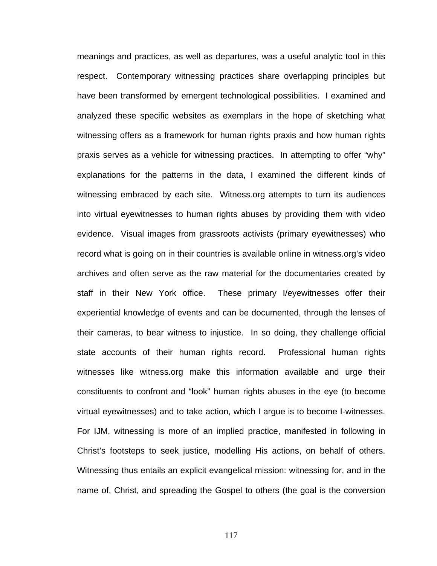meanings and practices, as well as departures, was a useful analytic tool in this respect. Contemporary witnessing practices share overlapping principles but have been transformed by emergent technological possibilities. I examined and analyzed these specific websites as exemplars in the hope of sketching what witnessing offers as a framework for human rights praxis and how human rights praxis serves as a vehicle for witnessing practices. In attempting to offer "why" explanations for the patterns in the data, I examined the different kinds of witnessing embraced by each site. Witness.org attempts to turn its audiences into virtual eyewitnesses to human rights abuses by providing them with video evidence. Visual images from grassroots activists (primary eyewitnesses) who record what is going on in their countries is available online in witness.org's video archives and often serve as the raw material for the documentaries created by staff in their New York office. These primary I/eyewitnesses offer their experiential knowledge of events and can be documented, through the lenses of their cameras, to bear witness to injustice. In so doing, they challenge official state accounts of their human rights record. Professional human rights witnesses like witness.org make this information available and urge their constituents to confront and "look" human rights abuses in the eye (to become virtual eyewitnesses) and to take action, which I argue is to become I-witnesses. For IJM, witnessing is more of an implied practice, manifested in following in Christ's footsteps to seek justice, modelling His actions, on behalf of others. Witnessing thus entails an explicit evangelical mission: witnessing for, and in the name of, Christ, and spreading the Gospel to others (the goal is the conversion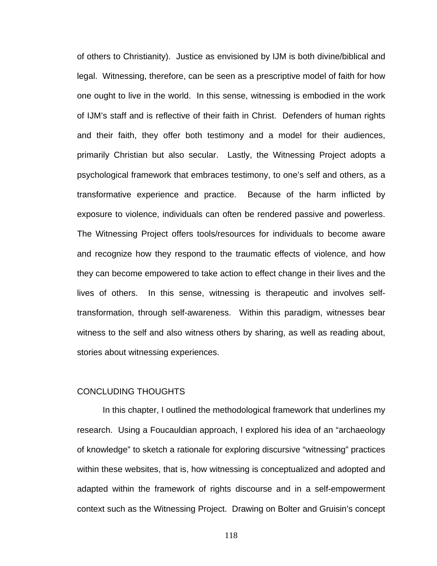of others to Christianity). Justice as envisioned by IJM is both divine/biblical and legal. Witnessing, therefore, can be seen as a prescriptive model of faith for how one ought to live in the world. In this sense, witnessing is embodied in the work of IJM's staff and is reflective of their faith in Christ. Defenders of human rights and their faith, they offer both testimony and a model for their audiences, primarily Christian but also secular. Lastly, the Witnessing Project adopts a psychological framework that embraces testimony, to one's self and others, as a transformative experience and practice. Because of the harm inflicted by exposure to violence, individuals can often be rendered passive and powerless. The Witnessing Project offers tools/resources for individuals to become aware and recognize how they respond to the traumatic effects of violence, and how they can become empowered to take action to effect change in their lives and the lives of others. In this sense, witnessing is therapeutic and involves selftransformation, through self-awareness. Within this paradigm, witnesses bear witness to the self and also witness others by sharing, as well as reading about, stories about witnessing experiences.

### CONCLUDING THOUGHTS

In this chapter, I outlined the methodological framework that underlines my research. Using a Foucauldian approach, I explored his idea of an "archaeology of knowledge" to sketch a rationale for exploring discursive "witnessing" practices within these websites, that is, how witnessing is conceptualized and adopted and adapted within the framework of rights discourse and in a self-empowerment context such as the Witnessing Project. Drawing on Bolter and Gruisin's concept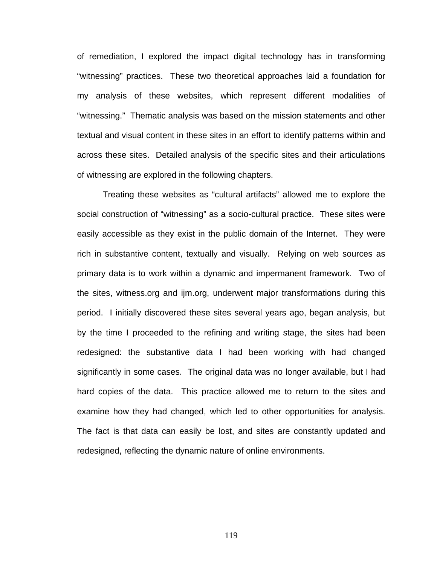of remediation, I explored the impact digital technology has in transforming "witnessing" practices. These two theoretical approaches laid a foundation for my analysis of these websites, which represent different modalities of "witnessing." Thematic analysis was based on the mission statements and other textual and visual content in these sites in an effort to identify patterns within and across these sites. Detailed analysis of the specific sites and their articulations of witnessing are explored in the following chapters.

Treating these websites as "cultural artifacts" allowed me to explore the social construction of "witnessing" as a socio-cultural practice. These sites were easily accessible as they exist in the public domain of the Internet. They were rich in substantive content, textually and visually. Relying on web sources as primary data is to work within a dynamic and impermanent framework. Two of the sites, witness.org and ijm.org, underwent major transformations during this period. I initially discovered these sites several years ago, began analysis, but by the time I proceeded to the refining and writing stage, the sites had been redesigned: the substantive data I had been working with had changed significantly in some cases. The original data was no longer available, but I had hard copies of the data. This practice allowed me to return to the sites and examine how they had changed, which led to other opportunities for analysis. The fact is that data can easily be lost, and sites are constantly updated and redesigned, reflecting the dynamic nature of online environments.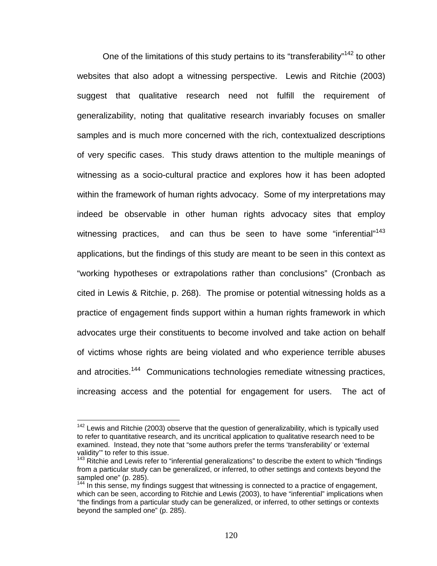One of the limitations of this study pertains to its "transferability"<sup>142</sup> to other websites that also adopt a witnessing perspective. Lewis and Ritchie (2003) suggest that qualitative research need not fulfill the requirement of generalizability, noting that qualitative research invariably focuses on smaller samples and is much more concerned with the rich, contextualized descriptions of very specific cases. This study draws attention to the multiple meanings of witnessing as a socio-cultural practice and explores how it has been adopted within the framework of human rights advocacy. Some of my interpretations may indeed be observable in other human rights advocacy sites that employ witnessing practices, and can thus be seen to have some "inferential"<sup>143</sup> applications, but the findings of this study are meant to be seen in this context as "working hypotheses or extrapolations rather than conclusions" (Cronbach as cited in Lewis & Ritchie, p. 268). The promise or potential witnessing holds as a practice of engagement finds support within a human rights framework in which advocates urge their constituents to become involved and take action on behalf of victims whose rights are being violated and who experience terrible abuses and atrocities.<sup>144</sup> Communications technologies remediate witnessing practices, increasing access and the potential for engagement for users. The act of

 $142$  Lewis and Ritchie (2003) observe that the question of generalizability, which is typically used to refer to quantitative research, and its uncritical application to qualitative research need to be examined. Instead, they note that "some authors prefer the terms 'transferability' or 'external validity'" to refer to this issue.

vallary to refer to this fesse.<br><sup>143</sup> Ritchie and Lewis refer to "inferential generalizations" to describe the extent to which "findings from a particular study can be generalized, or inferred, to other settings and contexts beyond the sampled one" (p. 285).

 $144$  In this sense, my findings suggest that witnessing is connected to a practice of engagement, which can be seen, according to Ritchie and Lewis (2003), to have "inferential" implications when "the findings from a particular study can be generalized, or inferred, to other settings or contexts beyond the sampled one" (p. 285).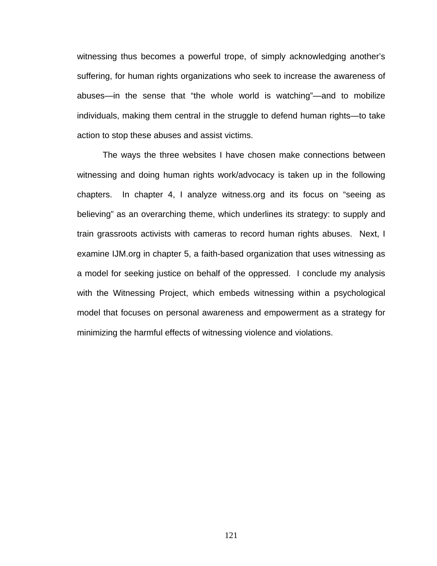witnessing thus becomes a powerful trope, of simply acknowledging another's suffering, for human rights organizations who seek to increase the awareness of abuses—in the sense that "the whole world is watching"—and to mobilize individuals, making them central in the struggle to defend human rights—to take action to stop these abuses and assist victims.

The ways the three websites I have chosen make connections between witnessing and doing human rights work/advocacy is taken up in the following chapters. In chapter 4, I analyze witness.org and its focus on "seeing as believing" as an overarching theme, which underlines its strategy: to supply and train grassroots activists with cameras to record human rights abuses. Next, I examine IJM.org in chapter 5, a faith-based organization that uses witnessing as a model for seeking justice on behalf of the oppressed. I conclude my analysis with the Witnessing Project, which embeds witnessing within a psychological model that focuses on personal awareness and empowerment as a strategy for minimizing the harmful effects of witnessing violence and violations.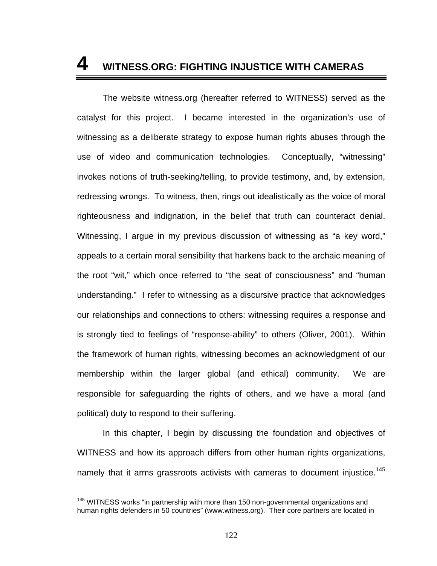# **4 WITNESS.ORG: FIGHTING INJUSTICE WITH CAMERAS**

The website witness.org (hereafter referred to WITNESS) served as the catalyst for this project. I became interested in the organization's use of witnessing as a deliberate strategy to expose human rights abuses through the use of video and communication technologies. Conceptually, "witnessing" invokes notions of truth-seeking/telling, to provide testimony, and, by extension, redressing wrongs. To witness, then, rings out idealistically as the voice of moral righteousness and indignation, in the belief that truth can counteract denial. Witnessing, I argue in my previous discussion of witnessing as "a key word," appeals to a certain moral sensibility that harkens back to the archaic meaning of the root "wit," which once referred to "the seat of consciousness" and "human understanding." I refer to witnessing as a discursive practice that acknowledges our relationships and connections to others: witnessing requires a response and is strongly tied to feelings of "response-ability" to others (Oliver, 2001). Within the framework of human rights, witnessing becomes an acknowledgment of our membership within the larger global (and ethical) community. We are responsible for safeguarding the rights of others, and we have a moral (and political) duty to respond to their suffering.

In this chapter, I begin by discussing the foundation and objectives of WITNESS and how its approach differs from other human rights organizations, namely that it arms grassroots activists with cameras to document injustice.<sup>145</sup>

<sup>&</sup>lt;sup>145</sup> WITNESS works "in partnership with more than 150 non-governmental organizations and human rights defenders in 50 countries" (www.witness.org). Their core partners are located in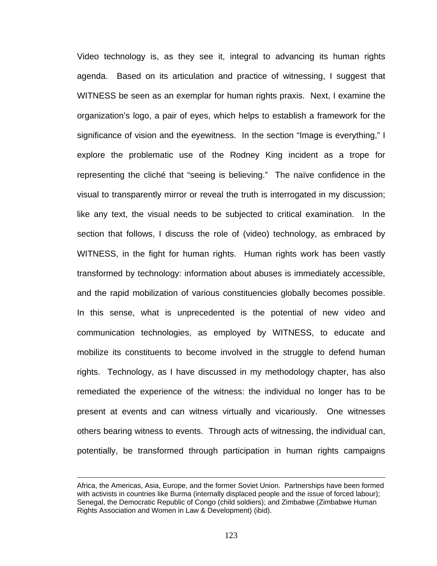Video technology is, as they see it, integral to advancing its human rights agenda. Based on its articulation and practice of witnessing, I suggest that WITNESS be seen as an exemplar for human rights praxis. Next, I examine the organization's logo, a pair of eyes, which helps to establish a framework for the significance of vision and the eyewitness. In the section "Image is everything," I explore the problematic use of the Rodney King incident as a trope for representing the cliché that "seeing is believing." The naïve confidence in the visual to transparently mirror or reveal the truth is interrogated in my discussion; like any text, the visual needs to be subjected to critical examination. In the section that follows, I discuss the role of (video) technology, as embraced by WITNESS, in the fight for human rights. Human rights work has been vastly transformed by technology: information about abuses is immediately accessible, and the rapid mobilization of various constituencies globally becomes possible. In this sense, what is unprecedented is the potential of new video and communication technologies, as employed by WITNESS, to educate and mobilize its constituents to become involved in the struggle to defend human rights. Technology, as I have discussed in my methodology chapter, has also remediated the experience of the witness: the individual no longer has to be present at events and can witness virtually and vicariously. One witnesses others bearing witness to events. Through acts of witnessing, the individual can, potentially, be transformed through participation in human rights campaigns

Africa, the Americas, Asia, Europe, and the former Soviet Union. Partnerships have been formed with activists in countries like Burma (internally displaced people and the issue of forced labour); Senegal, the Democratic Republic of Congo (child soldiers); and Zimbabwe (Zimbabwe Human Rights Association and Women in Law & Development) (ibid).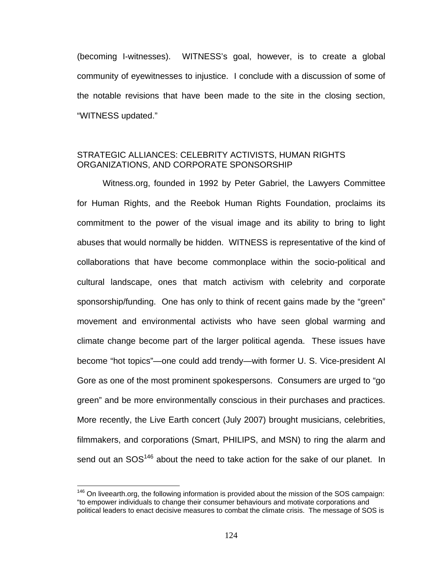(becoming I-witnesses). WITNESS's goal, however, is to create a global community of eyewitnesses to injustice. I conclude with a discussion of some of the notable revisions that have been made to the site in the closing section, "WITNESS updated."

## STRATEGIC ALLIANCES: CELEBRITY ACTIVISTS, HUMAN RIGHTS ORGANIZATIONS, AND CORPORATE SPONSORSHIP

Witness.org, founded in 1992 by Peter Gabriel, the Lawyers Committee for Human Rights, and the Reebok Human Rights Foundation, proclaims its commitment to the power of the visual image and its ability to bring to light abuses that would normally be hidden. WITNESS is representative of the kind of collaborations that have become commonplace within the socio-political and cultural landscape, ones that match activism with celebrity and corporate sponsorship/funding. One has only to think of recent gains made by the "green" movement and environmental activists who have seen global warming and climate change become part of the larger political agenda. These issues have become "hot topics"—one could add trendy—with former U. S. Vice-president Al Gore as one of the most prominent spokespersons. Consumers are urged to "go green" and be more environmentally conscious in their purchases and practices. More recently, the Live Earth concert (July 2007) brought musicians, celebrities, filmmakers, and corporations (Smart, PHILIPS, and MSN) to ring the alarm and send out an SOS<sup>146</sup> about the need to take action for the sake of our planet. In

<sup>&</sup>lt;sup>146</sup> On liveearth.org, the following information is provided about the mission of the SOS campaign: "to empower individuals to change their consumer behaviours and motivate corporations and political leaders to enact decisive measures to combat the climate crisis. The message of SOS is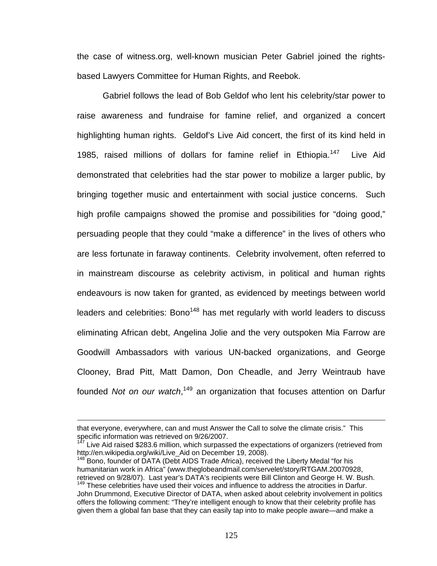the case of witness.org, well-known musician Peter Gabriel joined the rightsbased Lawyers Committee for Human Rights, and Reebok.

Gabriel follows the lead of Bob Geldof who lent his celebrity/star power to raise awareness and fundraise for famine relief, and organized a concert highlighting human rights. Geldof's Live Aid concert, the first of its kind held in 1985, raised millions of dollars for famine relief in Ethiopia.<sup>147</sup> Live Aid demonstrated that celebrities had the star power to mobilize a larger public, by bringing together music and entertainment with social justice concerns. Such high profile campaigns showed the promise and possibilities for "doing good," persuading people that they could "make a difference" in the lives of others who are less fortunate in faraway continents. Celebrity involvement, often referred to in mainstream discourse as celebrity activism, in political and human rights endeavours is now taken for granted, as evidenced by meetings between world leaders and celebrities: Bono<sup>148</sup> has met regularly with world leaders to discuss eliminating African debt, Angelina Jolie and the very outspoken Mia Farrow are Goodwill Ambassadors with various UN-backed organizations, and George Clooney, Brad Pitt, Matt Damon, Don Cheadle, and Jerry Weintraub have founded *Not on our watch*, 149 an organization that focuses attention on Darfur

that everyone, everywhere, can and must Answer the Call to solve the climate crisis." This specific information was retrieved on 9/26/2007.

 $147$  Live Aid raised \$283.6 million, which surpassed the expectations of organizers (retrieved from http://en.wikipedia.org/wiki/Live\_Aid on December 19, 2008).<br><sup>148</sup> Bono, founder of DATA (Debt AIDS Trade Africa), received the Liberty Medal "for his

humanitarian work in Africa" (www.theglobeandmail.com/servelet/story/RTGAM.20070928, retrieved on 9/28/07). Last year's DATA's recipients were Bill Clinton and George H. W. Bush.<br><sup>149</sup> These celebrities have used their voices and influence to address the atrocities in Darfur.

John Drummond, Executive Director of DATA, when asked about celebrity involvement in politics offers the following comment: "They're intelligent enough to know that their celebrity profile has given them a global fan base that they can easily tap into to make people aware—and make a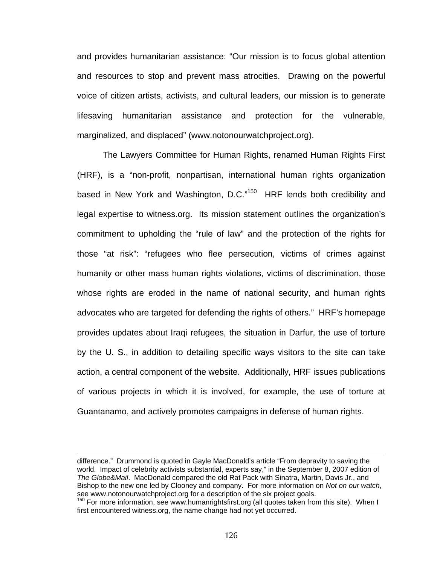and provides humanitarian assistance: "Our mission is to focus global attention and resources to stop and prevent mass atrocities. Drawing on the powerful voice of citizen artists, activists, and cultural leaders, our mission is to generate lifesaving humanitarian assistance and protection for the vulnerable, marginalized, and displaced" (www.notonourwatchproject.org).

The Lawyers Committee for Human Rights, renamed Human Rights First (HRF), is a "non-profit, nonpartisan, international human rights organization based in New York and Washington, D.C."<sup>150</sup> HRF lends both credibility and legal expertise to witness.org. Its mission statement outlines the organization's commitment to upholding the "rule of law" and the protection of the rights for those "at risk": "refugees who flee persecution, victims of crimes against humanity or other mass human rights violations, victims of discrimination, those whose rights are eroded in the name of national security, and human rights advocates who are targeted for defending the rights of others." HRF's homepage provides updates about Iraqi refugees, the situation in Darfur, the use of torture by the U. S., in addition to detailing specific ways visitors to the site can take action, a central component of the website. Additionally, HRF issues publications of various projects in which it is involved, for example, the use of torture at Guantanamo, and actively promotes campaigns in defense of human rights.

difference." Drummond is quoted in Gayle MacDonald's article "From depravity to saving the world. Impact of celebrity activists substantial, experts say," in the September 8, 2007 edition of *The Globe&Mail*. MacDonald compared the old Rat Pack with Sinatra, Martin, Davis Jr., and Bishop to the new one led by Clooney and company. For more information on *Not on our watch*,

 $150$  For more information, see www.humanrightsfirst.org (all quotes taken from this site). When I first encountered witness.org, the name change had not yet occurred.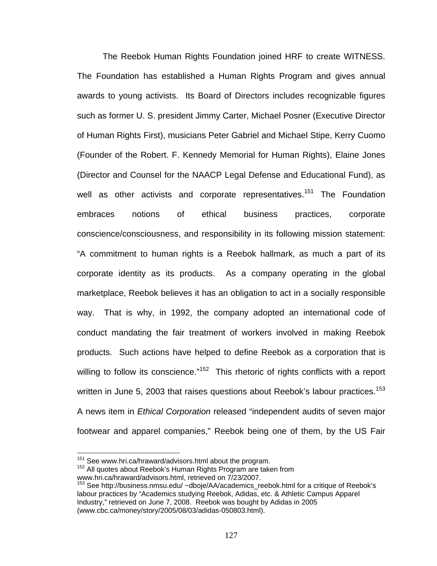The Reebok Human Rights Foundation joined HRF to create WITNESS. The Foundation has established a Human Rights Program and gives annual awards to young activists. Its Board of Directors includes recognizable figures such as former U. S. president Jimmy Carter, Michael Posner (Executive Director of Human Rights First), musicians Peter Gabriel and Michael Stipe, Kerry Cuomo (Founder of the Robert. F. Kennedy Memorial for Human Rights), Elaine Jones (Director and Counsel for the NAACP Legal Defense and Educational Fund), as well as other activists and corporate representatives.<sup>151</sup> The Foundation embraces notions of ethical business practices, corporate conscience/consciousness, and responsibility in its following mission statement: "A commitment to human rights is a Reebok hallmark, as much a part of its corporate identity as its products. As a company operating in the global marketplace, Reebok believes it has an obligation to act in a socially responsible way. That is why, in 1992, the company adopted an international code of conduct mandating the fair treatment of workers involved in making Reebok products. Such actions have helped to define Reebok as a corporation that is willing to follow its conscience."<sup>152</sup> This rhetoric of rights conflicts with a report written in June 5, 2003 that raises questions about Reebok's labour practices.<sup>153</sup> A news item in *Ethical Corporation* released "independent audits of seven major footwear and apparel companies," Reebok being one of them, by the US Fair

<sup>&</sup>lt;sup>151</sup> See www.hri.ca/hraward/advisors.html about the program.

<sup>&</sup>lt;sup>152</sup> All quotes about Reebok's Human Rights Program are taken from

www.hri.ca/hraward/advisors.html, retrieved on 7/23/2007.

<sup>153</sup> See http://business.nmsu.edu/ ~dboje/AA/academics\_reebok.html for a critique of Reebok's labour practices by "Academics studying Reebok, Adidas, etc. & Athletic Campus Apparel Industry," retrieved on June 7, 2008. Reebok was bought by Adidas in 2005 (www.cbc.ca/money/story/2005/08/03/adidas-050803.html).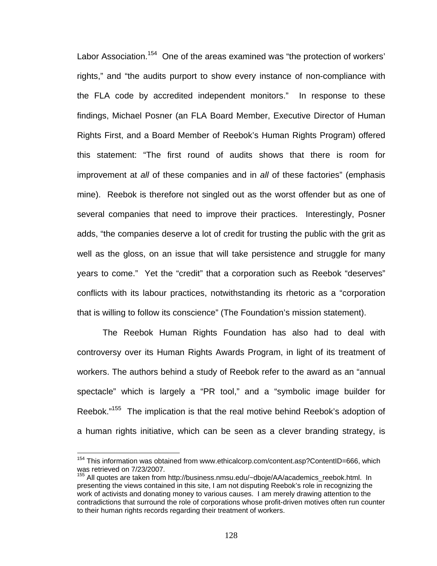Labor Association.<sup>154</sup> One of the areas examined was "the protection of workers' rights," and "the audits purport to show every instance of non-compliance with the FLA code by accredited independent monitors." In response to these findings, Michael Posner (an FLA Board Member, Executive Director of Human Rights First, and a Board Member of Reebok's Human Rights Program) offered this statement: "The first round of audits shows that there is room for improvement at *all* of these companies and in *all* of these factories" (emphasis mine). Reebok is therefore not singled out as the worst offender but as one of several companies that need to improve their practices. Interestingly, Posner adds, "the companies deserve a lot of credit for trusting the public with the grit as well as the gloss, on an issue that will take persistence and struggle for many years to come." Yet the "credit" that a corporation such as Reebok "deserves" conflicts with its labour practices, notwithstanding its rhetoric as a "corporation that is willing to follow its conscience" (The Foundation's mission statement).

The Reebok Human Rights Foundation has also had to deal with controversy over its Human Rights Awards Program, in light of its treatment of workers. The authors behind a study of Reebok refer to the award as an "annual spectacle" which is largely a "PR tool," and a "symbolic image builder for Reebok."155 The implication is that the real motive behind Reebok's adoption of a human rights initiative, which can be seen as a clever branding strategy, is

<sup>&</sup>lt;sup>154</sup> This information was obtained from www.ethicalcorp.com/content.asp?ContentID=666, which was retrieved on 7/23/2007.

<sup>&</sup>lt;sup>155</sup> All quotes are taken from http://business.nmsu.edu/~dboje/AA/academics\_reebok.html. In presenting the views contained in this site, I am not disputing Reebok's role in recognizing the work of activists and donating money to various causes. I am merely drawing attention to the contradictions that surround the role of corporations whose profit-driven motives often run counter to their human rights records regarding their treatment of workers.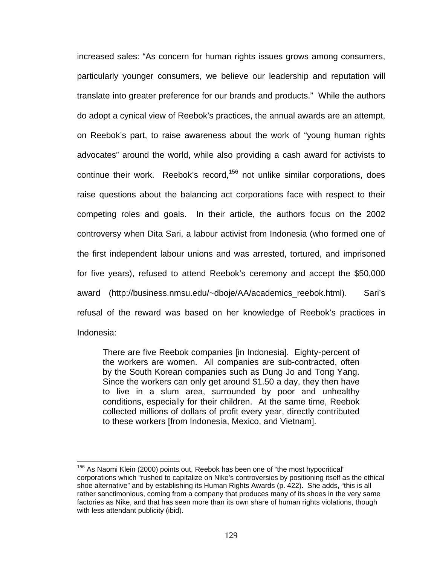increased sales: "As concern for human rights issues grows among consumers, particularly younger consumers, we believe our leadership and reputation will translate into greater preference for our brands and products." While the authors do adopt a cynical view of Reebok's practices, the annual awards are an attempt, on Reebok's part, to raise awareness about the work of "young human rights advocates" around the world, while also providing a cash award for activists to continue their work. Reebok's record, $156$  not unlike similar corporations, does raise questions about the balancing act corporations face with respect to their competing roles and goals. In their article, the authors focus on the 2002 controversy when Dita Sari, a labour activist from Indonesia (who formed one of the first independent labour unions and was arrested, tortured, and imprisoned for five years), refused to attend Reebok's ceremony and accept the \$50,000 award (http://business.nmsu.edu/~dboje/AA/academics\_reebok.html). Sari's refusal of the reward was based on her knowledge of Reebok's practices in Indonesia:

There are five Reebok companies [in Indonesia]. Eighty-percent of the workers are women. All companies are sub-contracted, often by the South Korean companies such as Dung Jo and Tong Yang. Since the workers can only get around \$1.50 a day, they then have to live in a slum area, surrounded by poor and unhealthy conditions, especially for their children. At the same time, Reebok collected millions of dollars of profit every year, directly contributed to these workers [from Indonesia, Mexico, and Vietnam].

 $156$  As Naomi Klein (2000) points out, Reebok has been one of "the most hypocritical" corporations which "rushed to capitalize on Nike's controversies by positioning itself as the ethical shoe alternative" and by establishing its Human Rights Awards (p. 422). She adds, "this is all rather sanctimonious, coming from a company that produces many of its shoes in the very same factories as Nike, and that has seen more than its own share of human rights violations, though with less attendant publicity (ibid).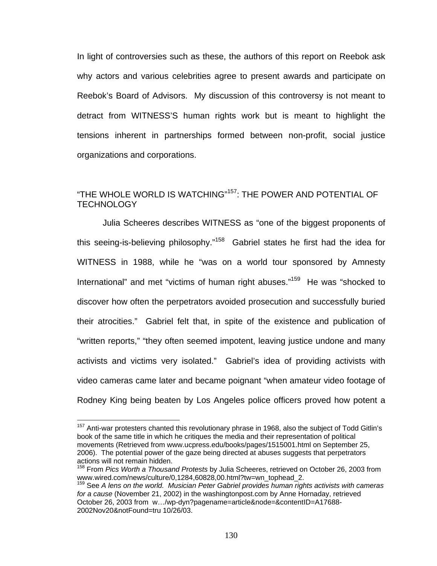In light of controversies such as these, the authors of this report on Reebok ask why actors and various celebrities agree to present awards and participate on Reebok's Board of Advisors. My discussion of this controversy is not meant to detract from WITNESS'S human rights work but is meant to highlight the tensions inherent in partnerships formed between non-profit, social justice organizations and corporations.

# "THE WHOLE WORLD IS WATCHING"157: THE POWER AND POTENTIAL OF **TECHNOLOGY**

Julia Scheeres describes WITNESS as "one of the biggest proponents of this seeing-is-believing philosophy."158 Gabriel states he first had the idea for WITNESS in 1988, while he "was on a world tour sponsored by Amnesty International" and met "victims of human right abuses."<sup>159</sup> He was "shocked to discover how often the perpetrators avoided prosecution and successfully buried their atrocities." Gabriel felt that, in spite of the existence and publication of "written reports," "they often seemed impotent, leaving justice undone and many activists and victims very isolated." Gabriel's idea of providing activists with video cameras came later and became poignant "when amateur video footage of Rodney King being beaten by Los Angeles police officers proved how potent a

 $157$  Anti-war protesters chanted this revolutionary phrase in 1968, also the subject of Todd Gitlin's book of the same title in which he critiques the media and their representation of political movements (Retrieved from www.ucpress.edu/books/pages/1515001.html on September 25, 2006). The potential power of the gaze being directed at abuses suggests that perpetrators actions will not remain hidden.

<sup>158</sup> From *Pics Worth a Thousand Protests* by Julia Scheeres, retrieved on October 26, 2003 from

www.wired.com/news/culture/0,1284,60828,00.html?tw=wn\_tophead\_2. 159 See *A lens on the world. Musician Peter Gabriel provides human rights activists with cameras for a cause* (November 21, 2002) in the washingtonpost.com by Anne Hornaday, retrieved October 26, 2003 from w…/wp-dyn?pagename=article&node=&contentID=A17688- 2002Nov20&notFound=tru 10/26/03.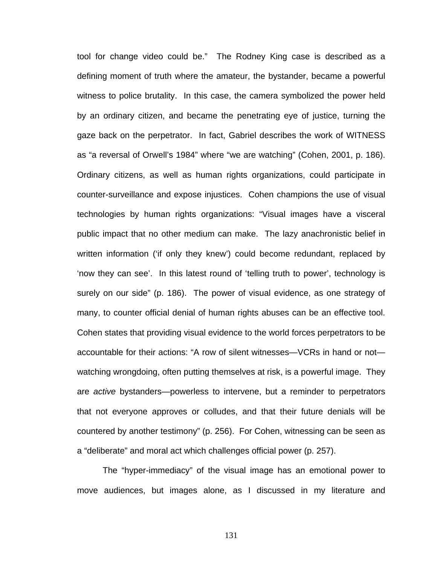tool for change video could be." The Rodney King case is described as a defining moment of truth where the amateur, the bystander, became a powerful witness to police brutality. In this case, the camera symbolized the power held by an ordinary citizen, and became the penetrating eye of justice, turning the gaze back on the perpetrator. In fact, Gabriel describes the work of WITNESS as "a reversal of Orwell's 1984" where "we are watching" (Cohen, 2001, p. 186). Ordinary citizens, as well as human rights organizations, could participate in counter-surveillance and expose injustices. Cohen champions the use of visual technologies by human rights organizations: "Visual images have a visceral public impact that no other medium can make. The lazy anachronistic belief in written information ('if only they knew') could become redundant, replaced by 'now they can see'. In this latest round of 'telling truth to power', technology is surely on our side" (p. 186). The power of visual evidence, as one strategy of many, to counter official denial of human rights abuses can be an effective tool. Cohen states that providing visual evidence to the world forces perpetrators to be accountable for their actions: "A row of silent witnesses—VCRs in hand or not watching wrongdoing, often putting themselves at risk, is a powerful image. They are *active* bystanders—powerless to intervene, but a reminder to perpetrators that not everyone approves or colludes, and that their future denials will be countered by another testimony" (p. 256). For Cohen, witnessing can be seen as a "deliberate" and moral act which challenges official power (p. 257).

The "hyper-immediacy" of the visual image has an emotional power to move audiences, but images alone, as I discussed in my literature and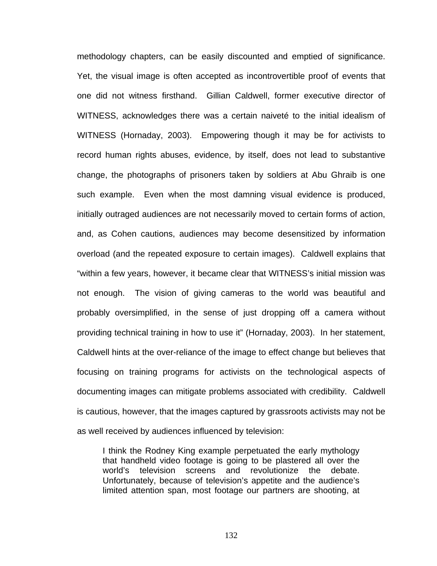methodology chapters, can be easily discounted and emptied of significance. Yet, the visual image is often accepted as incontrovertible proof of events that one did not witness firsthand. Gillian Caldwell, former executive director of WITNESS, acknowledges there was a certain naiveté to the initial idealism of WITNESS (Hornaday, 2003). Empowering though it may be for activists to record human rights abuses, evidence, by itself, does not lead to substantive change, the photographs of prisoners taken by soldiers at Abu Ghraib is one such example. Even when the most damning visual evidence is produced, initially outraged audiences are not necessarily moved to certain forms of action, and, as Cohen cautions, audiences may become desensitized by information overload (and the repeated exposure to certain images). Caldwell explains that "within a few years, however, it became clear that WITNESS's initial mission was not enough. The vision of giving cameras to the world was beautiful and probably oversimplified, in the sense of just dropping off a camera without providing technical training in how to use it" (Hornaday, 2003). In her statement, Caldwell hints at the over-reliance of the image to effect change but believes that focusing on training programs for activists on the technological aspects of documenting images can mitigate problems associated with credibility. Caldwell is cautious, however, that the images captured by grassroots activists may not be as well received by audiences influenced by television:

I think the Rodney King example perpetuated the early mythology that handheld video footage is going to be plastered all over the world's television screens and revolutionize the debate. Unfortunately, because of television's appetite and the audience's limited attention span, most footage our partners are shooting, at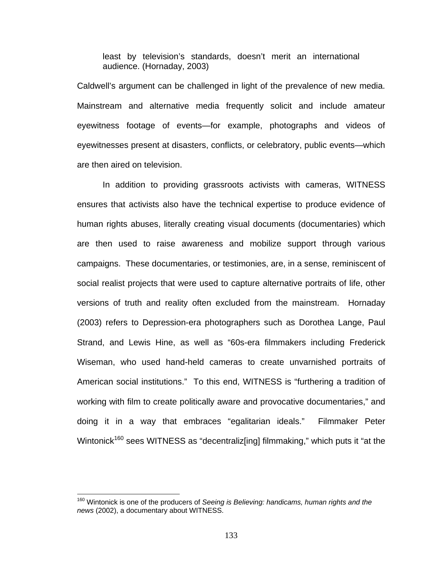least by television's standards, doesn't merit an international audience. (Hornaday, 2003)

Caldwell's argument can be challenged in light of the prevalence of new media. Mainstream and alternative media frequently solicit and include amateur eyewitness footage of events—for example, photographs and videos of eyewitnesses present at disasters, conflicts, or celebratory, public events—which are then aired on television.

In addition to providing grassroots activists with cameras, WITNESS ensures that activists also have the technical expertise to produce evidence of human rights abuses, literally creating visual documents (documentaries) which are then used to raise awareness and mobilize support through various campaigns. These documentaries, or testimonies, are, in a sense, reminiscent of social realist projects that were used to capture alternative portraits of life, other versions of truth and reality often excluded from the mainstream. Hornaday (2003) refers to Depression-era photographers such as Dorothea Lange, Paul Strand, and Lewis Hine, as well as "60s-era filmmakers including Frederick Wiseman, who used hand-held cameras to create unvarnished portraits of American social institutions." To this end, WITNESS is "furthering a tradition of working with film to create politically aware and provocative documentaries," and doing it in a way that embraces "egalitarian ideals." Filmmaker Peter Wintonick<sup>160</sup> sees WITNESS as "decentraliz[ing] filmmaking," which puts it "at the

<sup>160</sup> Wintonick is one of the producers of *Seeing is Believing: handicams, human rights and the news* (2002), a documentary about WITNESS.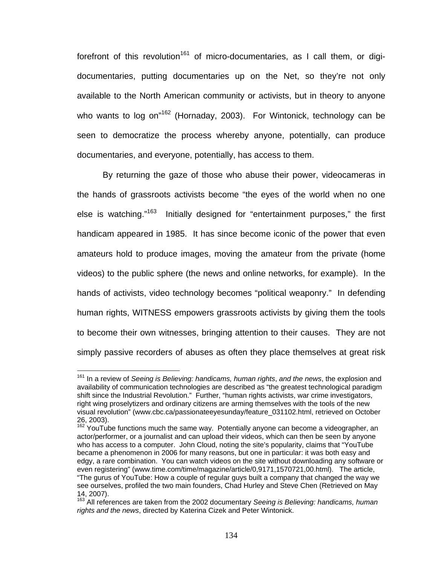forefront of this revolution<sup>161</sup> of micro-documentaries, as I call them, or digidocumentaries, putting documentaries up on the Net, so they're not only available to the North American community or activists, but in theory to anyone who wants to log on<sup>"162</sup> (Hornaday, 2003). For Wintonick, technology can be seen to democratize the process whereby anyone, potentially, can produce documentaries, and everyone, potentially, has access to them.

By returning the gaze of those who abuse their power, videocameras in the hands of grassroots activists become "the eyes of the world when no one else is watching."163 Initially designed for "entertainment purposes," the first handicam appeared in 1985. It has since become iconic of the power that even amateurs hold to produce images, moving the amateur from the private (home videos) to the public sphere (the news and online networks, for example). In the hands of activists, video technology becomes "political weaponry." In defending human rights, WITNESS empowers grassroots activists by giving them the tools to become their own witnesses, bringing attention to their causes. They are not simply passive recorders of abuses as often they place themselves at great risk

 $\overline{a}$ 161 In a review of *Seeing is Believing: handicams, human rights*, *and the news*, the explosion and availability of communication technologies are described as "the greatest technological paradigm shift since the Industrial Revolution." Further, "human rights activists, war crime investigators, right wing proselytizers and ordinary citizens are arming themselves with the tools of the new visual revolution" (www.cbc.ca/passionateeyesunday/feature\_031102.html, retrieved on October 26, 2003).

<sup>&</sup>lt;sup>162</sup> YouTube functions much the same way. Potentially anyone can become a videographer, an actor/performer, or a journalist and can upload their videos, which can then be seen by anyone who has access to a computer. John Cloud, noting the site's popularity, claims that "YouTube became a phenomenon in 2006 for many reasons, but one in particular: it was both easy and edgy, a rare combination. You can watch videos on the site without downloading any software or even registering" (www.time.com/time/magazine/article/0,9171,1570721,00.html). The article, "The gurus of YouTube: How a couple of regular guys built a company that changed the way we see ourselves, profiled the two main founders, Chad Hurley and Steve Chen (Retrieved on May 14, 2007).

<sup>163</sup> All references are taken from the 2002 documentary *Seeing is Believing: handicams, human rights and the news*, directed by Katerina Cizek and Peter Wintonick.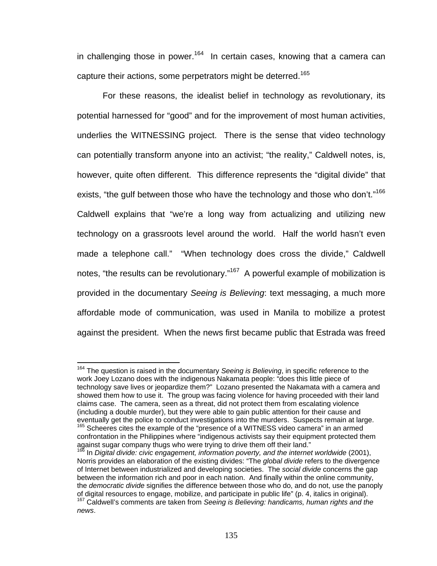in challenging those in power.<sup>164</sup> In certain cases, knowing that a camera can capture their actions, some perpetrators might be deterred.<sup>165</sup>

 For these reasons, the idealist belief in technology as revolutionary, its potential harnessed for "good" and for the improvement of most human activities, underlies the WITNESSING project. There is the sense that video technology can potentially transform anyone into an activist; "the reality," Caldwell notes, is, however, quite often different. This difference represents the "digital divide" that exists, "the gulf between those who have the technology and those who don't."<sup>166</sup> Caldwell explains that "we're a long way from actualizing and utilizing new technology on a grassroots level around the world. Half the world hasn't even made a telephone call." "When technology does cross the divide," Caldwell notes, "the results can be revolutionary."<sup>167</sup> A powerful example of mobilization is provided in the documentary *Seeing is Believing*: text messaging, a much more affordable mode of communication, was used in Manila to mobilize a protest against the president. When the news first became public that Estrada was freed

 $\overline{a}$ 164 The question is raised in the documentary *Seeing is Believing*, in specific reference to the work Joey Lozano does with the indigenous Nakamata people: "does this little piece of technology save lives or jeopardize them?" Lozano presented the Nakamata with a camera and showed them how to use it. The group was facing violence for having proceeded with their land claims case. The camera, seen as a threat, did not protect them from escalating violence (including a double murder), but they were able to gain public attention for their cause and eventually get the police to conduct investigations into the murders. Suspects remain at large.<br><sup>165</sup> Scheeres cites the example of the "presence of a WITNESS video camera" in an armed

confrontation in the Philippines where "indigenous activists say their equipment protected them against sugar company thugs who were trying to drive them off their land."

<sup>166</sup> In *Digital divide: civic engagement, information poverty, and the internet worldwide* (2001), Norris provides an elaboration of the existing divides: "The *global divide* refers to the divergence of Internet between industrialized and developing societies. The *social divide* concerns the gap between the information rich and poor in each nation. And finally within the online community, the *democratic divide* signifies the difference between those who do, and do not, use the panoply of digital resources to engage, mobilize, and participate in public life" (p. 4, italics in original).

<sup>&</sup>lt;sup>167</sup> Caldwell's comments are taken from Seeing is Believing: handicams, human rights and the *news*.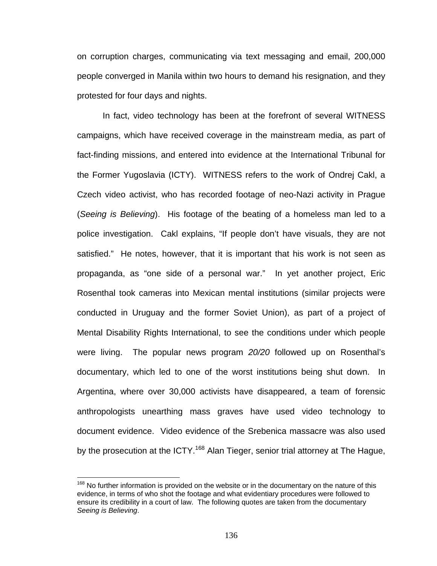on corruption charges, communicating via text messaging and email, 200,000 people converged in Manila within two hours to demand his resignation, and they protested for four days and nights.

In fact, video technology has been at the forefront of several WITNESS campaigns, which have received coverage in the mainstream media, as part of fact-finding missions, and entered into evidence at the International Tribunal for the Former Yugoslavia (ICTY). WITNESS refers to the work of Ondrej Cakl, a Czech video activist, who has recorded footage of neo-Nazi activity in Prague (*Seeing is Believing*). His footage of the beating of a homeless man led to a police investigation. Cakl explains, "If people don't have visuals, they are not satisfied." He notes, however, that it is important that his work is not seen as propaganda, as "one side of a personal war." In yet another project, Eric Rosenthal took cameras into Mexican mental institutions (similar projects were conducted in Uruguay and the former Soviet Union), as part of a project of Mental Disability Rights International, to see the conditions under which people were living. The popular news program *20/20* followed up on Rosenthal's documentary, which led to one of the worst institutions being shut down. In Argentina, where over 30,000 activists have disappeared, a team of forensic anthropologists unearthing mass graves have used video technology to document evidence. Video evidence of the Srebenica massacre was also used by the prosecution at the ICTY.<sup>168</sup> Alan Tieger, senior trial attorney at The Hague,

<u>.</u>

<sup>&</sup>lt;sup>168</sup> No further information is provided on the website or in the documentary on the nature of this evidence, in terms of who shot the footage and what evidentiary procedures were followed to ensure its credibility in a court of law. The following quotes are taken from the documentary *Seeing is Believing*.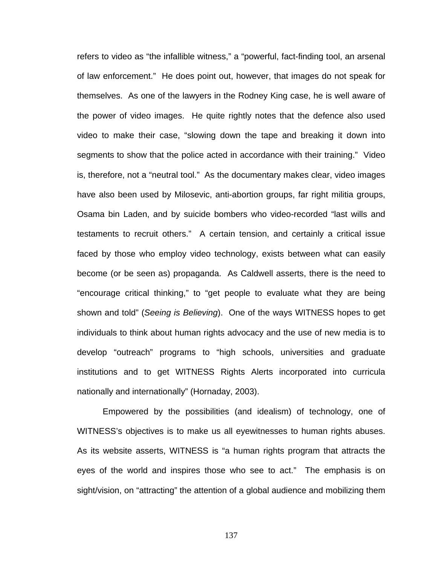refers to video as "the infallible witness," a "powerful, fact-finding tool, an arsenal of law enforcement." He does point out, however, that images do not speak for themselves. As one of the lawyers in the Rodney King case, he is well aware of the power of video images. He quite rightly notes that the defence also used video to make their case, "slowing down the tape and breaking it down into segments to show that the police acted in accordance with their training." Video is, therefore, not a "neutral tool." As the documentary makes clear, video images have also been used by Milosevic, anti-abortion groups, far right militia groups, Osama bin Laden, and by suicide bombers who video-recorded "last wills and testaments to recruit others." A certain tension, and certainly a critical issue faced by those who employ video technology, exists between what can easily become (or be seen as) propaganda. As Caldwell asserts, there is the need to "encourage critical thinking," to "get people to evaluate what they are being shown and told" (*Seeing is Believing*). One of the ways WITNESS hopes to get individuals to think about human rights advocacy and the use of new media is to develop "outreach" programs to "high schools, universities and graduate institutions and to get WITNESS Rights Alerts incorporated into curricula nationally and internationally" (Hornaday, 2003).

Empowered by the possibilities (and idealism) of technology, one of WITNESS's objectives is to make us all eyewitnesses to human rights abuses. As its website asserts, WITNESS is "a human rights program that attracts the eyes of the world and inspires those who see to act." The emphasis is on sight/vision, on "attracting" the attention of a global audience and mobilizing them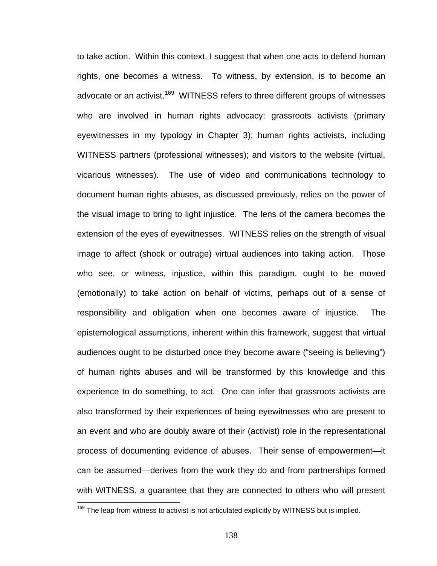to take action. Within this context, I suggest that when one acts to defend human rights, one becomes a witness. To witness, by extension, is to become an advocate or an activist.<sup>169</sup> WITNESS refers to three different groups of witnesses who are involved in human rights advocacy: grassroots activists (primary eyewitnesses in my typology in Chapter 3); human rights activists, including WITNESS partners (professional witnesses); and visitors to the website (virtual, vicarious witnesses). The use of video and communications technology to document human rights abuses, as discussed previously, relies on the power of the visual image to bring to light injustice. The lens of the camera becomes the extension of the eyes of eyewitnesses. WITNESS relies on the strength of visual image to affect (shock or outrage) virtual audiences into taking action. Those who see, or witness, injustice, within this paradigm, ought to be moved (emotionally) to take action on behalf of victims, perhaps out of a sense of responsibility and obligation when one becomes aware of injustice. The epistemological assumptions, inherent within this framework, suggest that virtual audiences ought to be disturbed once they become aware ("seeing is believing") of human rights abuses and will be transformed by this knowledge and this experience to do something, to act. One can infer that grassroots activists are also transformed by their experiences of being eyewitnesses who are present to an event and who are doubly aware of their (activist) role in the representational process of documenting evidence of abuses. Their sense of empowerment—it can be assumed—derives from the work they do and from partnerships formed with WITNESS, a guarantee that they are connected to others who will present

 $169$  The leap from witness to activist is not articulated explicitly by WITNESS but is implied.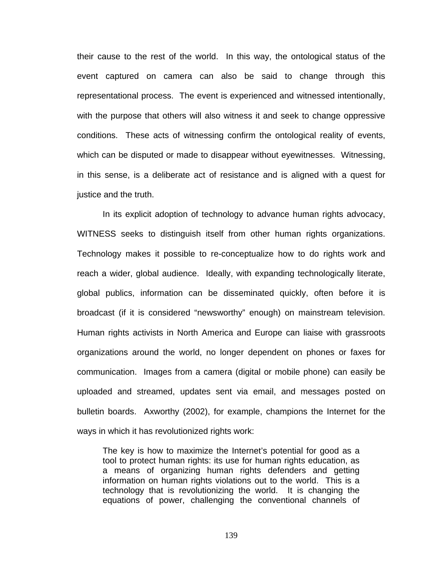their cause to the rest of the world. In this way, the ontological status of the event captured on camera can also be said to change through this representational process. The event is experienced and witnessed intentionally, with the purpose that others will also witness it and seek to change oppressive conditions. These acts of witnessing confirm the ontological reality of events, which can be disputed or made to disappear without eyewitnesses. Witnessing, in this sense, is a deliberate act of resistance and is aligned with a quest for justice and the truth.

In its explicit adoption of technology to advance human rights advocacy, WITNESS seeks to distinguish itself from other human rights organizations. Technology makes it possible to re-conceptualize how to do rights work and reach a wider, global audience. Ideally, with expanding technologically literate, global publics, information can be disseminated quickly, often before it is broadcast (if it is considered "newsworthy" enough) on mainstream television. Human rights activists in North America and Europe can liaise with grassroots organizations around the world, no longer dependent on phones or faxes for communication. Images from a camera (digital or mobile phone) can easily be uploaded and streamed, updates sent via email, and messages posted on bulletin boards. Axworthy (2002), for example, champions the Internet for the ways in which it has revolutionized rights work:

The key is how to maximize the Internet's potential for good as a tool to protect human rights: its use for human rights education, as a means of organizing human rights defenders and getting information on human rights violations out to the world. This is a technology that is revolutionizing the world. It is changing the equations of power, challenging the conventional channels of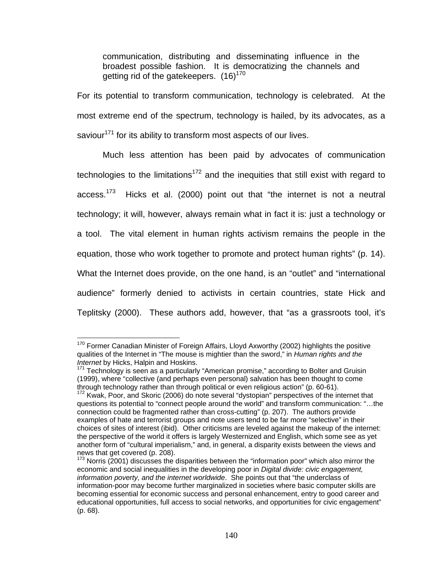communication, distributing and disseminating influence in the broadest possible fashion. It is democratizing the channels and getting rid of the gatekeepers. (16)<sup>170</sup>

For its potential to transform communication, technology is celebrated. At the most extreme end of the spectrum, technology is hailed, by its advocates, as a saviour<sup>171</sup> for its ability to transform most aspects of our lives.

Much less attention has been paid by advocates of communication technologies to the limitations<sup>172</sup> and the inequities that still exist with regard to access.<sup>173</sup> Hicks et al. (2000) point out that "the internet is not a neutral technology; it will, however, always remain what in fact it is: just a technology or a tool. The vital element in human rights activism remains the people in the equation, those who work together to promote and protect human rights" (p. 14). What the Internet does provide, on the one hand, is an "outlet" and "international audience" formerly denied to activists in certain countries, state Hick and Teplitsky (2000). These authors add, however, that "as a grassroots tool, it's

 $\overline{a}$  $170$  Former Canadian Minister of Foreign Affairs, Lloyd Axworthy (2002) highlights the positive qualities of the Internet in "The mouse is mightier than the sword," in *Human rights and the Internet* by Hicks, Halpin and Hoskins.<br><sup>171</sup> Technology is seen as a particularly "American promise," according to Bolter and Gruisin

<sup>(1999),</sup> where "collective (and perhaps even personal) salvation has been thought to come through technology rather than through political or even religious action" (p. 60-61).

 $172$  Kwak, Poor, and Skoric (2006) do note several "dystopian" perspectives of the internet that questions its potential to "connect people around the world" and transform communication: "…the connection could be fragmented rather than cross-cutting" (p. 207). The authors provide examples of hate and terrorist groups and note users tend to be far more "selective" in their choices of sites of interest (ibid). Other criticisms are leveled against the makeup of the internet: the perspective of the world it offers is largely Westernized and English, which some see as yet another form of "cultural imperialism," and, in general, a disparity exists between the views and news that get covered (p. 208).

 $173$  Norris (2001) discusses the disparities between the "information poor" which also mirror the economic and social inequalities in the developing poor in *Digital divide: civic engagement, information poverty, and the internet worldwide*. She points out that "the underclass of information-poor may become further marginalized in societies where basic computer skills are becoming essential for economic success and personal enhancement, entry to good career and educational opportunities, full access to social networks, and opportunities for civic engagement" (p. 68).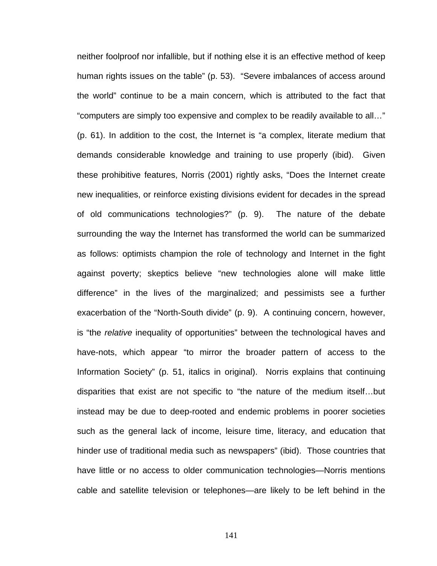neither foolproof nor infallible, but if nothing else it is an effective method of keep human rights issues on the table" (p. 53). "Severe imbalances of access around the world" continue to be a main concern, which is attributed to the fact that "computers are simply too expensive and complex to be readily available to all…" (p. 61). In addition to the cost, the Internet is "a complex, literate medium that demands considerable knowledge and training to use properly (ibid). Given these prohibitive features, Norris (2001) rightly asks, "Does the Internet create new inequalities, or reinforce existing divisions evident for decades in the spread of old communications technologies?" (p. 9). The nature of the debate surrounding the way the Internet has transformed the world can be summarized as follows: optimists champion the role of technology and Internet in the fight against poverty; skeptics believe "new technologies alone will make little difference" in the lives of the marginalized; and pessimists see a further exacerbation of the "North-South divide" (p. 9). A continuing concern, however, is "the *relative* inequality of opportunities" between the technological haves and have-nots, which appear "to mirror the broader pattern of access to the Information Society" (p. 51, italics in original). Norris explains that continuing disparities that exist are not specific to "the nature of the medium itself…but instead may be due to deep-rooted and endemic problems in poorer societies such as the general lack of income, leisure time, literacy, and education that hinder use of traditional media such as newspapers" (ibid). Those countries that have little or no access to older communication technologies—Norris mentions cable and satellite television or telephones—are likely to be left behind in the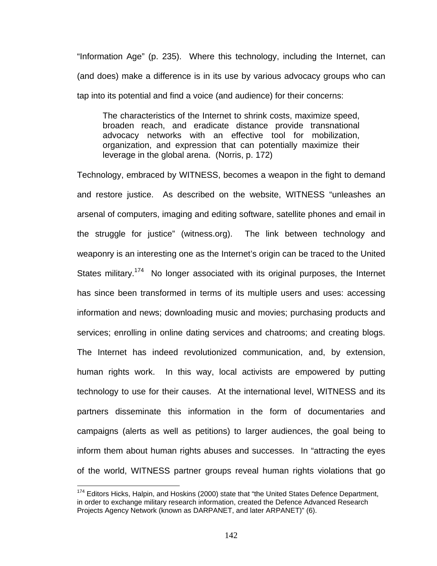"Information Age" (p. 235). Where this technology, including the Internet, can (and does) make a difference is in its use by various advocacy groups who can tap into its potential and find a voice (and audience) for their concerns:

The characteristics of the Internet to shrink costs, maximize speed, broaden reach, and eradicate distance provide transnational advocacy networks with an effective tool for mobilization, organization, and expression that can potentially maximize their leverage in the global arena. (Norris, p. 172)

Technology, embraced by WITNESS, becomes a weapon in the fight to demand and restore justice. As described on the website, WITNESS "unleashes an arsenal of computers, imaging and editing software, satellite phones and email in the struggle for justice" (witness.org). The link between technology and weaponry is an interesting one as the Internet's origin can be traced to the United States military.<sup>174</sup> No longer associated with its original purposes, the Internet has since been transformed in terms of its multiple users and uses: accessing information and news; downloading music and movies; purchasing products and services; enrolling in online dating services and chatrooms; and creating blogs. The Internet has indeed revolutionized communication, and, by extension, human rights work. In this way, local activists are empowered by putting technology to use for their causes. At the international level, WITNESS and its partners disseminate this information in the form of documentaries and campaigns (alerts as well as petitions) to larger audiences, the goal being to inform them about human rights abuses and successes. In "attracting the eyes of the world, WITNESS partner groups reveal human rights violations that go

 $174$  Editors Hicks, Halpin, and Hoskins (2000) state that "the United States Defence Department, in order to exchange military research information, created the Defence Advanced Research Projects Agency Network (known as DARPANET, and later ARPANET)" (6).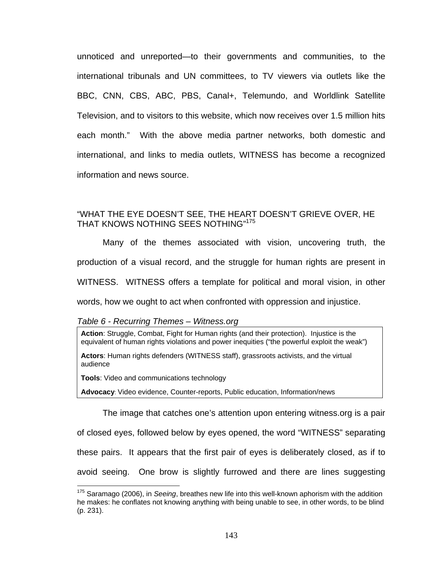unnoticed and unreported—to their governments and communities, to the international tribunals and UN committees, to TV viewers via outlets like the BBC, CNN, CBS, ABC, PBS, Canal+, Telemundo, and Worldlink Satellite Television, and to visitors to this website, which now receives over 1.5 million hits each month." With the above media partner networks, both domestic and international, and links to media outlets, WITNESS has become a recognized information and news source.

## "WHAT THE EYE DOESN'T SEE, THE HEART DOESN'T GRIEVE OVER, HE THAT KNOWS NOTHING SEES NOTHING"<sup>175</sup>

Many of the themes associated with vision, uncovering truth, the production of a visual record, and the struggle for human rights are present in WITNESS. WITNESS offers a template for political and moral vision, in other words, how we ought to act when confronted with oppression and injustice.

#### *Table 6 - Recurring Themes – Witness.org*

**Action**: Struggle, Combat, Fight for Human rights (and their protection). Injustice is the equivalent of human rights violations and power inequities ("the powerful exploit the weak")

**Actors**: Human rights defenders (WITNESS staff), grassroots activists, and the virtual audience

**Tools**: Video and communications technology

 $\overline{a}$ 

**Advocacy**: Video evidence, Counter-reports, Public education, Information/news

The image that catches one's attention upon entering witness.org is a pair

of closed eyes, followed below by eyes opened, the word "WITNESS" separating

these pairs. It appears that the first pair of eyes is deliberately closed, as if to

avoid seeing. One brow is slightly furrowed and there are lines suggesting

<sup>175</sup> Saramago (2006), in *Seeing*, breathes new life into this well-known aphorism with the addition he makes: he conflates not knowing anything with being unable to see, in other words, to be blind (p. 231).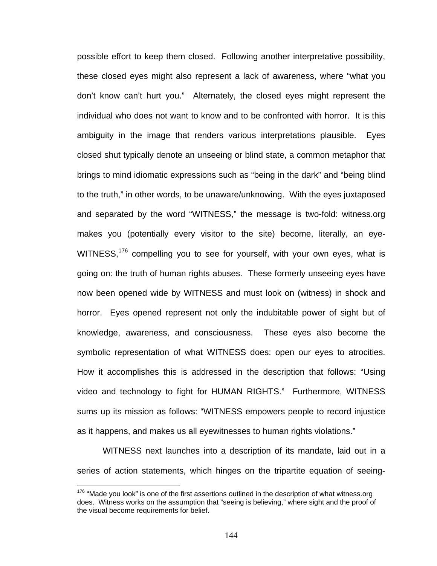possible effort to keep them closed. Following another interpretative possibility, these closed eyes might also represent a lack of awareness, where "what you don't know can't hurt you." Alternately, the closed eyes might represent the individual who does not want to know and to be confronted with horror. It is this ambiguity in the image that renders various interpretations plausible. Eyes closed shut typically denote an unseeing or blind state, a common metaphor that brings to mind idiomatic expressions such as "being in the dark" and "being blind to the truth," in other words, to be unaware/unknowing. With the eyes juxtaposed and separated by the word "WITNESS," the message is two-fold: witness.org makes you (potentially every visitor to the site) become, literally, an eye-WITNESS,<sup>176</sup> compelling you to see for yourself, with your own eyes, what is going on: the truth of human rights abuses. These formerly unseeing eyes have now been opened wide by WITNESS and must look on (witness) in shock and horror. Eyes opened represent not only the indubitable power of sight but of knowledge, awareness, and consciousness. These eyes also become the symbolic representation of what WITNESS does: open our eyes to atrocities. How it accomplishes this is addressed in the description that follows: "Using video and technology to fight for HUMAN RIGHTS." Furthermore, WITNESS sums up its mission as follows: "WITNESS empowers people to record injustice as it happens, and makes us all eyewitnesses to human rights violations."

WITNESS next launches into a description of its mandate, laid out in a series of action statements, which hinges on the tripartite equation of seeing-

 $176$  "Made you look" is one of the first assertions outlined in the description of what witness.org does. Witness works on the assumption that "seeing is believing," where sight and the proof of the visual become requirements for belief.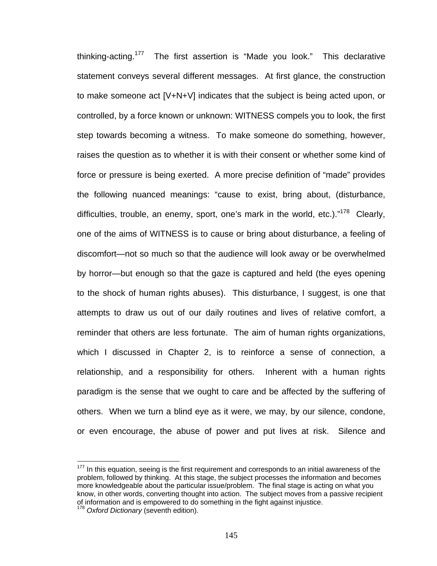thinking-acting.<sup>177</sup> The first assertion is "Made you look." This declarative statement conveys several different messages. At first glance, the construction to make someone act [V+N+V] indicates that the subject is being acted upon, or controlled, by a force known or unknown: WITNESS compels you to look, the first step towards becoming a witness. To make someone do something, however, raises the question as to whether it is with their consent or whether some kind of force or pressure is being exerted. A more precise definition of "made" provides the following nuanced meanings: "cause to exist, bring about, (disturbance, difficulties, trouble, an enemy, sport, one's mark in the world, etc.). $n^{178}$  Clearly, one of the aims of WITNESS is to cause or bring about disturbance, a feeling of discomfort—not so much so that the audience will look away or be overwhelmed by horror—but enough so that the gaze is captured and held (the eyes opening to the shock of human rights abuses). This disturbance, I suggest, is one that attempts to draw us out of our daily routines and lives of relative comfort, a reminder that others are less fortunate. The aim of human rights organizations, which I discussed in Chapter 2, is to reinforce a sense of connection, a relationship, and a responsibility for others. Inherent with a human rights paradigm is the sense that we ought to care and be affected by the suffering of others. When we turn a blind eye as it were, we may, by our silence, condone, or even encourage, the abuse of power and put lives at risk. Silence and

 $177$  In this equation, seeing is the first requirement and corresponds to an initial awareness of the problem, followed by thinking. At this stage, the subject processes the information and becomes more knowledgeable about the particular issue/problem. The final stage is acting on what you know, in other words, converting thought into action. The subject moves from a passive recipient of information and is empowered to do something in the fight against injustice. <sup>178</sup> *Oxford Dictionary* (seventh edition).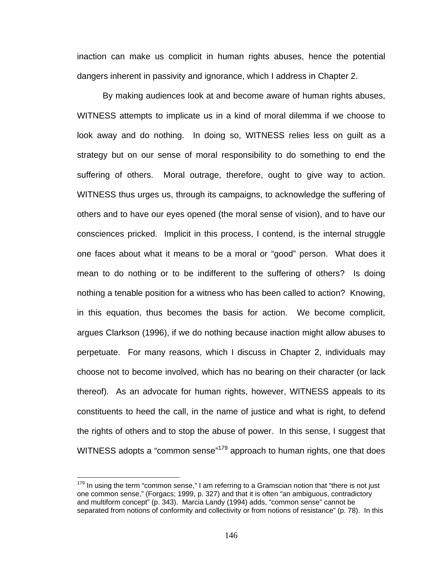inaction can make us complicit in human rights abuses, hence the potential dangers inherent in passivity and ignorance, which I address in Chapter 2.

By making audiences look at and become aware of human rights abuses, WITNESS attempts to implicate us in a kind of moral dilemma if we choose to look away and do nothing. In doing so, WITNESS relies less on guilt as a strategy but on our sense of moral responsibility to do something to end the suffering of others. Moral outrage, therefore, ought to give way to action. WITNESS thus urges us, through its campaigns, to acknowledge the suffering of others and to have our eyes opened (the moral sense of vision), and to have our consciences pricked. Implicit in this process, I contend, is the internal struggle one faces about what it means to be a moral or "good" person. What does it mean to do nothing or to be indifferent to the suffering of others? Is doing nothing a tenable position for a witness who has been called to action? Knowing, in this equation, thus becomes the basis for action. We become complicit, argues Clarkson (1996), if we do nothing because inaction might allow abuses to perpetuate. For many reasons, which I discuss in Chapter 2, individuals may choose not to become involved, which has no bearing on their character (or lack thereof). As an advocate for human rights, however, WITNESS appeals to its constituents to heed the call, in the name of justice and what is right, to defend the rights of others and to stop the abuse of power. In this sense, I suggest that WITNESS adopts a "common sense"<sup>179</sup> approach to human rights, one that does

 $179$  In using the term "common sense," I am referring to a Gramscian notion that "there is not just one common sense," (Forgacs; 1999, p. 327) and that it is often "an ambiguous, contradictory and multiform concept" (p. 343). Marcia Landy (1994) adds, "common sense" cannot be separated from notions of conformity and collectivity or from notions of resistance" (p. 78). In this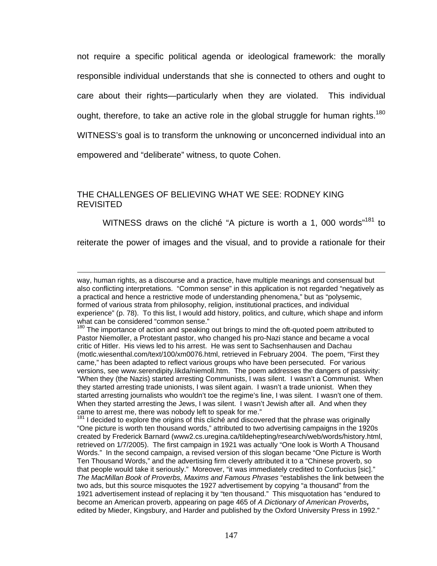not require a specific political agenda or ideological framework: the morally responsible individual understands that she is connected to others and ought to care about their rights—particularly when they are violated. This individual ought, therefore, to take an active role in the global struggle for human rights.<sup>180</sup> WITNESS's goal is to transform the unknowing or unconcerned individual into an

empowered and "deliberate" witness, to quote Cohen.

1

## THE CHALLENGES OF BELIEVING WHAT WE SEE: RODNEY KING REVISITED

WITNESS draws on the cliché "A picture is worth a 1, 000 words"<sup>181</sup> to

reiterate the power of images and the visual, and to provide a rationale for their

 $181$  I decided to explore the origins of this cliché and discovered that the phrase was originally "One picture is worth ten thousand words," attributed to two advertising campaigns in the 1920s created by Frederick Barnard (www2.cs.uregina.ca/tildehepting/research/web/words/history.html, retrieved on 1/7/2005). The first campaign in 1921 was actually "One look is Worth A Thousand Words." In the second campaign, a revised version of this slogan became "One Picture is Worth Ten Thousand Words," and the advertising firm cleverly attributed it to a "Chinese proverb, so that people would take it seriously." Moreover, "it was immediately credited to Confucius [sic]." *The MacMillan Book of Proverbs, Maxims and Famous Phrases* "establishes the link between the two ads, but this source misquotes the 1927 advertisement by copying "a thousand" from the 1921 advertisement instead of replacing it by "ten thousand." This misquotation has "endured to become an American proverb, appearing on page 465 of *A Dictionary of American Proverbs,* edited by Mieder, Kingsbury, and Harder and published by the Oxford University Press in 1992."

way, human rights, as a discourse and a practice, have multiple meanings and consensual but also conflicting interpretations. "Common sense" in this application is not regarded "negatively as a practical and hence a restrictive mode of understanding phenomena," but as "polysemic, formed of various strata from philosophy, religion, institutional practices, and individual experience" (p. 78). To this list, I would add history, politics, and culture, which shape and inform what can be considered "common sense."

<sup>180</sup> The importance of action and speaking out brings to mind the oft-quoted poem attributed to Pastor Niemoller, a Protestant pastor, who changed his pro-Nazi stance and became a vocal critic of Hitler. His views led to his arrest. He was sent to Sachsenhausen and Dachau (motlc.wiesenthal.com/text/100/xm0076.html, retrieved in February 2004. The poem, "First they came," has been adapted to reflect various groups who have been persecuted. For various versions, see www.serendipity.likda/niemoll.htm. The poem addresses the dangers of passivity: "When they (the Nazis) started arresting Communists, I was silent. I wasn't a Communist. When they started arresting trade unionists, I was silent again. I wasn't a trade unionist. When they started arresting journalists who wouldn't toe the regime's line, I was silent. I wasn't one of them. When they started arresting the Jews, I was silent. I wasn't Jewish after all. And when they came to arrest me, there was nobody left to speak for me."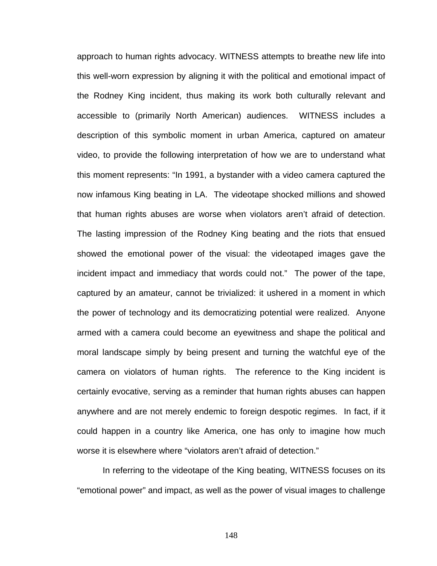approach to human rights advocacy. WITNESS attempts to breathe new life into this well-worn expression by aligning it with the political and emotional impact of the Rodney King incident, thus making its work both culturally relevant and accessible to (primarily North American) audiences. WITNESS includes a description of this symbolic moment in urban America, captured on amateur video, to provide the following interpretation of how we are to understand what this moment represents: "In 1991, a bystander with a video camera captured the now infamous King beating in LA. The videotape shocked millions and showed that human rights abuses are worse when violators aren't afraid of detection. The lasting impression of the Rodney King beating and the riots that ensued showed the emotional power of the visual: the videotaped images gave the incident impact and immediacy that words could not." The power of the tape, captured by an amateur, cannot be trivialized: it ushered in a moment in which the power of technology and its democratizing potential were realized. Anyone armed with a camera could become an eyewitness and shape the political and moral landscape simply by being present and turning the watchful eye of the camera on violators of human rights. The reference to the King incident is certainly evocative, serving as a reminder that human rights abuses can happen anywhere and are not merely endemic to foreign despotic regimes. In fact, if it could happen in a country like America, one has only to imagine how much worse it is elsewhere where "violators aren't afraid of detection."

In referring to the videotape of the King beating, WITNESS focuses on its "emotional power" and impact, as well as the power of visual images to challenge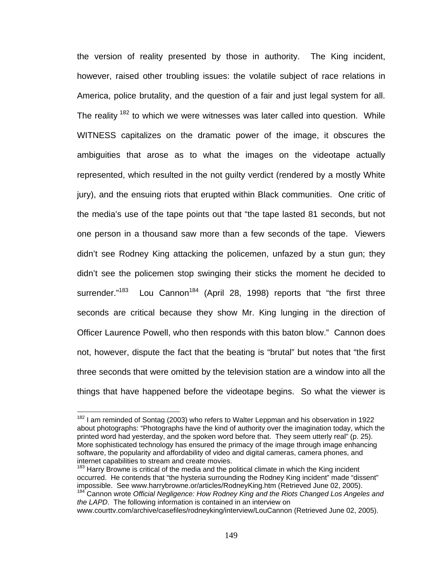the version of reality presented by those in authority. The King incident, however, raised other troubling issues: the volatile subject of race relations in America, police brutality, and the question of a fair and just legal system for all. The reality  $182$  to which we were witnesses was later called into question. While WITNESS capitalizes on the dramatic power of the image, it obscures the ambiguities that arose as to what the images on the videotape actually represented, which resulted in the not guilty verdict (rendered by a mostly White jury), and the ensuing riots that erupted within Black communities. One critic of the media's use of the tape points out that "the tape lasted 81 seconds, but not one person in a thousand saw more than a few seconds of the tape. Viewers didn't see Rodney King attacking the policemen, unfazed by a stun gun; they didn't see the policemen stop swinging their sticks the moment he decided to surrender."<sup>183</sup> Lou Cannon<sup>184</sup> (April 28, 1998) reports that "the first three seconds are critical because they show Mr. King lunging in the direction of Officer Laurence Powell, who then responds with this baton blow." Cannon does not, however, dispute the fact that the beating is "brutal" but notes that "the first three seconds that were omitted by the television station are a window into all the things that have happened before the videotape begins. So what the viewer is

 $182$  I am reminded of Sontag (2003) who refers to Walter Leppman and his observation in 1922 about photographs: "Photographs have the kind of authority over the imagination today, which the printed word had yesterday, and the spoken word before that. They seem utterly real" (p. 25). More sophisticated technology has ensured the primacy of the image through image enhancing software, the popularity and affordability of video and digital cameras, camera phones, and internet capabilities to stream and create movies.

<sup>&</sup>lt;sup>183</sup> Harry Browne is critical of the media and the political climate in which the King incident occurred. He contends that "the hysteria surrounding the Rodney King incident" made "dissent"<br>impossible. See www.harrybrowne.or/articles/RodneyKing.htm (Retrieved June 02, 2005).

<sup>&</sup>lt;sup>184</sup> Cannon wrote Official Negligence: How Rodney King and the Riots Changed Los Angeles and *the LAPD*. The following information is contained in an interview on

www.courttv.com/archive/casefiles/rodneyking/interview/LouCannon (Retrieved June 02, 2005).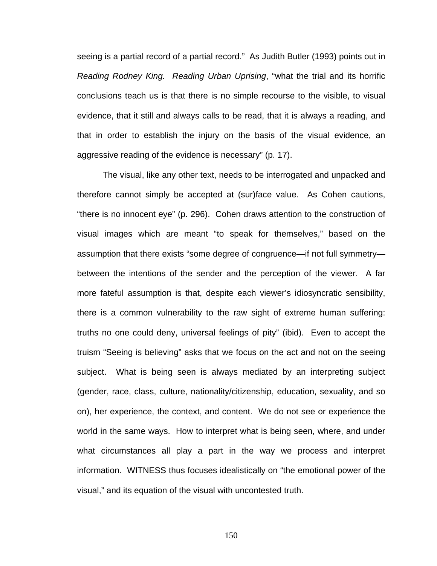seeing is a partial record of a partial record." As Judith Butler (1993) points out in *Reading Rodney King. Reading Urban Uprising*, "what the trial and its horrific conclusions teach us is that there is no simple recourse to the visible, to visual evidence, that it still and always calls to be read, that it is always a reading, and that in order to establish the injury on the basis of the visual evidence, an aggressive reading of the evidence is necessary" (p. 17).

The visual, like any other text, needs to be interrogated and unpacked and therefore cannot simply be accepted at (sur)face value. As Cohen cautions, "there is no innocent eye" (p. 296). Cohen draws attention to the construction of visual images which are meant "to speak for themselves," based on the assumption that there exists "some degree of congruence—if not full symmetry between the intentions of the sender and the perception of the viewer. A far more fateful assumption is that, despite each viewer's idiosyncratic sensibility, there is a common vulnerability to the raw sight of extreme human suffering: truths no one could deny, universal feelings of pity" (ibid). Even to accept the truism "Seeing is believing" asks that we focus on the act and not on the seeing subject. What is being seen is always mediated by an interpreting subject (gender, race, class, culture, nationality/citizenship, education, sexuality, and so on), her experience, the context, and content. We do not see or experience the world in the same ways. How to interpret what is being seen, where, and under what circumstances all play a part in the way we process and interpret information. WITNESS thus focuses idealistically on "the emotional power of the visual," and its equation of the visual with uncontested truth.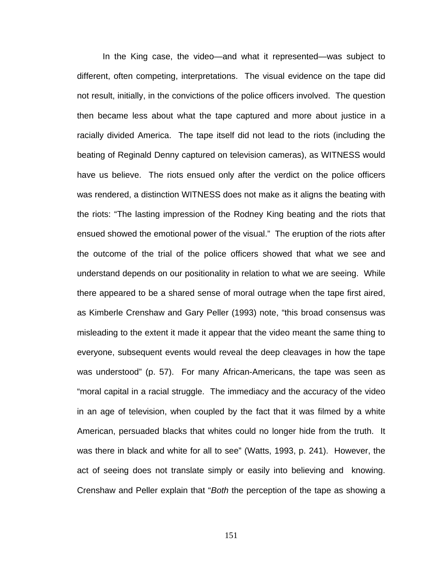In the King case, the video—and what it represented—was subject to different, often competing, interpretations. The visual evidence on the tape did not result, initially, in the convictions of the police officers involved. The question then became less about what the tape captured and more about justice in a racially divided America. The tape itself did not lead to the riots (including the beating of Reginald Denny captured on television cameras), as WITNESS would have us believe. The riots ensued only after the verdict on the police officers was rendered, a distinction WITNESS does not make as it aligns the beating with the riots: "The lasting impression of the Rodney King beating and the riots that ensued showed the emotional power of the visual." The eruption of the riots after the outcome of the trial of the police officers showed that what we see and understand depends on our positionality in relation to what we are seeing. While there appeared to be a shared sense of moral outrage when the tape first aired, as Kimberle Crenshaw and Gary Peller (1993) note, "this broad consensus was misleading to the extent it made it appear that the video meant the same thing to everyone, subsequent events would reveal the deep cleavages in how the tape was understood" (p. 57). For many African-Americans, the tape was seen as "moral capital in a racial struggle. The immediacy and the accuracy of the video in an age of television, when coupled by the fact that it was filmed by a white American, persuaded blacks that whites could no longer hide from the truth. It was there in black and white for all to see" (Watts, 1993, p. 241). However, the act of seeing does not translate simply or easily into believing and knowing. Crenshaw and Peller explain that "*Both* the perception of the tape as showing a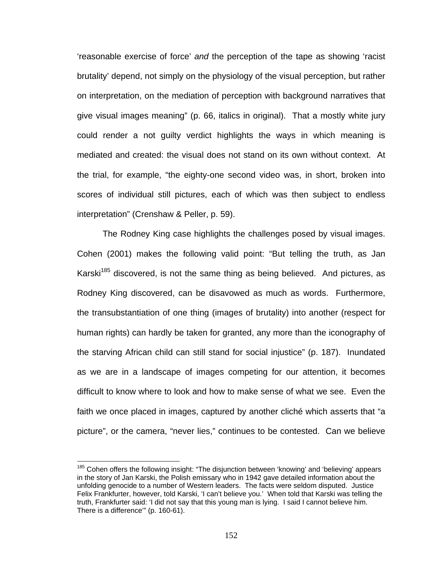'reasonable exercise of force' *and* the perception of the tape as showing 'racist brutality' depend, not simply on the physiology of the visual perception, but rather on interpretation, on the mediation of perception with background narratives that give visual images meaning" (p. 66, italics in original). That a mostly white jury could render a not guilty verdict highlights the ways in which meaning is mediated and created: the visual does not stand on its own without context. At the trial, for example, "the eighty-one second video was, in short, broken into scores of individual still pictures, each of which was then subject to endless interpretation" (Crenshaw & Peller, p. 59).

The Rodney King case highlights the challenges posed by visual images. Cohen (2001) makes the following valid point: "But telling the truth, as Jan Karski<sup>185</sup> discovered, is not the same thing as being believed. And pictures, as Rodney King discovered, can be disavowed as much as words. Furthermore, the transubstantiation of one thing (images of brutality) into another (respect for human rights) can hardly be taken for granted, any more than the iconography of the starving African child can still stand for social injustice" (p. 187). Inundated as we are in a landscape of images competing for our attention, it becomes difficult to know where to look and how to make sense of what we see. Even the faith we once placed in images, captured by another cliché which asserts that "a picture", or the camera, "never lies," continues to be contested. Can we believe

<sup>&</sup>lt;sup>185</sup> Cohen offers the following insight: "The disjunction between 'knowing' and 'believing' appears in the story of Jan Karski, the Polish emissary who in 1942 gave detailed information about the unfolding genocide to a number of Western leaders. The facts were seldom disputed. Justice Felix Frankfurter, however, told Karski, 'I can't believe you.' When told that Karski was telling the truth, Frankfurter said: 'I did not say that this young man is lying. I said I cannot believe him. There is a difference'" (p. 160-61).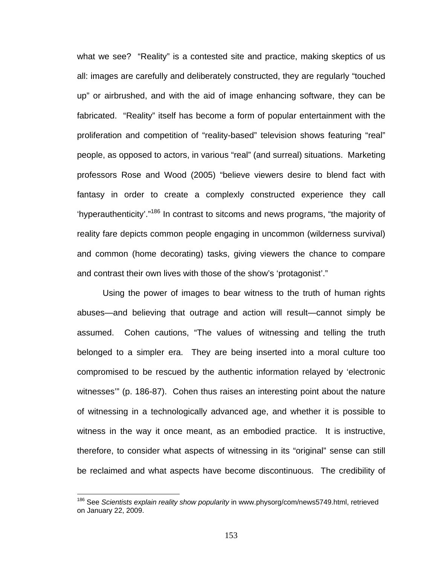what we see? "Reality" is a contested site and practice, making skeptics of us all: images are carefully and deliberately constructed, they are regularly "touched up" or airbrushed, and with the aid of image enhancing software, they can be fabricated. "Reality" itself has become a form of popular entertainment with the proliferation and competition of "reality-based" television shows featuring "real" people, as opposed to actors, in various "real" (and surreal) situations. Marketing professors Rose and Wood (2005) "believe viewers desire to blend fact with fantasy in order to create a complexly constructed experience they call 'hyperauthenticity'."186 In contrast to sitcoms and news programs, "the majority of reality fare depicts common people engaging in uncommon (wilderness survival) and common (home decorating) tasks, giving viewers the chance to compare and contrast their own lives with those of the show's 'protagonist'."

Using the power of images to bear witness to the truth of human rights abuses—and believing that outrage and action will result—cannot simply be assumed. Cohen cautions, "The values of witnessing and telling the truth belonged to a simpler era. They are being inserted into a moral culture too compromised to be rescued by the authentic information relayed by 'electronic witnesses'" (p. 186-87). Cohen thus raises an interesting point about the nature of witnessing in a technologically advanced age, and whether it is possible to witness in the way it once meant, as an embodied practice. It is instructive, therefore, to consider what aspects of witnessing in its "original" sense can still be reclaimed and what aspects have become discontinuous. The credibility of

<sup>186</sup> See *Scientists explain reality show popularity* in www.physorg/com/news5749.html, retrieved on January 22, 2009.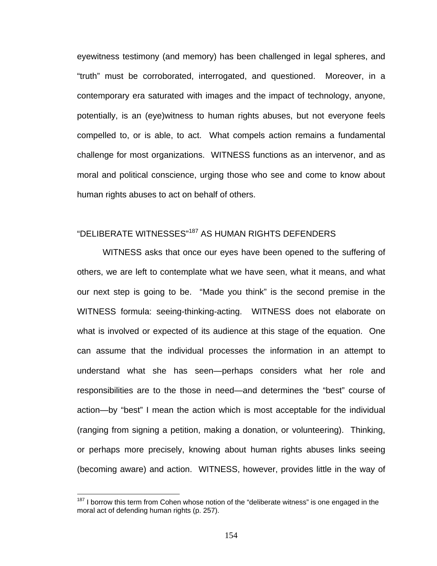eyewitness testimony (and memory) has been challenged in legal spheres, and "truth" must be corroborated, interrogated, and questioned. Moreover, in a contemporary era saturated with images and the impact of technology, anyone, potentially, is an (eye)witness to human rights abuses, but not everyone feels compelled to, or is able, to act. What compels action remains a fundamental challenge for most organizations. WITNESS functions as an intervenor, and as moral and political conscience, urging those who see and come to know about human rights abuses to act on behalf of others.

## "DELIBERATE WITNESSES"187 AS HUMAN RIGHTS DEFENDERS

WITNESS asks that once our eyes have been opened to the suffering of others, we are left to contemplate what we have seen, what it means, and what our next step is going to be. "Made you think" is the second premise in the WITNESS formula: seeing-thinking-acting. WITNESS does not elaborate on what is involved or expected of its audience at this stage of the equation. One can assume that the individual processes the information in an attempt to understand what she has seen—perhaps considers what her role and responsibilities are to the those in need—and determines the "best" course of action—by "best" I mean the action which is most acceptable for the individual (ranging from signing a petition, making a donation, or volunteering). Thinking, or perhaps more precisely, knowing about human rights abuses links seeing (becoming aware) and action. WITNESS, however, provides little in the way of

 $187$  I borrow this term from Cohen whose notion of the "deliberate witness" is one engaged in the moral act of defending human rights (p. 257).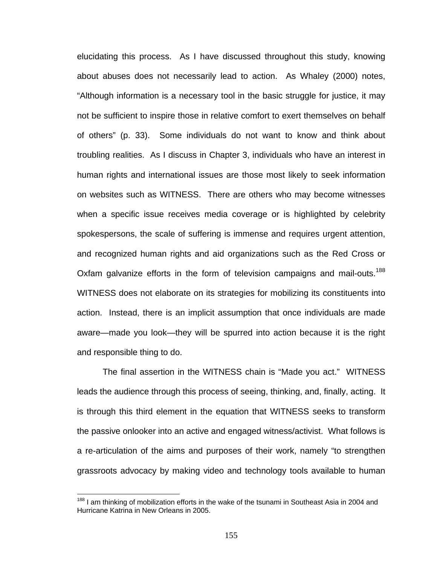elucidating this process. As I have discussed throughout this study, knowing about abuses does not necessarily lead to action. As Whaley (2000) notes, "Although information is a necessary tool in the basic struggle for justice, it may not be sufficient to inspire those in relative comfort to exert themselves on behalf of others" (p. 33). Some individuals do not want to know and think about troubling realities. As I discuss in Chapter 3, individuals who have an interest in human rights and international issues are those most likely to seek information on websites such as WITNESS. There are others who may become witnesses when a specific issue receives media coverage or is highlighted by celebrity spokespersons, the scale of suffering is immense and requires urgent attention, and recognized human rights and aid organizations such as the Red Cross or Oxfam galvanize efforts in the form of television campaigns and mail-outs.<sup>188</sup> WITNESS does not elaborate on its strategies for mobilizing its constituents into action. Instead, there is an implicit assumption that once individuals are made aware—made you look—they will be spurred into action because it is the right and responsible thing to do.

The final assertion in the WITNESS chain is "Made you act." WITNESS leads the audience through this process of seeing, thinking, and, finally, acting. It is through this third element in the equation that WITNESS seeks to transform the passive onlooker into an active and engaged witness/activist. What follows is a re-articulation of the aims and purposes of their work, namely "to strengthen grassroots advocacy by making video and technology tools available to human

<sup>&</sup>lt;sup>188</sup> I am thinking of mobilization efforts in the wake of the tsunami in Southeast Asia in 2004 and Hurricane Katrina in New Orleans in 2005.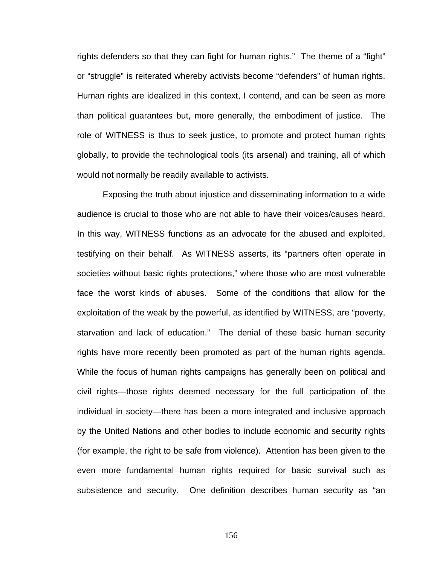rights defenders so that they can fight for human rights." The theme of a "fight" or "struggle" is reiterated whereby activists become "defenders" of human rights. Human rights are idealized in this context, I contend, and can be seen as more than political guarantees but, more generally, the embodiment of justice. The role of WITNESS is thus to seek justice, to promote and protect human rights globally, to provide the technological tools (its arsenal) and training, all of which would not normally be readily available to activists.

Exposing the truth about injustice and disseminating information to a wide audience is crucial to those who are not able to have their voices/causes heard. In this way, WITNESS functions as an advocate for the abused and exploited, testifying on their behalf. As WITNESS asserts, its "partners often operate in societies without basic rights protections," where those who are most vulnerable face the worst kinds of abuses. Some of the conditions that allow for the exploitation of the weak by the powerful, as identified by WITNESS, are "poverty, starvation and lack of education." The denial of these basic human security rights have more recently been promoted as part of the human rights agenda. While the focus of human rights campaigns has generally been on political and civil rights—those rights deemed necessary for the full participation of the individual in society—there has been a more integrated and inclusive approach by the United Nations and other bodies to include economic and security rights (for example, the right to be safe from violence). Attention has been given to the even more fundamental human rights required for basic survival such as subsistence and security. One definition describes human security as "an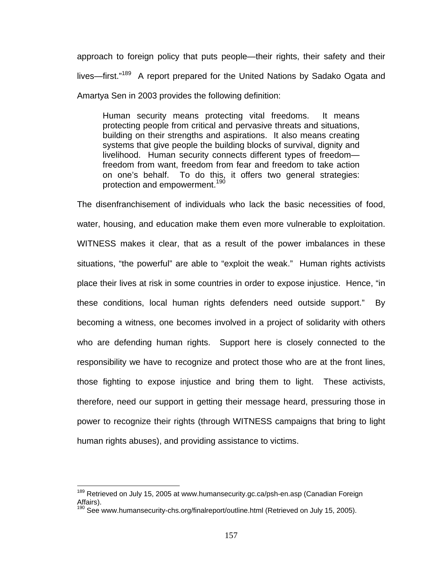approach to foreign policy that puts people—their rights, their safety and their lives—first."<sup>189</sup> A report prepared for the United Nations by Sadako Ogata and Amartya Sen in 2003 provides the following definition:

Human security means protecting vital freedoms. It means protecting people from critical and pervasive threats and situations, building on their strengths and aspirations. It also means creating systems that give people the building blocks of survival, dignity and livelihood. Human security connects different types of freedom freedom from want, freedom from fear and freedom to take action on one's behalf. To do this, it offers two general strategies: protection and empowerment.<sup>190</sup>

The disenfranchisement of individuals who lack the basic necessities of food, water, housing, and education make them even more vulnerable to exploitation. WITNESS makes it clear, that as a result of the power imbalances in these situations, "the powerful" are able to "exploit the weak." Human rights activists place their lives at risk in some countries in order to expose injustice. Hence, "in these conditions, local human rights defenders need outside support." By becoming a witness, one becomes involved in a project of solidarity with others who are defending human rights. Support here is closely connected to the responsibility we have to recognize and protect those who are at the front lines, those fighting to expose injustice and bring them to light. These activists, therefore, need our support in getting their message heard, pressuring those in power to recognize their rights (through WITNESS campaigns that bring to light human rights abuses), and providing assistance to victims.

<sup>&</sup>lt;sup>189</sup> Retrieved on July 15, 2005 at www.humansecurity.gc.ca/psh-en.asp (Canadian Foreign Affairs).

<sup>&</sup>lt;sup>190</sup> See www.humansecurity-chs.org/finalreport/outline.html (Retrieved on July 15, 2005).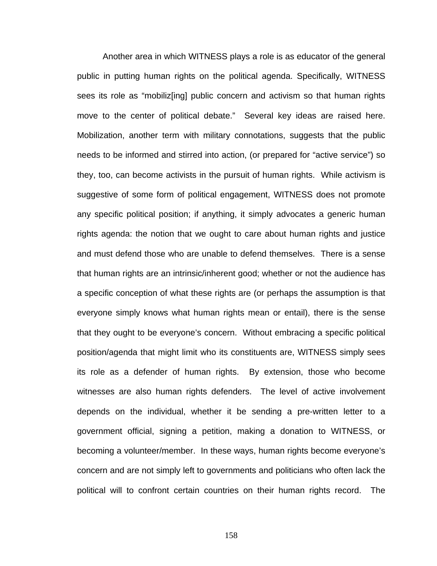Another area in which WITNESS plays a role is as educator of the general public in putting human rights on the political agenda. Specifically, WITNESS sees its role as "mobiliz[ing] public concern and activism so that human rights move to the center of political debate." Several key ideas are raised here. Mobilization, another term with military connotations, suggests that the public needs to be informed and stirred into action, (or prepared for "active service") so they, too, can become activists in the pursuit of human rights. While activism is suggestive of some form of political engagement, WITNESS does not promote any specific political position; if anything, it simply advocates a generic human rights agenda: the notion that we ought to care about human rights and justice and must defend those who are unable to defend themselves. There is a sense that human rights are an intrinsic/inherent good; whether or not the audience has a specific conception of what these rights are (or perhaps the assumption is that everyone simply knows what human rights mean or entail), there is the sense that they ought to be everyone's concern. Without embracing a specific political position/agenda that might limit who its constituents are, WITNESS simply sees its role as a defender of human rights. By extension, those who become witnesses are also human rights defenders. The level of active involvement depends on the individual, whether it be sending a pre-written letter to a government official, signing a petition, making a donation to WITNESS, or becoming a volunteer/member. In these ways, human rights become everyone's concern and are not simply left to governments and politicians who often lack the political will to confront certain countries on their human rights record. The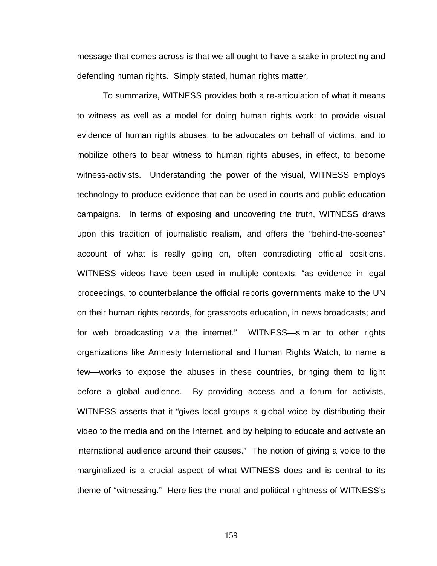message that comes across is that we all ought to have a stake in protecting and defending human rights. Simply stated, human rights matter.

To summarize, WITNESS provides both a re-articulation of what it means to witness as well as a model for doing human rights work: to provide visual evidence of human rights abuses, to be advocates on behalf of victims, and to mobilize others to bear witness to human rights abuses, in effect, to become witness-activists. Understanding the power of the visual, WITNESS employs technology to produce evidence that can be used in courts and public education campaigns. In terms of exposing and uncovering the truth, WITNESS draws upon this tradition of journalistic realism, and offers the "behind-the-scenes" account of what is really going on, often contradicting official positions. WITNESS videos have been used in multiple contexts: "as evidence in legal proceedings, to counterbalance the official reports governments make to the UN on their human rights records, for grassroots education, in news broadcasts; and for web broadcasting via the internet." WITNESS—similar to other rights organizations like Amnesty International and Human Rights Watch, to name a few—works to expose the abuses in these countries, bringing them to light before a global audience. By providing access and a forum for activists, WITNESS asserts that it "gives local groups a global voice by distributing their video to the media and on the Internet, and by helping to educate and activate an international audience around their causes." The notion of giving a voice to the marginalized is a crucial aspect of what WITNESS does and is central to its theme of "witnessing." Here lies the moral and political rightness of WITNESS's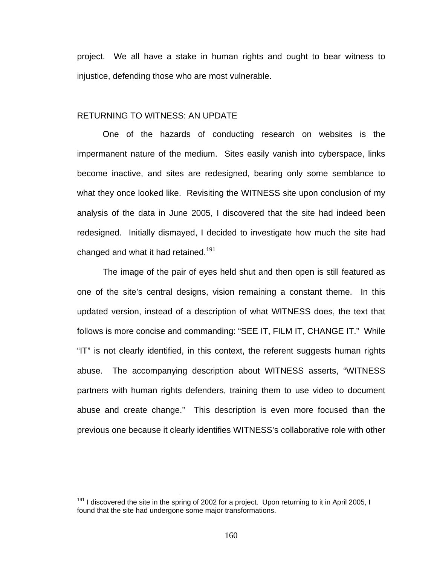project. We all have a stake in human rights and ought to bear witness to injustice, defending those who are most vulnerable.

### RETURNING TO WITNESS: AN UPDATE

One of the hazards of conducting research on websites is the impermanent nature of the medium. Sites easily vanish into cyberspace, links become inactive, and sites are redesigned, bearing only some semblance to what they once looked like. Revisiting the WITNESS site upon conclusion of my analysis of the data in June 2005, I discovered that the site had indeed been redesigned. Initially dismayed, I decided to investigate how much the site had changed and what it had retained.<sup>191</sup>

The image of the pair of eyes held shut and then open is still featured as one of the site's central designs, vision remaining a constant theme. In this updated version, instead of a description of what WITNESS does, the text that follows is more concise and commanding: "SEE IT, FILM IT, CHANGE IT." While "IT" is not clearly identified, in this context, the referent suggests human rights abuse. The accompanying description about WITNESS asserts, "WITNESS partners with human rights defenders, training them to use video to document abuse and create change." This description is even more focused than the previous one because it clearly identifies WITNESS's collaborative role with other

 $191$  I discovered the site in the spring of 2002 for a project. Upon returning to it in April 2005, I found that the site had undergone some major transformations.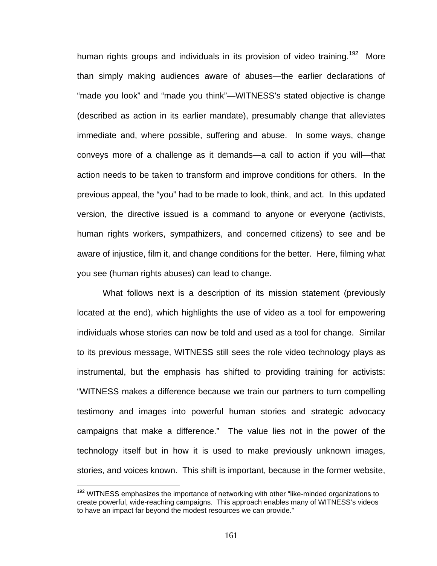human rights groups and individuals in its provision of video training.<sup>192</sup> More than simply making audiences aware of abuses—the earlier declarations of "made you look" and "made you think"—WITNESS's stated objective is change (described as action in its earlier mandate), presumably change that alleviates immediate and, where possible, suffering and abuse. In some ways, change conveys more of a challenge as it demands—a call to action if you will—that action needs to be taken to transform and improve conditions for others. In the previous appeal, the "you" had to be made to look, think, and act. In this updated version, the directive issued is a command to anyone or everyone (activists, human rights workers, sympathizers, and concerned citizens) to see and be aware of injustice, film it, and change conditions for the better. Here, filming what you see (human rights abuses) can lead to change.

What follows next is a description of its mission statement (previously located at the end), which highlights the use of video as a tool for empowering individuals whose stories can now be told and used as a tool for change. Similar to its previous message, WITNESS still sees the role video technology plays as instrumental, but the emphasis has shifted to providing training for activists: "WITNESS makes a difference because we train our partners to turn compelling testimony and images into powerful human stories and strategic advocacy campaigns that make a difference." The value lies not in the power of the technology itself but in how it is used to make previously unknown images, stories, and voices known. This shift is important, because in the former website,

 $192$  WITNESS emphasizes the importance of networking with other "like-minded organizations to create powerful, wide-reaching campaigns. This approach enables many of WITNESS's videos to have an impact far beyond the modest resources we can provide."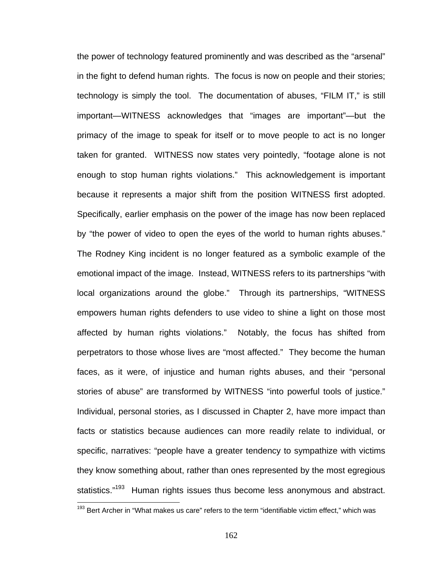the power of technology featured prominently and was described as the "arsenal" in the fight to defend human rights. The focus is now on people and their stories; technology is simply the tool. The documentation of abuses, "FILM IT," is still important—WITNESS acknowledges that "images are important"—but the primacy of the image to speak for itself or to move people to act is no longer taken for granted. WITNESS now states very pointedly, "footage alone is not enough to stop human rights violations." This acknowledgement is important because it represents a major shift from the position WITNESS first adopted. Specifically, earlier emphasis on the power of the image has now been replaced by "the power of video to open the eyes of the world to human rights abuses." The Rodney King incident is no longer featured as a symbolic example of the emotional impact of the image. Instead, WITNESS refers to its partnerships "with local organizations around the globe." Through its partnerships, "WITNESS empowers human rights defenders to use video to shine a light on those most affected by human rights violations." Notably, the focus has shifted from perpetrators to those whose lives are "most affected." They become the human faces, as it were, of injustice and human rights abuses, and their "personal stories of abuse" are transformed by WITNESS "into powerful tools of justice." Individual, personal stories, as I discussed in Chapter 2, have more impact than facts or statistics because audiences can more readily relate to individual, or specific, narratives: "people have a greater tendency to sympathize with victims they know something about, rather than ones represented by the most egregious statistics."<sup>193</sup> Human rights issues thus become less anonymous and abstract.

<sup>&</sup>lt;sup>193</sup> Bert Archer in "What makes us care" refers to the term "identifiable victim effect," which was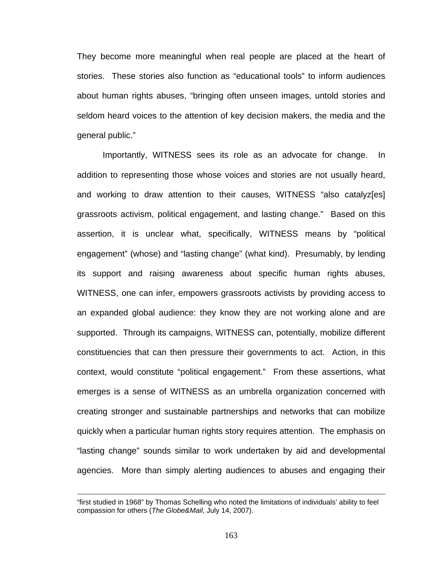They become more meaningful when real people are placed at the heart of stories. These stories also function as "educational tools" to inform audiences about human rights abuses, "bringing often unseen images, untold stories and seldom heard voices to the attention of key decision makers, the media and the general public."

Importantly, WITNESS sees its role as an advocate for change. In addition to representing those whose voices and stories are not usually heard, and working to draw attention to their causes, WITNESS "also catalyz[es] grassroots activism, political engagement, and lasting change." Based on this assertion, it is unclear what, specifically, WITNESS means by "political engagement" (whose) and "lasting change" (what kind). Presumably, by lending its support and raising awareness about specific human rights abuses, WITNESS, one can infer, empowers grassroots activists by providing access to an expanded global audience: they know they are not working alone and are supported. Through its campaigns, WITNESS can, potentially, mobilize different constituencies that can then pressure their governments to act. Action, in this context, would constitute "political engagement." From these assertions, what emerges is a sense of WITNESS as an umbrella organization concerned with creating stronger and sustainable partnerships and networks that can mobilize quickly when a particular human rights story requires attention. The emphasis on "lasting change" sounds similar to work undertaken by aid and developmental agencies. More than simply alerting audiences to abuses and engaging their

<sup>&</sup>quot;first studied in 1968" by Thomas Schelling who noted the limitations of individuals' ability to feel compassion for others (*The Globe&Mail*, July 14, 2007).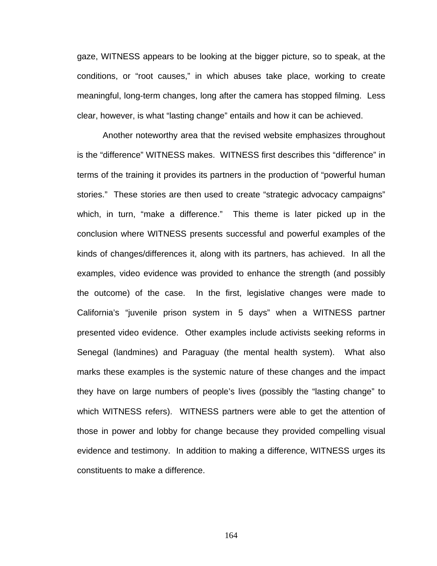gaze, WITNESS appears to be looking at the bigger picture, so to speak, at the conditions, or "root causes," in which abuses take place, working to create meaningful, long-term changes, long after the camera has stopped filming. Less clear, however, is what "lasting change" entails and how it can be achieved.

Another noteworthy area that the revised website emphasizes throughout is the "difference" WITNESS makes. WITNESS first describes this "difference" in terms of the training it provides its partners in the production of "powerful human stories." These stories are then used to create "strategic advocacy campaigns" which, in turn, "make a difference." This theme is later picked up in the conclusion where WITNESS presents successful and powerful examples of the kinds of changes/differences it, along with its partners, has achieved. In all the examples, video evidence was provided to enhance the strength (and possibly the outcome) of the case. In the first, legislative changes were made to California's "juvenile prison system in 5 days" when a WITNESS partner presented video evidence. Other examples include activists seeking reforms in Senegal (landmines) and Paraguay (the mental health system). What also marks these examples is the systemic nature of these changes and the impact they have on large numbers of people's lives (possibly the "lasting change" to which WITNESS refers). WITNESS partners were able to get the attention of those in power and lobby for change because they provided compelling visual evidence and testimony. In addition to making a difference, WITNESS urges its constituents to make a difference.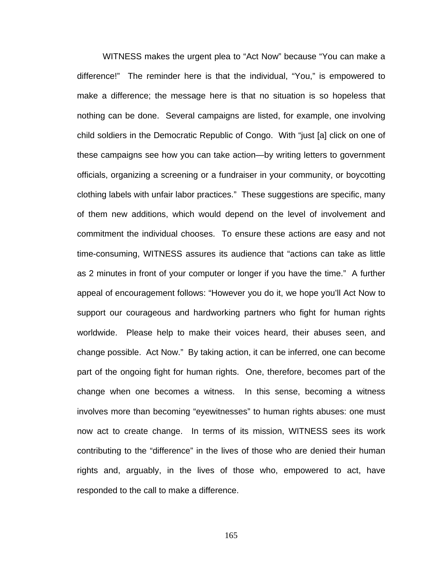WITNESS makes the urgent plea to "Act Now" because "You can make a difference!" The reminder here is that the individual, "You," is empowered to make a difference; the message here is that no situation is so hopeless that nothing can be done. Several campaigns are listed, for example, one involving child soldiers in the Democratic Republic of Congo. With "just [a] click on one of these campaigns see how you can take action—by writing letters to government officials, organizing a screening or a fundraiser in your community, or boycotting clothing labels with unfair labor practices." These suggestions are specific, many of them new additions, which would depend on the level of involvement and commitment the individual chooses. To ensure these actions are easy and not time-consuming, WITNESS assures its audience that "actions can take as little as 2 minutes in front of your computer or longer if you have the time." A further appeal of encouragement follows: "However you do it, we hope you'll Act Now to support our courageous and hardworking partners who fight for human rights worldwide. Please help to make their voices heard, their abuses seen, and change possible. Act Now." By taking action, it can be inferred, one can become part of the ongoing fight for human rights. One, therefore, becomes part of the change when one becomes a witness. In this sense, becoming a witness involves more than becoming "eyewitnesses" to human rights abuses: one must now act to create change. In terms of its mission, WITNESS sees its work contributing to the "difference" in the lives of those who are denied their human rights and, arguably, in the lives of those who, empowered to act, have responded to the call to make a difference.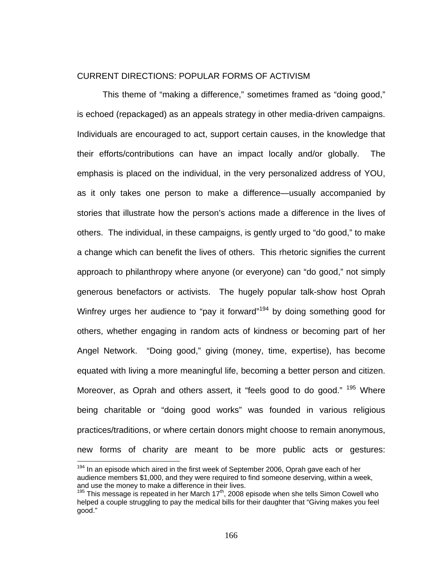### CURRENT DIRECTIONS: POPULAR FORMS OF ACTIVISM

This theme of "making a difference," sometimes framed as "doing good," is echoed (repackaged) as an appeals strategy in other media-driven campaigns. Individuals are encouraged to act, support certain causes, in the knowledge that their efforts/contributions can have an impact locally and/or globally. The emphasis is placed on the individual, in the very personalized address of YOU, as it only takes one person to make a difference—usually accompanied by stories that illustrate how the person's actions made a difference in the lives of others. The individual, in these campaigns, is gently urged to "do good," to make a change which can benefit the lives of others. This rhetoric signifies the current approach to philanthropy where anyone (or everyone) can "do good," not simply generous benefactors or activists. The hugely popular talk-show host Oprah Winfrey urges her audience to "pay it forward"<sup>194</sup> by doing something good for others, whether engaging in random acts of kindness or becoming part of her Angel Network. "Doing good," giving (money, time, expertise), has become equated with living a more meaningful life, becoming a better person and citizen. Moreover, as Oprah and others assert, it "feels good to do good." <sup>195</sup> Where being charitable or "doing good works" was founded in various religious practices/traditions, or where certain donors might choose to remain anonymous, new forms of charity are meant to be more public acts or gestures:

 $194$  In an episode which aired in the first week of September 2006, Oprah gave each of her audience members \$1,000, and they were required to find someone deserving, within a week, and use the money to make a difference in their lives.

 $195$  This message is repeated in her March  $17<sup>th</sup>$ , 2008 episode when she tells Simon Cowell who helped a couple struggling to pay the medical bills for their daughter that "Giving makes you feel good."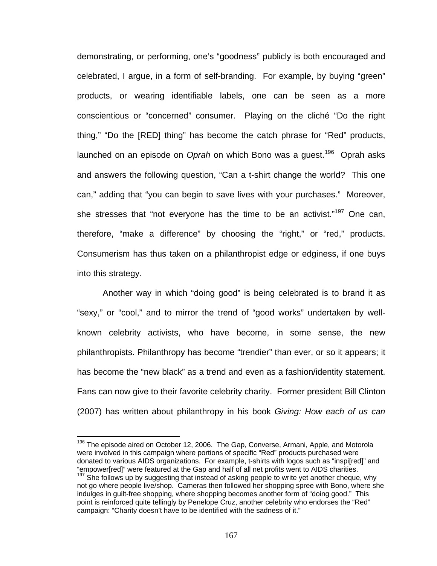demonstrating, or performing, one's "goodness" publicly is both encouraged and celebrated, I argue, in a form of self-branding. For example, by buying "green" products, or wearing identifiable labels, one can be seen as a more conscientious or "concerned" consumer. Playing on the cliché "Do the right thing," "Do the [RED] thing" has become the catch phrase for "Red" products, launched on an episode on *Oprah* on which Bono was a quest.<sup>196</sup> Oprah asks and answers the following question, "Can a t-shirt change the world? This one can," adding that "you can begin to save lives with your purchases." Moreover, she stresses that "not everyone has the time to be an activist."<sup>197</sup> One can, therefore, "make a difference" by choosing the "right," or "red," products. Consumerism has thus taken on a philanthropist edge or edginess, if one buys into this strategy.

Another way in which "doing good" is being celebrated is to brand it as "sexy," or "cool," and to mirror the trend of "good works" undertaken by wellknown celebrity activists, who have become, in some sense, the new philanthropists. Philanthropy has become "trendier" than ever, or so it appears; it has become the "new black" as a trend and even as a fashion/identity statement. Fans can now give to their favorite celebrity charity. Former president Bill Clinton (2007) has written about philanthropy in his book *Giving: How each of us can* 

<sup>&</sup>lt;sup>196</sup> The episode aired on October 12, 2006. The Gap, Converse, Armani, Apple, and Motorola were involved in this campaign where portions of specific "Red" products purchased were donated to various AIDS organizations. For example, t-shirts with logos such as "inspi[red]" and "empower[red]" were featured at the Gap and half of all net profits went to AIDS charities.  $197$  She follows up by suggesting that instead of asking people to write yet another cheque, why not go where people live/shop. Cameras then followed her shopping spree with Bono, where she indulges in guilt-free shopping, where shopping becomes another form of "doing good." This point is reinforced quite tellingly by Penelope Cruz, another celebrity who endorses the "Red" campaign: "Charity doesn't have to be identified with the sadness of it."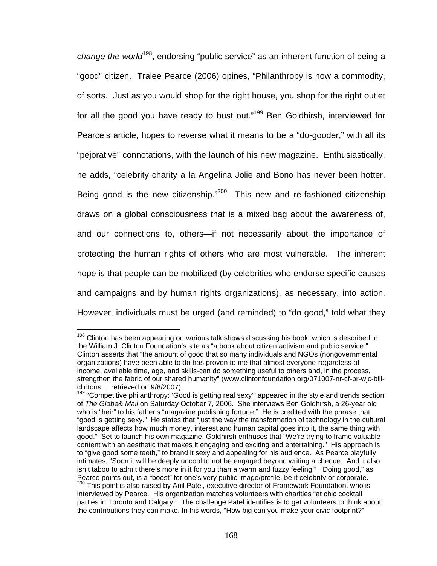*change the world*198, endorsing "public service" as an inherent function of being a "good" citizen. Tralee Pearce (2006) opines, "Philanthropy is now a commodity, of sorts. Just as you would shop for the right house, you shop for the right outlet for all the good you have ready to bust out."<sup>199</sup> Ben Goldhirsh, interviewed for Pearce's article, hopes to reverse what it means to be a "do-gooder," with all its "pejorative" connotations, with the launch of his new magazine. Enthusiastically, he adds, "celebrity charity a la Angelina Jolie and Bono has never been hotter. Being good is the new citizenship."<sup>200</sup> This new and re-fashioned citizenship draws on a global consciousness that is a mixed bag about the awareness of, and our connections to, others—if not necessarily about the importance of protecting the human rights of others who are most vulnerable. The inherent hope is that people can be mobilized (by celebrities who endorse specific causes and campaigns and by human rights organizations), as necessary, into action. However, individuals must be urged (and reminded) to "do good," told what they

<sup>&</sup>lt;sup>198</sup> Clinton has been appearing on various talk shows discussing his book, which is described in the William J. Clinton Foundation's site as "a book about citizen activism and public service." Clinton asserts that "the amount of good that so many individuals and NGOs (nongovernmental organizations) have been able to do has proven to me that almost everyone-regardless of income, available time, age, and skills-can do something useful to others and, in the process, strengthen the fabric of our shared humanity" (www.clintonfoundation.org/071007-nr-cf-pr-wjc-billclintons..., retrieved on 9/8/2007)

 $199$  "Competitive philanthropy: 'Good is getting real sexy'" appeared in the style and trends section of *The Globe& Mail* on Saturday October 7, 2006. She interviews Ben Goldhirsh, a 26-year old who is "heir" to his father's "magazine publishing fortune." He is credited with the phrase that "good is getting sexy." He states that "just the way the transformation of technology in the cultural landscape affects how much money, interest and human capital goes into it, the same thing with good." Set to launch his own magazine, Goldhirsh enthuses that "We're trying to frame valuable content with an aesthetic that makes it engaging and exciting and entertaining." His approach is to "give good some teeth," to brand it sexy and appealing for his audience. As Pearce playfully intimates, "Soon it will be deeply uncool to not be engaged beyond writing a cheque. And it also isn't taboo to admit there's more in it for you than a warm and fuzzy feeling." "Doing good," as Pearce points out, is a "boost" for one's very public image/profile, be it celebrity or corporate.<br><sup>200</sup> This point is also raised by Anil Patel, executive director of Framework Foundation, who is interviewed by Pearce. His organization matches volunteers with charities "at chic cocktail parties in Toronto and Calgary." The challenge Patel identifies is to get volunteers to think about the contributions they can make. In his words, "How big can you make your civic footprint?"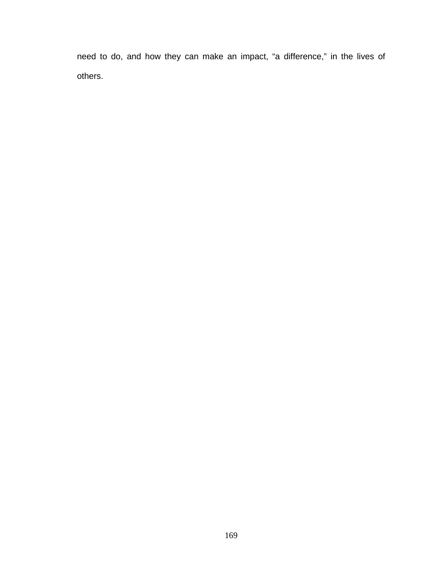need to do, and how they can make an impact, "a difference," in the lives of others.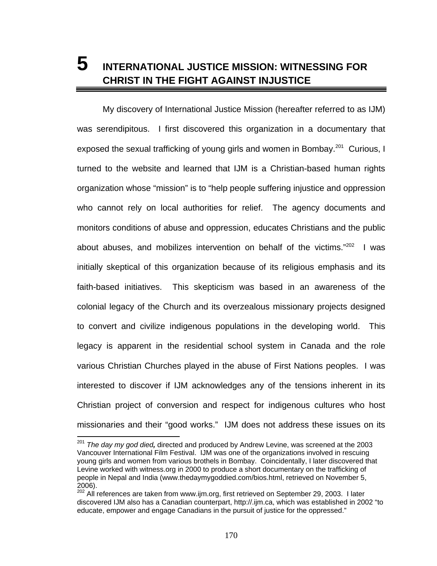# **5 INTERNATIONAL JUSTICE MISSION: WITNESSING FOR CHRIST IN THE FIGHT AGAINST INJUSTICE**

My discovery of International Justice Mission (hereafter referred to as IJM) was serendipitous. I first discovered this organization in a documentary that exposed the sexual trafficking of young girls and women in Bombay.<sup>201</sup> Curious, I turned to the website and learned that IJM is a Christian-based human rights organization whose "mission" is to "help people suffering injustice and oppression who cannot rely on local authorities for relief. The agency documents and monitors conditions of abuse and oppression, educates Christians and the public about abuses, and mobilizes intervention on behalf of the victims." $202$  I was initially skeptical of this organization because of its religious emphasis and its faith-based initiatives. This skepticism was based in an awareness of the colonial legacy of the Church and its overzealous missionary projects designed to convert and civilize indigenous populations in the developing world. This legacy is apparent in the residential school system in Canada and the role various Christian Churches played in the abuse of First Nations peoples. I was interested to discover if IJM acknowledges any of the tensions inherent in its Christian project of conversion and respect for indigenous cultures who host missionaries and their "good works." IJM does not address these issues on its

<sup>201</sup> *The day my god died,* directed and produced by Andrew Levine, was screened at the 2003 Vancouver International Film Festival. IJM was one of the organizations involved in rescuing young girls and women from various brothels in Bombay. Coincidentally, I later discovered that Levine worked with witness.org in 2000 to produce a short documentary on the trafficking of people in Nepal and India (www.thedaymygoddied.com/bios.html, retrieved on November 5, 2006).

 $202$  All references are taken from www.ijm.org, first retrieved on September 29, 2003. I later discovered IJM also has a Canadian counterpart, http://.ijm.ca, which was established in 2002 "to educate, empower and engage Canadians in the pursuit of justice for the oppressed."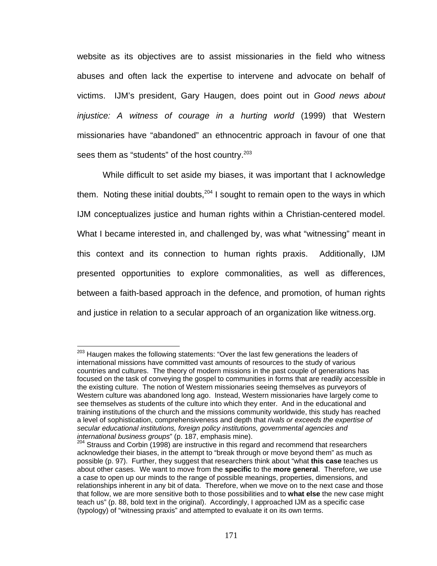website as its objectives are to assist missionaries in the field who witness abuses and often lack the expertise to intervene and advocate on behalf of victims. IJM's president, Gary Haugen, does point out in *Good news about injustice: A witness of courage in a hurting world* (1999) that Western missionaries have "abandoned" an ethnocentric approach in favour of one that sees them as "students" of the host country.<sup>203</sup>

While difficult to set aside my biases, it was important that I acknowledge them. Noting these initial doubts,  $204$  I sought to remain open to the ways in which IJM conceptualizes justice and human rights within a Christian-centered model. What I became interested in, and challenged by, was what "witnessing" meant in this context and its connection to human rights praxis. Additionally, IJM presented opportunities to explore commonalities, as well as differences, between a faith-based approach in the defence, and promotion, of human rights and justice in relation to a secular approach of an organization like witness.org.

<sup>&</sup>lt;sup>203</sup> Haugen makes the following statements: "Over the last few generations the leaders of international missions have committed vast amounts of resources to the study of various countries and cultures. The theory of modern missions in the past couple of generations has focused on the task of conveying the gospel to communities in forms that are readily accessible in the existing culture. The notion of Western missionaries seeing themselves as purveyors of Western culture was abandoned long ago. Instead, Western missionaries have largely come to see themselves as students of the culture into which they enter. And in the educational and training institutions of the church and the missions community worldwide, this study has reached a level of sophistication, comprehensiveness and depth that *rivals or exceeds the expertise of secular educational institutions, foreign policy institutions, governmental agencies and* 

<sup>&</sup>lt;sup>204</sup> Strauss and Corbin (1998) are instructive in this regard and recommend that researchers acknowledge their biases, in the attempt to "break through or move beyond them" as much as possible (p. 97). Further, they suggest that researchers think about "what **this case** teaches us about other cases. We want to move from the **specific** to the **more general**. Therefore, we use a case to open up our minds to the range of possible meanings, properties, dimensions, and relationships inherent in any bit of data. Therefore, when we move on to the next case and those that follow, we are more sensitive both to those possibilities and to **what else** the new case might teach us" (p. 88, bold text in the original). Accordingly, I approached IJM as a specific case (typology) of "witnessing praxis" and attempted to evaluate it on its own terms.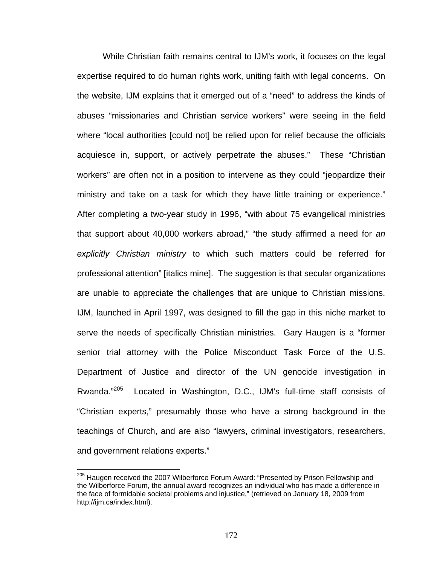While Christian faith remains central to IJM's work, it focuses on the legal expertise required to do human rights work, uniting faith with legal concerns. On the website, IJM explains that it emerged out of a "need" to address the kinds of abuses "missionaries and Christian service workers" were seeing in the field where "local authorities [could not] be relied upon for relief because the officials acquiesce in, support, or actively perpetrate the abuses." These "Christian workers" are often not in a position to intervene as they could "jeopardize their ministry and take on a task for which they have little training or experience." After completing a two-year study in 1996, "with about 75 evangelical ministries that support about 40,000 workers abroad," "the study affirmed a need for *an explicitly Christian ministry* to which such matters could be referred for professional attention" [italics mine]. The suggestion is that secular organizations are unable to appreciate the challenges that are unique to Christian missions. IJM, launched in April 1997, was designed to fill the gap in this niche market to serve the needs of specifically Christian ministries. Gary Haugen is a "former senior trial attorney with the Police Misconduct Task Force of the U.S. Department of Justice and director of the UN genocide investigation in Rwanda."<sup>205</sup> Located in Washington, D.C., IJM's full-time staff consists of "Christian experts," presumably those who have a strong background in the teachings of Church, and are also "lawyers, criminal investigators, researchers, and government relations experts."

<sup>&</sup>lt;sup>205</sup> Haugen received the 2007 Wilberforce Forum Award: "Presented by Prison Fellowship and the Wilberforce Forum, the annual award recognizes an individual who has made a difference in the face of formidable societal problems and injustice," (retrieved on January 18, 2009 from http://ijm.ca/index.html).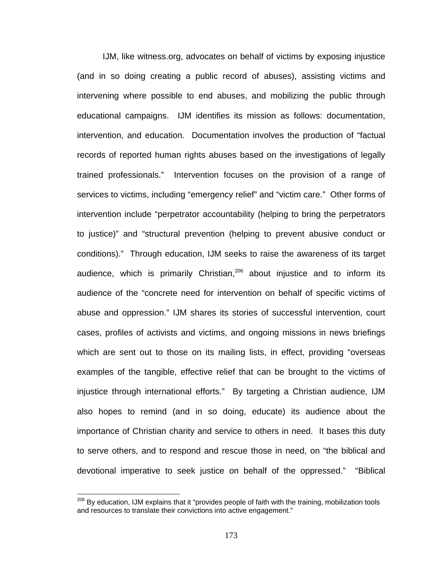IJM, like witness.org, advocates on behalf of victims by exposing injustice (and in so doing creating a public record of abuses), assisting victims and intervening where possible to end abuses, and mobilizing the public through educational campaigns. IJM identifies its mission as follows: documentation, intervention, and education. Documentation involves the production of "factual records of reported human rights abuses based on the investigations of legally trained professionals." Intervention focuses on the provision of a range of services to victims, including "emergency relief" and "victim care." Other forms of intervention include "perpetrator accountability (helping to bring the perpetrators to justice)" and "structural prevention (helping to prevent abusive conduct or conditions)." Through education, IJM seeks to raise the awareness of its target audience, which is primarily Christian,<sup>206</sup> about injustice and to inform its audience of the "concrete need for intervention on behalf of specific victims of abuse and oppression." IJM shares its stories of successful intervention, court cases, profiles of activists and victims, and ongoing missions in news briefings which are sent out to those on its mailing lists, in effect, providing "overseas examples of the tangible, effective relief that can be brought to the victims of injustice through international efforts." By targeting a Christian audience, IJM also hopes to remind (and in so doing, educate) its audience about the importance of Christian charity and service to others in need. It bases this duty to serve others, and to respond and rescue those in need, on "the biblical and devotional imperative to seek justice on behalf of the oppressed." "Biblical

<sup>&</sup>lt;sup>206</sup> By education, IJM explains that it "provides people of faith with the training, mobilization tools and resources to translate their convictions into active engagement."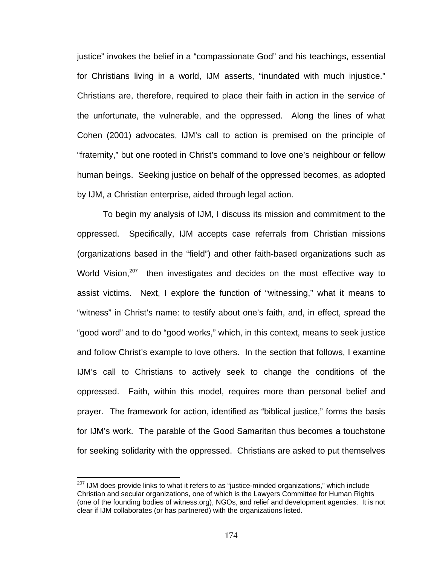justice" invokes the belief in a "compassionate God" and his teachings, essential for Christians living in a world, IJM asserts, "inundated with much injustice." Christians are, therefore, required to place their faith in action in the service of the unfortunate, the vulnerable, and the oppressed. Along the lines of what Cohen (2001) advocates, IJM's call to action is premised on the principle of "fraternity," but one rooted in Christ's command to love one's neighbour or fellow human beings. Seeking justice on behalf of the oppressed becomes, as adopted by IJM, a Christian enterprise, aided through legal action.

To begin my analysis of IJM, I discuss its mission and commitment to the oppressed. Specifically, IJM accepts case referrals from Christian missions (organizations based in the "field") and other faith-based organizations such as World Vision, $207$  then investigates and decides on the most effective way to assist victims. Next, I explore the function of "witnessing," what it means to "witness" in Christ's name: to testify about one's faith, and, in effect, spread the "good word" and to do "good works," which, in this context, means to seek justice and follow Christ's example to love others. In the section that follows, I examine IJM's call to Christians to actively seek to change the conditions of the oppressed. Faith, within this model, requires more than personal belief and prayer. The framework for action, identified as "biblical justice," forms the basis for IJM's work. The parable of the Good Samaritan thus becomes a touchstone for seeking solidarity with the oppressed. Christians are asked to put themselves

 $207$  IJM does provide links to what it refers to as "justice-minded organizations," which include Christian and secular organizations, one of which is the Lawyers Committee for Human Rights (one of the founding bodies of witness.org), NGOs, and relief and development agencies. It is not clear if IJM collaborates (or has partnered) with the organizations listed.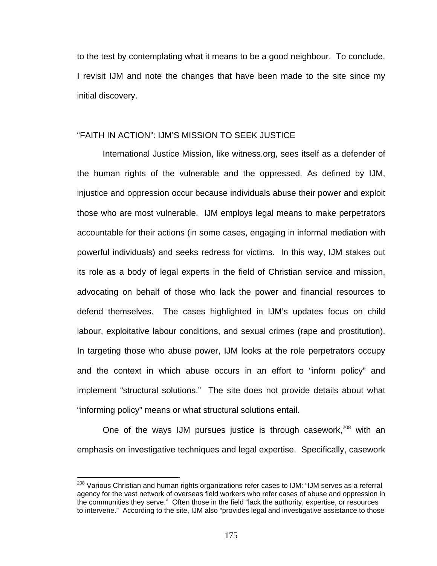to the test by contemplating what it means to be a good neighbour. To conclude, I revisit IJM and note the changes that have been made to the site since my initial discovery.

### "FAITH IN ACTION": IJM'S MISSION TO SEEK JUSTICE

International Justice Mission, like witness.org, sees itself as a defender of the human rights of the vulnerable and the oppressed. As defined by IJM, injustice and oppression occur because individuals abuse their power and exploit those who are most vulnerable. IJM employs legal means to make perpetrators accountable for their actions (in some cases, engaging in informal mediation with powerful individuals) and seeks redress for victims. In this way, IJM stakes out its role as a body of legal experts in the field of Christian service and mission, advocating on behalf of those who lack the power and financial resources to defend themselves. The cases highlighted in IJM's updates focus on child labour, exploitative labour conditions, and sexual crimes (rape and prostitution). In targeting those who abuse power, IJM looks at the role perpetrators occupy and the context in which abuse occurs in an effort to "inform policy" and implement "structural solutions." The site does not provide details about what "informing policy" means or what structural solutions entail.

One of the ways IJM pursues justice is through casework, $208$  with an emphasis on investigative techniques and legal expertise. Specifically, casework

<u>.</u>

<sup>&</sup>lt;sup>208</sup> Various Christian and human rights organizations refer cases to IJM: "IJM serves as a referral agency for the vast network of overseas field workers who refer cases of abuse and oppression in the communities they serve." Often those in the field "lack the authority, expertise, or resources to intervene." According to the site, IJM also "provides legal and investigative assistance to those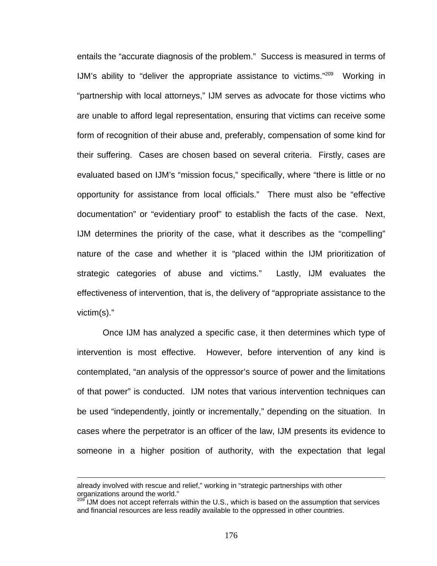entails the "accurate diagnosis of the problem." Success is measured in terms of IJM's ability to "deliver the appropriate assistance to victims."209 Working in "partnership with local attorneys," IJM serves as advocate for those victims who are unable to afford legal representation, ensuring that victims can receive some form of recognition of their abuse and, preferably, compensation of some kind for their suffering. Cases are chosen based on several criteria. Firstly, cases are evaluated based on IJM's "mission focus," specifically, where "there is little or no opportunity for assistance from local officials." There must also be "effective documentation" or "evidentiary proof" to establish the facts of the case. Next, IJM determines the priority of the case, what it describes as the "compelling" nature of the case and whether it is "placed within the IJM prioritization of strategic categories of abuse and victims." Lastly, IJM evaluates the effectiveness of intervention, that is, the delivery of "appropriate assistance to the victim(s)."

Once IJM has analyzed a specific case, it then determines which type of intervention is most effective. However, before intervention of any kind is contemplated, "an analysis of the oppressor's source of power and the limitations of that power" is conducted. IJM notes that various intervention techniques can be used "independently, jointly or incrementally," depending on the situation. In cases where the perpetrator is an officer of the law, IJM presents its evidence to someone in a higher position of authority, with the expectation that legal

already involved with rescue and relief," working in "strategic partnerships with other organizations around the world."

<sup>&</sup>lt;sup>209</sup> IJM does not accept referrals within the U.S., which is based on the assumption that services and financial resources are less readily available to the oppressed in other countries.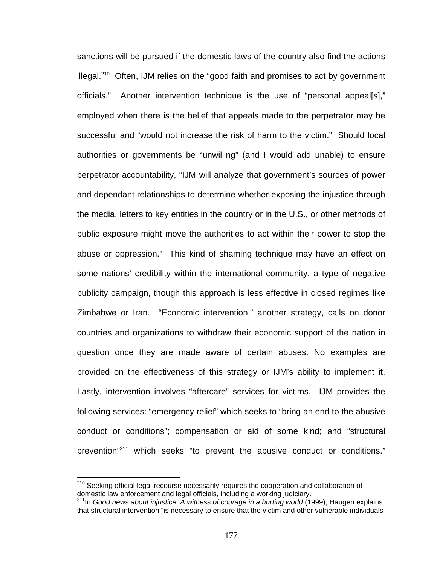sanctions will be pursued if the domestic laws of the country also find the actions illegal.<sup>210</sup> Often, IJM relies on the "good faith and promises to act by government officials." Another intervention technique is the use of "personal appeal[s]," employed when there is the belief that appeals made to the perpetrator may be successful and "would not increase the risk of harm to the victim." Should local authorities or governments be "unwilling" (and I would add unable) to ensure perpetrator accountability, "IJM will analyze that government's sources of power and dependant relationships to determine whether exposing the injustice through the media, letters to key entities in the country or in the U.S., or other methods of public exposure might move the authorities to act within their power to stop the abuse or oppression." This kind of shaming technique may have an effect on some nations' credibility within the international community, a type of negative publicity campaign, though this approach is less effective in closed regimes like Zimbabwe or Iran. "Economic intervention," another strategy, calls on donor countries and organizations to withdraw their economic support of the nation in question once they are made aware of certain abuses. No examples are provided on the effectiveness of this strategy or IJM's ability to implement it. Lastly, intervention involves "aftercare" services for victims. IJM provides the following services: "emergency relief" which seeks to "bring an end to the abusive conduct or conditions"; compensation or aid of some kind; and "structural prevention"211 which seeks "to prevent the abusive conduct or conditions."

<sup>&</sup>lt;sup>210</sup> Seeking official legal recourse necessarily requires the cooperation and collaboration of domestic law enforcement and legal officials, including a working judiciary.

<sup>211</sup>In *Good news about injustice: A witness of courage in a hurting world* (1999), Haugen explains that structural intervention "is necessary to ensure that the victim and other vulnerable individuals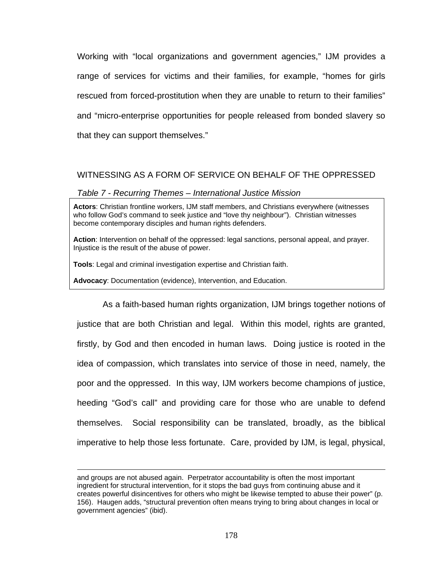Working with "local organizations and government agencies," IJM provides a range of services for victims and their families, for example, "homes for girls rescued from forced-prostitution when they are unable to return to their families" and "micro-enterprise opportunities for people released from bonded slavery so that they can support themselves."

## WITNESSING AS A FORM OF SERVICE ON BEHALF OF THE OPPRESSED

#### *Table 7 - Recurring Themes – International Justice Mission*

**Actors**: Christian frontline workers, IJM staff members, and Christians everywhere (witnesses who follow God's command to seek justice and "love thy neighbour"). Christian witnesses become contemporary disciples and human rights defenders.

**Action**: Intervention on behalf of the oppressed: legal sanctions, personal appeal, and prayer. Injustice is the result of the abuse of power.

**Tools**: Legal and criminal investigation expertise and Christian faith.

**Advocacy**: Documentation (evidence), Intervention, and Education.

1

As a faith-based human rights organization, IJM brings together notions of justice that are both Christian and legal. Within this model, rights are granted, firstly, by God and then encoded in human laws. Doing justice is rooted in the idea of compassion, which translates into service of those in need, namely, the poor and the oppressed. In this way, IJM workers become champions of justice, heeding "God's call" and providing care for those who are unable to defend themselves. Social responsibility can be translated, broadly, as the biblical imperative to help those less fortunate. Care, provided by IJM, is legal, physical,

and groups are not abused again. Perpetrator accountability is often the most important ingredient for structural intervention, for it stops the bad guys from continuing abuse and it creates powerful disincentives for others who might be likewise tempted to abuse their power" (p. 156). Haugen adds, "structural prevention often means trying to bring about changes in local or government agencies" (ibid).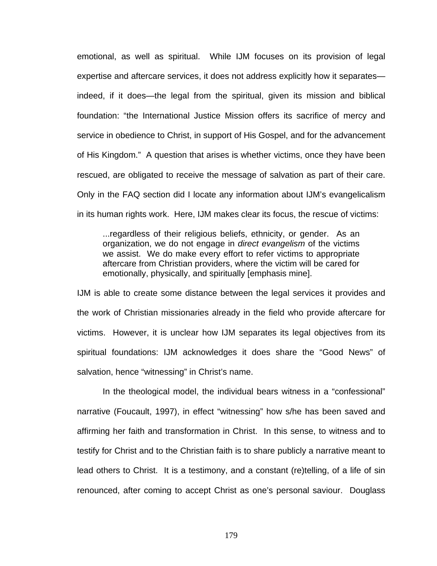emotional, as well as spiritual. While IJM focuses on its provision of legal expertise and aftercare services, it does not address explicitly how it separates indeed, if it does—the legal from the spiritual, given its mission and biblical foundation: "the International Justice Mission offers its sacrifice of mercy and service in obedience to Christ, in support of His Gospel, and for the advancement of His Kingdom." A question that arises is whether victims, once they have been rescued, are obligated to receive the message of salvation as part of their care. Only in the FAQ section did I locate any information about IJM's evangelicalism in its human rights work. Here, IJM makes clear its focus, the rescue of victims:

...regardless of their religious beliefs, ethnicity, or gender. As an organization, we do not engage in *direct evangelism* of the victims we assist. We do make every effort to refer victims to appropriate aftercare from Christian providers, where the victim will be cared for emotionally, physically, and spiritually [emphasis mine].

IJM is able to create some distance between the legal services it provides and the work of Christian missionaries already in the field who provide aftercare for victims. However, it is unclear how IJM separates its legal objectives from its spiritual foundations: IJM acknowledges it does share the "Good News" of salvation, hence "witnessing" in Christ's name.

In the theological model, the individual bears witness in a "confessional" narrative (Foucault, 1997), in effect "witnessing" how s/he has been saved and affirming her faith and transformation in Christ. In this sense, to witness and to testify for Christ and to the Christian faith is to share publicly a narrative meant to lead others to Christ. It is a testimony, and a constant (re)telling, of a life of sin renounced, after coming to accept Christ as one's personal saviour. Douglass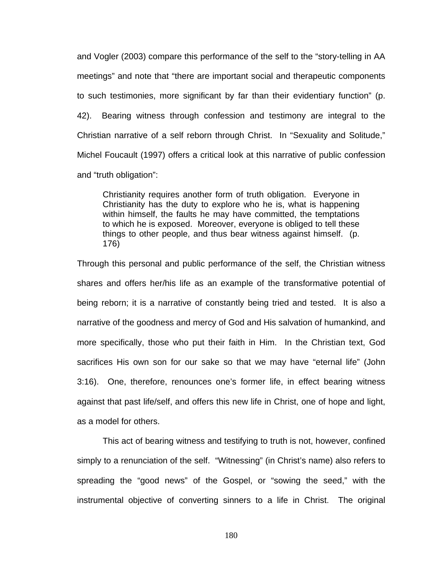and Vogler (2003) compare this performance of the self to the "story-telling in AA meetings" and note that "there are important social and therapeutic components to such testimonies, more significant by far than their evidentiary function" (p. 42). Bearing witness through confession and testimony are integral to the Christian narrative of a self reborn through Christ. In "Sexuality and Solitude," Michel Foucault (1997) offers a critical look at this narrative of public confession and "truth obligation":

Christianity requires another form of truth obligation. Everyone in Christianity has the duty to explore who he is, what is happening within himself, the faults he may have committed, the temptations to which he is exposed. Moreover, everyone is obliged to tell these things to other people, and thus bear witness against himself. (p. 176)

Through this personal and public performance of the self, the Christian witness shares and offers her/his life as an example of the transformative potential of being reborn; it is a narrative of constantly being tried and tested. It is also a narrative of the goodness and mercy of God and His salvation of humankind, and more specifically, those who put their faith in Him. In the Christian text, God sacrifices His own son for our sake so that we may have "eternal life" (John 3:16). One, therefore, renounces one's former life, in effect bearing witness against that past life/self, and offers this new life in Christ, one of hope and light, as a model for others.

This act of bearing witness and testifying to truth is not, however, confined simply to a renunciation of the self. "Witnessing" (in Christ's name) also refers to spreading the "good news" of the Gospel, or "sowing the seed," with the instrumental objective of converting sinners to a life in Christ. The original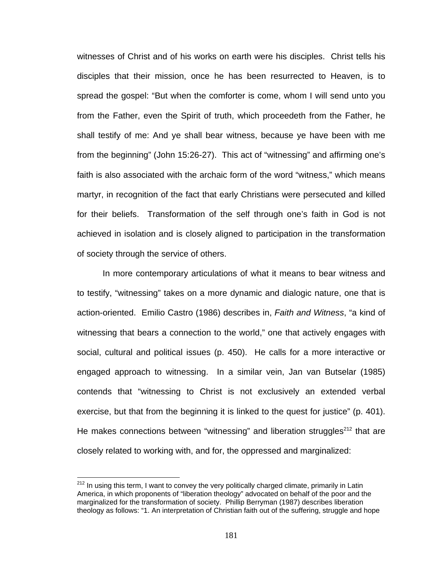witnesses of Christ and of his works on earth were his disciples. Christ tells his disciples that their mission, once he has been resurrected to Heaven, is to spread the gospel: "But when the comforter is come, whom I will send unto you from the Father, even the Spirit of truth, which proceedeth from the Father, he shall testify of me: And ye shall bear witness, because ye have been with me from the beginning" (John 15:26-27). This act of "witnessing" and affirming one's faith is also associated with the archaic form of the word "witness," which means martyr, in recognition of the fact that early Christians were persecuted and killed for their beliefs. Transformation of the self through one's faith in God is not achieved in isolation and is closely aligned to participation in the transformation of society through the service of others.

In more contemporary articulations of what it means to bear witness and to testify, "witnessing" takes on a more dynamic and dialogic nature, one that is action-oriented. Emilio Castro (1986) describes in, *Faith and Witness*, "a kind of witnessing that bears a connection to the world," one that actively engages with social, cultural and political issues (p. 450). He calls for a more interactive or engaged approach to witnessing. In a similar vein, Jan van Butselar (1985) contends that "witnessing to Christ is not exclusively an extended verbal exercise, but that from the beginning it is linked to the quest for justice" (p. 401). He makes connections between "witnessing" and liberation struggles<sup>212</sup> that are closely related to working with, and for, the oppressed and marginalized:

<u>.</u>

<sup>&</sup>lt;sup>212</sup> In using this term, I want to convey the very politically charged climate, primarily in Latin America, in which proponents of "liberation theology" advocated on behalf of the poor and the marginalized for the transformation of society. Phillip Berryman (1987) describes liberation theology as follows: "1. An interpretation of Christian faith out of the suffering, struggle and hope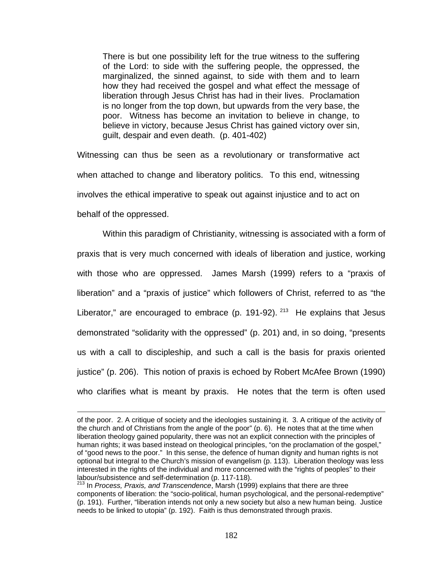There is but one possibility left for the true witness to the suffering of the Lord: to side with the suffering people, the oppressed, the marginalized, the sinned against, to side with them and to learn how they had received the gospel and what effect the message of liberation through Jesus Christ has had in their lives. Proclamation is no longer from the top down, but upwards from the very base, the poor. Witness has become an invitation to believe in change, to believe in victory, because Jesus Christ has gained victory over sin, guilt, despair and even death. (p. 401-402)

Witnessing can thus be seen as a revolutionary or transformative act when attached to change and liberatory politics. To this end, witnessing involves the ethical imperative to speak out against injustice and to act on behalf of the oppressed.

Within this paradigm of Christianity, witnessing is associated with a form of praxis that is very much concerned with ideals of liberation and justice, working with those who are oppressed. James Marsh (1999) refers to a "praxis of liberation" and a "praxis of justice" which followers of Christ, referred to as "the Liberator," are encouraged to embrace (p. 191-92).  $213$  He explains that Jesus demonstrated "solidarity with the oppressed" (p. 201) and, in so doing, "presents us with a call to discipleship, and such a call is the basis for praxis oriented justice" (p. 206). This notion of praxis is echoed by Robert McAfee Brown (1990) who clarifies what is meant by praxis. He notes that the term is often used

of the poor. 2. A critique of society and the ideologies sustaining it. 3. A critique of the activity of the church and of Christians from the angle of the poor" (p. 6). He notes that at the time when liberation theology gained popularity, there was not an explicit connection with the principles of human rights; it was based instead on theological principles, "on the proclamation of the gospel," of "good news to the poor." In this sense, the defence of human dignity and human rights is not optional but integral to the Church's mission of evangelism (p. 113). Liberation theology was less interested in the rights of the individual and more concerned with the "rights of peoples" to their labour/subsistence and self-determination (p. 117-118).

<sup>213</sup> In *Process, Praxis, and Transcendence*, Marsh (1999) explains that there are three components of liberation: the "socio-political, human psychological, and the personal-redemptive" (p. 191). Further, "liberation intends not only a new society but also a new human being. Justice needs to be linked to utopia" (p. 192). Faith is thus demonstrated through praxis.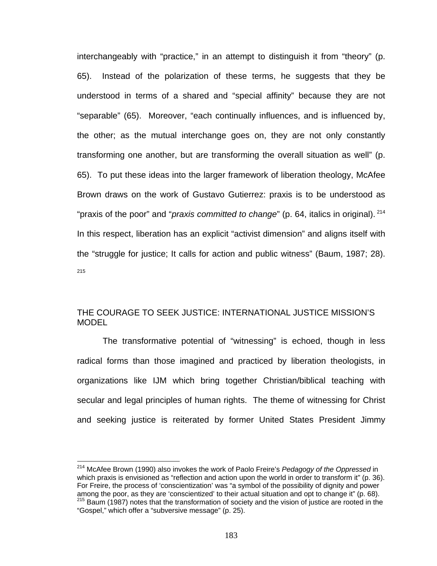interchangeably with "practice," in an attempt to distinguish it from "theory" (p. 65). Instead of the polarization of these terms, he suggests that they be understood in terms of a shared and "special affinity" because they are not "separable" (65). Moreover, "each continually influences, and is influenced by, the other; as the mutual interchange goes on, they are not only constantly transforming one another, but are transforming the overall situation as well" (p. 65). To put these ideas into the larger framework of liberation theology, McAfee Brown draws on the work of Gustavo Gutierrez: praxis is to be understood as "praxis of the poor" and "*praxis committed to change*" (p. 64, italics in original). 214 In this respect, liberation has an explicit "activist dimension" and aligns itself with the "struggle for justice; It calls for action and public witness" (Baum, 1987; 28). 215

## THE COURAGE TO SEEK JUSTICE: INTERNATIONAL JUSTICE MISSION'S MODEL

The transformative potential of "witnessing" is echoed, though in less radical forms than those imagined and practiced by liberation theologists, in organizations like IJM which bring together Christian/biblical teaching with secular and legal principles of human rights. The theme of witnessing for Christ and seeking justice is reiterated by former United States President Jimmy

<sup>1</sup> 214 McAfee Brown (1990) also invokes the work of Paolo Freire's *Pedagogy of the Oppressed* in which praxis is envisioned as "reflection and action upon the world in order to transform it" (p. 36). For Freire, the process of 'conscientization' was "a symbol of the possibility of dignity and power<br>among the poor, as they are 'conscientized' to their actual situation and opt to change it" (p. 68).  $215$  Baum (1987) notes that the transformation of society and the vision of justice are rooted in the "Gospel," which offer a "subversive message" (p. 25).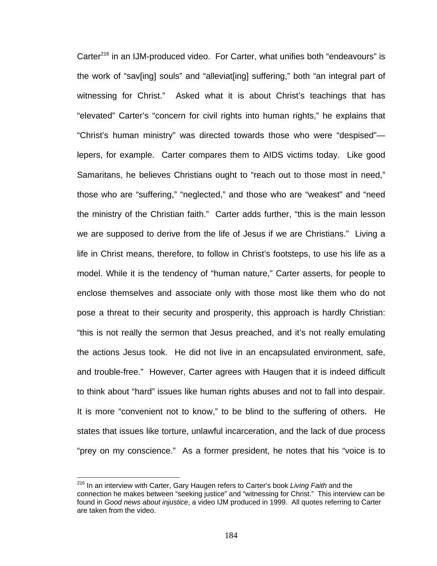Carter<sup>216</sup> in an IJM-produced video. For Carter, what unifies both "endeavours" is the work of "sav[ing] souls" and "alleviat[ing] suffering," both "an integral part of witnessing for Christ." Asked what it is about Christ's teachings that has "elevated" Carter's "concern for civil rights into human rights," he explains that "Christ's human ministry" was directed towards those who were "despised" lepers, for example. Carter compares them to AIDS victims today. Like good Samaritans, he believes Christians ought to "reach out to those most in need," those who are "suffering," "neglected," and those who are "weakest" and "need the ministry of the Christian faith." Carter adds further, "this is the main lesson we are supposed to derive from the life of Jesus if we are Christians." Living a life in Christ means, therefore, to follow in Christ's footsteps, to use his life as a model. While it is the tendency of "human nature," Carter asserts, for people to enclose themselves and associate only with those most like them who do not pose a threat to their security and prosperity, this approach is hardly Christian: "this is not really the sermon that Jesus preached, and it's not really emulating the actions Jesus took. He did not live in an encapsulated environment, safe, and trouble-free." However, Carter agrees with Haugen that it is indeed difficult to think about "hard" issues like human rights abuses and not to fall into despair. It is more "convenient not to know," to be blind to the suffering of others. He states that issues like torture, unlawful incarceration, and the lack of due process "prey on my conscience." As a former president, he notes that his "voice is to

<sup>216</sup> In an interview with Carter, Gary Haugen refers to Carter's book *Living Faith* and the connection he makes between "seeking justice" and "witnessing for Christ." This interview can be found in *Good news about injustice*, a video IJM produced in 1999. All quotes referring to Carter are taken from the video.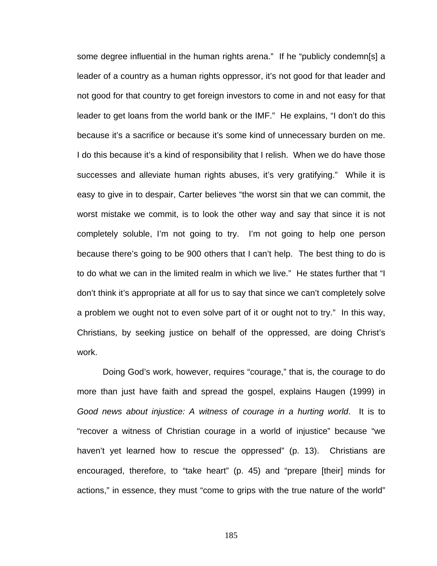some degree influential in the human rights arena." If he "publicly condemn[s] a leader of a country as a human rights oppressor, it's not good for that leader and not good for that country to get foreign investors to come in and not easy for that leader to get loans from the world bank or the IMF." He explains, "I don't do this because it's a sacrifice or because it's some kind of unnecessary burden on me. I do this because it's a kind of responsibility that I relish. When we do have those successes and alleviate human rights abuses, it's very gratifying." While it is easy to give in to despair, Carter believes "the worst sin that we can commit, the worst mistake we commit, is to look the other way and say that since it is not completely soluble, I'm not going to try. I'm not going to help one person because there's going to be 900 others that I can't help. The best thing to do is to do what we can in the limited realm in which we live." He states further that "I don't think it's appropriate at all for us to say that since we can't completely solve a problem we ought not to even solve part of it or ought not to try." In this way, Christians, by seeking justice on behalf of the oppressed, are doing Christ's work.

Doing God's work, however, requires "courage," that is, the courage to do more than just have faith and spread the gospel, explains Haugen (1999) in *Good news about injustice: A witness of courage in a hurting world*. It is to "recover a witness of Christian courage in a world of injustice" because "we haven't yet learned how to rescue the oppressed" (p. 13). Christians are encouraged, therefore, to "take heart" (p. 45) and "prepare [their] minds for actions," in essence, they must "come to grips with the true nature of the world"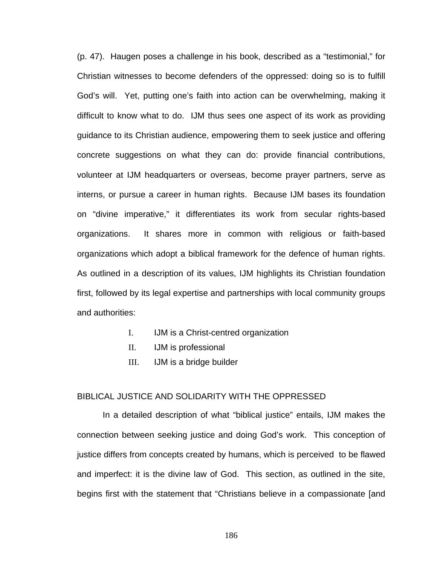(p. 47). Haugen poses a challenge in his book, described as a "testimonial," for Christian witnesses to become defenders of the oppressed: doing so is to fulfill God's will. Yet, putting one's faith into action can be overwhelming, making it difficult to know what to do. IJM thus sees one aspect of its work as providing guidance to its Christian audience, empowering them to seek justice and offering concrete suggestions on what they can do: provide financial contributions, volunteer at IJM headquarters or overseas, become prayer partners, serve as interns, or pursue a career in human rights. Because IJM bases its foundation on "divine imperative," it differentiates its work from secular rights-based organizations. It shares more in common with religious or faith-based organizations which adopt a biblical framework for the defence of human rights. As outlined in a description of its values, IJM highlights its Christian foundation first, followed by its legal expertise and partnerships with local community groups and authorities:

- I. IJM is a Christ-centred organization
- II. IJM is professional
- III. IJM is a bridge builder

#### BIBLICAL JUSTICE AND SOLIDARITY WITH THE OPPRESSED

In a detailed description of what "biblical justice" entails, IJM makes the connection between seeking justice and doing God's work. This conception of justice differs from concepts created by humans, which is perceived to be flawed and imperfect: it is the divine law of God. This section, as outlined in the site, begins first with the statement that "Christians believe in a compassionate [and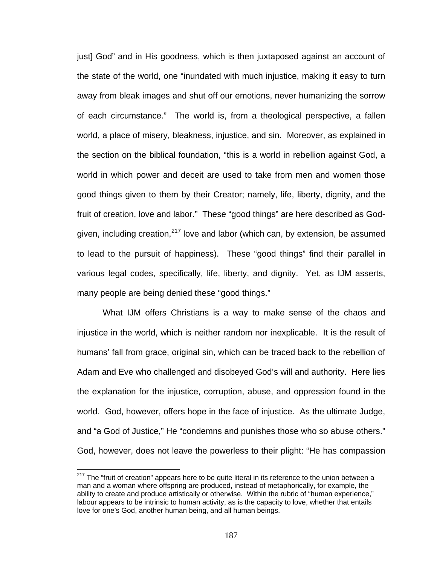just] God" and in His goodness, which is then juxtaposed against an account of the state of the world, one "inundated with much injustice, making it easy to turn away from bleak images and shut off our emotions, never humanizing the sorrow of each circumstance." The world is, from a theological perspective, a fallen world, a place of misery, bleakness, injustice, and sin. Moreover, as explained in the section on the biblical foundation, "this is a world in rebellion against God, a world in which power and deceit are used to take from men and women those good things given to them by their Creator; namely, life, liberty, dignity, and the fruit of creation, love and labor." These "good things" are here described as Godgiven, including creation, $217$  love and labor (which can, by extension, be assumed to lead to the pursuit of happiness). These "good things" find their parallel in various legal codes, specifically, life, liberty, and dignity. Yet, as IJM asserts, many people are being denied these "good things."

What IJM offers Christians is a way to make sense of the chaos and injustice in the world, which is neither random nor inexplicable. It is the result of humans' fall from grace, original sin, which can be traced back to the rebellion of Adam and Eve who challenged and disobeyed God's will and authority. Here lies the explanation for the injustice, corruption, abuse, and oppression found in the world. God, however, offers hope in the face of injustice. As the ultimate Judge, and "a God of Justice," He "condemns and punishes those who so abuse others." God, however, does not leave the powerless to their plight: "He has compassion

<sup>&</sup>lt;sup>217</sup> The "fruit of creation" appears here to be quite literal in its reference to the union between a man and a woman where offspring are produced, instead of metaphorically, for example, the ability to create and produce artistically or otherwise. Within the rubric of "human experience," labour appears to be intrinsic to human activity, as is the capacity to love, whether that entails love for one's God, another human being, and all human beings.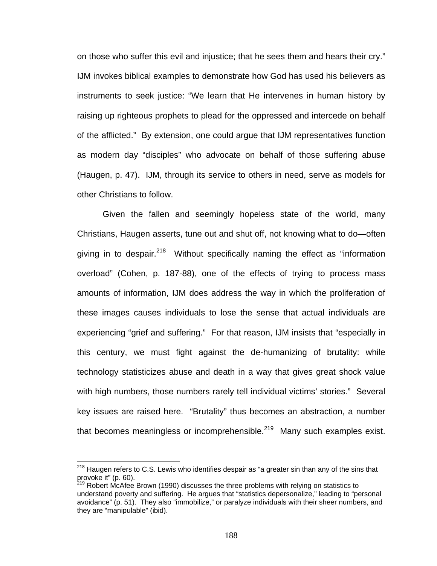on those who suffer this evil and injustice; that he sees them and hears their cry." IJM invokes biblical examples to demonstrate how God has used his believers as instruments to seek justice: "We learn that He intervenes in human history by raising up righteous prophets to plead for the oppressed and intercede on behalf of the afflicted." By extension, one could argue that IJM representatives function as modern day "disciples" who advocate on behalf of those suffering abuse (Haugen, p. 47). IJM, through its service to others in need, serve as models for other Christians to follow.

Given the fallen and seemingly hopeless state of the world, many Christians, Haugen asserts, tune out and shut off, not knowing what to do—often giving in to despair. $218$  Without specifically naming the effect as "information overload" (Cohen, p. 187-88), one of the effects of trying to process mass amounts of information, IJM does address the way in which the proliferation of these images causes individuals to lose the sense that actual individuals are experiencing "grief and suffering." For that reason, IJM insists that "especially in this century, we must fight against the de-humanizing of brutality: while technology statisticizes abuse and death in a way that gives great shock value with high numbers, those numbers rarely tell individual victims' stories." Several key issues are raised here. "Brutality" thus becomes an abstraction, a number that becomes meaningless or incomprehensible. $^{219}$  Many such examples exist.

 $^{218}$  Haugen refers to C.S. Lewis who identifies despair as "a greater sin than any of the sins that provoke it" (p. 60).

<sup>&</sup>lt;sup>219</sup> Robert McAfee Brown (1990) discusses the three problems with relying on statistics to understand poverty and suffering. He argues that "statistics depersonalize," leading to "personal avoidance" (p. 51). They also "immobilize," or paralyze individuals with their sheer numbers, and they are "manipulable" (ibid).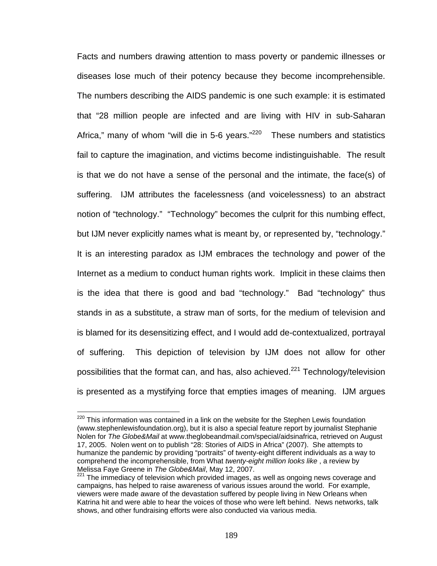Facts and numbers drawing attention to mass poverty or pandemic illnesses or diseases lose much of their potency because they become incomprehensible. The numbers describing the AIDS pandemic is one such example: it is estimated that "28 million people are infected and are living with HIV in sub-Saharan Africa," many of whom "will die in 5-6 years. $1220$  These numbers and statistics fail to capture the imagination, and victims become indistinguishable. The result is that we do not have a sense of the personal and the intimate, the face(s) of suffering. IJM attributes the facelessness (and voicelessness) to an abstract notion of "technology." "Technology" becomes the culprit for this numbing effect, but IJM never explicitly names what is meant by, or represented by, "technology." It is an interesting paradox as IJM embraces the technology and power of the Internet as a medium to conduct human rights work. Implicit in these claims then is the idea that there is good and bad "technology." Bad "technology" thus stands in as a substitute, a straw man of sorts, for the medium of television and is blamed for its desensitizing effect, and I would add de-contextualized, portrayal of suffering. This depiction of television by IJM does not allow for other possibilities that the format can, and has, also achieved.<sup>221</sup> Technology/television is presented as a mystifying force that empties images of meaning. IJM argues

 $220$  This information was contained in a link on the website for the Stephen Lewis foundation (www.stephenlewisfoundation.org), but it is also a special feature report by journalist Stephanie Nolen for *The Globe&Mail* at www.theglobeandmail.com/special/aidsinafrica, retrieved on August 17, 2005. Nolen went on to publish "28: Stories of AIDS in Africa" (2007). She attempts to humanize the pandemic by providing "portraits" of twenty-eight different individuals as a way to comprehend the incomprehensible, from What *twenty-eight million looks like* , a review by Melissa Faye Greene in *The Globe&Mail*, May 12, 2007.<br><sup>221</sup> The immediacy of television which provided images, as well as ongoing news coverage and

campaigns, has helped to raise awareness of various issues around the world. For example, viewers were made aware of the devastation suffered by people living in New Orleans when Katrina hit and were able to hear the voices of those who were left behind. News networks, talk shows, and other fundraising efforts were also conducted via various media.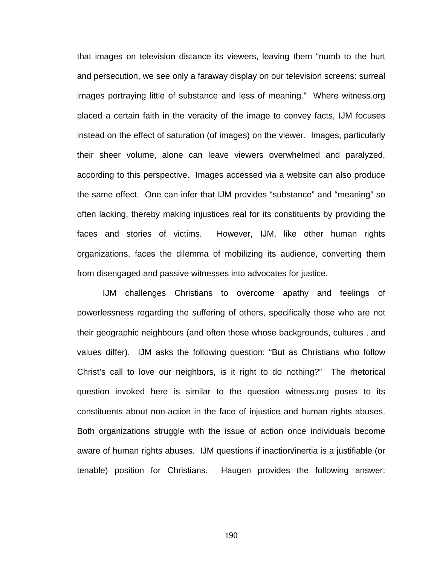that images on television distance its viewers, leaving them "numb to the hurt and persecution, we see only a faraway display on our television screens: surreal images portraying little of substance and less of meaning." Where witness.org placed a certain faith in the veracity of the image to convey facts, IJM focuses instead on the effect of saturation (of images) on the viewer. Images, particularly their sheer volume, alone can leave viewers overwhelmed and paralyzed, according to this perspective. Images accessed via a website can also produce the same effect. One can infer that IJM provides "substance" and "meaning" so often lacking, thereby making injustices real for its constituents by providing the faces and stories of victims. However, IJM, like other human rights organizations, faces the dilemma of mobilizing its audience, converting them from disengaged and passive witnesses into advocates for justice.

IJM challenges Christians to overcome apathy and feelings of powerlessness regarding the suffering of others, specifically those who are not their geographic neighbours (and often those whose backgrounds, cultures , and values differ). IJM asks the following question: "But as Christians who follow Christ's call to love our neighbors, is it right to do nothing?" The rhetorical question invoked here is similar to the question witness.org poses to its constituents about non-action in the face of injustice and human rights abuses. Both organizations struggle with the issue of action once individuals become aware of human rights abuses. IJM questions if inaction/inertia is a justifiable (or tenable) position for Christians. Haugen provides the following answer: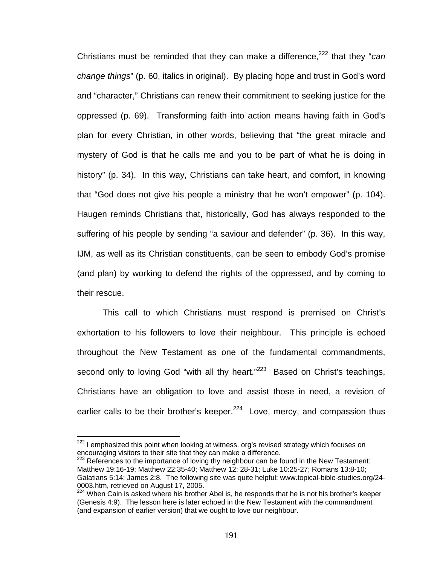Christians must be reminded that they can make a difference,222 that they "*can change things*" (p. 60, italics in original). By placing hope and trust in God's word and "character," Christians can renew their commitment to seeking justice for the oppressed (p. 69). Transforming faith into action means having faith in God's plan for every Christian, in other words, believing that "the great miracle and mystery of God is that he calls me and you to be part of what he is doing in history" (p. 34). In this way, Christians can take heart, and comfort, in knowing that "God does not give his people a ministry that he won't empower" (p. 104). Haugen reminds Christians that, historically, God has always responded to the suffering of his people by sending "a saviour and defender" (p. 36). In this way, IJM, as well as its Christian constituents, can be seen to embody God's promise (and plan) by working to defend the rights of the oppressed, and by coming to their rescue.

This call to which Christians must respond is premised on Christ's exhortation to his followers to love their neighbour. This principle is echoed throughout the New Testament as one of the fundamental commandments, second only to loving God "with all thy heart."<sup>223</sup> Based on Christ's teachings, Christians have an obligation to love and assist those in need, a revision of earlier calls to be their brother's keeper.<sup>224</sup> Love, mercy, and compassion thus

 $222$  I emphasized this point when looking at witness. org's revised strategy which focuses on encouraging visitors to their site that they can make a difference.

 $223$  References to the importance of loving thy neighbour can be found in the New Testament: Matthew 19:16-19; Matthew 22:35-40; Matthew 12: 28-31; Luke 10:25-27; Romans 13:8-10; Galatians 5:14; James 2:8. The following site was quite helpful: www.topical-bible-studies.org/24- 0003.htm, retrieved on August 17, 2005.

 $224$  When Cain is asked where his brother Abel is, he responds that he is not his brother's keeper (Genesis 4:9). The lesson here is later echoed in the New Testament with the commandment (and expansion of earlier version) that we ought to love our neighbour.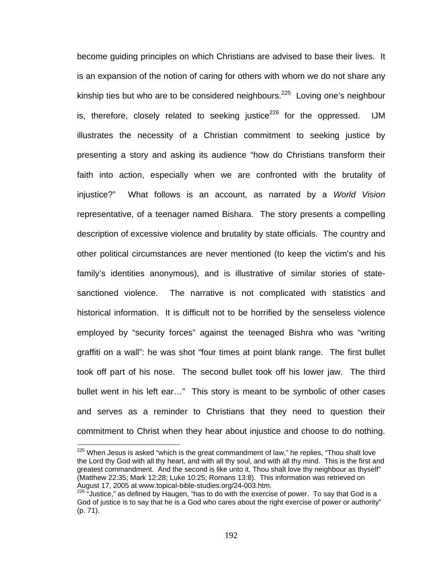become guiding principles on which Christians are advised to base their lives. It is an expansion of the notion of caring for others with whom we do not share any kinship ties but who are to be considered neighbours.<sup>225</sup> Loving one's neighbour is, therefore, closely related to seeking justice<sup>226</sup> for the oppressed. IJM illustrates the necessity of a Christian commitment to seeking justice by presenting a story and asking its audience "how do Christians transform their faith into action, especially when we are confronted with the brutality of injustice?" What follows is an account, as narrated by a *World Vision* representative, of a teenager named Bishara. The story presents a compelling description of excessive violence and brutality by state officials. The country and other political circumstances are never mentioned (to keep the victim's and his family's identities anonymous), and is illustrative of similar stories of statesanctioned violence. The narrative is not complicated with statistics and historical information. It is difficult not to be horrified by the senseless violence employed by "security forces" against the teenaged Bishra who was "writing graffiti on a wall": he was shot "four times at point blank range. The first bullet took off part of his nose. The second bullet took off his lower jaw. The third bullet went in his left ear…" This story is meant to be symbolic of other cases and serves as a reminder to Christians that they need to question their commitment to Christ when they hear about injustice and choose to do nothing.

 $225$  When Jesus is asked "which is the great commandment of law," he replies, "Thou shalt love the Lord thy God with all thy heart, and with all thy soul, and with all thy mind. This is the first and greatest commandment. And the second is like unto it, Thou shalt love thy neighbour as thyself" (Matthew 22:35; Mark 12:28; Luke 10:25; Romans 13:8). This information was retrieved on August 17, 2005 at www.topical-bible-studies.org/24-003.htm.<br><sup>226</sup> "Justice," as defined by Haugen, "has to do with the exercise of power. To say that God is a

God of justice is to say that he is a God who cares about the right exercise of power or authority" (p. 71).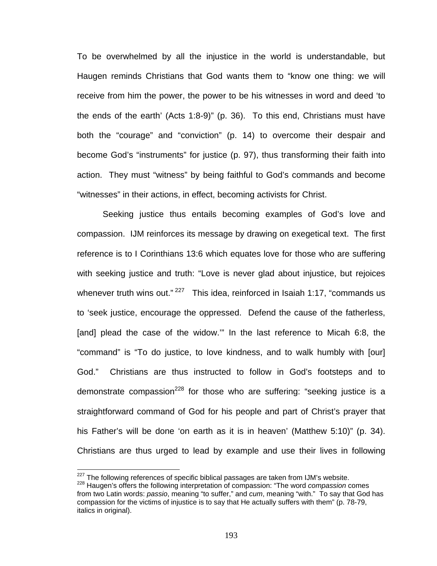To be overwhelmed by all the injustice in the world is understandable, but Haugen reminds Christians that God wants them to "know one thing: we will receive from him the power, the power to be his witnesses in word and deed 'to the ends of the earth' (Acts 1:8-9)" (p. 36). To this end, Christians must have both the "courage" and "conviction" (p. 14) to overcome their despair and become God's "instruments" for justice (p. 97), thus transforming their faith into action. They must "witness" by being faithful to God's commands and become "witnesses" in their actions, in effect, becoming activists for Christ.

Seeking justice thus entails becoming examples of God's love and compassion. IJM reinforces its message by drawing on exegetical text. The first reference is to I Corinthians 13:6 which equates love for those who are suffering with seeking justice and truth: "Love is never glad about injustice, but rejoices whenever truth wins out." $227$  This idea, reinforced in Isaiah 1:17, "commands us to 'seek justice, encourage the oppressed. Defend the cause of the fatherless, [and] plead the case of the widow.'" In the last reference to Micah 6:8, the "command" is "To do justice, to love kindness, and to walk humbly with [our] God." Christians are thus instructed to follow in God's footsteps and to demonstrate compassion<sup>228</sup> for those who are suffering: "seeking justice is a straightforward command of God for his people and part of Christ's prayer that his Father's will be done 'on earth as it is in heaven' (Matthew 5:10)" (p. 34). Christians are thus urged to lead by example and use their lives in following

<sup>&</sup>lt;sup>227</sup> The following references of specific biblical passages are taken from IJM's website.

<sup>&</sup>lt;sup>228</sup> Haugen's offers the following interpretation of compassion: "The word *compassion* comes from two Latin words: *passio*, meaning "to suffer," and *cum*, meaning "with." To say that God has compassion for the victims of injustice is to say that He actually suffers with them" (p. 78-79, italics in original).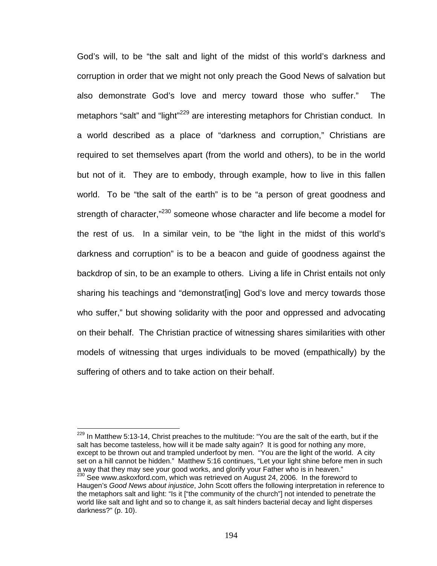God's will, to be "the salt and light of the midst of this world's darkness and corruption in order that we might not only preach the Good News of salvation but also demonstrate God's love and mercy toward those who suffer." The metaphors "salt" and "light"<sup>229</sup> are interesting metaphors for Christian conduct. In a world described as a place of "darkness and corruption," Christians are required to set themselves apart (from the world and others), to be in the world but not of it. They are to embody, through example, how to live in this fallen world. To be "the salt of the earth" is to be "a person of great goodness and strength of character,"<sup>230</sup> someone whose character and life become a model for the rest of us. In a similar vein, to be "the light in the midst of this world's darkness and corruption" is to be a beacon and guide of goodness against the backdrop of sin, to be an example to others. Living a life in Christ entails not only sharing his teachings and "demonstrat[ing] God's love and mercy towards those who suffer," but showing solidarity with the poor and oppressed and advocating on their behalf. The Christian practice of witnessing shares similarities with other models of witnessing that urges individuals to be moved (empathically) by the suffering of others and to take action on their behalf.

 $229$  In Matthew 5:13-14, Christ preaches to the multitude: "You are the salt of the earth, but if the salt has become tasteless, how will it be made salty again? It is good for nothing any more, except to be thrown out and trampled underfoot by men. "You are the light of the world. A city set on a hill cannot be hidden." Matthew 5:16 continues, "Let your light shine before men in such a way that they may see your good works, and glorify your Father who is in heaven."  $230$  See www.askoxford.com, which was retrieved on August 24, 2006. In the foreword to Haugen's *Good News about injustice*, John Scott offers the following interpretation in reference to the metaphors salt and light: "Is it ["the community of the church"] not intended to penetrate the world like salt and light and so to change it, as salt hinders bacterial decay and light disperses darkness?" (p. 10).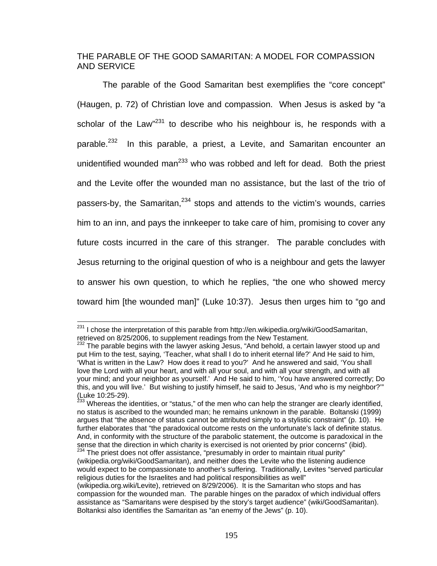## THE PARABLE OF THE GOOD SAMARITAN: A MODEL FOR COMPASSION AND SERVICE

The parable of the Good Samaritan best exemplifies the "core concept" (Haugen, p. 72) of Christian love and compassion. When Jesus is asked by "a scholar of the Law<sup>"231</sup> to describe who his neighbour is, he responds with a parable.<sup>232</sup> In this parable, a priest, a Levite, and Samaritan encounter an unidentified wounded man<sup>233</sup> who was robbed and left for dead. Both the priest and the Levite offer the wounded man no assistance, but the last of the trio of passers-by, the Samaritan,  $234$  stops and attends to the victim's wounds, carries him to an inn, and pays the innkeeper to take care of him, promising to cover any future costs incurred in the care of this stranger. The parable concludes with Jesus returning to the original question of who is a neighbour and gets the lawyer to answer his own question, to which he replies, "the one who showed mercy toward him [the wounded man]" (Luke 10:37). Jesus then urges him to "go and

<sup>&</sup>lt;sup>231</sup> I chose the interpretation of this parable from http://en.wikipedia.org/wiki/GoodSamaritan, retrieved on 8/25/2006, to supplement readings from the New Testament.

 $232$  The parable begins with the lawyer asking Jesus, "And behold, a certain lawyer stood up and put Him to the test, saying, 'Teacher, what shall I do to inherit eternal life?' And He said to him, 'What is written in the Law? How does it read to you?' And he answered and said, 'You shall love the Lord with all your heart, and with all your soul, and with all your strength, and with all your mind; and your neighbor as yourself.' And He said to him, 'You have answered correctly; Do this, and you will live.' But wishing to justify himself, he said to Jesus, 'And who is my neighbor?'" (Luke 10:25-29).

<sup>&</sup>lt;sup>233</sup> Whereas the identities, or "status," of the men who can help the stranger are clearly identified, no status is ascribed to the wounded man; he remains unknown in the parable. Boltanski (1999) argues that "the absence of status cannot be attributed simply to a stylistic constraint" (p. 10). He further elaborates that "the paradoxical outcome rests on the unfortunate's lack of definite status. And, in conformity with the structure of the parabolic statement, the outcome is paradoxical in the sense that the direction in which charity is exercised is not oriented by prior concerns" (ibid).  $234$  The priest does not offer assistance, "presumably in order to maintain ritual purity"

<sup>(</sup>wikipedia.org/wiki/GoodSamaritan), and neither does the Levite who the listening audience would expect to be compassionate to another's suffering. Traditionally, Levites "served particular religious duties for the Israelites and had political responsibilities as well"

<sup>(</sup>wikipedia.org.wiki/Levite), retrieved on 8/29/2006). It is the Samaritan who stops and has compassion for the wounded man. The parable hinges on the paradox of which individual offers assistance as "Samaritans were despised by the story's target audience" (wiki/GoodSamaritan). Boltanksi also identifies the Samaritan as "an enemy of the Jews" (p. 10).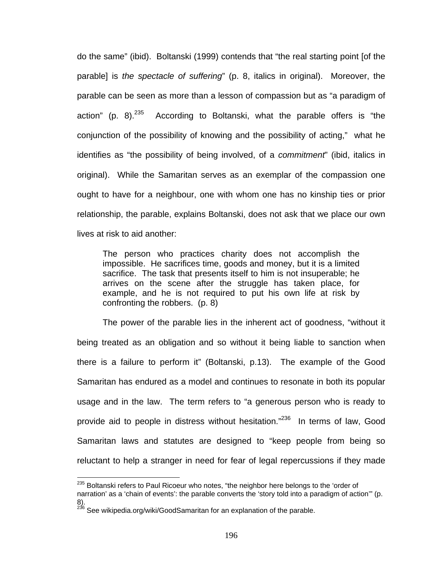do the same" (ibid). Boltanski (1999) contends that "the real starting point [of the parable] is *the spectacle of suffering*" (p. 8, italics in original). Moreover, the parable can be seen as more than a lesson of compassion but as "a paradigm of action" (p. 8). $^{235}$  According to Boltanski, what the parable offers is "the conjunction of the possibility of knowing and the possibility of acting," what he identifies as "the possibility of being involved, of a *commitment*" (ibid, italics in original). While the Samaritan serves as an exemplar of the compassion one ought to have for a neighbour, one with whom one has no kinship ties or prior relationship, the parable, explains Boltanski, does not ask that we place our own lives at risk to aid another:

The person who practices charity does not accomplish the impossible. He sacrifices time, goods and money, but it is a limited sacrifice. The task that presents itself to him is not insuperable; he arrives on the scene after the struggle has taken place, for example, and he is not required to put his own life at risk by confronting the robbers. (p. 8)

The power of the parable lies in the inherent act of goodness, "without it being treated as an obligation and so without it being liable to sanction when there is a failure to perform it" (Boltanski, p.13). The example of the Good Samaritan has endured as a model and continues to resonate in both its popular usage and in the law. The term refers to "a generous person who is ready to provide aid to people in distress without hesitation."<sup>236</sup> In terms of law, Good Samaritan laws and statutes are designed to "keep people from being so reluctant to help a stranger in need for fear of legal repercussions if they made

<sup>&</sup>lt;sup>235</sup> Boltanski refers to Paul Ricoeur who notes, "the neighbor here belongs to the 'order of

narration' as a 'chain of events': the parable converts the 'story told into a paradigm of action'" (p. 8).

 $^{236}$  See wikipedia.org/wiki/GoodSamaritan for an explanation of the parable.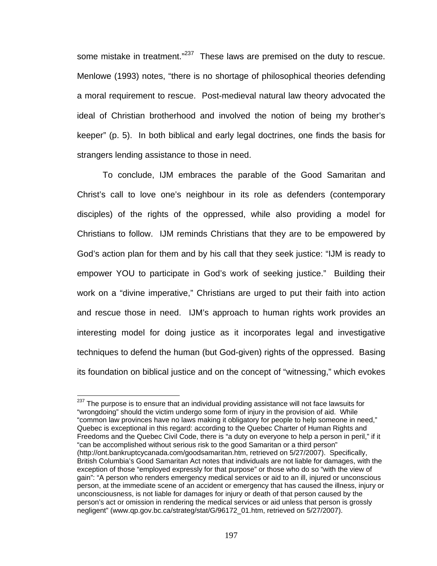some mistake in treatment.<sup>"237</sup> These laws are premised on the duty to rescue. Menlowe (1993) notes, "there is no shortage of philosophical theories defending a moral requirement to rescue. Post-medieval natural law theory advocated the ideal of Christian brotherhood and involved the notion of being my brother's keeper" (p. 5). In both biblical and early legal doctrines, one finds the basis for strangers lending assistance to those in need.

To conclude, IJM embraces the parable of the Good Samaritan and Christ's call to love one's neighbour in its role as defenders (contemporary disciples) of the rights of the oppressed, while also providing a model for Christians to follow. IJM reminds Christians that they are to be empowered by God's action plan for them and by his call that they seek justice: "IJM is ready to empower YOU to participate in God's work of seeking justice." Building their work on a "divine imperative," Christians are urged to put their faith into action and rescue those in need. IJM's approach to human rights work provides an interesting model for doing justice as it incorporates legal and investigative techniques to defend the human (but God-given) rights of the oppressed. Basing its foundation on biblical justice and on the concept of "witnessing," which evokes

 $237$  The purpose is to ensure that an individual providing assistance will not face lawsuits for "wrongdoing" should the victim undergo some form of injury in the provision of aid. While "common law provinces have no laws making it obligatory for people to help someone in need," Quebec is exceptional in this regard: according to the Quebec Charter of Human Rights and Freedoms and the Quebec Civil Code, there is "a duty on everyone to help a person in peril," if it "can be accomplished without serious risk to the good Samaritan or a third person" (http://ont.bankruptcycanada.com/goodsamaritan.htm, retrieved on 5/27/2007). Specifically, British Columbia's Good Samaritan Act notes that individuals are not liable for damages, with the exception of those "employed expressly for that purpose" or those who do so "with the view of gain": "A person who renders emergency medical services or aid to an ill, injured or unconscious person, at the immediate scene of an accident or emergency that has caused the illness, injury or unconsciousness, is not liable for damages for injury or death of that person caused by the person's act or omission in rendering the medical services or aid unless that person is grossly negligent" (www.qp.gov.bc.ca/strateg/stat/G/96172\_01.htm, retrieved on 5/27/2007).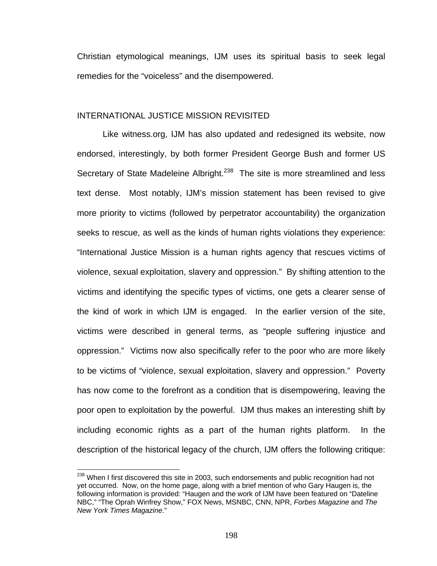Christian etymological meanings, IJM uses its spiritual basis to seek legal remedies for the "voiceless" and the disempowered.

#### INTERNATIONAL JUSTICE MISSION REVISITED

Like witness.org, IJM has also updated and redesigned its website, now endorsed, interestingly, by both former President George Bush and former US Secretary of State Madeleine Albright.<sup>238</sup> The site is more streamlined and less text dense. Most notably, IJM's mission statement has been revised to give more priority to victims (followed by perpetrator accountability) the organization seeks to rescue, as well as the kinds of human rights violations they experience: "International Justice Mission is a human rights agency that rescues victims of violence, sexual exploitation, slavery and oppression." By shifting attention to the victims and identifying the specific types of victims, one gets a clearer sense of the kind of work in which IJM is engaged. In the earlier version of the site, victims were described in general terms, as "people suffering injustice and oppression." Victims now also specifically refer to the poor who are more likely to be victims of "violence, sexual exploitation, slavery and oppression." Poverty has now come to the forefront as a condition that is disempowering, leaving the poor open to exploitation by the powerful. IJM thus makes an interesting shift by including economic rights as a part of the human rights platform. In the description of the historical legacy of the church, IJM offers the following critique:

<sup>&</sup>lt;sup>238</sup> When I first discovered this site in 2003, such endorsements and public recognition had not yet occurred. Now, on the home page, along with a brief mention of who Gary Haugen is, the following information is provided: "Haugen and the work of IJM have been featured on "Dateline NBC," "The Oprah Winfrey Show," FOX News, MSNBC, CNN, NPR, *Forbes Magazine* and *The New York Times Magazine*."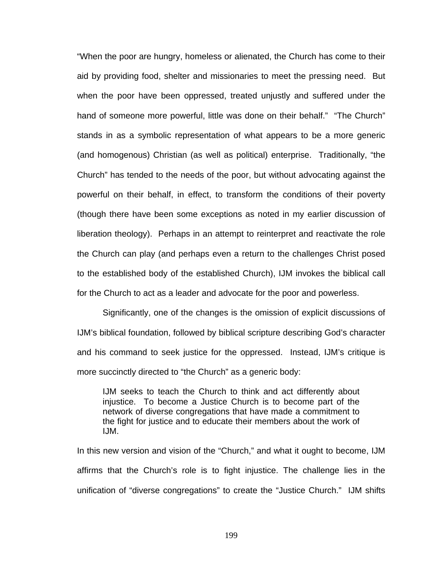"When the poor are hungry, homeless or alienated, the Church has come to their aid by providing food, shelter and missionaries to meet the pressing need. But when the poor have been oppressed, treated unjustly and suffered under the hand of someone more powerful, little was done on their behalf." "The Church" stands in as a symbolic representation of what appears to be a more generic (and homogenous) Christian (as well as political) enterprise. Traditionally, "the Church" has tended to the needs of the poor, but without advocating against the powerful on their behalf, in effect, to transform the conditions of their poverty (though there have been some exceptions as noted in my earlier discussion of liberation theology). Perhaps in an attempt to reinterpret and reactivate the role the Church can play (and perhaps even a return to the challenges Christ posed to the established body of the established Church), IJM invokes the biblical call for the Church to act as a leader and advocate for the poor and powerless.

Significantly, one of the changes is the omission of explicit discussions of IJM's biblical foundation, followed by biblical scripture describing God's character and his command to seek justice for the oppressed. Instead, IJM's critique is more succinctly directed to "the Church" as a generic body:

IJM seeks to teach the Church to think and act differently about injustice. To become a Justice Church is to become part of the network of diverse congregations that have made a commitment to the fight for justice and to educate their members about the work of IJM.

In this new version and vision of the "Church," and what it ought to become, IJM affirms that the Church's role is to fight injustice. The challenge lies in the unification of "diverse congregations" to create the "Justice Church." IJM shifts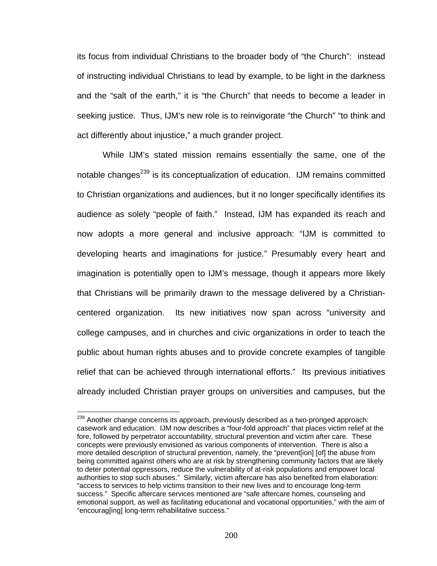its focus from individual Christians to the broader body of "the Church": instead of instructing individual Christians to lead by example, to be light in the darkness and the "salt of the earth," it is "the Church" that needs to become a leader in seeking justice. Thus, IJM's new role is to reinvigorate "the Church" "to think and act differently about injustice," a much grander project.

While IJM's stated mission remains essentially the same, one of the notable changes<sup>239</sup> is its conceptualization of education. IJM remains committed to Christian organizations and audiences, but it no longer specifically identifies its audience as solely "people of faith." Instead, IJM has expanded its reach and now adopts a more general and inclusive approach: "IJM is committed to developing hearts and imaginations for justice." Presumably every heart and imagination is potentially open to IJM's message, though it appears more likely that Christians will be primarily drawn to the message delivered by a Christiancentered organization. Its new initiatives now span across "university and college campuses, and in churches and civic organizations in order to teach the public about human rights abuses and to provide concrete examples of tangible relief that can be achieved through international efforts." Its previous initiatives already included Christian prayer groups on universities and campuses, but the

<sup>&</sup>lt;sup>239</sup> Another change concerns its approach, previously described as a two-pronged approach: casework and education. IJM now describes a "four-fold approach" that places victim relief at the fore, followed by perpetrator accountability, structural prevention and victim after care. These concepts were previously envisioned as various components of intervention. There is also a more detailed description of structural prevention, namely, the "prevent[ion] [of] the abuse from being committed against others who are at risk by strengthening community factors that are likely to deter potential oppressors, reduce the vulnerability of at-risk populations and empower local authorities to stop such abuses." Similarly, victim aftercare has also benefited from elaboration: "access to services to help victims transition to their new lives and to encourage long-term success." Specific aftercare services mentioned are "safe aftercare homes, counseling and emotional support, as well as facilitating educational and vocational opportunities," with the aim of "encourag[ing] long-term rehabilitative success."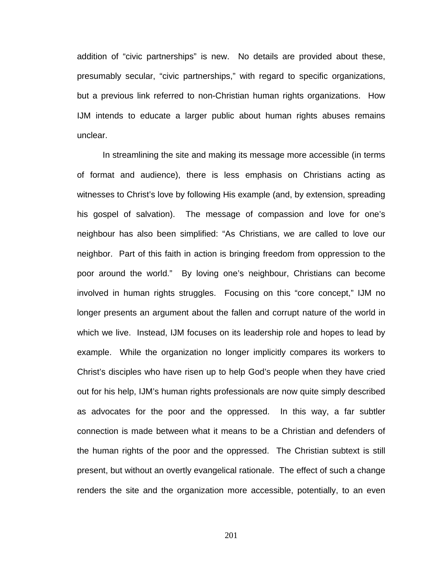addition of "civic partnerships" is new. No details are provided about these, presumably secular, "civic partnerships," with regard to specific organizations, but a previous link referred to non-Christian human rights organizations. How IJM intends to educate a larger public about human rights abuses remains unclear.

In streamlining the site and making its message more accessible (in terms of format and audience), there is less emphasis on Christians acting as witnesses to Christ's love by following His example (and, by extension, spreading his gospel of salvation). The message of compassion and love for one's neighbour has also been simplified: "As Christians, we are called to love our neighbor. Part of this faith in action is bringing freedom from oppression to the poor around the world." By loving one's neighbour, Christians can become involved in human rights struggles. Focusing on this "core concept," IJM no longer presents an argument about the fallen and corrupt nature of the world in which we live. Instead, IJM focuses on its leadership role and hopes to lead by example. While the organization no longer implicitly compares its workers to Christ's disciples who have risen up to help God's people when they have cried out for his help, IJM's human rights professionals are now quite simply described as advocates for the poor and the oppressed. In this way, a far subtler connection is made between what it means to be a Christian and defenders of the human rights of the poor and the oppressed. The Christian subtext is still present, but without an overtly evangelical rationale. The effect of such a change renders the site and the organization more accessible, potentially, to an even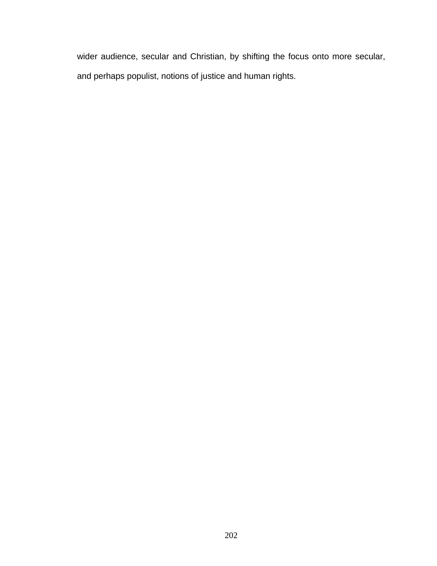wider audience, secular and Christian, by shifting the focus onto more secular, and perhaps populist, notions of justice and human rights.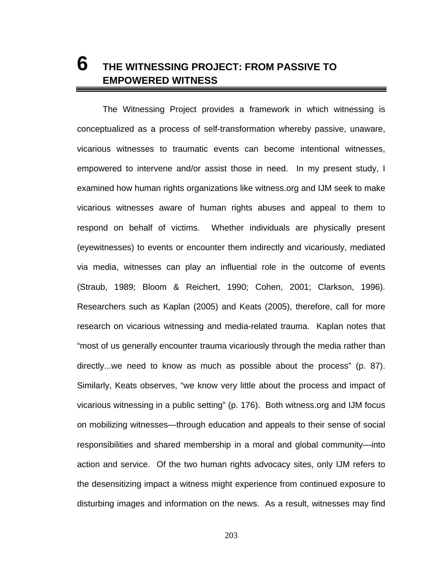# **6 THE WITNESSING PROJECT: FROM PASSIVE TO EMPOWERED WITNESS**

The Witnessing Project provides a framework in which witnessing is conceptualized as a process of self-transformation whereby passive, unaware, vicarious witnesses to traumatic events can become intentional witnesses, empowered to intervene and/or assist those in need. In my present study, I examined how human rights organizations like witness.org and IJM seek to make vicarious witnesses aware of human rights abuses and appeal to them to respond on behalf of victims. Whether individuals are physically present (eyewitnesses) to events or encounter them indirectly and vicariously, mediated via media, witnesses can play an influential role in the outcome of events (Straub, 1989; Bloom & Reichert, 1990; Cohen, 2001; Clarkson, 1996). Researchers such as Kaplan (2005) and Keats (2005), therefore, call for more research on vicarious witnessing and media-related trauma. Kaplan notes that "most of us generally encounter trauma vicariously through the media rather than directly...we need to know as much as possible about the process" (p. 87). Similarly, Keats observes, "we know very little about the process and impact of vicarious witnessing in a public setting" (p. 176). Both witness.org and IJM focus on mobilizing witnesses—through education and appeals to their sense of social responsibilities and shared membership in a moral and global community—into action and service. Of the two human rights advocacy sites, only IJM refers to the desensitizing impact a witness might experience from continued exposure to disturbing images and information on the news. As a result, witnesses may find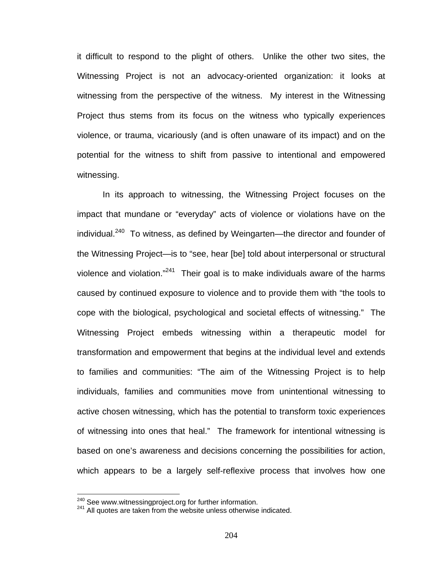it difficult to respond to the plight of others. Unlike the other two sites, the Witnessing Project is not an advocacy-oriented organization: it looks at witnessing from the perspective of the witness. My interest in the Witnessing Project thus stems from its focus on the witness who typically experiences violence, or trauma, vicariously (and is often unaware of its impact) and on the potential for the witness to shift from passive to intentional and empowered witnessing.

In its approach to witnessing, the Witnessing Project focuses on the impact that mundane or "everyday" acts of violence or violations have on the individual. $240$  To witness, as defined by Weingarten—the director and founder of the Witnessing Project—is to "see, hear [be] told about interpersonal or structural violence and violation."<sup>241</sup> Their goal is to make individuals aware of the harms caused by continued exposure to violence and to provide them with "the tools to cope with the biological, psychological and societal effects of witnessing." The Witnessing Project embeds witnessing within a therapeutic model for transformation and empowerment that begins at the individual level and extends to families and communities: "The aim of the Witnessing Project is to help individuals, families and communities move from unintentional witnessing to active chosen witnessing, which has the potential to transform toxic experiences of witnessing into ones that heal." The framework for intentional witnessing is based on one's awareness and decisions concerning the possibilities for action, which appears to be a largely self-reflexive process that involves how one

<sup>&</sup>lt;sup>240</sup> See www.witnessingproject.org for further information.

<sup>&</sup>lt;sup>241</sup> All quotes are taken from the website unless otherwise indicated.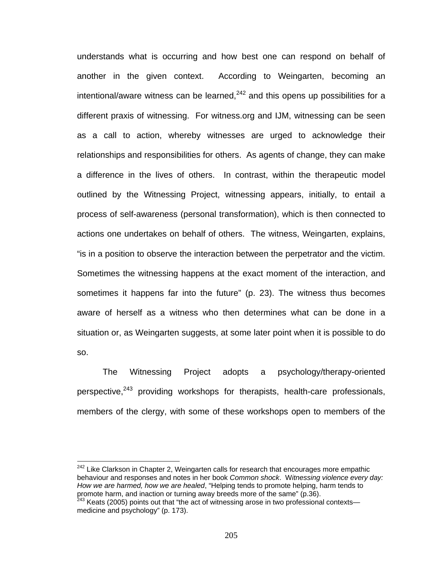understands what is occurring and how best one can respond on behalf of another in the given context. According to Weingarten, becoming an  $intential/average$  witness can be learned,<sup>242</sup> and this opens up possibilities for a different praxis of witnessing. For witness.org and IJM, witnessing can be seen as a call to action, whereby witnesses are urged to acknowledge their relationships and responsibilities for others. As agents of change, they can make a difference in the lives of others. In contrast, within the therapeutic model outlined by the Witnessing Project, witnessing appears, initially, to entail a process of self-awareness (personal transformation), which is then connected to actions one undertakes on behalf of others. The witness, Weingarten, explains, "is in a position to observe the interaction between the perpetrator and the victim. Sometimes the witnessing happens at the exact moment of the interaction, and sometimes it happens far into the future" (p. 23). The witness thus becomes aware of herself as a witness who then determines what can be done in a situation or, as Weingarten suggests, at some later point when it is possible to do so.

The Witnessing Project adopts a psychology/therapy-oriented perspective,<sup>243</sup> providing workshops for therapists, health-care professionals, members of the clergy, with some of these workshops open to members of the

 $242$  Like Clarkson in Chapter 2, Weingarten calls for research that encourages more empathic behaviour and responses and notes in her book *Common shock*. W*itnessing violence every day: How we are harmed, how we are healed*, "Helping tends to promote helping, harm tends to promote harm, and inaction or turning away breeds more of the same" (p.36).<br><sup>243</sup> Keats (2005) points out that "the act of witnessing arose in two professional contexts—

medicine and psychology" (p. 173).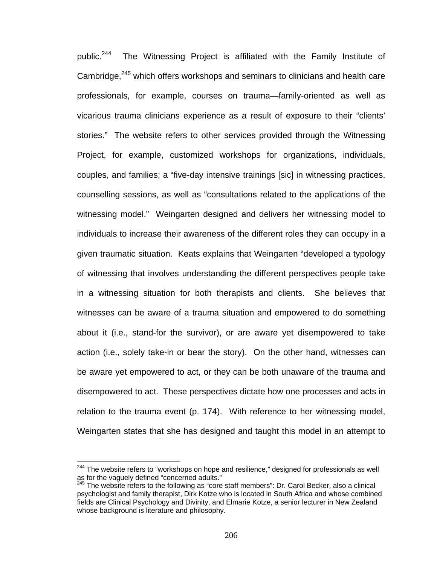public.<sup>244</sup> The Witnessing Project is affiliated with the Family Institute of Cambridge,<sup>245</sup> which offers workshops and seminars to clinicians and health care professionals, for example, courses on trauma—family-oriented as well as vicarious trauma clinicians experience as a result of exposure to their "clients' stories." The website refers to other services provided through the Witnessing Project, for example, customized workshops for organizations, individuals, couples, and families; a "five-day intensive trainings [sic] in witnessing practices, counselling sessions, as well as "consultations related to the applications of the witnessing model." Weingarten designed and delivers her witnessing model to individuals to increase their awareness of the different roles they can occupy in a given traumatic situation. Keats explains that Weingarten "developed a typology of witnessing that involves understanding the different perspectives people take in a witnessing situation for both therapists and clients. She believes that witnesses can be aware of a trauma situation and empowered to do something about it (i.e., stand-for the survivor), or are aware yet disempowered to take action (i.e., solely take-in or bear the story). On the other hand, witnesses can be aware yet empowered to act, or they can be both unaware of the trauma and disempowered to act. These perspectives dictate how one processes and acts in relation to the trauma event (p. 174). With reference to her witnessing model, Weingarten states that she has designed and taught this model in an attempt to

 $244$  The website refers to "workshops on hope and resilience," designed for professionals as well as for the vaguely defined "concerned adults."

 $245$  The website refers to the following as "core staff members": Dr. Carol Becker, also a clinical psychologist and family therapist, Dirk Kotze who is located in South Africa and whose combined fields are Clinical Psychology and Divinity, and Elmarie Kotze, a senior lecturer in New Zealand whose background is literature and philosophy.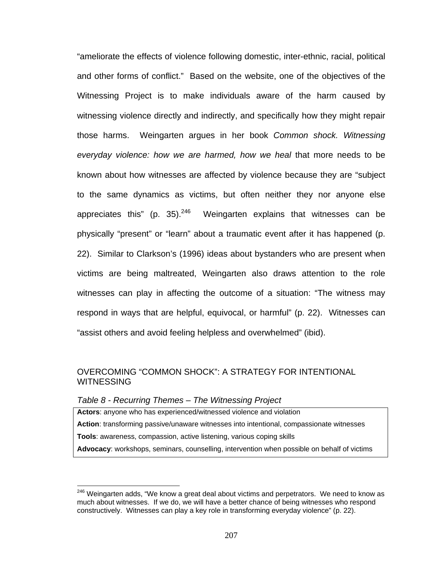"ameliorate the effects of violence following domestic, inter-ethnic, racial, political and other forms of conflict." Based on the website, one of the objectives of the Witnessing Project is to make individuals aware of the harm caused by witnessing violence directly and indirectly, and specifically how they might repair those harms. Weingarten argues in her book *Common shock. Witnessing everyday violence: how we are harmed, how we heal* that more needs to be known about how witnesses are affected by violence because they are "subject to the same dynamics as victims, but often neither they nor anyone else appreciates this" (p. 35). $246$  Weingarten explains that witnesses can be physically "present" or "learn" about a traumatic event after it has happened (p. 22). Similar to Clarkson's (1996) ideas about bystanders who are present when victims are being maltreated, Weingarten also draws attention to the role witnesses can play in affecting the outcome of a situation: "The witness may respond in ways that are helpful, equivocal, or harmful" (p. 22). Witnesses can "assist others and avoid feeling helpless and overwhelmed" (ibid).

# OVERCOMING "COMMON SHOCK": A STRATEGY FOR INTENTIONAL WITNESSING

#### *Table 8 - Recurring Themes – The Witnessing Project*

 $\overline{a}$ 

**Actors**: anyone who has experienced/witnessed violence and violation **Action**: transforming passive/unaware witnesses into intentional, compassionate witnesses **Tools**: awareness, compassion, active listening, various coping skills **Advocacy**: workshops, seminars, counselling, intervention when possible on behalf of victims

<sup>&</sup>lt;sup>246</sup> Weingarten adds, "We know a great deal about victims and perpetrators. We need to know as much about witnesses. If we do, we will have a better chance of being witnesses who respond constructively. Witnesses can play a key role in transforming everyday violence" (p. 22).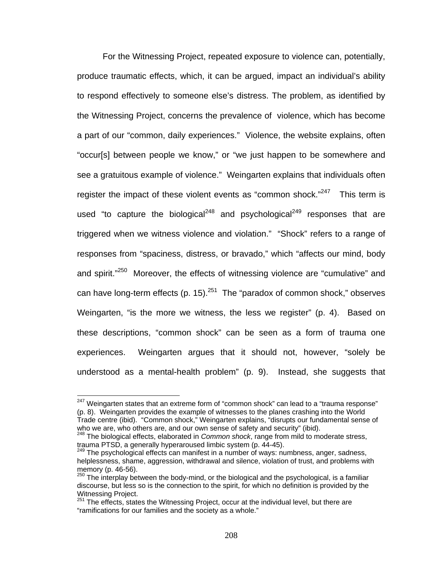For the Witnessing Project, repeated exposure to violence can, potentially, produce traumatic effects, which, it can be argued, impact an individual's ability to respond effectively to someone else's distress. The problem, as identified by the Witnessing Project, concerns the prevalence of violence, which has become a part of our "common, daily experiences." Violence, the website explains, often "occur[s] between people we know," or "we just happen to be somewhere and see a gratuitous example of violence." Weingarten explains that individuals often register the impact of these violent events as "common shock. $247$  This term is used "to capture the biological<sup>248</sup> and psychological<sup>249</sup> responses that are triggered when we witness violence and violation." "Shock" refers to a range of responses from "spaciness, distress, or bravado," which "affects our mind, body and spirit."<sup>250</sup> Moreover, the effects of witnessing violence are "cumulative" and can have long-term effects (p. 15).<sup>251</sup> The "paradox of common shock," observes Weingarten, "is the more we witness, the less we register" (p. 4). Based on these descriptions, "common shock" can be seen as a form of trauma one experiences. Weingarten argues that it should not, however, "solely be understood as a mental-health problem" (p. 9). Instead, she suggests that

 $\overline{a}$ 

<sup>&</sup>lt;sup>247</sup> Weingarten states that an extreme form of "common shock" can lead to a "trauma response" (p. 8). Weingarten provides the example of witnesses to the planes crashing into the World Trade centre (ibid). "Common shock," Weingarten explains, "disrupts our fundamental sense of who we are, who others are, and our own sense of safety and security" (ibid).<br><sup>248</sup> The biological effects, elaborated in *Common shock*, range from mild to moderate stress,

trauma PTSD, a generally hyperaroused limbic system (p. 44-45).

<sup>&</sup>lt;sup>249</sup> The psychological effects can manifest in a number of ways: numbness, anger, sadness, helplessness, shame, aggression, withdrawal and silence, violation of trust, and problems with memory (p. 46-56).

 $250$  The interplay between the body-mind, or the biological and the psychological, is a familiar discourse, but less so is the connection to the spirit, for which no definition is provided by the Witnessing Project.

 $251$  The effects, states the Witnessing Project, occur at the individual level, but there are "ramifications for our families and the society as a whole."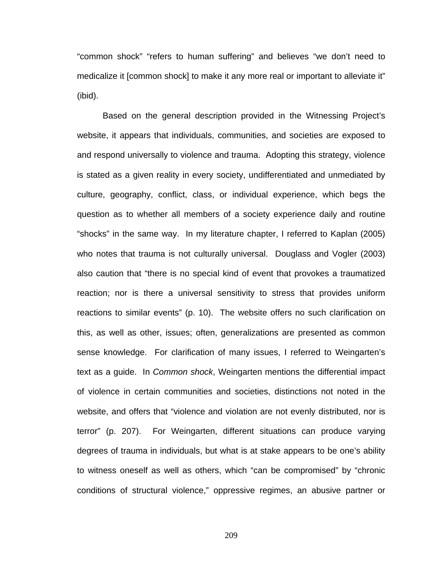"common shock" "refers to human suffering" and believes "we don't need to medicalize it [common shock] to make it any more real or important to alleviate it" (ibid).

Based on the general description provided in the Witnessing Project's website, it appears that individuals, communities, and societies are exposed to and respond universally to violence and trauma. Adopting this strategy, violence is stated as a given reality in every society, undifferentiated and unmediated by culture, geography, conflict, class, or individual experience, which begs the question as to whether all members of a society experience daily and routine "shocks" in the same way. In my literature chapter, I referred to Kaplan (2005) who notes that trauma is not culturally universal. Douglass and Vogler (2003) also caution that "there is no special kind of event that provokes a traumatized reaction; nor is there a universal sensitivity to stress that provides uniform reactions to similar events" (p. 10). The website offers no such clarification on this, as well as other, issues; often, generalizations are presented as common sense knowledge. For clarification of many issues, I referred to Weingarten's text as a guide. In *Common shock*, Weingarten mentions the differential impact of violence in certain communities and societies, distinctions not noted in the website, and offers that "violence and violation are not evenly distributed, nor is terror" (p. 207). For Weingarten, different situations can produce varying degrees of trauma in individuals, but what is at stake appears to be one's ability to witness oneself as well as others, which "can be compromised" by "chronic conditions of structural violence," oppressive regimes, an abusive partner or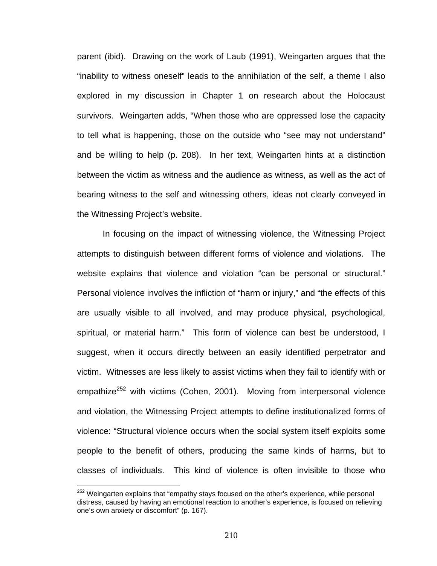parent (ibid). Drawing on the work of Laub (1991), Weingarten argues that the "inability to witness oneself" leads to the annihilation of the self, a theme I also explored in my discussion in Chapter 1 on research about the Holocaust survivors. Weingarten adds, "When those who are oppressed lose the capacity to tell what is happening, those on the outside who "see may not understand" and be willing to help (p. 208). In her text, Weingarten hints at a distinction between the victim as witness and the audience as witness, as well as the act of bearing witness to the self and witnessing others, ideas not clearly conveyed in the Witnessing Project's website.

 In focusing on the impact of witnessing violence, the Witnessing Project attempts to distinguish between different forms of violence and violations. The website explains that violence and violation "can be personal or structural." Personal violence involves the infliction of "harm or injury," and "the effects of this are usually visible to all involved, and may produce physical, psychological, spiritual, or material harm." This form of violence can best be understood, I suggest, when it occurs directly between an easily identified perpetrator and victim. Witnesses are less likely to assist victims when they fail to identify with or empathize<sup>252</sup> with victims (Cohen, 2001). Moving from interpersonal violence and violation, the Witnessing Project attempts to define institutionalized forms of violence: "Structural violence occurs when the social system itself exploits some people to the benefit of others, producing the same kinds of harms, but to classes of individuals. This kind of violence is often invisible to those who

 $252$  Weingarten explains that "empathy stays focused on the other's experience, while personal distress, caused by having an emotional reaction to another's experience, is focused on relieving one's own anxiety or discomfort" (p. 167).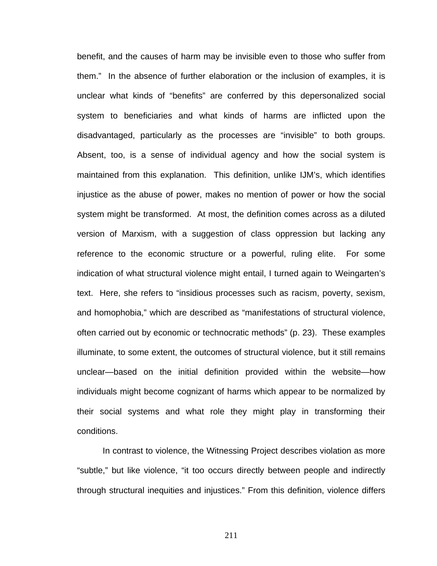benefit, and the causes of harm may be invisible even to those who suffer from them." In the absence of further elaboration or the inclusion of examples, it is unclear what kinds of "benefits" are conferred by this depersonalized social system to beneficiaries and what kinds of harms are inflicted upon the disadvantaged, particularly as the processes are "invisible" to both groups. Absent, too, is a sense of individual agency and how the social system is maintained from this explanation. This definition, unlike IJM's, which identifies injustice as the abuse of power, makes no mention of power or how the social system might be transformed. At most, the definition comes across as a diluted version of Marxism, with a suggestion of class oppression but lacking any reference to the economic structure or a powerful, ruling elite. For some indication of what structural violence might entail, I turned again to Weingarten's text. Here, she refers to "insidious processes such as racism, poverty, sexism, and homophobia," which are described as "manifestations of structural violence, often carried out by economic or technocratic methods" (p. 23). These examples illuminate, to some extent, the outcomes of structural violence, but it still remains unclear—based on the initial definition provided within the website—how individuals might become cognizant of harms which appear to be normalized by their social systems and what role they might play in transforming their conditions.

In contrast to violence, the Witnessing Project describes violation as more "subtle," but like violence, "it too occurs directly between people and indirectly through structural inequities and injustices." From this definition, violence differs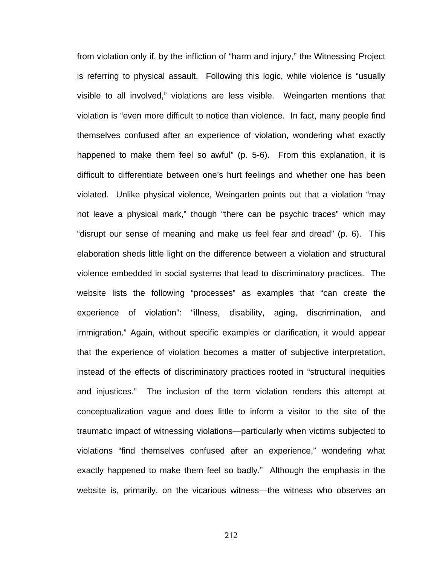from violation only if, by the infliction of "harm and injury," the Witnessing Project is referring to physical assault. Following this logic, while violence is "usually visible to all involved," violations are less visible. Weingarten mentions that violation is "even more difficult to notice than violence. In fact, many people find themselves confused after an experience of violation, wondering what exactly happened to make them feel so awful" (p. 5-6). From this explanation, it is difficult to differentiate between one's hurt feelings and whether one has been violated. Unlike physical violence, Weingarten points out that a violation "may not leave a physical mark," though "there can be psychic traces" which may "disrupt our sense of meaning and make us feel fear and dread" (p. 6). This elaboration sheds little light on the difference between a violation and structural violence embedded in social systems that lead to discriminatory practices. The website lists the following "processes" as examples that "can create the experience of violation": "illness, disability, aging, discrimination, and immigration." Again, without specific examples or clarification, it would appear that the experience of violation becomes a matter of subjective interpretation, instead of the effects of discriminatory practices rooted in "structural inequities and injustices." The inclusion of the term violation renders this attempt at conceptualization vague and does little to inform a visitor to the site of the traumatic impact of witnessing violations—particularly when victims subjected to violations "find themselves confused after an experience," wondering what exactly happened to make them feel so badly." Although the emphasis in the website is, primarily, on the vicarious witness—the witness who observes an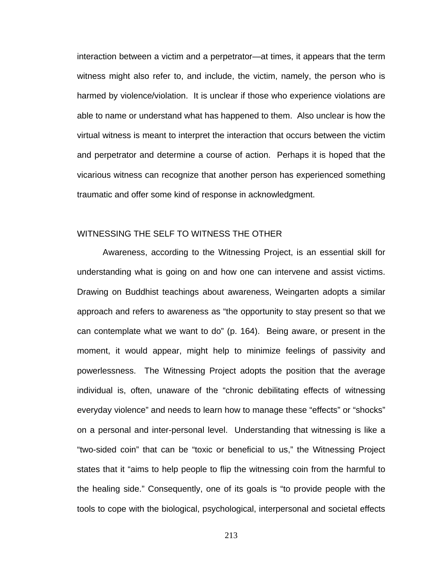interaction between a victim and a perpetrator—at times, it appears that the term witness might also refer to, and include, the victim, namely, the person who is harmed by violence/violation. It is unclear if those who experience violations are able to name or understand what has happened to them. Also unclear is how the virtual witness is meant to interpret the interaction that occurs between the victim and perpetrator and determine a course of action. Perhaps it is hoped that the vicarious witness can recognize that another person has experienced something traumatic and offer some kind of response in acknowledgment.

## WITNESSING THE SELF TO WITNESS THE OTHER

 Awareness, according to the Witnessing Project, is an essential skill for understanding what is going on and how one can intervene and assist victims. Drawing on Buddhist teachings about awareness, Weingarten adopts a similar approach and refers to awareness as "the opportunity to stay present so that we can contemplate what we want to do" (p. 164). Being aware, or present in the moment, it would appear, might help to minimize feelings of passivity and powerlessness. The Witnessing Project adopts the position that the average individual is, often, unaware of the "chronic debilitating effects of witnessing everyday violence" and needs to learn how to manage these "effects" or "shocks" on a personal and inter-personal level. Understanding that witnessing is like a "two-sided coin" that can be "toxic or beneficial to us," the Witnessing Project states that it "aims to help people to flip the witnessing coin from the harmful to the healing side." Consequently, one of its goals is "to provide people with the tools to cope with the biological, psychological, interpersonal and societal effects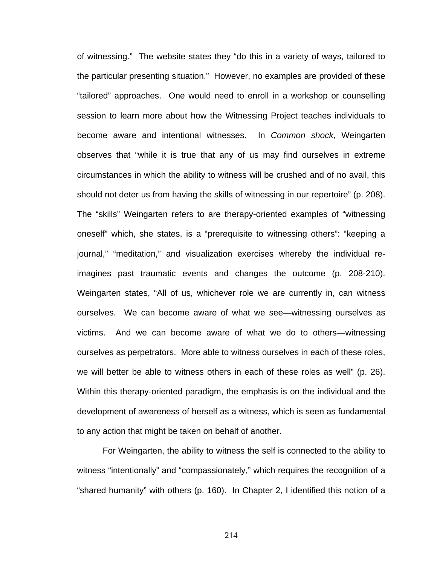of witnessing." The website states they "do this in a variety of ways, tailored to the particular presenting situation." However, no examples are provided of these "tailored" approaches. One would need to enroll in a workshop or counselling session to learn more about how the Witnessing Project teaches individuals to become aware and intentional witnesses. In *Common shock*, Weingarten observes that "while it is true that any of us may find ourselves in extreme circumstances in which the ability to witness will be crushed and of no avail, this should not deter us from having the skills of witnessing in our repertoire" (p. 208). The "skills" Weingarten refers to are therapy-oriented examples of "witnessing oneself" which, she states, is a "prerequisite to witnessing others": "keeping a journal," "meditation," and visualization exercises whereby the individual reimagines past traumatic events and changes the outcome (p. 208-210). Weingarten states, "All of us, whichever role we are currently in, can witness ourselves. We can become aware of what we see—witnessing ourselves as victims. And we can become aware of what we do to others—witnessing ourselves as perpetrators. More able to witness ourselves in each of these roles, we will better be able to witness others in each of these roles as well" (p. 26). Within this therapy-oriented paradigm, the emphasis is on the individual and the development of awareness of herself as a witness, which is seen as fundamental to any action that might be taken on behalf of another.

For Weingarten, the ability to witness the self is connected to the ability to witness "intentionally" and "compassionately," which requires the recognition of a "shared humanity" with others (p. 160). In Chapter 2, I identified this notion of a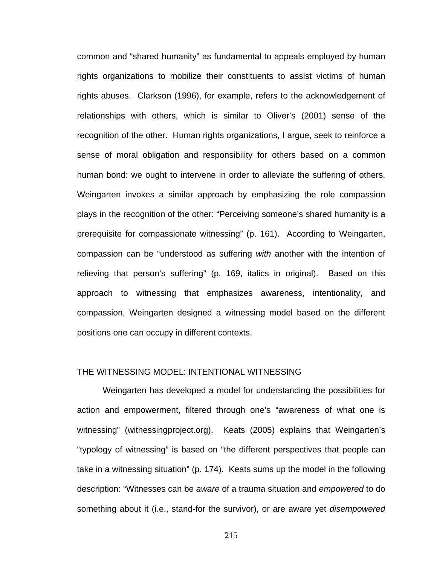common and "shared humanity" as fundamental to appeals employed by human rights organizations to mobilize their constituents to assist victims of human rights abuses. Clarkson (1996), for example, refers to the acknowledgement of relationships with others, which is similar to Oliver's (2001) sense of the recognition of the other. Human rights organizations, I argue, seek to reinforce a sense of moral obligation and responsibility for others based on a common human bond: we ought to intervene in order to alleviate the suffering of others. Weingarten invokes a similar approach by emphasizing the role compassion plays in the recognition of the other: "Perceiving someone's shared humanity is a prerequisite for compassionate witnessing" (p. 161). According to Weingarten, compassion can be "understood as suffering *with* another with the intention of relieving that person's suffering" (p. 169, italics in original). Based on this approach to witnessing that emphasizes awareness, intentionality, and compassion, Weingarten designed a witnessing model based on the different positions one can occupy in different contexts.

#### THE WITNESSING MODEL: INTENTIONAL WITNESSING

Weingarten has developed a model for understanding the possibilities for action and empowerment, filtered through one's "awareness of what one is witnessing" (witnessingproject.org). Keats (2005) explains that Weingarten's "typology of witnessing" is based on "the different perspectives that people can take in a witnessing situation" (p. 174). Keats sums up the model in the following description: "Witnesses can be *aware* of a trauma situation and *empowered* to do something about it (i.e., stand-for the survivor), or are aware yet *disempowered*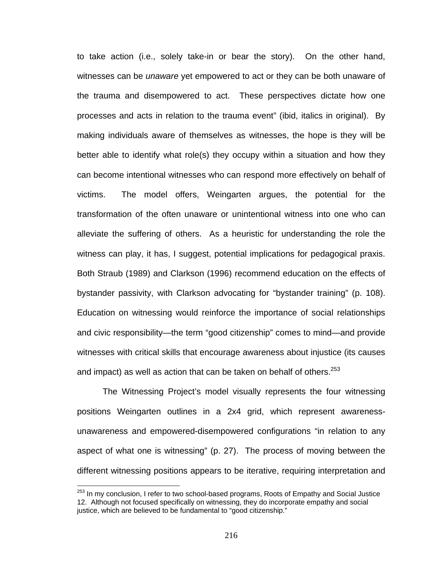to take action (i.e., solely take-in or bear the story). On the other hand, witnesses can be *unaware* yet empowered to act or they can be both unaware of the trauma and disempowered to act. These perspectives dictate how one processes and acts in relation to the trauma event" (ibid, italics in original). By making individuals aware of themselves as witnesses, the hope is they will be better able to identify what role(s) they occupy within a situation and how they can become intentional witnesses who can respond more effectively on behalf of victims. The model offers, Weingarten argues, the potential for the transformation of the often unaware or unintentional witness into one who can alleviate the suffering of others. As a heuristic for understanding the role the witness can play, it has, I suggest, potential implications for pedagogical praxis. Both Straub (1989) and Clarkson (1996) recommend education on the effects of bystander passivity, with Clarkson advocating for "bystander training" (p. 108). Education on witnessing would reinforce the importance of social relationships and civic responsibility—the term "good citizenship" comes to mind—and provide witnesses with critical skills that encourage awareness about injustice (its causes and impact) as well as action that can be taken on behalf of others.<sup>253</sup>

The Witnessing Project's model visually represents the four witnessing positions Weingarten outlines in a 2x4 grid, which represent awarenessunawareness and empowered-disempowered configurations "in relation to any aspect of what one is witnessing" (p. 27). The process of moving between the different witnessing positions appears to be iterative, requiring interpretation and

<sup>&</sup>lt;sup>253</sup> In my conclusion, I refer to two school-based programs, Roots of Empathy and Social Justice 12. Although not focused specifically on witnessing, they do incorporate empathy and social justice, which are believed to be fundamental to "good citizenship."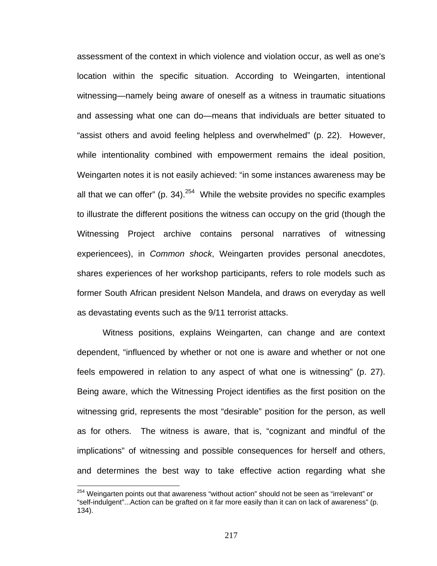assessment of the context in which violence and violation occur, as well as one's location within the specific situation. According to Weingarten, intentional witnessing—namely being aware of oneself as a witness in traumatic situations and assessing what one can do—means that individuals are better situated to "assist others and avoid feeling helpless and overwhelmed" (p. 22). However, while intentionality combined with empowerment remains the ideal position, Weingarten notes it is not easily achieved: "in some instances awareness may be all that we can offer" (p. 34).<sup>254</sup> While the website provides no specific examples to illustrate the different positions the witness can occupy on the grid (though the Witnessing Project archive contains personal narratives of witnessing experiencees), in *Common shock*, Weingarten provides personal anecdotes, shares experiences of her workshop participants, refers to role models such as former South African president Nelson Mandela, and draws on everyday as well as devastating events such as the 9/11 terrorist attacks.

Witness positions, explains Weingarten, can change and are context dependent, "influenced by whether or not one is aware and whether or not one feels empowered in relation to any aspect of what one is witnessing" (p. 27). Being aware, which the Witnessing Project identifies as the first position on the witnessing grid, represents the most "desirable" position for the person, as well as for others. The witness is aware, that is, "cognizant and mindful of the implications" of witnessing and possible consequences for herself and others, and determines the best way to take effective action regarding what she

 $254$  Weingarten points out that awareness "without action" should not be seen as "irrelevant" or "self-indulgent"...Action can be grafted on it far more easily than it can on lack of awareness" (p. 134).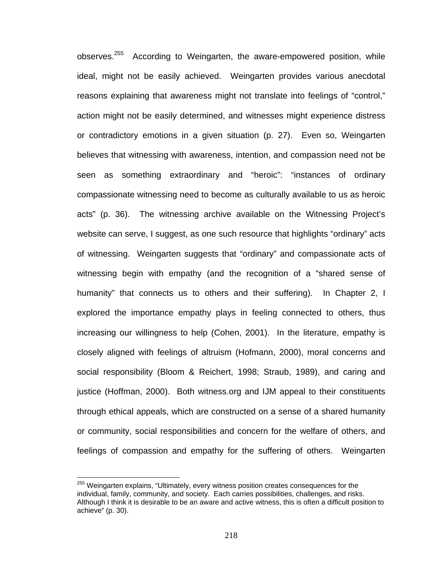observes.<sup>255</sup> According to Weingarten, the aware-empowered position, while ideal, might not be easily achieved. Weingarten provides various anecdotal reasons explaining that awareness might not translate into feelings of "control," action might not be easily determined, and witnesses might experience distress or contradictory emotions in a given situation (p. 27). Even so, Weingarten believes that witnessing with awareness, intention, and compassion need not be seen as something extraordinary and "heroic": "instances of ordinary compassionate witnessing need to become as culturally available to us as heroic acts" (p. 36). The witnessing archive available on the Witnessing Project's website can serve, I suggest, as one such resource that highlights "ordinary" acts of witnessing. Weingarten suggests that "ordinary" and compassionate acts of witnessing begin with empathy (and the recognition of a "shared sense of humanity" that connects us to others and their suffering). In Chapter 2, I explored the importance empathy plays in feeling connected to others, thus increasing our willingness to help (Cohen, 2001). In the literature, empathy is closely aligned with feelings of altruism (Hofmann, 2000), moral concerns and social responsibility (Bloom & Reichert, 1998; Straub, 1989), and caring and justice (Hoffman, 2000). Both witness.org and IJM appeal to their constituents through ethical appeals, which are constructed on a sense of a shared humanity or community, social responsibilities and concern for the welfare of others, and feelings of compassion and empathy for the suffering of others. Weingarten

<u>.</u>

<sup>&</sup>lt;sup>255</sup> Weingarten explains, "Ultimately, every witness position creates consequences for the individual, family, community, and society. Each carries possibilities, challenges, and risks. Although I think it is desirable to be an aware and active witness, this is often a difficult position to achieve" (p. 30).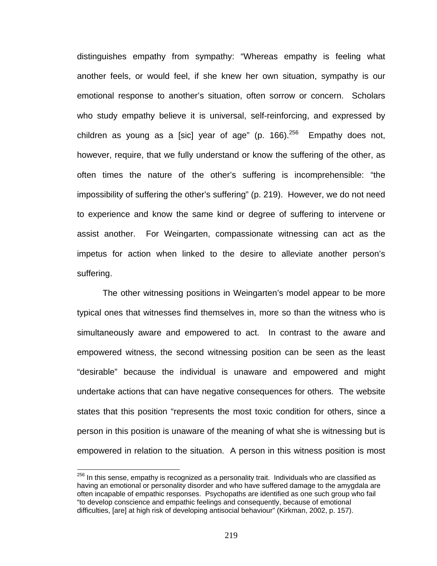distinguishes empathy from sympathy: "Whereas empathy is feeling what another feels, or would feel, if she knew her own situation, sympathy is our emotional response to another's situation, often sorrow or concern. Scholars who study empathy believe it is universal, self-reinforcing, and expressed by children as young as a [sic] year of age" (p. 166). $256$  Empathy does not, however, require, that we fully understand or know the suffering of the other, as often times the nature of the other's suffering is incomprehensible: "the impossibility of suffering the other's suffering" (p. 219). However, we do not need to experience and know the same kind or degree of suffering to intervene or assist another. For Weingarten, compassionate witnessing can act as the impetus for action when linked to the desire to alleviate another person's suffering.

The other witnessing positions in Weingarten's model appear to be more typical ones that witnesses find themselves in, more so than the witness who is simultaneously aware and empowered to act. In contrast to the aware and empowered witness, the second witnessing position can be seen as the least "desirable" because the individual is unaware and empowered and might undertake actions that can have negative consequences for others. The website states that this position "represents the most toxic condition for others, since a person in this position is unaware of the meaning of what she is witnessing but is empowered in relation to the situation. A person in this witness position is most

 $\overline{a}$ 

 $^{256}$  In this sense, empathy is recognized as a personality trait. Individuals who are classified as having an emotional or personality disorder and who have suffered damage to the amygdala are often incapable of empathic responses. Psychopaths are identified as one such group who fail "to develop conscience and empathic feelings and consequently, because of emotional difficulties, [are] at high risk of developing antisocial behaviour" (Kirkman, 2002, p. 157).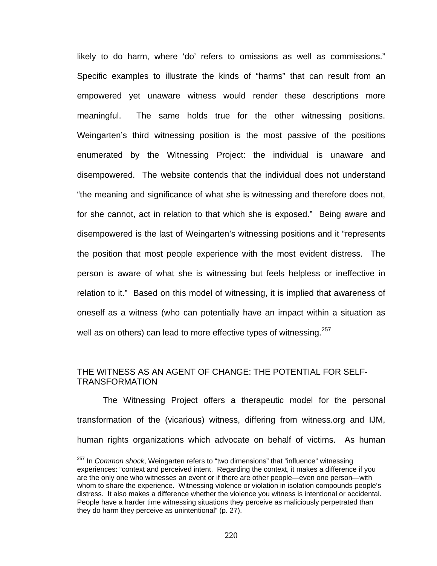likely to do harm, where 'do' refers to omissions as well as commissions." Specific examples to illustrate the kinds of "harms" that can result from an empowered yet unaware witness would render these descriptions more meaningful. The same holds true for the other witnessing positions. Weingarten's third witnessing position is the most passive of the positions enumerated by the Witnessing Project: the individual is unaware and disempowered. The website contends that the individual does not understand "the meaning and significance of what she is witnessing and therefore does not, for she cannot, act in relation to that which she is exposed." Being aware and disempowered is the last of Weingarten's witnessing positions and it "represents the position that most people experience with the most evident distress. The person is aware of what she is witnessing but feels helpless or ineffective in relation to it." Based on this model of witnessing, it is implied that awareness of oneself as a witness (who can potentially have an impact within a situation as well as on others) can lead to more effective types of witnessing.<sup>257</sup>

### THE WITNESS AS AN AGENT OF CHANGE: THE POTENTIAL FOR SELF-TRANSFORMATION

The Witnessing Project offers a therapeutic model for the personal transformation of the (vicarious) witness, differing from witness.org and IJM, human rights organizations which advocate on behalf of victims. As human

 $\overline{a}$ 

<sup>257</sup> In *Common shock*, Weingarten refers to "two dimensions" that "influence" witnessing experiences: "context and perceived intent. Regarding the context, it makes a difference if you are the only one who witnesses an event or if there are other people—even one person—with whom to share the experience. Witnessing violence or violation in isolation compounds people's distress. It also makes a difference whether the violence you witness is intentional or accidental. People have a harder time witnessing situations they perceive as maliciously perpetrated than they do harm they perceive as unintentional" (p. 27).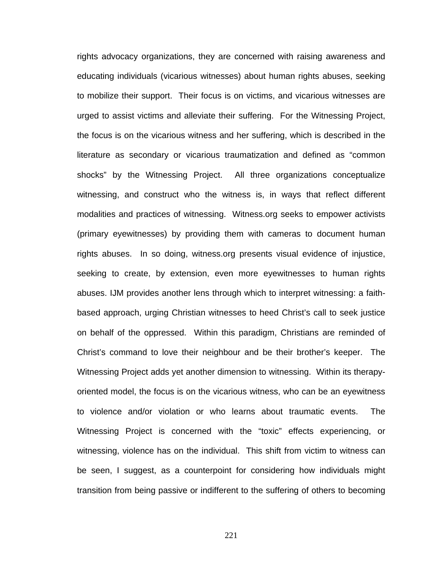rights advocacy organizations, they are concerned with raising awareness and educating individuals (vicarious witnesses) about human rights abuses, seeking to mobilize their support. Their focus is on victims, and vicarious witnesses are urged to assist victims and alleviate their suffering. For the Witnessing Project, the focus is on the vicarious witness and her suffering, which is described in the literature as secondary or vicarious traumatization and defined as "common shocks" by the Witnessing Project. All three organizations conceptualize witnessing, and construct who the witness is, in ways that reflect different modalities and practices of witnessing. Witness.org seeks to empower activists (primary eyewitnesses) by providing them with cameras to document human rights abuses. In so doing, witness.org presents visual evidence of injustice, seeking to create, by extension, even more eyewitnesses to human rights abuses. IJM provides another lens through which to interpret witnessing: a faithbased approach, urging Christian witnesses to heed Christ's call to seek justice on behalf of the oppressed. Within this paradigm, Christians are reminded of Christ's command to love their neighbour and be their brother's keeper. The Witnessing Project adds yet another dimension to witnessing. Within its therapyoriented model, the focus is on the vicarious witness, who can be an eyewitness to violence and/or violation or who learns about traumatic events. The Witnessing Project is concerned with the "toxic" effects experiencing, or witnessing, violence has on the individual. This shift from victim to witness can be seen, I suggest, as a counterpoint for considering how individuals might transition from being passive or indifferent to the suffering of others to becoming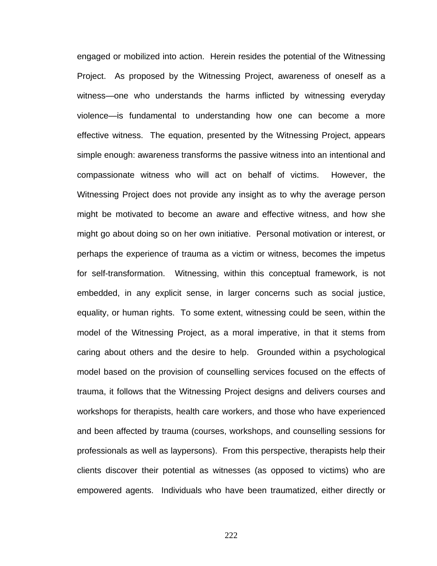engaged or mobilized into action. Herein resides the potential of the Witnessing Project. As proposed by the Witnessing Project, awareness of oneself as a witness—one who understands the harms inflicted by witnessing everyday violence—is fundamental to understanding how one can become a more effective witness. The equation, presented by the Witnessing Project, appears simple enough: awareness transforms the passive witness into an intentional and compassionate witness who will act on behalf of victims. However, the Witnessing Project does not provide any insight as to why the average person might be motivated to become an aware and effective witness, and how she might go about doing so on her own initiative. Personal motivation or interest, or perhaps the experience of trauma as a victim or witness, becomes the impetus for self-transformation. Witnessing, within this conceptual framework, is not embedded, in any explicit sense, in larger concerns such as social justice, equality, or human rights. To some extent, witnessing could be seen, within the model of the Witnessing Project, as a moral imperative, in that it stems from caring about others and the desire to help. Grounded within a psychological model based on the provision of counselling services focused on the effects of trauma, it follows that the Witnessing Project designs and delivers courses and workshops for therapists, health care workers, and those who have experienced and been affected by trauma (courses, workshops, and counselling sessions for professionals as well as laypersons). From this perspective, therapists help their clients discover their potential as witnesses (as opposed to victims) who are empowered agents. Individuals who have been traumatized, either directly or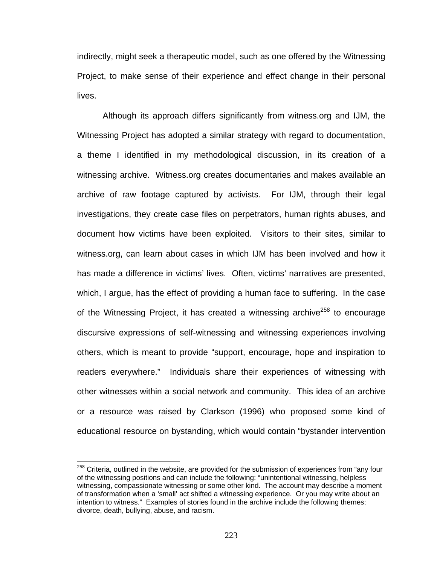indirectly, might seek a therapeutic model, such as one offered by the Witnessing Project, to make sense of their experience and effect change in their personal lives.

 Although its approach differs significantly from witness.org and IJM, the Witnessing Project has adopted a similar strategy with regard to documentation, a theme I identified in my methodological discussion, in its creation of a witnessing archive. Witness.org creates documentaries and makes available an archive of raw footage captured by activists. For IJM, through their legal investigations, they create case files on perpetrators, human rights abuses, and document how victims have been exploited. Visitors to their sites, similar to witness.org, can learn about cases in which IJM has been involved and how it has made a difference in victims' lives. Often, victims' narratives are presented, which, I argue, has the effect of providing a human face to suffering. In the case of the Witnessing Project, it has created a witnessing archive<sup>258</sup> to encourage discursive expressions of self-witnessing and witnessing experiences involving others, which is meant to provide "support, encourage, hope and inspiration to readers everywhere." Individuals share their experiences of witnessing with other witnesses within a social network and community. This idea of an archive or a resource was raised by Clarkson (1996) who proposed some kind of educational resource on bystanding, which would contain "bystander intervention

 $\overline{a}$ 

 $258$  Criteria, outlined in the website, are provided for the submission of experiences from "any four of the witnessing positions and can include the following: "unintentional witnessing, helpless witnessing, compassionate witnessing or some other kind. The account may describe a moment of transformation when a 'small' act shifted a witnessing experience. Or you may write about an intention to witness." Examples of stories found in the archive include the following themes: divorce, death, bullying, abuse, and racism.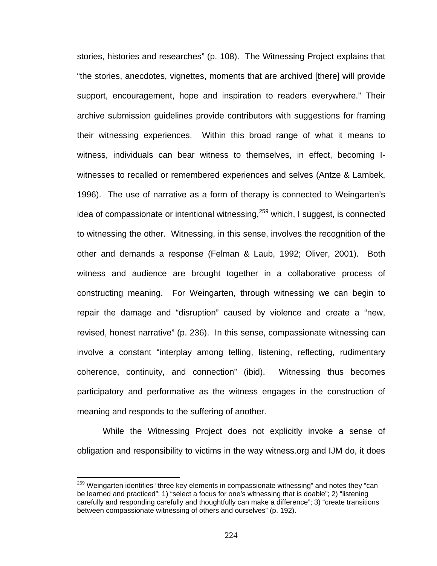stories, histories and researches" (p. 108). The Witnessing Project explains that "the stories, anecdotes, vignettes, moments that are archived [there] will provide support, encouragement, hope and inspiration to readers everywhere." Their archive submission guidelines provide contributors with suggestions for framing their witnessing experiences. Within this broad range of what it means to witness, individuals can bear witness to themselves, in effect, becoming Iwitnesses to recalled or remembered experiences and selves (Antze & Lambek, 1996). The use of narrative as a form of therapy is connected to Weingarten's idea of compassionate or intentional witnessing,  $259$  which, I suggest, is connected to witnessing the other. Witnessing, in this sense, involves the recognition of the other and demands a response (Felman & Laub, 1992; Oliver, 2001). Both witness and audience are brought together in a collaborative process of constructing meaning. For Weingarten, through witnessing we can begin to repair the damage and "disruption" caused by violence and create a "new, revised, honest narrative" (p. 236). In this sense, compassionate witnessing can involve a constant "interplay among telling, listening, reflecting, rudimentary coherence, continuity, and connection" (ibid). Witnessing thus becomes participatory and performative as the witness engages in the construction of meaning and responds to the suffering of another.

While the Witnessing Project does not explicitly invoke a sense of obligation and responsibility to victims in the way witness.org and IJM do, it does

 $\overline{a}$ 

<sup>&</sup>lt;sup>259</sup> Weingarten identifies "three key elements in compassionate witnessing" and notes they "can be learned and practiced": 1) "select a focus for one's witnessing that is doable"; 2) "listening carefully and responding carefully and thoughtfully can make a difference"; 3) "create transitions between compassionate witnessing of others and ourselves" (p. 192).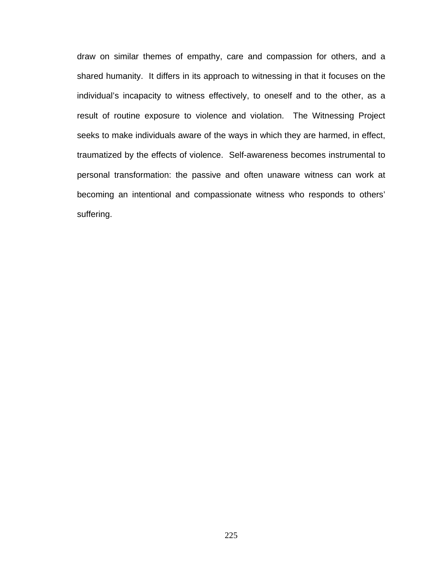draw on similar themes of empathy, care and compassion for others, and a shared humanity. It differs in its approach to witnessing in that it focuses on the individual's incapacity to witness effectively, to oneself and to the other, as a result of routine exposure to violence and violation. The Witnessing Project seeks to make individuals aware of the ways in which they are harmed, in effect, traumatized by the effects of violence. Self-awareness becomes instrumental to personal transformation: the passive and often unaware witness can work at becoming an intentional and compassionate witness who responds to others' suffering.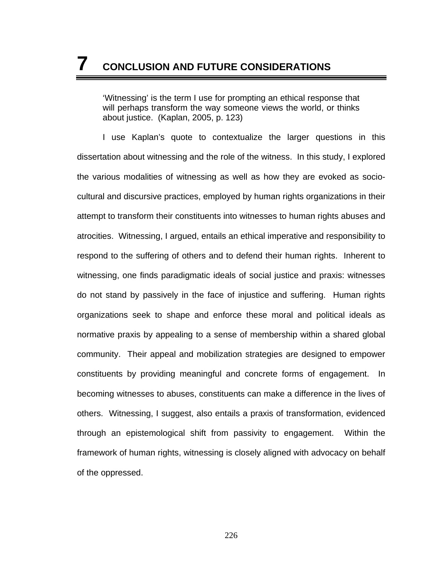'Witnessing' is the term I use for prompting an ethical response that will perhaps transform the way someone views the world, or thinks about justice. (Kaplan, 2005, p. 123)

I use Kaplan's quote to contextualize the larger questions in this dissertation about witnessing and the role of the witness. In this study, I explored the various modalities of witnessing as well as how they are evoked as sociocultural and discursive practices, employed by human rights organizations in their attempt to transform their constituents into witnesses to human rights abuses and atrocities. Witnessing, I argued, entails an ethical imperative and responsibility to respond to the suffering of others and to defend their human rights. Inherent to witnessing, one finds paradigmatic ideals of social justice and praxis: witnesses do not stand by passively in the face of injustice and suffering. Human rights organizations seek to shape and enforce these moral and political ideals as normative praxis by appealing to a sense of membership within a shared global community. Their appeal and mobilization strategies are designed to empower constituents by providing meaningful and concrete forms of engagement. In becoming witnesses to abuses, constituents can make a difference in the lives of others. Witnessing, I suggest, also entails a praxis of transformation, evidenced through an epistemological shift from passivity to engagement. Within the framework of human rights, witnessing is closely aligned with advocacy on behalf of the oppressed.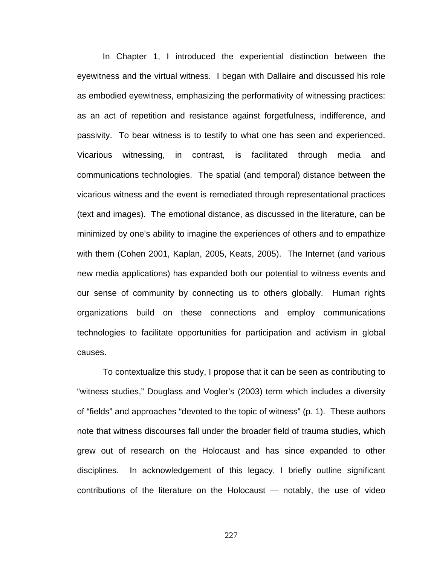In Chapter 1, I introduced the experiential distinction between the eyewitness and the virtual witness. I began with Dallaire and discussed his role as embodied eyewitness, emphasizing the performativity of witnessing practices: as an act of repetition and resistance against forgetfulness, indifference, and passivity. To bear witness is to testify to what one has seen and experienced. Vicarious witnessing, in contrast, is facilitated through media and communications technologies. The spatial (and temporal) distance between the vicarious witness and the event is remediated through representational practices (text and images). The emotional distance, as discussed in the literature, can be minimized by one's ability to imagine the experiences of others and to empathize with them (Cohen 2001, Kaplan, 2005, Keats, 2005). The Internet (and various new media applications) has expanded both our potential to witness events and our sense of community by connecting us to others globally. Human rights organizations build on these connections and employ communications technologies to facilitate opportunities for participation and activism in global causes.

To contextualize this study, I propose that it can be seen as contributing to "witness studies," Douglass and Vogler's (2003) term which includes a diversity of "fields" and approaches "devoted to the topic of witness" (p. 1). These authors note that witness discourses fall under the broader field of trauma studies, which grew out of research on the Holocaust and has since expanded to other disciplines. In acknowledgement of this legacy, I briefly outline significant contributions of the literature on the Holocaust — notably, the use of video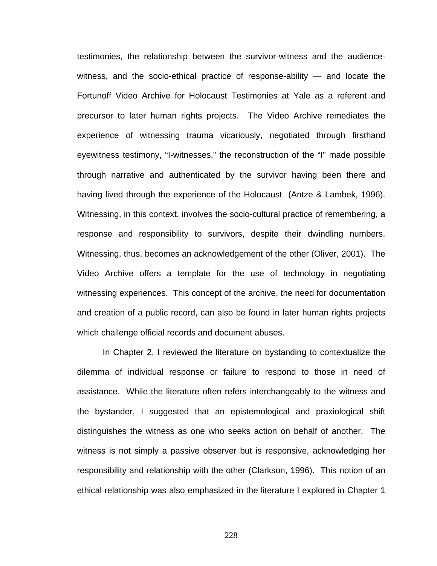testimonies, the relationship between the survivor-witness and the audiencewitness, and the socio-ethical practice of response-ability — and locate the Fortunoff Video Archive for Holocaust Testimonies at Yale as a referent and precursor to later human rights projects. The Video Archive remediates the experience of witnessing trauma vicariously, negotiated through firsthand eyewitness testimony, "I-witnesses," the reconstruction of the "I" made possible through narrative and authenticated by the survivor having been there and having lived through the experience of the Holocaust (Antze & Lambek, 1996). Witnessing, in this context, involves the socio-cultural practice of remembering, a response and responsibility to survivors, despite their dwindling numbers. Witnessing, thus, becomes an acknowledgement of the other (Oliver, 2001). The Video Archive offers a template for the use of technology in negotiating witnessing experiences. This concept of the archive, the need for documentation and creation of a public record, can also be found in later human rights projects which challenge official records and document abuses.

In Chapter 2, I reviewed the literature on bystanding to contextualize the dilemma of individual response or failure to respond to those in need of assistance. While the literature often refers interchangeably to the witness and the bystander, I suggested that an epistemological and praxiological shift distinguishes the witness as one who seeks action on behalf of another. The witness is not simply a passive observer but is responsive, acknowledging her responsibility and relationship with the other (Clarkson, 1996). This notion of an ethical relationship was also emphasized in the literature I explored in Chapter 1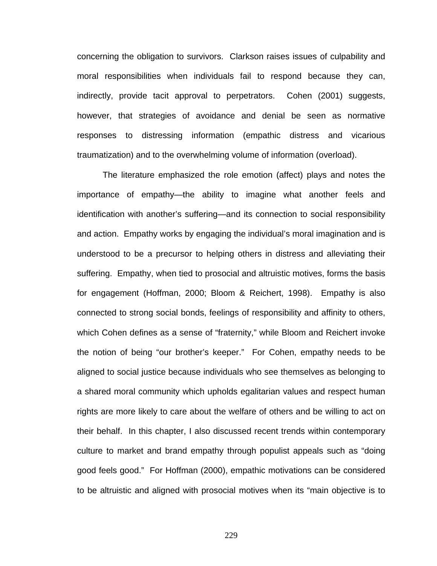concerning the obligation to survivors. Clarkson raises issues of culpability and moral responsibilities when individuals fail to respond because they can, indirectly, provide tacit approval to perpetrators. Cohen (2001) suggests, however, that strategies of avoidance and denial be seen as normative responses to distressing information (empathic distress and vicarious traumatization) and to the overwhelming volume of information (overload).

The literature emphasized the role emotion (affect) plays and notes the importance of empathy—the ability to imagine what another feels and identification with another's suffering—and its connection to social responsibility and action. Empathy works by engaging the individual's moral imagination and is understood to be a precursor to helping others in distress and alleviating their suffering. Empathy, when tied to prosocial and altruistic motives, forms the basis for engagement (Hoffman, 2000; Bloom & Reichert, 1998). Empathy is also connected to strong social bonds, feelings of responsibility and affinity to others, which Cohen defines as a sense of "fraternity," while Bloom and Reichert invoke the notion of being "our brother's keeper." For Cohen, empathy needs to be aligned to social justice because individuals who see themselves as belonging to a shared moral community which upholds egalitarian values and respect human rights are more likely to care about the welfare of others and be willing to act on their behalf. In this chapter, I also discussed recent trends within contemporary culture to market and brand empathy through populist appeals such as "doing good feels good." For Hoffman (2000), empathic motivations can be considered to be altruistic and aligned with prosocial motives when its "main objective is to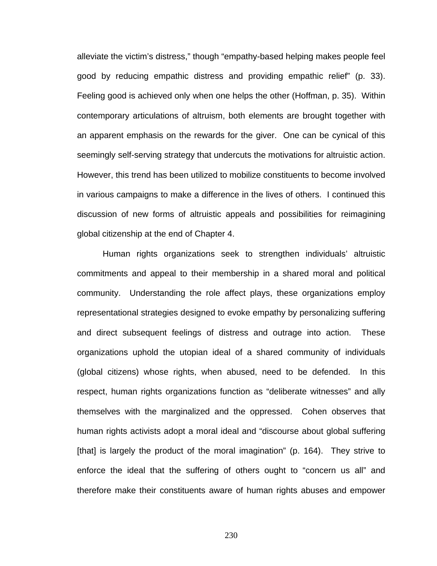alleviate the victim's distress," though "empathy-based helping makes people feel good by reducing empathic distress and providing empathic relief" (p. 33). Feeling good is achieved only when one helps the other (Hoffman, p. 35). Within contemporary articulations of altruism, both elements are brought together with an apparent emphasis on the rewards for the giver. One can be cynical of this seemingly self-serving strategy that undercuts the motivations for altruistic action. However, this trend has been utilized to mobilize constituents to become involved in various campaigns to make a difference in the lives of others. I continued this discussion of new forms of altruistic appeals and possibilities for reimagining global citizenship at the end of Chapter 4.

Human rights organizations seek to strengthen individuals' altruistic commitments and appeal to their membership in a shared moral and political community. Understanding the role affect plays, these organizations employ representational strategies designed to evoke empathy by personalizing suffering and direct subsequent feelings of distress and outrage into action. These organizations uphold the utopian ideal of a shared community of individuals (global citizens) whose rights, when abused, need to be defended. In this respect, human rights organizations function as "deliberate witnesses" and ally themselves with the marginalized and the oppressed. Cohen observes that human rights activists adopt a moral ideal and "discourse about global suffering [that] is largely the product of the moral imagination" (p. 164). They strive to enforce the ideal that the suffering of others ought to "concern us all" and therefore make their constituents aware of human rights abuses and empower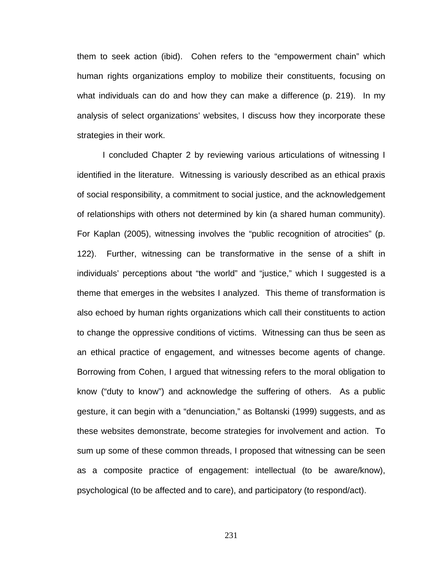them to seek action (ibid). Cohen refers to the "empowerment chain" which human rights organizations employ to mobilize their constituents, focusing on what individuals can do and how they can make a difference (p. 219). In my analysis of select organizations' websites, I discuss how they incorporate these strategies in their work.

I concluded Chapter 2 by reviewing various articulations of witnessing I identified in the literature. Witnessing is variously described as an ethical praxis of social responsibility, a commitment to social justice, and the acknowledgement of relationships with others not determined by kin (a shared human community). For Kaplan (2005), witnessing involves the "public recognition of atrocities" (p. 122). Further, witnessing can be transformative in the sense of a shift in individuals' perceptions about "the world" and "justice," which I suggested is a theme that emerges in the websites I analyzed. This theme of transformation is also echoed by human rights organizations which call their constituents to action to change the oppressive conditions of victims. Witnessing can thus be seen as an ethical practice of engagement, and witnesses become agents of change. Borrowing from Cohen, I argued that witnessing refers to the moral obligation to know ("duty to know") and acknowledge the suffering of others. As a public gesture, it can begin with a "denunciation," as Boltanski (1999) suggests, and as these websites demonstrate, become strategies for involvement and action. To sum up some of these common threads, I proposed that witnessing can be seen as a composite practice of engagement: intellectual (to be aware/know), psychological (to be affected and to care), and participatory (to respond/act).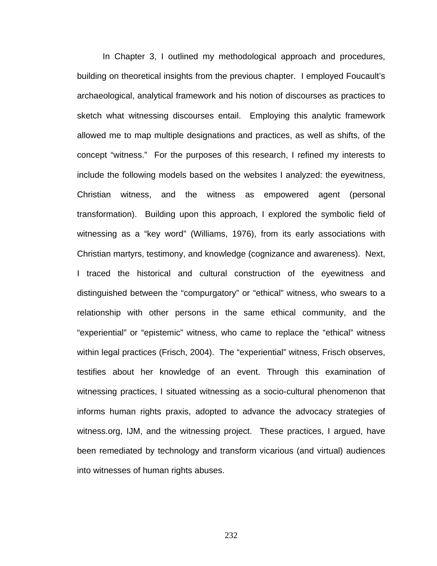In Chapter 3, I outlined my methodological approach and procedures, building on theoretical insights from the previous chapter. I employed Foucault's archaeological, analytical framework and his notion of discourses as practices to sketch what witnessing discourses entail. Employing this analytic framework allowed me to map multiple designations and practices, as well as shifts, of the concept "witness." For the purposes of this research, I refined my interests to include the following models based on the websites I analyzed: the eyewitness, Christian witness, and the witness as empowered agent (personal transformation). Building upon this approach, I explored the symbolic field of witnessing as a "key word" (Williams, 1976), from its early associations with Christian martyrs, testimony, and knowledge (cognizance and awareness). Next, I traced the historical and cultural construction of the eyewitness and distinguished between the "compurgatory" or "ethical" witness, who swears to a relationship with other persons in the same ethical community, and the "experiential" or "epistemic" witness, who came to replace the "ethical" witness within legal practices (Frisch, 2004). The "experiential" witness, Frisch observes, testifies about her knowledge of an event. Through this examination of witnessing practices, I situated witnessing as a socio-cultural phenomenon that informs human rights praxis, adopted to advance the advocacy strategies of witness.org, IJM, and the witnessing project. These practices, I argued, have been remediated by technology and transform vicarious (and virtual) audiences into witnesses of human rights abuses.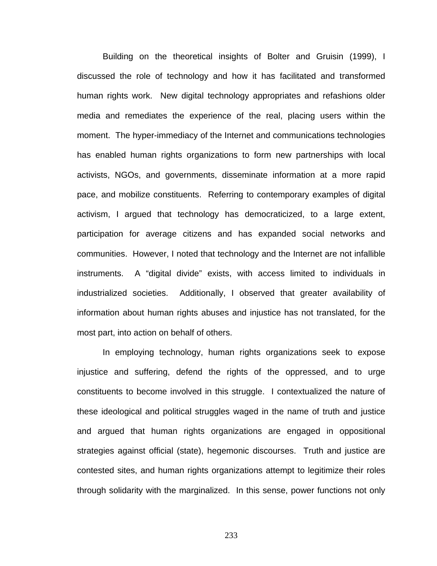Building on the theoretical insights of Bolter and Gruisin (1999), I discussed the role of technology and how it has facilitated and transformed human rights work. New digital technology appropriates and refashions older media and remediates the experience of the real, placing users within the moment. The hyper-immediacy of the Internet and communications technologies has enabled human rights organizations to form new partnerships with local activists, NGOs, and governments, disseminate information at a more rapid pace, and mobilize constituents. Referring to contemporary examples of digital activism, I argued that technology has democraticized, to a large extent, participation for average citizens and has expanded social networks and communities. However, I noted that technology and the Internet are not infallible instruments. A "digital divide" exists, with access limited to individuals in industrialized societies. Additionally, I observed that greater availability of information about human rights abuses and injustice has not translated, for the most part, into action on behalf of others.

In employing technology, human rights organizations seek to expose injustice and suffering, defend the rights of the oppressed, and to urge constituents to become involved in this struggle. I contextualized the nature of these ideological and political struggles waged in the name of truth and justice and argued that human rights organizations are engaged in oppositional strategies against official (state), hegemonic discourses. Truth and justice are contested sites, and human rights organizations attempt to legitimize their roles through solidarity with the marginalized. In this sense, power functions not only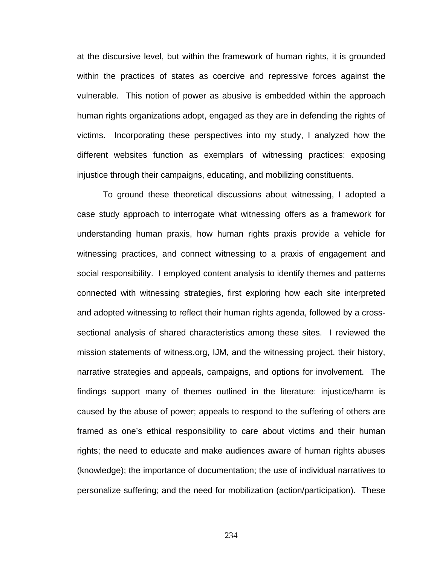at the discursive level, but within the framework of human rights, it is grounded within the practices of states as coercive and repressive forces against the vulnerable. This notion of power as abusive is embedded within the approach human rights organizations adopt, engaged as they are in defending the rights of victims. Incorporating these perspectives into my study, I analyzed how the different websites function as exemplars of witnessing practices: exposing injustice through their campaigns, educating, and mobilizing constituents.

 To ground these theoretical discussions about witnessing, I adopted a case study approach to interrogate what witnessing offers as a framework for understanding human praxis, how human rights praxis provide a vehicle for witnessing practices, and connect witnessing to a praxis of engagement and social responsibility. I employed content analysis to identify themes and patterns connected with witnessing strategies, first exploring how each site interpreted and adopted witnessing to reflect their human rights agenda, followed by a crosssectional analysis of shared characteristics among these sites. I reviewed the mission statements of witness.org, IJM, and the witnessing project, their history, narrative strategies and appeals, campaigns, and options for involvement. The findings support many of themes outlined in the literature: injustice/harm is caused by the abuse of power; appeals to respond to the suffering of others are framed as one's ethical responsibility to care about victims and their human rights; the need to educate and make audiences aware of human rights abuses (knowledge); the importance of documentation; the use of individual narratives to personalize suffering; and the need for mobilization (action/participation). These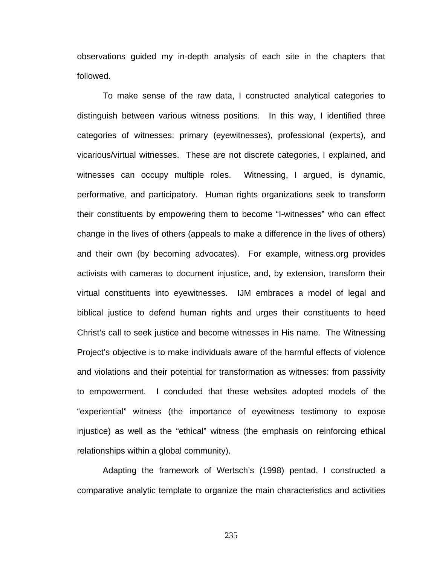observations guided my in-depth analysis of each site in the chapters that followed.

To make sense of the raw data, I constructed analytical categories to distinguish between various witness positions. In this way, I identified three categories of witnesses: primary (eyewitnesses), professional (experts), and vicarious/virtual witnesses. These are not discrete categories, I explained, and witnesses can occupy multiple roles. Witnessing, I argued, is dynamic, performative, and participatory. Human rights organizations seek to transform their constituents by empowering them to become "I-witnesses" who can effect change in the lives of others (appeals to make a difference in the lives of others) and their own (by becoming advocates). For example, witness.org provides activists with cameras to document injustice, and, by extension, transform their virtual constituents into eyewitnesses. IJM embraces a model of legal and biblical justice to defend human rights and urges their constituents to heed Christ's call to seek justice and become witnesses in His name. The Witnessing Project's objective is to make individuals aware of the harmful effects of violence and violations and their potential for transformation as witnesses: from passivity to empowerment. I concluded that these websites adopted models of the "experiential" witness (the importance of eyewitness testimony to expose injustice) as well as the "ethical" witness (the emphasis on reinforcing ethical relationships within a global community).

Adapting the framework of Wertsch's (1998) pentad, I constructed a comparative analytic template to organize the main characteristics and activities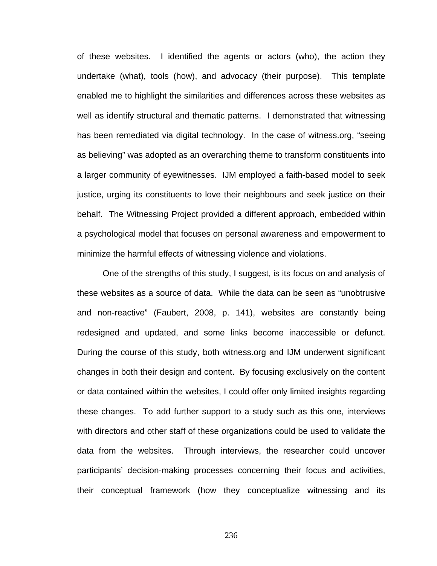of these websites. I identified the agents or actors (who), the action they undertake (what), tools (how), and advocacy (their purpose). This template enabled me to highlight the similarities and differences across these websites as well as identify structural and thematic patterns. I demonstrated that witnessing has been remediated via digital technology. In the case of witness.org, "seeing as believing" was adopted as an overarching theme to transform constituents into a larger community of eyewitnesses. IJM employed a faith-based model to seek justice, urging its constituents to love their neighbours and seek justice on their behalf. The Witnessing Project provided a different approach, embedded within a psychological model that focuses on personal awareness and empowerment to minimize the harmful effects of witnessing violence and violations.

One of the strengths of this study, I suggest, is its focus on and analysis of these websites as a source of data. While the data can be seen as "unobtrusive and non-reactive" (Faubert, 2008, p. 141), websites are constantly being redesigned and updated, and some links become inaccessible or defunct. During the course of this study, both witness.org and IJM underwent significant changes in both their design and content. By focusing exclusively on the content or data contained within the websites, I could offer only limited insights regarding these changes. To add further support to a study such as this one, interviews with directors and other staff of these organizations could be used to validate the data from the websites. Through interviews, the researcher could uncover participants' decision-making processes concerning their focus and activities, their conceptual framework (how they conceptualize witnessing and its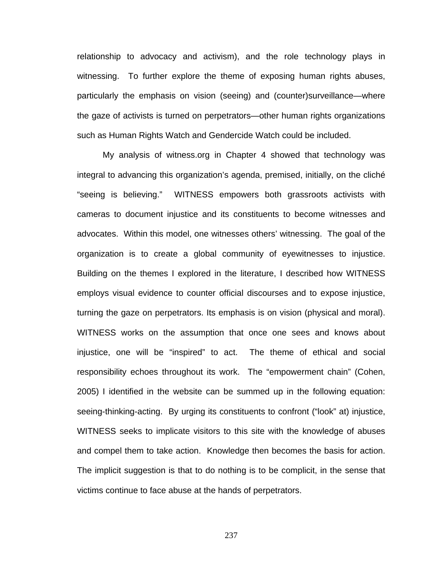relationship to advocacy and activism), and the role technology plays in witnessing. To further explore the theme of exposing human rights abuses, particularly the emphasis on vision (seeing) and (counter)surveillance—where the gaze of activists is turned on perpetrators—other human rights organizations such as Human Rights Watch and Gendercide Watch could be included.

My analysis of witness.org in Chapter 4 showed that technology was integral to advancing this organization's agenda, premised, initially, on the cliché "seeing is believing." WITNESS empowers both grassroots activists with cameras to document injustice and its constituents to become witnesses and advocates. Within this model, one witnesses others' witnessing. The goal of the organization is to create a global community of eyewitnesses to injustice. Building on the themes I explored in the literature, I described how WITNESS employs visual evidence to counter official discourses and to expose injustice, turning the gaze on perpetrators. Its emphasis is on vision (physical and moral). WITNESS works on the assumption that once one sees and knows about injustice, one will be "inspired" to act. The theme of ethical and social responsibility echoes throughout its work. The "empowerment chain" (Cohen, 2005) I identified in the website can be summed up in the following equation: seeing-thinking-acting. By urging its constituents to confront ("look" at) injustice, WITNESS seeks to implicate visitors to this site with the knowledge of abuses and compel them to take action. Knowledge then becomes the basis for action. The implicit suggestion is that to do nothing is to be complicit, in the sense that victims continue to face abuse at the hands of perpetrators.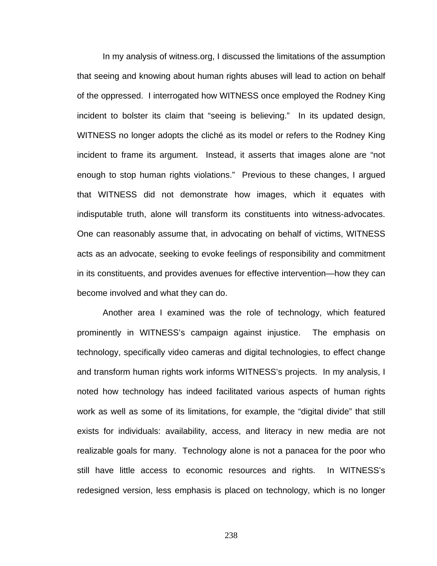In my analysis of witness.org, I discussed the limitations of the assumption that seeing and knowing about human rights abuses will lead to action on behalf of the oppressed. I interrogated how WITNESS once employed the Rodney King incident to bolster its claim that "seeing is believing." In its updated design, WITNESS no longer adopts the cliché as its model or refers to the Rodney King incident to frame its argument. Instead, it asserts that images alone are "not enough to stop human rights violations." Previous to these changes, I argued that WITNESS did not demonstrate how images, which it equates with indisputable truth, alone will transform its constituents into witness-advocates. One can reasonably assume that, in advocating on behalf of victims, WITNESS acts as an advocate, seeking to evoke feelings of responsibility and commitment in its constituents, and provides avenues for effective intervention—how they can become involved and what they can do.

Another area I examined was the role of technology, which featured prominently in WITNESS's campaign against injustice. The emphasis on technology, specifically video cameras and digital technologies, to effect change and transform human rights work informs WITNESS's projects. In my analysis, I noted how technology has indeed facilitated various aspects of human rights work as well as some of its limitations, for example, the "digital divide" that still exists for individuals: availability, access, and literacy in new media are not realizable goals for many. Technology alone is not a panacea for the poor who still have little access to economic resources and rights. In WITNESS's redesigned version, less emphasis is placed on technology, which is no longer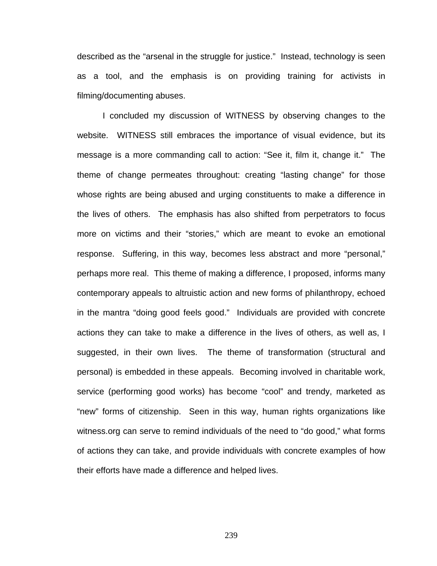described as the "arsenal in the struggle for justice." Instead, technology is seen as a tool, and the emphasis is on providing training for activists in filming/documenting abuses.

I concluded my discussion of WITNESS by observing changes to the website. WITNESS still embraces the importance of visual evidence, but its message is a more commanding call to action: "See it, film it, change it." The theme of change permeates throughout: creating "lasting change" for those whose rights are being abused and urging constituents to make a difference in the lives of others. The emphasis has also shifted from perpetrators to focus more on victims and their "stories," which are meant to evoke an emotional response. Suffering, in this way, becomes less abstract and more "personal," perhaps more real. This theme of making a difference, I proposed, informs many contemporary appeals to altruistic action and new forms of philanthropy, echoed in the mantra "doing good feels good." Individuals are provided with concrete actions they can take to make a difference in the lives of others, as well as, I suggested, in their own lives. The theme of transformation (structural and personal) is embedded in these appeals. Becoming involved in charitable work, service (performing good works) has become "cool" and trendy, marketed as "new" forms of citizenship. Seen in this way, human rights organizations like witness.org can serve to remind individuals of the need to "do good," what forms of actions they can take, and provide individuals with concrete examples of how their efforts have made a difference and helped lives.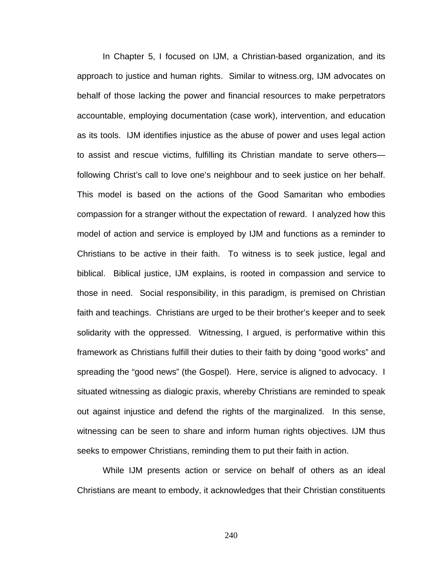In Chapter 5, I focused on IJM, a Christian-based organization, and its approach to justice and human rights. Similar to witness.org, IJM advocates on behalf of those lacking the power and financial resources to make perpetrators accountable, employing documentation (case work), intervention, and education as its tools. IJM identifies injustice as the abuse of power and uses legal action to assist and rescue victims, fulfilling its Christian mandate to serve others following Christ's call to love one's neighbour and to seek justice on her behalf. This model is based on the actions of the Good Samaritan who embodies compassion for a stranger without the expectation of reward. I analyzed how this model of action and service is employed by IJM and functions as a reminder to Christians to be active in their faith. To witness is to seek justice, legal and biblical. Biblical justice, IJM explains, is rooted in compassion and service to those in need. Social responsibility, in this paradigm, is premised on Christian faith and teachings. Christians are urged to be their brother's keeper and to seek solidarity with the oppressed. Witnessing, I argued, is performative within this framework as Christians fulfill their duties to their faith by doing "good works" and spreading the "good news" (the Gospel). Here, service is aligned to advocacy. I situated witnessing as dialogic praxis, whereby Christians are reminded to speak out against injustice and defend the rights of the marginalized. In this sense, witnessing can be seen to share and inform human rights objectives. IJM thus seeks to empower Christians, reminding them to put their faith in action.

While IJM presents action or service on behalf of others as an ideal Christians are meant to embody, it acknowledges that their Christian constituents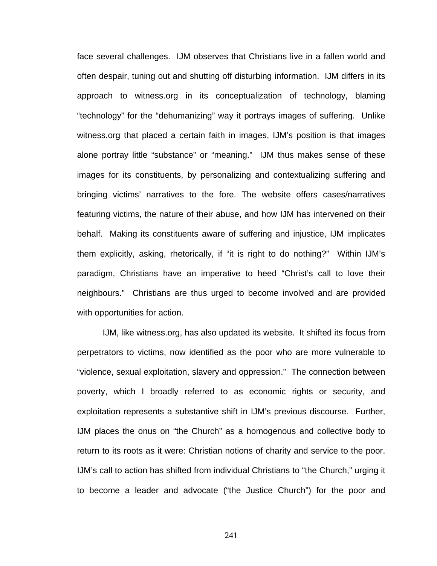face several challenges. IJM observes that Christians live in a fallen world and often despair, tuning out and shutting off disturbing information. IJM differs in its approach to witness.org in its conceptualization of technology, blaming "technology" for the "dehumanizing" way it portrays images of suffering. Unlike witness.org that placed a certain faith in images, IJM's position is that images alone portray little "substance" or "meaning." IJM thus makes sense of these images for its constituents, by personalizing and contextualizing suffering and bringing victims' narratives to the fore. The website offers cases/narratives featuring victims, the nature of their abuse, and how IJM has intervened on their behalf. Making its constituents aware of suffering and injustice, IJM implicates them explicitly, asking, rhetorically, if "it is right to do nothing?" Within IJM's paradigm, Christians have an imperative to heed "Christ's call to love their neighbours." Christians are thus urged to become involved and are provided with opportunities for action.

IJM, like witness.org, has also updated its website. It shifted its focus from perpetrators to victims, now identified as the poor who are more vulnerable to "violence, sexual exploitation, slavery and oppression." The connection between poverty, which I broadly referred to as economic rights or security, and exploitation represents a substantive shift in IJM's previous discourse. Further, IJM places the onus on "the Church" as a homogenous and collective body to return to its roots as it were: Christian notions of charity and service to the poor. IJM's call to action has shifted from individual Christians to "the Church," urging it to become a leader and advocate ("the Justice Church") for the poor and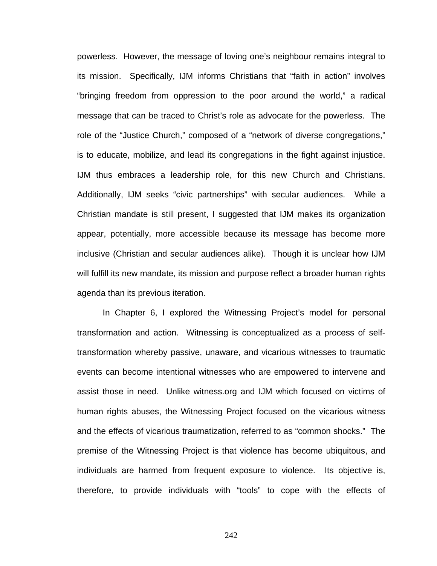powerless. However, the message of loving one's neighbour remains integral to its mission. Specifically, IJM informs Christians that "faith in action" involves "bringing freedom from oppression to the poor around the world," a radical message that can be traced to Christ's role as advocate for the powerless. The role of the "Justice Church," composed of a "network of diverse congregations," is to educate, mobilize, and lead its congregations in the fight against injustice. IJM thus embraces a leadership role, for this new Church and Christians. Additionally, IJM seeks "civic partnerships" with secular audiences. While a Christian mandate is still present, I suggested that IJM makes its organization appear, potentially, more accessible because its message has become more inclusive (Christian and secular audiences alike). Though it is unclear how IJM will fulfill its new mandate, its mission and purpose reflect a broader human rights agenda than its previous iteration.

In Chapter 6, I explored the Witnessing Project's model for personal transformation and action. Witnessing is conceptualized as a process of selftransformation whereby passive, unaware, and vicarious witnesses to traumatic events can become intentional witnesses who are empowered to intervene and assist those in need. Unlike witness.org and IJM which focused on victims of human rights abuses, the Witnessing Project focused on the vicarious witness and the effects of vicarious traumatization, referred to as "common shocks." The premise of the Witnessing Project is that violence has become ubiquitous, and individuals are harmed from frequent exposure to violence. Its objective is, therefore, to provide individuals with "tools" to cope with the effects of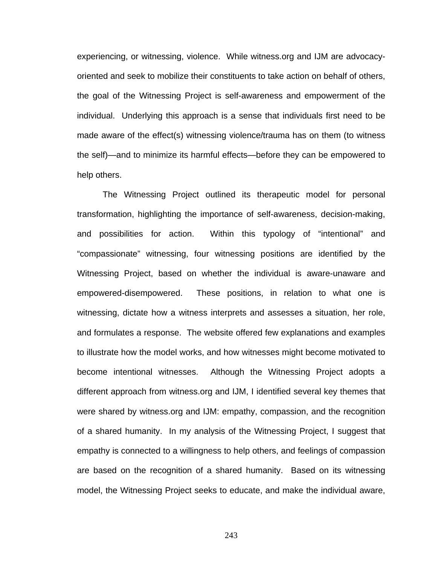experiencing, or witnessing, violence. While witness.org and IJM are advocacyoriented and seek to mobilize their constituents to take action on behalf of others, the goal of the Witnessing Project is self-awareness and empowerment of the individual. Underlying this approach is a sense that individuals first need to be made aware of the effect(s) witnessing violence/trauma has on them (to witness the self)—and to minimize its harmful effects—before they can be empowered to help others.

The Witnessing Project outlined its therapeutic model for personal transformation, highlighting the importance of self-awareness, decision-making, and possibilities for action. Within this typology of "intentional" and "compassionate" witnessing, four witnessing positions are identified by the Witnessing Project, based on whether the individual is aware-unaware and empowered-disempowered. These positions, in relation to what one is witnessing, dictate how a witness interprets and assesses a situation, her role, and formulates a response. The website offered few explanations and examples to illustrate how the model works, and how witnesses might become motivated to become intentional witnesses. Although the Witnessing Project adopts a different approach from witness.org and IJM, I identified several key themes that were shared by witness.org and IJM: empathy, compassion, and the recognition of a shared humanity. In my analysis of the Witnessing Project, I suggest that empathy is connected to a willingness to help others, and feelings of compassion are based on the recognition of a shared humanity. Based on its witnessing model, the Witnessing Project seeks to educate, and make the individual aware,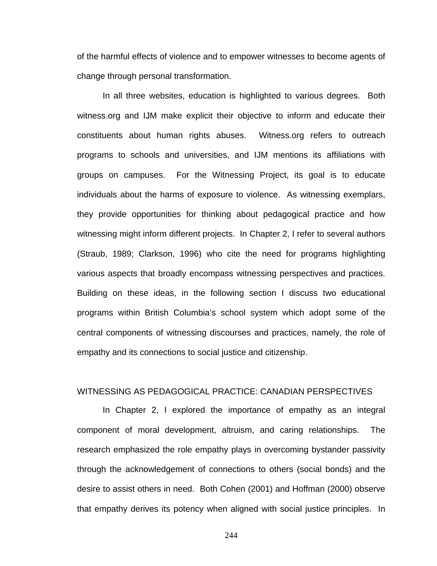of the harmful effects of violence and to empower witnesses to become agents of change through personal transformation.

In all three websites, education is highlighted to various degrees. Both witness.org and IJM make explicit their objective to inform and educate their constituents about human rights abuses. Witness.org refers to outreach programs to schools and universities, and IJM mentions its affiliations with groups on campuses. For the Witnessing Project, its goal is to educate individuals about the harms of exposure to violence. As witnessing exemplars, they provide opportunities for thinking about pedagogical practice and how witnessing might inform different projects. In Chapter 2, I refer to several authors (Straub, 1989; Clarkson, 1996) who cite the need for programs highlighting various aspects that broadly encompass witnessing perspectives and practices. Building on these ideas, in the following section I discuss two educational programs within British Columbia's school system which adopt some of the central components of witnessing discourses and practices, namely, the role of empathy and its connections to social justice and citizenship.

### WITNESSING AS PEDAGOGICAL PRACTICE: CANADIAN PERSPECTIVES

In Chapter 2, I explored the importance of empathy as an integral component of moral development, altruism, and caring relationships. The research emphasized the role empathy plays in overcoming bystander passivity through the acknowledgement of connections to others (social bonds) and the desire to assist others in need. Both Cohen (2001) and Hoffman (2000) observe that empathy derives its potency when aligned with social justice principles. In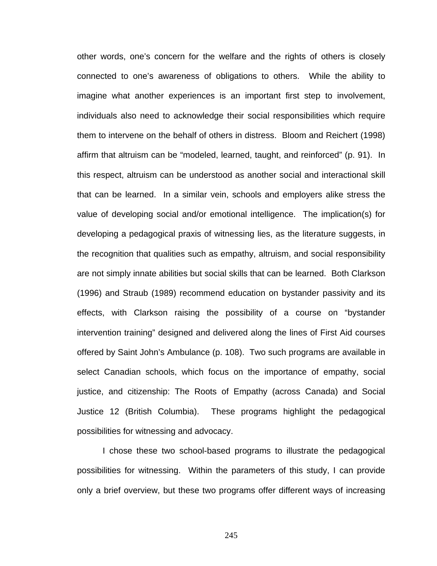other words, one's concern for the welfare and the rights of others is closely connected to one's awareness of obligations to others. While the ability to imagine what another experiences is an important first step to involvement, individuals also need to acknowledge their social responsibilities which require them to intervene on the behalf of others in distress. Bloom and Reichert (1998) affirm that altruism can be "modeled, learned, taught, and reinforced" (p. 91). In this respect, altruism can be understood as another social and interactional skill that can be learned. In a similar vein, schools and employers alike stress the value of developing social and/or emotional intelligence. The implication(s) for developing a pedagogical praxis of witnessing lies, as the literature suggests, in the recognition that qualities such as empathy, altruism, and social responsibility are not simply innate abilities but social skills that can be learned. Both Clarkson (1996) and Straub (1989) recommend education on bystander passivity and its effects, with Clarkson raising the possibility of a course on "bystander intervention training" designed and delivered along the lines of First Aid courses offered by Saint John's Ambulance (p. 108). Two such programs are available in select Canadian schools, which focus on the importance of empathy, social justice, and citizenship: The Roots of Empathy (across Canada) and Social Justice 12 (British Columbia). These programs highlight the pedagogical possibilities for witnessing and advocacy.

I chose these two school-based programs to illustrate the pedagogical possibilities for witnessing. Within the parameters of this study, I can provide only a brief overview, but these two programs offer different ways of increasing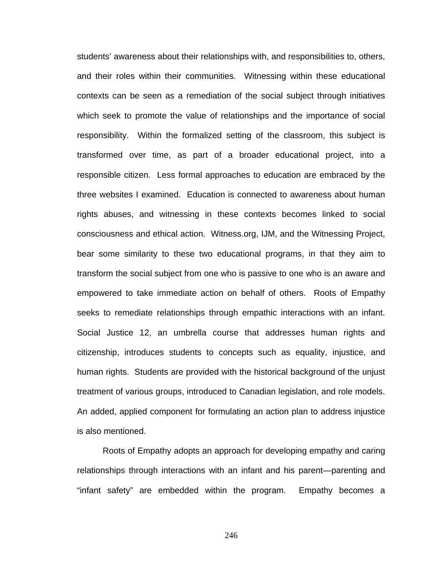students' awareness about their relationships with, and responsibilities to, others, and their roles within their communities. Witnessing within these educational contexts can be seen as a remediation of the social subject through initiatives which seek to promote the value of relationships and the importance of social responsibility. Within the formalized setting of the classroom, this subject is transformed over time, as part of a broader educational project, into a responsible citizen. Less formal approaches to education are embraced by the three websites I examined. Education is connected to awareness about human rights abuses, and witnessing in these contexts becomes linked to social consciousness and ethical action. Witness.org, IJM, and the Witnessing Project, bear some similarity to these two educational programs, in that they aim to transform the social subject from one who is passive to one who is an aware and empowered to take immediate action on behalf of others. Roots of Empathy seeks to remediate relationships through empathic interactions with an infant. Social Justice 12, an umbrella course that addresses human rights and citizenship, introduces students to concepts such as equality, injustice, and human rights. Students are provided with the historical background of the unjust treatment of various groups, introduced to Canadian legislation, and role models. An added, applied component for formulating an action plan to address injustice is also mentioned.

Roots of Empathy adopts an approach for developing empathy and caring relationships through interactions with an infant and his parent—parenting and "infant safety" are embedded within the program. Empathy becomes a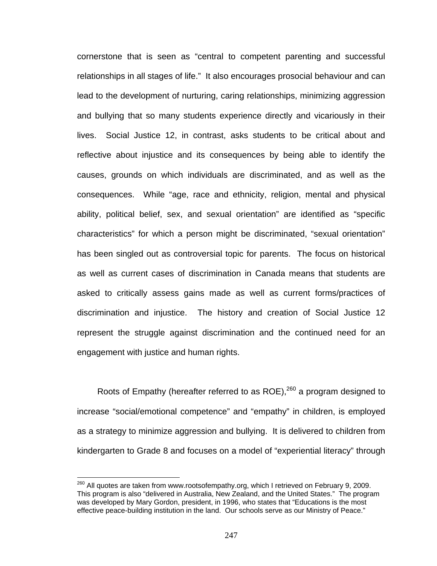cornerstone that is seen as "central to competent parenting and successful relationships in all stages of life." It also encourages prosocial behaviour and can lead to the development of nurturing, caring relationships, minimizing aggression and bullying that so many students experience directly and vicariously in their lives. Social Justice 12, in contrast, asks students to be critical about and reflective about injustice and its consequences by being able to identify the causes, grounds on which individuals are discriminated, and as well as the consequences. While "age, race and ethnicity, religion, mental and physical ability, political belief, sex, and sexual orientation" are identified as "specific characteristics" for which a person might be discriminated, "sexual orientation" has been singled out as controversial topic for parents. The focus on historical as well as current cases of discrimination in Canada means that students are asked to critically assess gains made as well as current forms/practices of discrimination and injustice. The history and creation of Social Justice 12 represent the struggle against discrimination and the continued need for an engagement with justice and human rights.

Roots of Empathy (hereafter referred to as ROE),<sup>260</sup> a program designed to increase "social/emotional competence" and "empathy" in children, is employed as a strategy to minimize aggression and bullying. It is delivered to children from kindergarten to Grade 8 and focuses on a model of "experiential literacy" through

 $^{260}$  All quotes are taken from www.rootsofempathy.org, which I retrieved on February 9, 2009. This program is also "delivered in Australia, New Zealand, and the United States." The program was developed by Mary Gordon, president, in 1996, who states that "Educations is the most effective peace-building institution in the land. Our schools serve as our Ministry of Peace."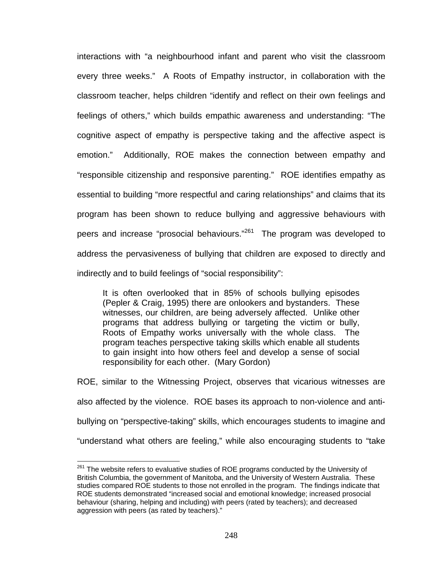interactions with "a neighbourhood infant and parent who visit the classroom every three weeks." A Roots of Empathy instructor, in collaboration with the classroom teacher, helps children "identify and reflect on their own feelings and feelings of others," which builds empathic awareness and understanding: "The cognitive aspect of empathy is perspective taking and the affective aspect is emotion." Additionally, ROE makes the connection between empathy and "responsible citizenship and responsive parenting." ROE identifies empathy as essential to building "more respectful and caring relationships" and claims that its program has been shown to reduce bullying and aggressive behaviours with peers and increase "prosocial behaviours."<sup>261</sup> The program was developed to address the pervasiveness of bullying that children are exposed to directly and indirectly and to build feelings of "social responsibility":

It is often overlooked that in 85% of schools bullying episodes (Pepler & Craig, 1995) there are onlookers and bystanders. These witnesses, our children, are being adversely affected. Unlike other programs that address bullying or targeting the victim or bully, Roots of Empathy works universally with the whole class. The program teaches perspective taking skills which enable all students to gain insight into how others feel and develop a sense of social responsibility for each other. (Mary Gordon)

ROE, similar to the Witnessing Project, observes that vicarious witnesses are also affected by the violence. ROE bases its approach to non-violence and antibullying on "perspective-taking" skills, which encourages students to imagine and "understand what others are feeling," while also encouraging students to "take

 $\overline{a}$  $261$  The website refers to evaluative studies of ROE programs conducted by the University of British Columbia, the government of Manitoba, and the University of Western Australia. These studies compared ROE students to those not enrolled in the program. The findings indicate that ROE students demonstrated "increased social and emotional knowledge; increased prosocial behaviour (sharing, helping and including) with peers (rated by teachers); and decreased aggression with peers (as rated by teachers)."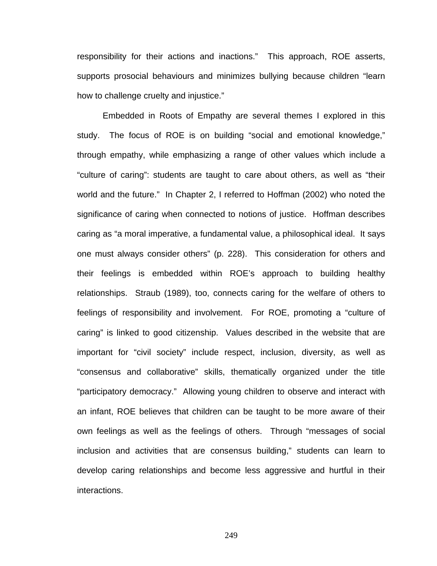responsibility for their actions and inactions." This approach, ROE asserts, supports prosocial behaviours and minimizes bullying because children "learn how to challenge cruelty and injustice."

Embedded in Roots of Empathy are several themes I explored in this study. The focus of ROE is on building "social and emotional knowledge," through empathy, while emphasizing a range of other values which include a "culture of caring": students are taught to care about others, as well as "their world and the future." In Chapter 2, I referred to Hoffman (2002) who noted the significance of caring when connected to notions of justice. Hoffman describes caring as "a moral imperative, a fundamental value, a philosophical ideal. It says one must always consider others" (p. 228). This consideration for others and their feelings is embedded within ROE's approach to building healthy relationships. Straub (1989), too, connects caring for the welfare of others to feelings of responsibility and involvement. For ROE, promoting a "culture of caring" is linked to good citizenship. Values described in the website that are important for "civil society" include respect, inclusion, diversity, as well as "consensus and collaborative" skills, thematically organized under the title "participatory democracy." Allowing young children to observe and interact with an infant, ROE believes that children can be taught to be more aware of their own feelings as well as the feelings of others. Through "messages of social inclusion and activities that are consensus building," students can learn to develop caring relationships and become less aggressive and hurtful in their interactions.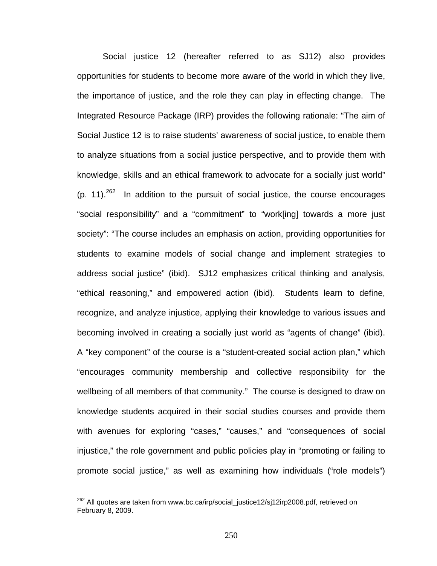Social justice 12 (hereafter referred to as SJ12) also provides opportunities for students to become more aware of the world in which they live, the importance of justice, and the role they can play in effecting change. The Integrated Resource Package (IRP) provides the following rationale: "The aim of Social Justice 12 is to raise students' awareness of social justice, to enable them to analyze situations from a social justice perspective, and to provide them with knowledge, skills and an ethical framework to advocate for a socially just world"  $(p. 11).^{262}$  In addition to the pursuit of social justice, the course encourages "social responsibility" and a "commitment" to "work[ing] towards a more just society": "The course includes an emphasis on action, providing opportunities for students to examine models of social change and implement strategies to address social justice" (ibid). SJ12 emphasizes critical thinking and analysis, "ethical reasoning," and empowered action (ibid). Students learn to define, recognize, and analyze injustice, applying their knowledge to various issues and becoming involved in creating a socially just world as "agents of change" (ibid). A "key component" of the course is a "student-created social action plan," which "encourages community membership and collective responsibility for the wellbeing of all members of that community." The course is designed to draw on knowledge students acquired in their social studies courses and provide them with avenues for exploring "cases," "causes," and "consequences of social injustice," the role government and public policies play in "promoting or failing to promote social justice," as well as examining how individuals ("role models")

<sup>&</sup>lt;sup>262</sup> All quotes are taken from www.bc.ca/irp/social\_justice12/sj12irp2008.pdf, retrieved on February 8, 2009.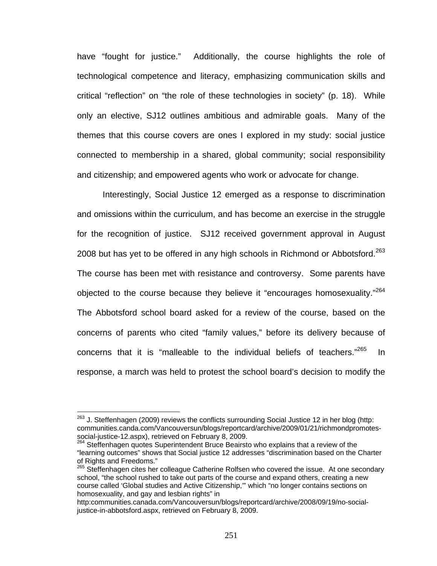have "fought for justice." Additionally, the course highlights the role of technological competence and literacy, emphasizing communication skills and critical "reflection" on "the role of these technologies in society" (p. 18). While only an elective, SJ12 outlines ambitious and admirable goals. Many of the themes that this course covers are ones I explored in my study: social justice connected to membership in a shared, global community; social responsibility and citizenship; and empowered agents who work or advocate for change.

Interestingly, Social Justice 12 emerged as a response to discrimination and omissions within the curriculum, and has become an exercise in the struggle for the recognition of justice. SJ12 received government approval in August 2008 but has yet to be offered in any high schools in Richmond or Abbotsford.<sup>263</sup> The course has been met with resistance and controversy. Some parents have objected to the course because they believe it "encourages homosexuality."<sup>264</sup> The Abbotsford school board asked for a review of the course, based on the concerns of parents who cited "family values," before its delivery because of concerns that it is "malleable to the individual beliefs of teachers."<sup>265</sup> In response, a march was held to protest the school board's decision to modify the

 $263$  J. Steffenhagen (2009) reviews the conflicts surrounding Social Justice 12 in her blog (http: communities.canda.com/Vancouversun/blogs/reportcard/archive/2009/01/21/richmondpromotes-<br>social-justice-12.aspx), retrieved on February 8, 2009.

<sup>&</sup>lt;sup>264</sup> Steffenhagen quotes Superintendent Bruce Beairsto who explains that a review of the "learning outcomes" shows that Social justice 12 addresses "discrimination based on the Charter of Rights and Freedoms."

<sup>&</sup>lt;sup>265</sup> Steffenhagen cites her colleague Catherine Rolfsen who covered the issue. At one secondary school, "the school rushed to take out parts of the course and expand others, creating a new course called 'Global studies and Active Citizenship,'" which "no longer contains sections on homosexuality, and gay and lesbian rights" in

http:communities.canada.com/Vancouversun/blogs/reportcard/archive/2008/09/19/no-socialjustice-in-abbotsford.aspx, retrieved on February 8, 2009.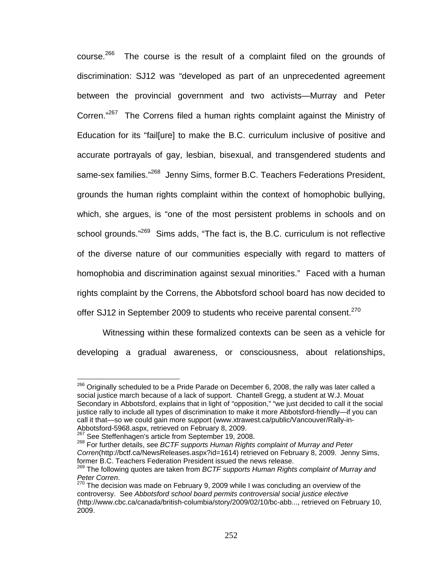course.<sup>266</sup> The course is the result of a complaint filed on the grounds of discrimination: SJ12 was "developed as part of an unprecedented agreement between the provincial government and two activists—Murray and Peter Corren."<sup>267</sup> The Correns filed a human rights complaint against the Ministry of Education for its "fail[ure] to make the B.C. curriculum inclusive of positive and accurate portrayals of gay, lesbian, bisexual, and transgendered students and same-sex families."<sup>268</sup> Jenny Sims, former B.C. Teachers Federations President, grounds the human rights complaint within the context of homophobic bullying, which, she argues, is "one of the most persistent problems in schools and on school grounds."<sup>269</sup> Sims adds, "The fact is, the B.C. curriculum is not reflective of the diverse nature of our communities especially with regard to matters of homophobia and discrimination against sexual minorities." Faced with a human rights complaint by the Correns, the Abbotsford school board has now decided to offer SJ12 in September 2009 to students who receive parental consent.<sup>270</sup>

Witnessing within these formalized contexts can be seen as a vehicle for developing a gradual awareness, or consciousness, about relationships,

<sup>1</sup>  $^{266}$  Originally scheduled to be a Pride Parade on December 6, 2008, the rally was later called a social justice march because of a lack of support. Chantell Gregg, a student at W.J. Mouat Secondary in Abbotsford, explains that in light of "opposition," "we just decided to call it the social justice rally to include all types of discrimination to make it more Abbotsford-friendly—if you can call it that—so we could gain more support (www.xtrawest.ca/public/Vancouver/Rally-in-<br>Abbotsford-5968.aspx, retrieved on February 8, 2009.<br><sup>267</sup> See Steffenbassed:

<sup>&</sup>lt;sup>267</sup> See Steffenhagen's article from September 19, 2008.<br><sup>268</sup> For further details, see *BCTF supports Human Rights complaint of Murray and Peter Corren*(http://bctf.ca/NewsReleases.aspx?id=1614) retrieved on February 8, 2009. Jenny Sims, former B.C. Teachers Federation President issued the news release.

<sup>269</sup> The following quotes are taken from *BCTF supports Human Rights complaint of Murray and*  Peter Corren.<br><sup>270</sup> The decision was made on February 9, 2009 while I was concluding an overview of the

controversy. See *Abbotsford school board permits controversial social justice elective* (http://www.cbc.ca/canada/british-columbia/story/2009/02/10/bc-abb..., retrieved on February 10, 2009.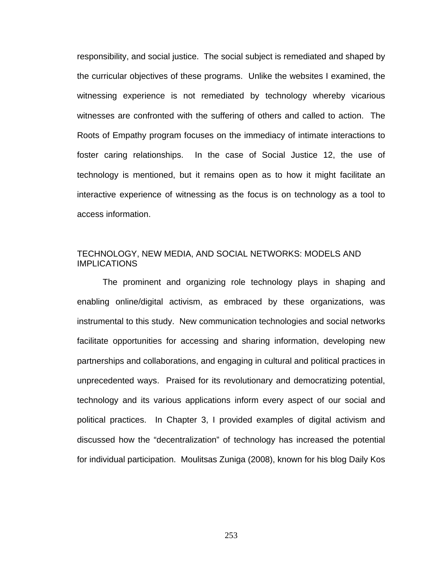responsibility, and social justice. The social subject is remediated and shaped by the curricular objectives of these programs. Unlike the websites I examined, the witnessing experience is not remediated by technology whereby vicarious witnesses are confronted with the suffering of others and called to action. The Roots of Empathy program focuses on the immediacy of intimate interactions to foster caring relationships. In the case of Social Justice 12, the use of technology is mentioned, but it remains open as to how it might facilitate an interactive experience of witnessing as the focus is on technology as a tool to access information.

## TECHNOLOGY, NEW MEDIA, AND SOCIAL NETWORKS: MODELS AND IMPLICATIONS

The prominent and organizing role technology plays in shaping and enabling online/digital activism, as embraced by these organizations, was instrumental to this study. New communication technologies and social networks facilitate opportunities for accessing and sharing information, developing new partnerships and collaborations, and engaging in cultural and political practices in unprecedented ways. Praised for its revolutionary and democratizing potential, technology and its various applications inform every aspect of our social and political practices. In Chapter 3, I provided examples of digital activism and discussed how the "decentralization" of technology has increased the potential for individual participation. Moulitsas Zuniga (2008), known for his blog Daily Kos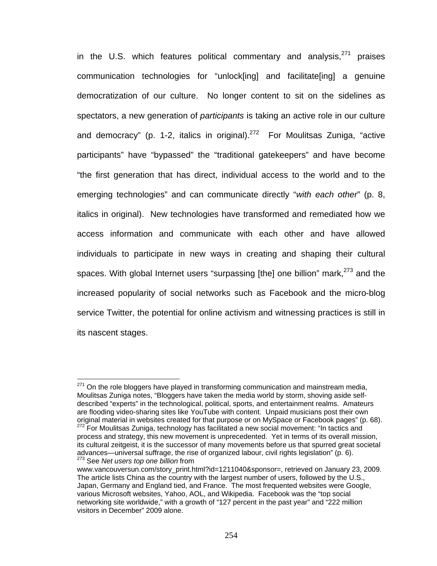in the U.S. which features political commentary and analysis, $^{271}$  praises communication technologies for "unlock[ing] and facilitate[ing] a genuine democratization of our culture. No longer content to sit on the sidelines as spectators, a new generation of *participants* is taking an active role in our culture and democracy" (p. 1-2, italics in original).<sup>272</sup> For Moulitsas Zuniga, "active participants" have "bypassed" the "traditional gatekeepers" and have become "the first generation that has direct, individual access to the world and to the emerging technologies" and can communicate directly "*with each other*" (p. 8, italics in original). New technologies have transformed and remediated how we access information and communicate with each other and have allowed individuals to participate in new ways in creating and shaping their cultural spaces. With global Internet users "surpassing [the] one billion" mark,  $273$  and the increased popularity of social networks such as Facebook and the micro-blog service Twitter, the potential for online activism and witnessing practices is still in its nascent stages.

 $271$  On the role bloggers have played in transforming communication and mainstream media, Moulitsas Zuniga notes, "Bloggers have taken the media world by storm, shoving aside selfdescribed "experts" in the technological, political, sports, and entertainment realms. Amateurs are flooding video-sharing sites like YouTube with content. Unpaid musicians post their own original material in websites created for that purpose or on MySpace or Facebook pages" (p. 68).<br><sup>272</sup> For Moulitsas Zuniga, technology has facilitated a new social movement: "In tactics and process and strategy, this new movement is unprecedented. Yet in terms of its overall mission, its cultural zeitgeist, it is the successor of many movements before us that spurred great societal

advances—universal suffrage, the rise of organized labour, civil rights legislation" (p. 6). 273 See *Net users top one billion* from

www.vancouversun.com/story\_print.html?id=1211040&sponsor=, retrieved on January 23, 2009. The article lists China as the country with the largest number of users, followed by the U.S., Japan, Germany and England tied, and France. The most frequented websites were Google, various Microsoft websites, Yahoo, AOL, and Wikipedia. Facebook was the "top social networking site worldwide," with a growth of "127 percent in the past year" and "222 million visitors in December" 2009 alone.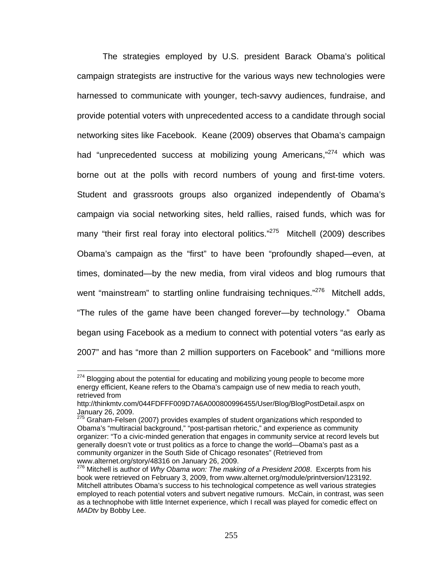The strategies employed by U.S. president Barack Obama's political campaign strategists are instructive for the various ways new technologies were harnessed to communicate with younger, tech-savvy audiences, fundraise, and provide potential voters with unprecedented access to a candidate through social networking sites like Facebook. Keane (2009) observes that Obama's campaign had "unprecedented success at mobilizing young Americans,"<sup>274</sup> which was borne out at the polls with record numbers of young and first-time voters. Student and grassroots groups also organized independently of Obama's campaign via social networking sites, held rallies, raised funds, which was for many "their first real foray into electoral politics."<sup>275</sup> Mitchell (2009) describes Obama's campaign as the "first" to have been "profoundly shaped—even, at times, dominated—by the new media, from viral videos and blog rumours that went "mainstream" to startling online fundraising techniques."<sup>276</sup> Mitchell adds, "The rules of the game have been changed forever—by technology." Obama began using Facebook as a medium to connect with potential voters "as early as 2007" and has "more than 2 million supporters on Facebook" and "millions more

 $274$  Blogging about the potential for educating and mobilizing young people to become more energy efficient, Keane refers to the Obama's campaign use of new media to reach youth, retrieved from

http://thinkmtv.com/044FDFFF009D7A6A000800996455/User/Blog/BlogPostDetail.aspx on January 26, 2009.

 $275$  Graham-Felsen (2007) provides examples of student organizations which responded to Obama's "multiracial background," "post-partisan rhetoric," and experience as community organizer: "To a civic-minded generation that engages in community service at record levels but generally doesn't vote or trust politics as a force to change the world—Obama's past as a community organizer in the South Side of Chicago resonates" (Retrieved from<br>www.alternet.org/story/48316 on January 26, 2009.

<sup>&</sup>lt;sup>276</sup> Mitchell is author of Why Obama won: The making of a President 2008. Excerpts from his book were retrieved on February 3, 2009, from www.alternet.org/module/printversion/123192. Mitchell attributes Obama's success to his technological competence as well various strategies employed to reach potential voters and subvert negative rumours. McCain, in contrast, was seen as a technophobe with little Internet experience, which I recall was played for comedic effect on *MADtv* by Bobby Lee.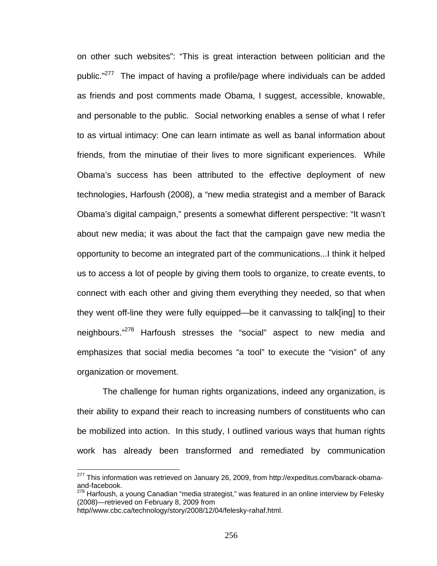on other such websites": "This is great interaction between politician and the public."<sup>277</sup> The impact of having a profile/page where individuals can be added as friends and post comments made Obama, I suggest, accessible, knowable, and personable to the public. Social networking enables a sense of what I refer to as virtual intimacy: One can learn intimate as well as banal information about friends, from the minutiae of their lives to more significant experiences. While Obama's success has been attributed to the effective deployment of new technologies, Harfoush (2008), a "new media strategist and a member of Barack Obama's digital campaign," presents a somewhat different perspective: "It wasn't about new media; it was about the fact that the campaign gave new media the opportunity to become an integrated part of the communications...I think it helped us to access a lot of people by giving them tools to organize, to create events, to connect with each other and giving them everything they needed, so that when they went off-line they were fully equipped—be it canvassing to talk[ing] to their neighbours."278 Harfoush stresses the "social" aspect to new media and emphasizes that social media becomes "a tool" to execute the "vision" of any organization or movement.

The challenge for human rights organizations, indeed any organization, is their ability to expand their reach to increasing numbers of constituents who can be mobilized into action. In this study, I outlined various ways that human rights work has already been transformed and remediated by communication

 $277$  This information was retrieved on January 26, 2009, from http://expeditus.com/barack-obamaand-facebook.

 $278$  Harfoush, a young Canadian "media strategist," was featured in an online interview by Felesky (2008)—retrieved on February 8, 2009 from

http//www.cbc.ca/technology/story/2008/12/04/felesky-rahaf.html.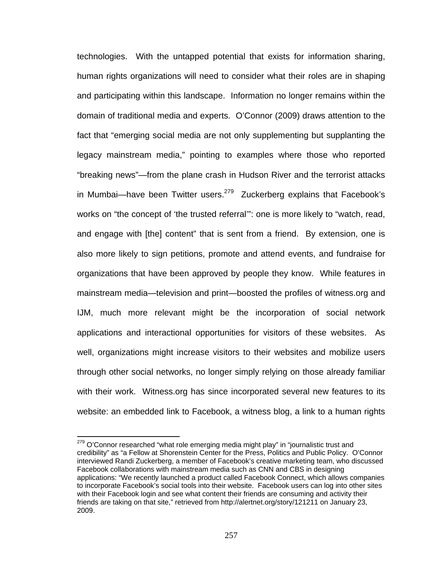technologies. With the untapped potential that exists for information sharing, human rights organizations will need to consider what their roles are in shaping and participating within this landscape. Information no longer remains within the domain of traditional media and experts. O'Connor (2009) draws attention to the fact that "emerging social media are not only supplementing but supplanting the legacy mainstream media," pointing to examples where those who reported "breaking news"—from the plane crash in Hudson River and the terrorist attacks in Mumbai—have been Twitter users. $279$  Zuckerberg explains that Facebook's works on "the concept of 'the trusted referral'": one is more likely to "watch, read, and engage with [the] content" that is sent from a friend. By extension, one is also more likely to sign petitions, promote and attend events, and fundraise for organizations that have been approved by people they know. While features in mainstream media—television and print—boosted the profiles of witness.org and IJM, much more relevant might be the incorporation of social network applications and interactional opportunities for visitors of these websites. As well, organizations might increase visitors to their websites and mobilize users through other social networks, no longer simply relying on those already familiar with their work. Witness.org has since incorporated several new features to its website: an embedded link to Facebook, a witness blog, a link to a human rights

 $279$  O'Connor researched "what role emerging media might play" in "journalistic trust and credibility" as "a Fellow at Shorenstein Center for the Press, Politics and Public Policy. O'Connor interviewed Randi Zuckerberg, a member of Facebook's creative marketing team, who discussed Facebook collaborations with mainstream media such as CNN and CBS in designing applications: "We recently launched a product called Facebook Connect, which allows companies to incorporate Facebook's social tools into their website. Facebook users can log into other sites with their Facebook login and see what content their friends are consuming and activity their friends are taking on that site," retrieved from http://alertnet.org/story/121211 on January 23, 2009.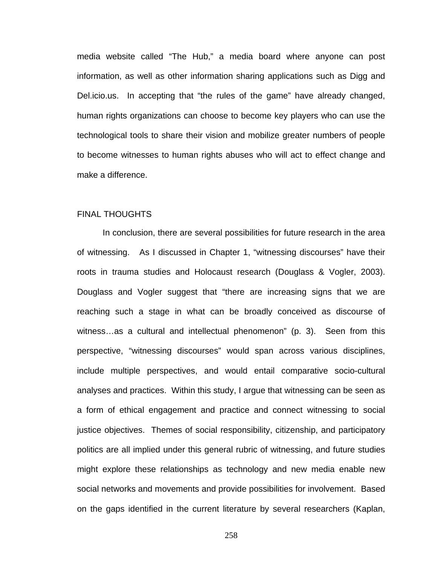media website called "The Hub," a media board where anyone can post information, as well as other information sharing applications such as Digg and Del.icio.us. In accepting that "the rules of the game" have already changed, human rights organizations can choose to become key players who can use the technological tools to share their vision and mobilize greater numbers of people to become witnesses to human rights abuses who will act to effect change and make a difference.

#### FINAL THOUGHTS

In conclusion, there are several possibilities for future research in the area of witnessing. As I discussed in Chapter 1, "witnessing discourses" have their roots in trauma studies and Holocaust research (Douglass & Vogler, 2003). Douglass and Vogler suggest that "there are increasing signs that we are reaching such a stage in what can be broadly conceived as discourse of witness…as a cultural and intellectual phenomenon" (p. 3). Seen from this perspective, "witnessing discourses" would span across various disciplines, include multiple perspectives, and would entail comparative socio-cultural analyses and practices. Within this study, I argue that witnessing can be seen as a form of ethical engagement and practice and connect witnessing to social justice objectives. Themes of social responsibility, citizenship, and participatory politics are all implied under this general rubric of witnessing, and future studies might explore these relationships as technology and new media enable new social networks and movements and provide possibilities for involvement. Based on the gaps identified in the current literature by several researchers (Kaplan,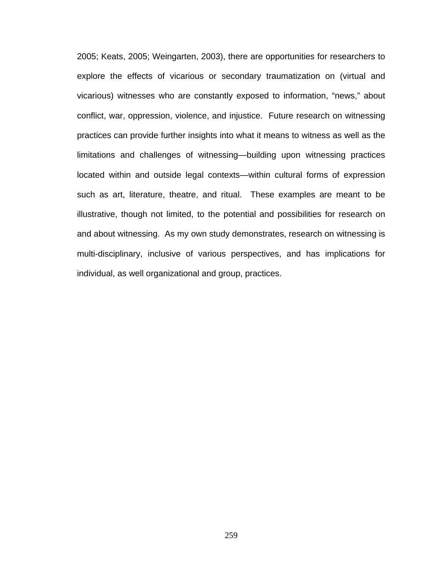2005; Keats, 2005; Weingarten, 2003), there are opportunities for researchers to explore the effects of vicarious or secondary traumatization on (virtual and vicarious) witnesses who are constantly exposed to information, "news," about conflict, war, oppression, violence, and injustice. Future research on witnessing practices can provide further insights into what it means to witness as well as the limitations and challenges of witnessing—building upon witnessing practices located within and outside legal contexts—within cultural forms of expression such as art, literature, theatre, and ritual. These examples are meant to be illustrative, though not limited, to the potential and possibilities for research on and about witnessing. As my own study demonstrates, research on witnessing is multi-disciplinary, inclusive of various perspectives, and has implications for individual, as well organizational and group, practices.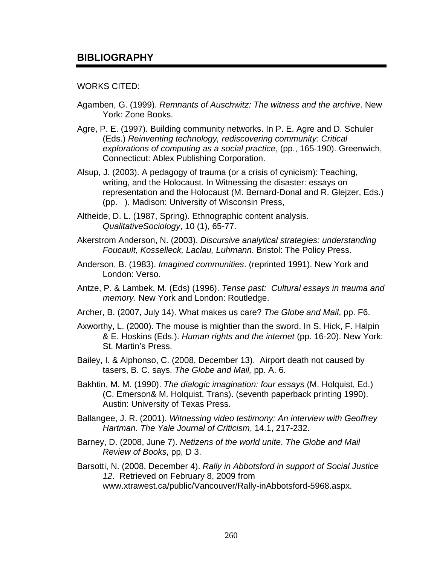## WORKS CITED:

- Agamben, G. (1999). *Remnants of Auschwitz: The witness and the archive*. New York: Zone Books.
- Agre, P. E. (1997). Building community networks. In P. E. Agre and D. Schuler (Eds.) *Reinventing technology, rediscovering community: Critical explorations of computing as a social practice*, (pp., 165-190). Greenwich, Connecticut: Ablex Publishing Corporation.
- Alsup, J. (2003). A pedagogy of trauma (or a crisis of cynicism): Teaching, writing, and the Holocaust. In Witnessing the disaster: essays on representation and the Holocaust (M. Bernard-Donal and R. Glejzer, Eds.) (pp. ). Madison: University of Wisconsin Press,
- Altheide, D. L. (1987, Spring). Ethnographic content analysis. *QualitativeSociology*, 10 (1), 65-77.
- Akerstrom Anderson, N. (2003). *Discursive analytical strategies: understanding Foucault, Kosselleck, Laclau, Luhmann*. Bristol: The Policy Press.
- Anderson, B. (1983). *Imagined communities*. (reprinted 1991). New York and London: Verso.
- Antze, P. & Lambek, M. (Eds) (1996). *Tense past: Cultural essays in trauma and memory*. New York and London: Routledge.
- Archer, B. (2007, July 14). What makes us care? *The Globe and Mail*, pp. F6.
- Axworthy, L. (2000). The mouse is mightier than the sword. In S. Hick, F. Halpin & E. Hoskins (Eds.). *Human rights and the internet* (pp. 16-20). New York: St. Martin's Press.
- Bailey, I. & Alphonso, C. (2008, December 13). Airport death not caused by tasers, B. C. says. *The Globe and Mail,* pp. A. 6.
- Bakhtin, M. M. (1990). *The dialogic imagination: four essays* (M. Holquist, Ed.) (C. Emerson& M. Holquist, Trans). (seventh paperback printing 1990). Austin: University of Texas Press.
- Ballangee, J. R. (2001). *Witnessing video testimony: An interview with Geoffrey Hartman*. *The Yale Journal of Criticism*, 14.1, 217-232.
- Barney, D. (2008, June 7). *Netizens of the world unite*. *The Globe and Mail Review of Books*, pp, D 3.
- Barsotti, N. (2008, December 4). *Rally in Abbotsford in support of Social Justice 12*. Retrieved on February 8, 2009 from www.xtrawest.ca/public/Vancouver/Rally-inAbbotsford-5968.aspx.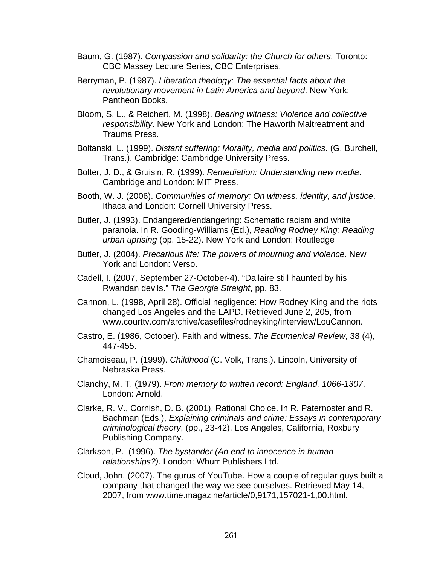- Baum, G. (1987). *Compassion and solidarity: the Church for others*. Toronto: CBC Massey Lecture Series, CBC Enterprises.
- Berryman, P. (1987). *Liberation theology: The essential facts about the revolutionary movement in Latin America and beyond*. New York: Pantheon Books.
- Bloom, S. L., & Reichert, M. (1998). *Bearing witness: Violence and collective responsibility*. New York and London: The Haworth Maltreatment and Trauma Press.
- Boltanski, L. (1999). *Distant suffering: Morality, media and politics*. (G. Burchell, Trans.). Cambridge: Cambridge University Press.
- Bolter, J. D., & Gruisin, R. (1999). *Remediation: Understanding new media*. Cambridge and London: MIT Press.
- Booth, W. J. (2006). *Communities of memory: On witness, identity, and justice*. Ithaca and London: Cornell University Press.
- Butler, J. (1993). Endangered/endangering: Schematic racism and white paranoia. In R. Gooding-Williams (Ed.), *Reading Rodney King: Reading urban uprising* (pp. 15-22). New York and London: Routledge
- Butler, J. (2004). *Precarious life: The powers of mourning and violence*. New York and London: Verso.
- Cadell, I. (2007, September 27-October-4). "Dallaire still haunted by his Rwandan devils." *The Georgia Straight*, pp. 83.
- Cannon, L. (1998, April 28). Official negligence: How Rodney King and the riots changed Los Angeles and the LAPD. Retrieved June 2, 205, from www.courttv.com/archive/casefiles/rodneyking/interview/LouCannon.
- Castro, E. (1986, October). Faith and witness. *The Ecumenical Review*, 38 (4), 447-455.
- Chamoiseau, P. (1999). *Childhood* (C. Volk, Trans.). Lincoln, University of Nebraska Press.
- Clanchy, M. T. (1979). *From memory to written record: England, 1066-1307*. London: Arnold.
- Clarke, R. V., Cornish, D. B. (2001). Rational Choice. In R. Paternoster and R. Bachman (Eds.), *Explaining criminals and crime: Essays in contemporary criminological theory*, (pp., 23-42). Los Angeles, California, Roxbury Publishing Company.
- Clarkson, P. (1996). *The bystander (An end to innocence in human relationships?)*. London: Whurr Publishers Ltd.
- Cloud, John. (2007). The gurus of YouTube. How a couple of regular guys built a company that changed the way we see ourselves. Retrieved May 14, 2007, from www.time.magazine/article/0,9171,157021-1,00.html.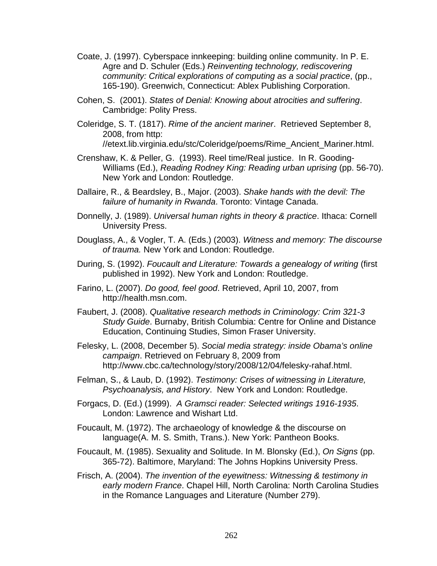- Coate, J. (1997). Cyberspace innkeeping: building online community. In P. E. Agre and D. Schuler (Eds.) *Reinventing technology, rediscovering community: Critical explorations of computing as a social practice*, (pp., 165-190). Greenwich, Connecticut: Ablex Publishing Corporation.
- Cohen, S. (2001). *States of Denial: Knowing about atrocities and suffering*. Cambridge: Polity Press.
- Coleridge, S. T. (1817). *Rime of the ancient mariner*. Retrieved September 8, 2008, from http: //etext.lib.virginia.edu/stc/Coleridge/poems/Rime\_Ancient\_Mariner.html.
- Crenshaw, K. & Peller, G. (1993). Reel time/Real justice. In R. Gooding-Williams (Ed.), *Reading Rodney King: Reading urban uprising* (pp. 56-70). New York and London: Routledge.
- Dallaire, R., & Beardsley, B., Major. (2003). *Shake hands with the devil: The failure of humanity in Rwanda*. Toronto: Vintage Canada.
- Donnelly, J. (1989). *Universal human rights in theory & practice*. Ithaca: Cornell University Press.
- Douglass, A., & Vogler, T. A. (Eds.) (2003). *Witness and memory: The discourse of trauma.* New York and London: Routledge.
- During, S. (1992). *Foucault and Literature: Towards a genealogy of writing* (first published in 1992). New York and London: Routledge.
- Farino, L. (2007). *Do good, feel good*. Retrieved, April 10, 2007, from http://health.msn.com.
- Faubert, J. (2008). *Qualitative research methods in Criminology: Crim 321-3 Study Guide*. Burnaby, British Columbia: Centre for Online and Distance Education, Continuing Studies, Simon Fraser University.
- Felesky, L. (2008, December 5). *Social media strategy: inside Obama's online campaign*. Retrieved on February 8, 2009 from http://www.cbc.ca/technology/story/2008/12/04/felesky-rahaf.html.
- Felman, S., & Laub, D. (1992). *Testimony: Crises of witnessing in Literature, Psychoanalysis, and History*. New York and London: Routledge.
- Forgacs, D. (Ed.) (1999). *A Gramsci reader: Selected writings 1916-1935*. London: Lawrence and Wishart Ltd.
- Foucault, M. (1972). The archaeology of knowledge & the discourse on language(A. M. S. Smith, Trans.). New York: Pantheon Books.
- Foucault, M. (1985). Sexuality and Solitude. In M. Blonsky (Ed.), *On Signs* (pp. 365-72). Baltimore, Maryland: The Johns Hopkins University Press.
- Frisch, A. (2004). *The invention of the eyewitness: Witnessing & testimony in early modern France*. Chapel Hill, North Carolina: North Carolina Studies in the Romance Languages and Literature (Number 279).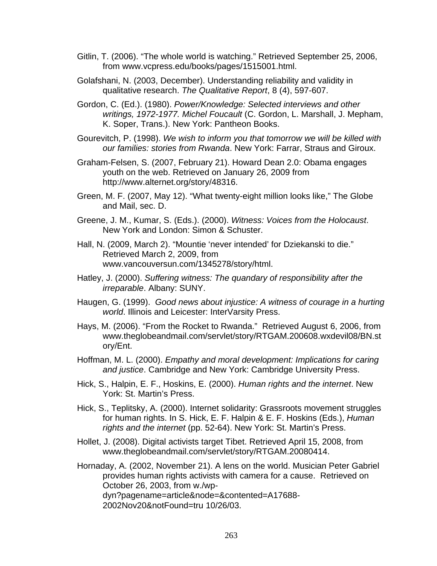- Gitlin, T. (2006). "The whole world is watching." Retrieved September 25, 2006, from www.vcpress.edu/books/pages/1515001.html.
- Golafshani, N. (2003, December). Understanding reliability and validity in qualitative research. *The Qualitative Report*, 8 (4), 597-607.
- Gordon, C. (Ed.). (1980). *Power/Knowledge: Selected interviews and other writings, 1972-1977. Michel Foucault* (C. Gordon, L. Marshall, J. Mepham, K. Soper, Trans.). New York: Pantheon Books.
- Gourevitch, P. (1998). *We wish to inform you that tomorrow we will be killed with our families: stories from Rwanda*. New York: Farrar, Straus and Giroux.
- Graham-Felsen, S. (2007, February 21). Howard Dean 2.0: Obama engages youth on the web. Retrieved on January 26, 2009 from http://www.alternet.org/story/48316.
- Green, M. F. (2007, May 12). "What twenty-eight million looks like," The Globe and Mail, sec. D.
- Greene, J. M., Kumar, S. (Eds.). (2000). *Witness: Voices from the Holocaust*. New York and London: Simon & Schuster.
- Hall, N. (2009, March 2). "Mountie 'never intended' for Dziekanski to die." Retrieved March 2, 2009, from www.vancouversun.com/1345278/story/html.
- Hatley, J. (2000). *Suffering witness: The quandary of responsibility after the irreparable*. Albany: SUNY.
- Haugen, G. (1999). *Good news about injustice: A witness of courage in a hurting world*. Illinois and Leicester: InterVarsity Press.
- Hays, M. (2006). "From the Rocket to Rwanda." Retrieved August 6, 2006, from www.theglobeandmail.com/servlet/story/RTGAM.200608.wxdevil08/BN.st ory/Ent.
- Hoffman, M. L. (2000). *Empathy and moral development: Implications for caring and justice*. Cambridge and New York: Cambridge University Press.
- Hick, S., Halpin, E. F., Hoskins, E. (2000). *Human rights and the internet*. New York: St. Martin's Press.
- Hick, S., Teplitsky, A. (2000). Internet solidarity: Grassroots movement struggles for human rights. In S. Hick, E. F. Halpin & E. F. Hoskins (Eds.), *Human rights and the internet* (pp. 52-64). New York: St. Martin's Press.
- Hollet, J. (2008). Digital activists target Tibet. Retrieved April 15, 2008, from www.theglobeandmail.com/servlet/story/RTGAM.20080414.

Hornaday, A. (2002, November 21). A lens on the world. Musician Peter Gabriel provides human rights activists with camera for a cause. Retrieved on October 26, 2003, from w./wpdyn?pagename=article&node=&contented=A17688- 2002Nov20&notFound=tru 10/26/03.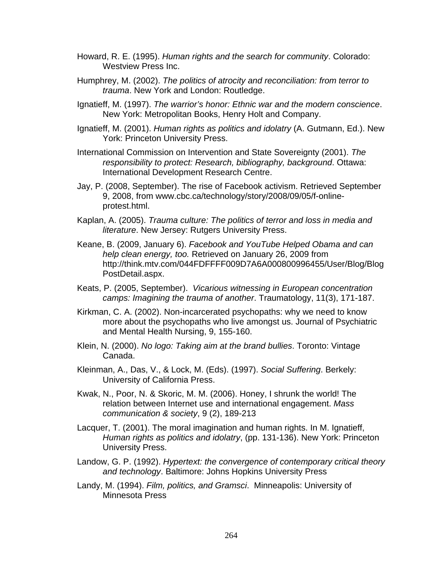- Howard, R. E. (1995). *Human rights and the search for community*. Colorado: Westview Press Inc.
- Humphrey, M. (2002). *The politics of atrocity and reconciliation: from terror to trauma*. New York and London: Routledge.
- Ignatieff, M. (1997). *The warrior's honor: Ethnic war and the modern conscience*. New York: Metropolitan Books, Henry Holt and Company.
- Ignatieff, M. (2001). *Human rights as politics and idolatry* (A. Gutmann, Ed.). New York: Princeton University Press.
- International Commission on Intervention and State Sovereignty (2001). *The responsibility to protect: Research, bibliography, background*. Ottawa: International Development Research Centre.
- Jay, P. (2008, September). The rise of Facebook activism. Retrieved September 9, 2008, from www.cbc.ca/technology/story/2008/09/05/f-onlineprotest.html.
- Kaplan, A. (2005). *Trauma culture: The politics of terror and loss in media and literature*. New Jersey: Rutgers University Press.
- Keane, B. (2009, January 6). *Facebook and YouTube Helped Obama and can help clean energy, too.* Retrieved on January 26, 2009 from http://think.mtv.com/044FDFFFF009D7A6A000800996455/User/Blog/Blog PostDetail.aspx.
- Keats, P. (2005, September). *Vicarious witnessing in European concentration camps: Imagining the trauma of another*. Traumatology, 11(3), 171-187.
- Kirkman, C. A. (2002). Non-incarcerated psychopaths: why we need to know more about the psychopaths who live amongst us. Journal of Psychiatric and Mental Health Nursing, 9, 155-160.
- Klein, N. (2000). *No logo: Taking aim at the brand bullies*. Toronto: Vintage Canada.
- Kleinman, A., Das, V., & Lock, M. (Eds). (1997). *Social Suffering*. Berkely: University of California Press.
- Kwak, N., Poor, N. & Skoric, M. M. (2006). Honey, I shrunk the world! The relation between Internet use and international engagement. *Mass communication & society*, 9 (2), 189-213
- Lacquer, T. (2001). The moral imagination and human rights. In M. Ignatieff, *Human rights as politics and idolatry*, (pp. 131-136). New York: Princeton University Press.
- Landow, G. P. (1992). *Hypertext: the convergence of contemporary critical theory and technology*. Baltimore: Johns Hopkins University Press
- Landy, M. (1994). *Film, politics, and Gramsci*. Minneapolis: University of Minnesota Press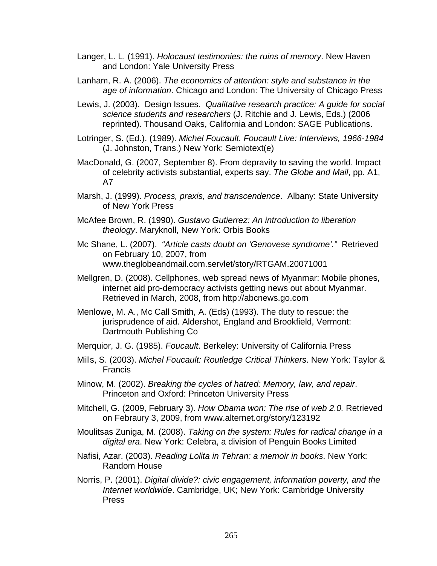- Langer, L. L. (1991). *Holocaust testimonies: the ruins of memory*. New Haven and London: Yale University Press
- Lanham, R. A. (2006). *The economics of attention: style and substance in the age of information*. Chicago and London: The University of Chicago Press
- Lewis, J. (2003). Design Issues. *Qualitative research practice: A guide for social science students and researchers* (J. Ritchie and J. Lewis, Eds.) (2006 reprinted). Thousand Oaks, California and London: SAGE Publications.
- Lotringer, S. (Ed.). (1989). *Michel Foucault. Foucault Live: Interviews, 1966-1984* (J. Johnston, Trans.) New York: Semiotext(e)
- MacDonald, G. (2007, September 8). From depravity to saving the world. Impact of celebrity activists substantial, experts say. *The Globe and Mail*, pp. A1, A7
- Marsh, J. (1999). *Process, praxis, and transcendence*. Albany: State University of New York Press
- McAfee Brown, R. (1990). *Gustavo Gutierrez: An introduction to liberation theology*. Maryknoll, New York: Orbis Books
- Mc Shane, L. (2007). *"Article casts doubt on 'Genovese syndrome'."* Retrieved on February 10, 2007, from www.theglobeandmail.com.servlet/story/RTGAM.20071001
- Mellgren, D. (2008). Cellphones, web spread news of Myanmar: Mobile phones, internet aid pro-democracy activists getting news out about Myanmar. Retrieved in March, 2008, from http://abcnews.go.com
- Menlowe, M. A., Mc Call Smith, A. (Eds) (1993). The duty to rescue: the jurisprudence of aid. Aldershot, England and Brookfield, Vermont: Dartmouth Publishing Co
- Merquior, J. G. (1985). *Foucault*. Berkeley: University of California Press
- Mills, S. (2003). *Michel Foucault: Routledge Critical Thinkers*. New York: Taylor & Francis
- Minow, M. (2002). *Breaking the cycles of hatred: Memory, law, and repair*. Princeton and Oxford: Princeton University Press
- Mitchell, G. (2009, February 3). *How Obama won: The rise of web 2.0.* Retrieved on Febraury 3, 2009, from www.alternet.org/story/123192
- Moulitsas Zuniga, M. (2008). *Taking on the system: Rules for radical change in a digital era*. New York: Celebra, a division of Penguin Books Limited
- Nafisi, Azar. (2003). *Reading Lolita in Tehran: a memoir in books*. New York: Random House
- Norris, P. (2001). *Digital divide?: civic engagement, information poverty, and the Internet worldwide*. Cambridge, UK; New York: Cambridge University Press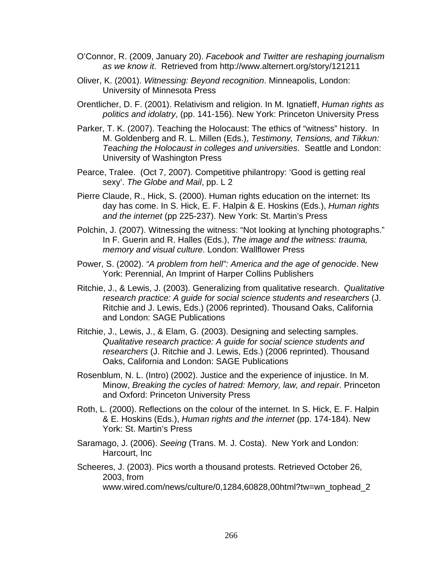- O'Connor, R. (2009, January 20). *Facebook and Twitter are reshaping journalism as we know it*. Retrieved from http://www.alternert.org/story/121211
- Oliver, K. (2001). *Witnessing: Beyond recognition*. Minneapolis, London: University of Minnesota Press
- Orentlicher, D. F. (2001). Relativism and religion. In M. Ignatieff, *Human rights as politics and idolatry*, (pp. 141-156). New York: Princeton University Press
- Parker, T. K. (2007). Teaching the Holocaust: The ethics of "witness" history. In M. Goldenberg and R. L. Millen (Eds.), *Testimony, Tensions, and Tikkun: Teaching the Holocaust in colleges and universities*. Seattle and London: University of Washington Press
- Pearce, Tralee. (Oct 7, 2007). Competitive philantropy: 'Good is getting real sexy'. *The Globe and Mail*, pp. L 2
- Pierre Claude, R., Hick, S. (2000). Human rights education on the internet: Its day has come. In S. Hick, E. F. Halpin & E. Hoskins (Eds.), *Human rights and the internet* (pp 225-237). New York: St. Martin's Press
- Polchin, J. (2007). Witnessing the witness: "Not looking at lynching photographs." In F. Guerin and R. Halles (Eds.), *The image and the witness: trauma, memory and visual culture*. London: Wallflower Press
- Power, S. (2002). *"A problem from hell": America and the age of genocide*. New York: Perennial, An Imprint of Harper Collins Publishers
- Ritchie, J., & Lewis, J. (2003). Generalizing from qualitative research. *Qualitative research practice: A guide for social science students and researchers* (J. Ritchie and J. Lewis, Eds.) (2006 reprinted). Thousand Oaks, California and London: SAGE Publications
- Ritchie, J., Lewis, J., & Elam, G. (2003). Designing and selecting samples. *Qualitative research practice: A guide for social science students and researchers* (J. Ritchie and J. Lewis, Eds.) (2006 reprinted). Thousand Oaks, California and London: SAGE Publications
- Rosenblum, N. L. (Intro) (2002). Justice and the experience of injustice. In M. Minow, *Breaking the cycles of hatred: Memory, law, and repair*. Princeton and Oxford: Princeton University Press
- Roth, L. (2000). Reflections on the colour of the internet. In S. Hick, E. F. Halpin & E. Hoskins (Eds.), *Human rights and the internet* (pp. 174-184). New York: St. Martin's Press
- Saramago, J. (2006). *Seeing* (Trans. M. J. Costa). New York and London: Harcourt, Inc
- Scheeres, J. (2003). Pics worth a thousand protests. Retrieved October 26, 2003, from www.wired.com/news/culture/0,1284,60828,00html?tw=wn\_tophead\_2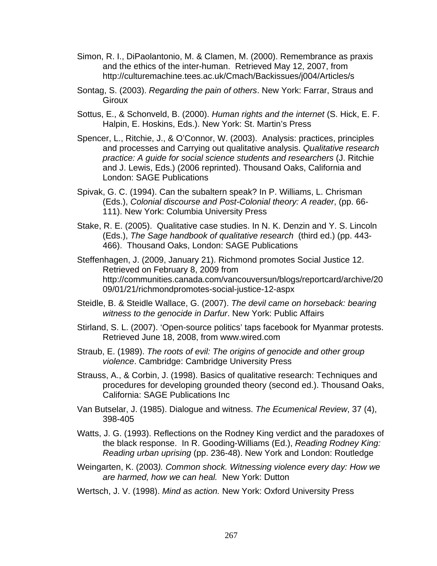- Simon, R. I., DiPaolantonio, M. & Clamen, M. (2000). Remembrance as praxis and the ethics of the inter-human. Retrieved May 12, 2007, from http://culturemachine.tees.ac.uk/Cmach/Backissues/j004/Articles/s
- Sontag, S. (2003). *Regarding the pain of others*. New York: Farrar, Straus and Giroux
- Sottus, E., & Schonveld, B. (2000). *Human rights and the internet* (S. Hick, E. F. Halpin, E. Hoskins, Eds.). New York: St. Martin's Press
- Spencer, L., Ritchie, J., & O'Connor, W. (2003). Analysis: practices, principles and processes and Carrying out qualitative analysis. *Qualitative research practice: A guide for social science students and researchers* (J. Ritchie and J. Lewis, Eds.) (2006 reprinted). Thousand Oaks, California and London: SAGE Publications
- Spivak, G. C. (1994). Can the subaltern speak? In P. Williams, L. Chrisman (Eds.), *Colonial discourse and Post-Colonial theory: A reader*, (pp. 66- 111). New York: Columbia University Press
- Stake, R. E. (2005). Qualitative case studies. In N. K. Denzin and Y. S. Lincoln (Eds.), *The Sage handbook of qualitative research* (third ed.) (pp. 443- 466). Thousand Oaks, London: SAGE Publications
- Steffenhagen, J. (2009, January 21). Richmond promotes Social Justice 12. Retrieved on February 8, 2009 from http://communities.canada.com/vancouversun/blogs/reportcard/archive/20 09/01/21/richmondpromotes-social-justice-12-aspx
- Steidle, B. & Steidle Wallace, G. (2007). *The devil came on horseback: bearing witness to the genocide in Darfur*. New York: Public Affairs
- Stirland, S. L. (2007). 'Open-source politics' taps facebook for Myanmar protests. Retrieved June 18, 2008, from www.wired.com
- Straub, E. (1989). *The roots of evil: The origins of genocide and other group violence*. Cambridge: Cambridge University Press
- Strauss, A., & Corbin, J. (1998). Basics of qualitative research: Techniques and procedures for developing grounded theory (second ed.). Thousand Oaks, California: SAGE Publications Inc
- Van Butselar, J. (1985). Dialogue and witness. *The Ecumenical Review*, 37 (4), 398-405
- Watts, J. G. (1993). Reflections on the Rodney King verdict and the paradoxes of the black response. In R. Gooding-Williams (Ed.), *Reading Rodney King: Reading urban uprising* (pp. 236-48). New York and London: Routledge
- Weingarten, K. (2003*). Common shock. Witnessing violence every day: How we are harmed, how we can heal.* New York: Dutton
- Wertsch, J. V. (1998). *Mind as action.* New York: Oxford University Press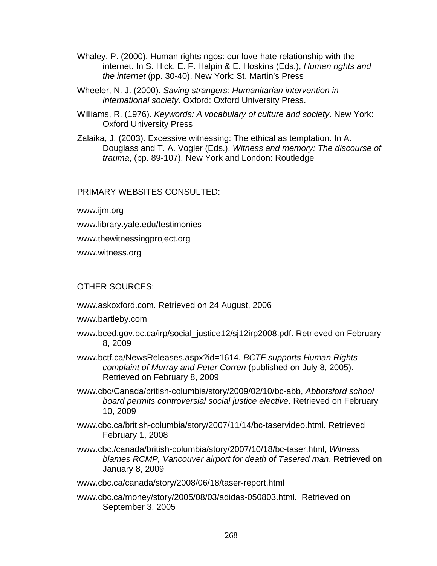- Whaley, P. (2000). Human rights ngos: our love-hate relationship with the internet. In S. Hick, E. F. Halpin & E. Hoskins (Eds.), *Human rights and the internet* (pp. 30-40). New York: St. Martin's Press
- Wheeler, N. J. (2000). *Saving strangers: Humanitarian intervention in international society*. Oxford: Oxford University Press.
- Williams, R. (1976). *Keywords: A vocabulary of culture and society*. New York: Oxford University Press
- Zalaika, J. (2003). Excessive witnessing: The ethical as temptation. In A. Douglass and T. A. Vogler (Eds.), *Witness and memory: The discourse of trauma*, (pp. 89-107). New York and London: Routledge

## PRIMARY WEBSITES CONSULTED:

www.ijm.org

www.library.yale.edu/testimonies

www.thewitnessingproject.org

www.witness.org

# OTHER SOURCES:

www.askoxford.com. Retrieved on 24 August, 2006

www.bartleby.com

- www.bced.gov.bc.ca/irp/social\_justice12/sj12irp2008.pdf. Retrieved on February 8, 2009
- www.bctf.ca/NewsReleases.aspx?id=1614, *BCTF supports Human Rights complaint of Murray and Peter Corren* (published on July 8, 2005). Retrieved on February 8, 2009
- www.cbc/Canada/british-columbia/story/2009/02/10/bc-abb, *Abbotsford school board permits controversial social justice elective*. Retrieved on February 10, 2009
- www.cbc.ca/british-columbia/story/2007/11/14/bc-taservideo.html. Retrieved February 1, 2008
- www.cbc./canada/british-columbia/story/2007/10/18/bc-taser.html, *Witness blames RCMP, Vancouver airport for death of Tasered man*. Retrieved on January 8, 2009

www.cbc.ca/canada/story/2008/06/18/taser-report.html

www.cbc.ca/money/story/2005/08/03/adidas-050803.html. Retrieved on September 3, 2005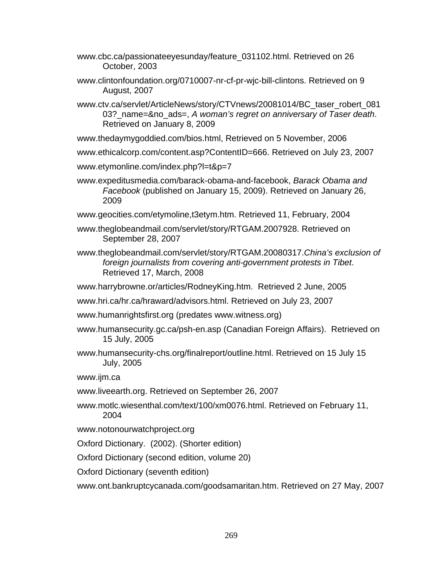- www.cbc.ca/passionateeyesunday/feature\_031102.html. Retrieved on 26 October, 2003
- www.clintonfoundation.org/0710007-nr-cf-pr-wjc-bill-clintons. Retrieved on 9 August, 2007
- www.ctv.ca/servlet/ArticleNews/story/CTVnews/20081014/BC\_taser\_robert\_081 03?\_name=&no\_ads=, *A woman's regret on anniversary of Taser death*. Retrieved on January 8, 2009
- www.thedaymygoddied.com/bios.html, Retrieved on 5 November, 2006
- www.ethicalcorp.com/content.asp?ContentID=666. Retrieved on July 23, 2007
- www.etymonline.com/index.php?l=t&p=7
- www.expeditusmedia.com/barack-obama-and-facebook, *Barack Obama and Facebook* (published on January 15, 2009). Retrieved on January 26, 2009
- www.geocities.com/etymoline,t3etym.htm. Retrieved 11, February, 2004
- www.theglobeandmail.com/servlet/story/RTGAM.2007928. Retrieved on September 28, 2007
- www.theglobeandmail.com/servlet/story/RTGAM.20080317.*China's exclusion of foreign journalists from covering anti-government protests in Tibet*. Retrieved 17, March, 2008
- www.harrybrowne.or/articles/RodneyKing.htm. Retrieved 2 June, 2005
- www.hri.ca/hr.ca/hraward/advisors.html. Retrieved on July 23, 2007
- www.humanrightsfirst.org (predates www.witness.org)
- www.humansecurity.gc.ca/psh-en.asp (Canadian Foreign Affairs). Retrieved on 15 July, 2005
- www.humansecurity-chs.org/finalreport/outline.html. Retrieved on 15 July 15 July, 2005

www.ijm.ca

- www.liveearth.org. Retrieved on September 26, 2007
- www.motlc.wiesenthal.com/text/100/xm0076.html. Retrieved on February 11, 2004
- www.notonourwatchproject.org

Oxford Dictionary. (2002). (Shorter edition)

Oxford Dictionary (second edition, volume 20)

Oxford Dictionary (seventh edition)

www.ont.bankruptcycanada.com/goodsamaritan.htm. Retrieved on 27 May, 2007